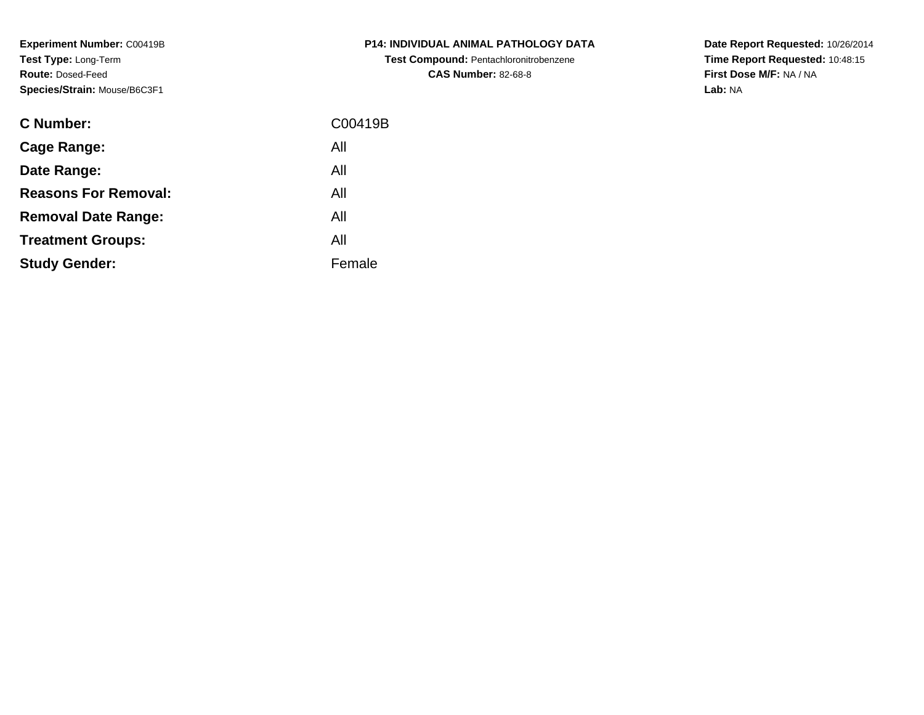**Experiment Number:** C00419B**Test Type:** Long-Term**Route:** Dosed-Feed**Species/Strain:** Mouse/B6C3F1

| <b>C Number:</b>            | C00419B |
|-----------------------------|---------|
| <b>Cage Range:</b>          | All     |
| Date Range:                 | All     |
| <b>Reasons For Removal:</b> | All     |
| <b>Removal Date Range:</b>  | All     |
| <b>Treatment Groups:</b>    | All     |
| <b>Study Gender:</b>        | Female  |
|                             |         |

**P14: INDIVIDUAL ANIMAL PATHOLOGY DATATest Compound:** Pentachloronitrobenzene**CAS Number:** 82-68-8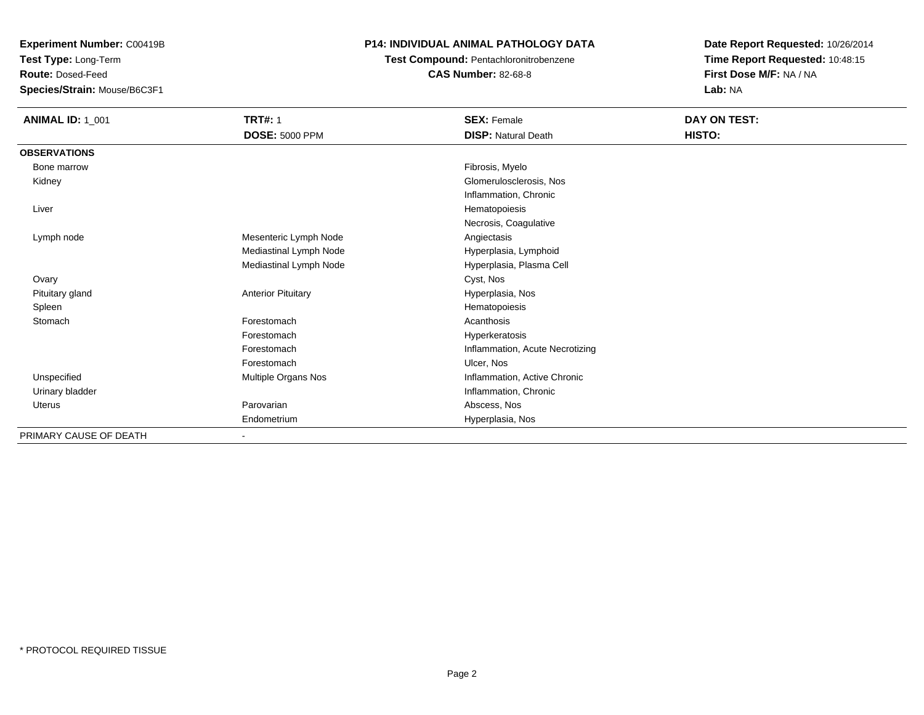**Test Type:** Long-Term

**Route:** Dosed-Feed

**Species/Strain:** Mouse/B6C3F1

### **P14: INDIVIDUAL ANIMAL PATHOLOGY DATA**

**Test Compound:** Pentachloronitrobenzene**CAS Number:** 82-68-8

| <b>ANIMAL ID: 1_001</b> | <b>TRT#: 1</b>            | <b>SEX: Female</b>              | DAY ON TEST: |  |
|-------------------------|---------------------------|---------------------------------|--------------|--|
|                         | <b>DOSE: 5000 PPM</b>     | <b>DISP: Natural Death</b>      | HISTO:       |  |
| <b>OBSERVATIONS</b>     |                           |                                 |              |  |
| Bone marrow             |                           | Fibrosis, Myelo                 |              |  |
| Kidney                  |                           | Glomerulosclerosis, Nos         |              |  |
|                         |                           | Inflammation, Chronic           |              |  |
| Liver                   |                           | Hematopoiesis                   |              |  |
|                         |                           | Necrosis, Coagulative           |              |  |
| Lymph node              | Mesenteric Lymph Node     | Angiectasis                     |              |  |
|                         | Mediastinal Lymph Node    | Hyperplasia, Lymphoid           |              |  |
|                         | Mediastinal Lymph Node    | Hyperplasia, Plasma Cell        |              |  |
| Ovary                   |                           | Cyst, Nos                       |              |  |
| Pituitary gland         | <b>Anterior Pituitary</b> | Hyperplasia, Nos                |              |  |
| Spleen                  |                           | Hematopoiesis                   |              |  |
| Stomach                 | Forestomach               | Acanthosis                      |              |  |
|                         | Forestomach               | Hyperkeratosis                  |              |  |
|                         | Forestomach               | Inflammation, Acute Necrotizing |              |  |
|                         | Forestomach               | Ulcer, Nos                      |              |  |
| Unspecified             | Multiple Organs Nos       | Inflammation, Active Chronic    |              |  |
| Urinary bladder         |                           | Inflammation, Chronic           |              |  |
| Uterus                  | Parovarian                | Abscess, Nos                    |              |  |
|                         | Endometrium               | Hyperplasia, Nos                |              |  |
| PRIMARY CAUSE OF DEATH  |                           |                                 |              |  |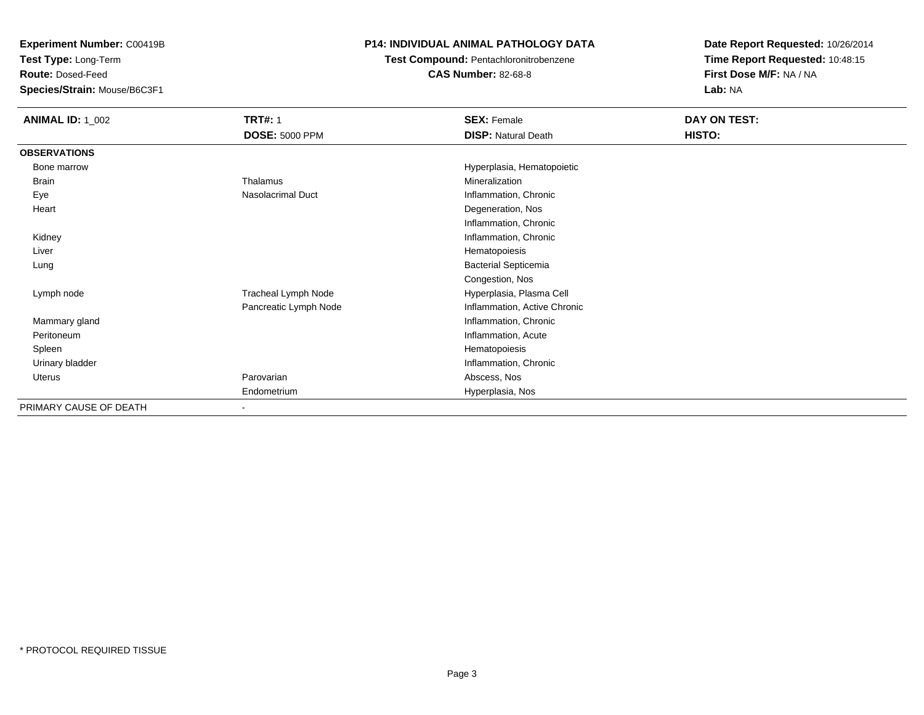**Test Type:** Long-Term

**Route:** Dosed-Feed

**Species/Strain:** Mouse/B6C3F1

### **P14: INDIVIDUAL ANIMAL PATHOLOGY DATA**

### **Test Compound:** Pentachloronitrobenzene

**CAS Number:** 82-68-8

| <b>ANIMAL ID: 1_002</b> | <b>TRT#: 1</b>           | <b>SEX: Female</b>           | DAY ON TEST: |
|-------------------------|--------------------------|------------------------------|--------------|
|                         | <b>DOSE: 5000 PPM</b>    | <b>DISP: Natural Death</b>   | HISTO:       |
| <b>OBSERVATIONS</b>     |                          |                              |              |
| Bone marrow             |                          | Hyperplasia, Hematopoietic   |              |
| Brain                   | Thalamus                 | Mineralization               |              |
| Eye                     | Nasolacrimal Duct        | Inflammation, Chronic        |              |
| Heart                   |                          | Degeneration, Nos            |              |
|                         |                          | Inflammation, Chronic        |              |
| Kidney                  |                          | Inflammation, Chronic        |              |
| Liver                   |                          | Hematopoiesis                |              |
| Lung                    |                          | <b>Bacterial Septicemia</b>  |              |
|                         |                          | Congestion, Nos              |              |
| Lymph node              | Tracheal Lymph Node      | Hyperplasia, Plasma Cell     |              |
|                         | Pancreatic Lymph Node    | Inflammation, Active Chronic |              |
| Mammary gland           |                          | Inflammation, Chronic        |              |
| Peritoneum              |                          | Inflammation, Acute          |              |
| Spleen                  |                          | Hematopoiesis                |              |
| Urinary bladder         |                          | Inflammation, Chronic        |              |
| Uterus                  | Parovarian               | Abscess, Nos                 |              |
|                         | Endometrium              | Hyperplasia, Nos             |              |
| PRIMARY CAUSE OF DEATH  | $\overline{\phantom{0}}$ |                              |              |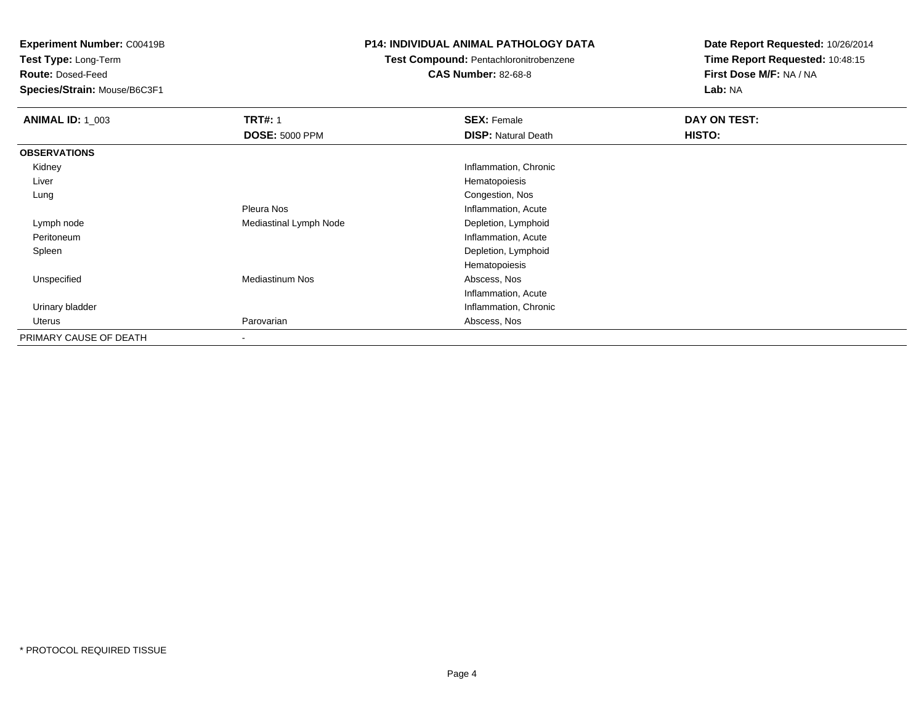**Test Type:** Long-Term

**Route:** Dosed-Feed

**Species/Strain:** Mouse/B6C3F1

### **P14: INDIVIDUAL ANIMAL PATHOLOGY DATA**

### **Test Compound:** Pentachloronitrobenzene

**CAS Number:** 82-68-8

| <b>ANIMAL ID: 1_003</b> | <b>TRT#: 1</b>         | <b>SEX: Female</b>         | DAY ON TEST: |
|-------------------------|------------------------|----------------------------|--------------|
|                         | <b>DOSE: 5000 PPM</b>  | <b>DISP: Natural Death</b> | HISTO:       |
| <b>OBSERVATIONS</b>     |                        |                            |              |
| Kidney                  |                        | Inflammation, Chronic      |              |
| Liver                   |                        | Hematopoiesis              |              |
| Lung                    |                        | Congestion, Nos            |              |
|                         | Pleura Nos             | Inflammation, Acute        |              |
| Lymph node              | Mediastinal Lymph Node | Depletion, Lymphoid        |              |
| Peritoneum              |                        | Inflammation, Acute        |              |
| Spleen                  |                        | Depletion, Lymphoid        |              |
|                         |                        | Hematopoiesis              |              |
| Unspecified             | <b>Mediastinum Nos</b> | Abscess, Nos               |              |
|                         |                        | Inflammation, Acute        |              |
| Urinary bladder         |                        | Inflammation, Chronic      |              |
| Uterus                  | Parovarian             | Abscess, Nos               |              |
| PRIMARY CAUSE OF DEATH  |                        |                            |              |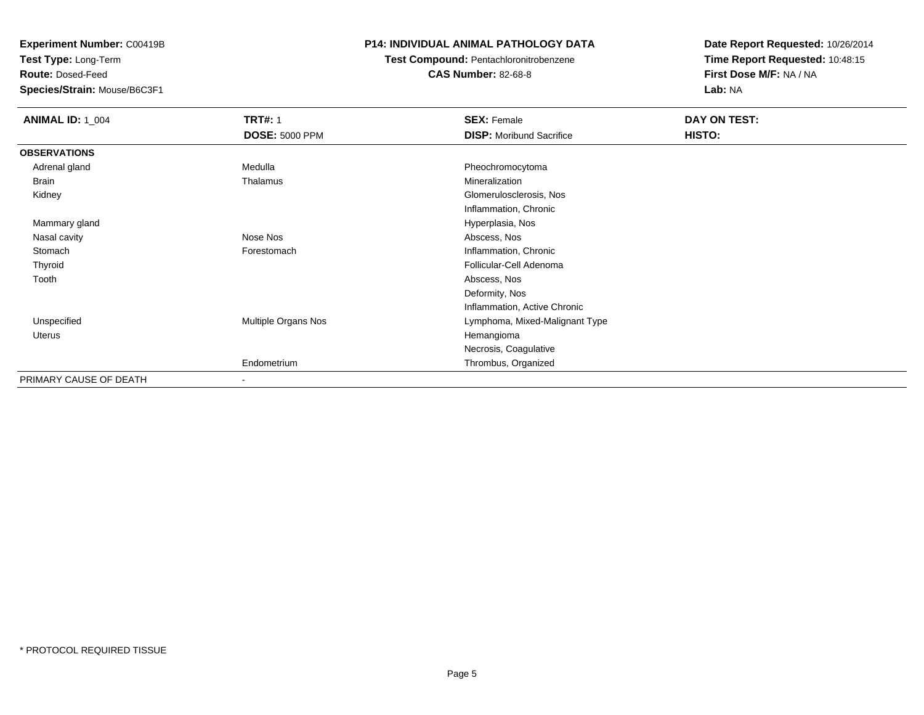**Test Type:** Long-Term

**Route:** Dosed-Feed

**Species/Strain:** Mouse/B6C3F1

### **P14: INDIVIDUAL ANIMAL PATHOLOGY DATA**

## **Test Compound:** Pentachloronitrobenzene

**CAS Number:** 82-68-8

| <b>ANIMAL ID: 1 004</b> | <b>TRT#: 1</b>           | <b>SEX: Female</b>              | DAY ON TEST: |
|-------------------------|--------------------------|---------------------------------|--------------|
|                         | <b>DOSE: 5000 PPM</b>    | <b>DISP:</b> Moribund Sacrifice | HISTO:       |
| <b>OBSERVATIONS</b>     |                          |                                 |              |
| Adrenal gland           | Medulla                  | Pheochromocytoma                |              |
| Brain                   | Thalamus                 | Mineralization                  |              |
| Kidney                  |                          | Glomerulosclerosis, Nos         |              |
|                         |                          | Inflammation, Chronic           |              |
| Mammary gland           |                          | Hyperplasia, Nos                |              |
| Nasal cavity            | Nose Nos                 | Abscess, Nos                    |              |
| Stomach                 | Forestomach              | Inflammation, Chronic           |              |
| Thyroid                 |                          | Follicular-Cell Adenoma         |              |
| Tooth                   |                          | Abscess, Nos                    |              |
|                         |                          | Deformity, Nos                  |              |
|                         |                          | Inflammation, Active Chronic    |              |
| Unspecified             | Multiple Organs Nos      | Lymphoma, Mixed-Malignant Type  |              |
| Uterus                  |                          | Hemangioma                      |              |
|                         |                          | Necrosis, Coagulative           |              |
|                         | Endometrium              | Thrombus, Organized             |              |
| PRIMARY CAUSE OF DEATH  | $\overline{\phantom{a}}$ |                                 |              |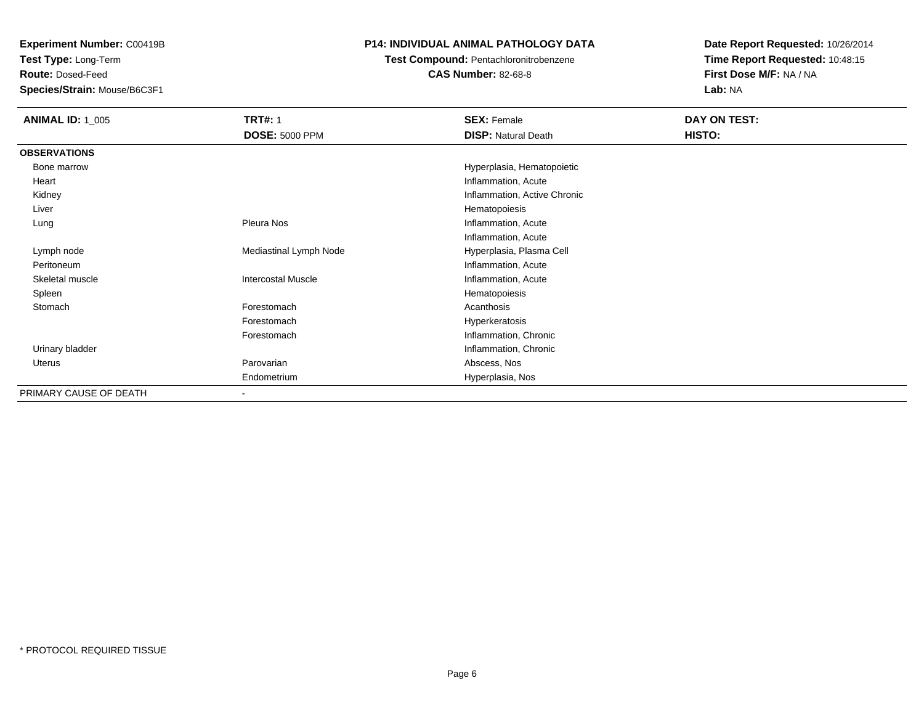**Test Type:** Long-Term

**Route:** Dosed-Feed

**Species/Strain:** Mouse/B6C3F1

### **P14: INDIVIDUAL ANIMAL PATHOLOGY DATA**

**Test Compound:** Pentachloronitrobenzene

**CAS Number:** 82-68-8

| <b>ANIMAL ID: 1_005</b> | <b>TRT#: 1</b>            | <b>SEX: Female</b>           | DAY ON TEST: |  |
|-------------------------|---------------------------|------------------------------|--------------|--|
|                         | <b>DOSE: 5000 PPM</b>     | <b>DISP: Natural Death</b>   | HISTO:       |  |
| <b>OBSERVATIONS</b>     |                           |                              |              |  |
| Bone marrow             |                           | Hyperplasia, Hematopoietic   |              |  |
| Heart                   |                           | Inflammation, Acute          |              |  |
| Kidney                  |                           | Inflammation, Active Chronic |              |  |
| Liver                   |                           | Hematopoiesis                |              |  |
| Lung                    | Pleura Nos                | Inflammation, Acute          |              |  |
|                         |                           | Inflammation, Acute          |              |  |
| Lymph node              | Mediastinal Lymph Node    | Hyperplasia, Plasma Cell     |              |  |
| Peritoneum              |                           | Inflammation, Acute          |              |  |
| Skeletal muscle         | <b>Intercostal Muscle</b> | Inflammation, Acute          |              |  |
| Spleen                  |                           | Hematopoiesis                |              |  |
| Stomach                 | Forestomach               | Acanthosis                   |              |  |
|                         | Forestomach               | Hyperkeratosis               |              |  |
|                         | Forestomach               | Inflammation, Chronic        |              |  |
| Urinary bladder         |                           | Inflammation, Chronic        |              |  |
| Uterus                  | Parovarian                | Abscess, Nos                 |              |  |
|                         | Endometrium               | Hyperplasia, Nos             |              |  |
| PRIMARY CAUSE OF DEATH  | ٠                         |                              |              |  |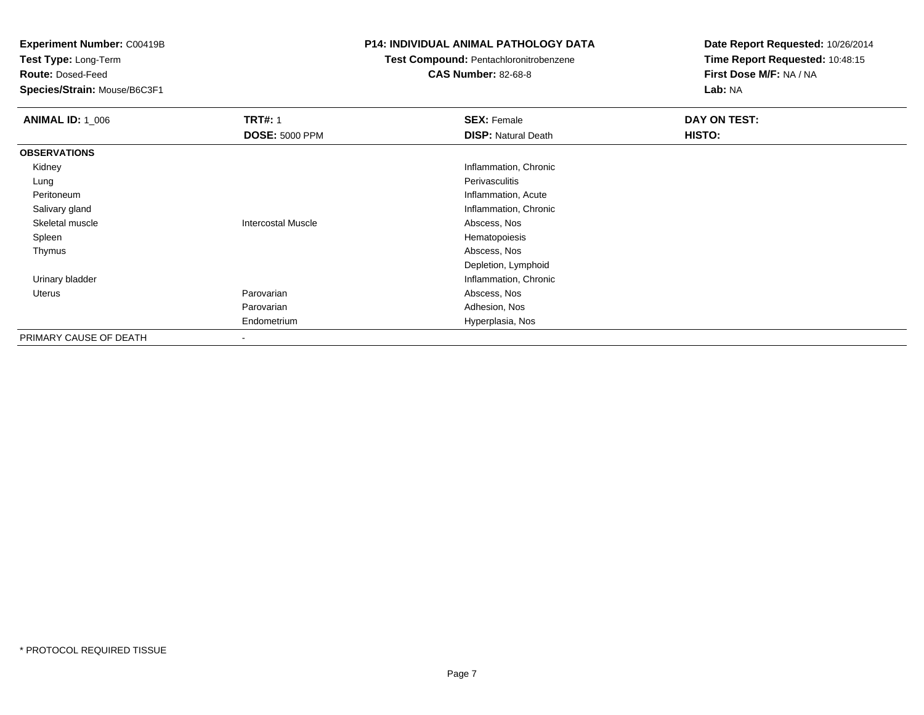**Test Type:** Long-Term

**Route:** Dosed-Feed

**Species/Strain:** Mouse/B6C3F1

### **P14: INDIVIDUAL ANIMAL PATHOLOGY DATA**

### **Test Compound:** Pentachloronitrobenzene

**CAS Number:** 82-68-8

| <b>ANIMAL ID: 1 006</b> | <b>TRT#: 1</b>            | <b>SEX: Female</b>         | DAY ON TEST: |
|-------------------------|---------------------------|----------------------------|--------------|
|                         | <b>DOSE: 5000 PPM</b>     | <b>DISP: Natural Death</b> | HISTO:       |
| <b>OBSERVATIONS</b>     |                           |                            |              |
| Kidney                  |                           | Inflammation, Chronic      |              |
| Lung                    |                           | Perivasculitis             |              |
| Peritoneum              |                           | Inflammation, Acute        |              |
| Salivary gland          |                           | Inflammation, Chronic      |              |
| Skeletal muscle         | <b>Intercostal Muscle</b> | Abscess, Nos               |              |
| Spleen                  |                           | Hematopoiesis              |              |
| Thymus                  |                           | Abscess, Nos               |              |
|                         |                           | Depletion, Lymphoid        |              |
| Urinary bladder         |                           | Inflammation, Chronic      |              |
| Uterus                  | Parovarian                | Abscess, Nos               |              |
|                         | Parovarian                | Adhesion, Nos              |              |
|                         | Endometrium               | Hyperplasia, Nos           |              |
| PRIMARY CAUSE OF DEATH  | $\overline{\phantom{a}}$  |                            |              |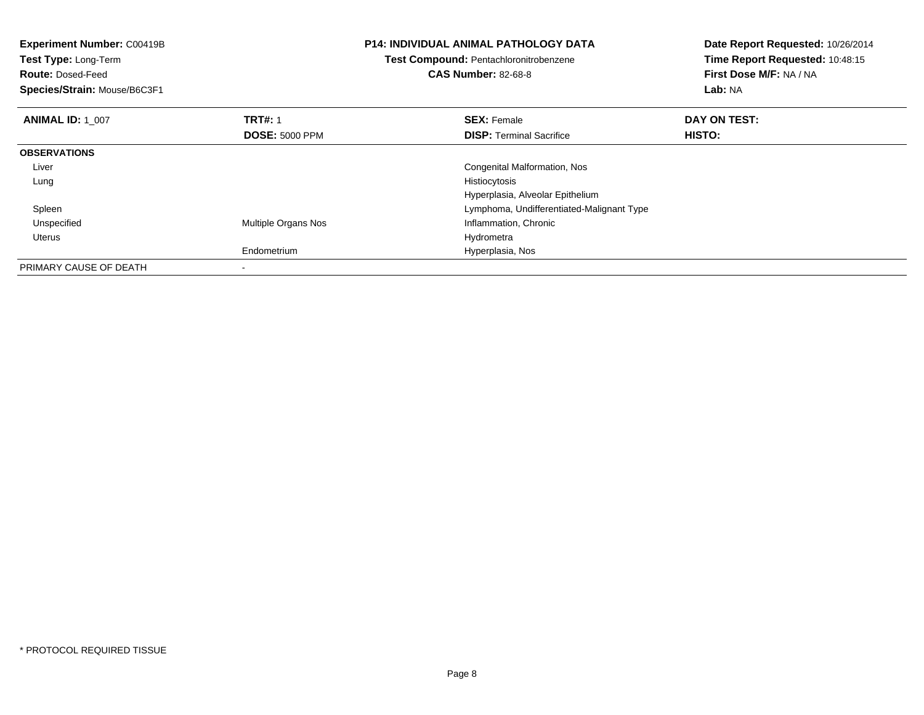| <b>Experiment Number: C00419B</b><br><b>Test Type: Long-Term</b><br><b>Route: Dosed-Feed</b><br>Species/Strain: Mouse/B6C3F1 |                            | <b>P14: INDIVIDUAL ANIMAL PATHOLOGY DATA</b><br>Test Compound: Pentachloronitrobenzene<br><b>CAS Number: 82-68-8</b> | Date Report Requested: 10/26/2014<br>Time Report Requested: 10:48:15<br>First Dose M/F: NA / NA<br>Lab: NA |
|------------------------------------------------------------------------------------------------------------------------------|----------------------------|----------------------------------------------------------------------------------------------------------------------|------------------------------------------------------------------------------------------------------------|
| <b>ANIMAL ID: 1 007</b>                                                                                                      | <b>TRT#: 1</b>             | <b>SEX: Female</b>                                                                                                   | DAY ON TEST:                                                                                               |
|                                                                                                                              | <b>DOSE: 5000 PPM</b>      | <b>DISP:</b> Terminal Sacrifice                                                                                      | HISTO:                                                                                                     |
| <b>OBSERVATIONS</b>                                                                                                          |                            |                                                                                                                      |                                                                                                            |
| Liver                                                                                                                        |                            | Congenital Malformation, Nos                                                                                         |                                                                                                            |
| Lung                                                                                                                         |                            | Histiocytosis                                                                                                        |                                                                                                            |
|                                                                                                                              |                            | Hyperplasia, Alveolar Epithelium                                                                                     |                                                                                                            |
| Spleen                                                                                                                       |                            | Lymphoma, Undifferentiated-Malignant Type                                                                            |                                                                                                            |
| Unspecified                                                                                                                  | <b>Multiple Organs Nos</b> | Inflammation, Chronic                                                                                                |                                                                                                            |
| Uterus                                                                                                                       |                            | Hydrometra                                                                                                           |                                                                                                            |
|                                                                                                                              | Endometrium                | Hyperplasia, Nos                                                                                                     |                                                                                                            |
| PRIMARY CAUSE OF DEATH                                                                                                       |                            |                                                                                                                      |                                                                                                            |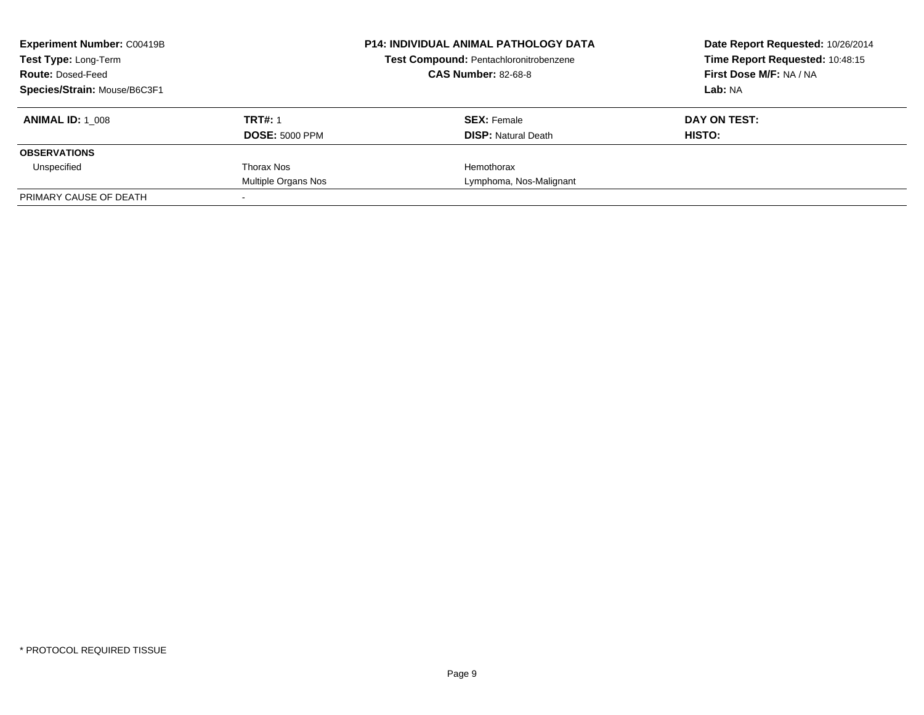| <b>Experiment Number: C00419B</b><br><b>Test Type: Long-Term</b> |                       | <b>P14: INDIVIDUAL ANIMAL PATHOLOGY DATA</b><br>Test Compound: Pentachloronitrobenzene | Date Report Requested: 10/26/2014<br>Time Report Requested: 10:48:15 |  |
|------------------------------------------------------------------|-----------------------|----------------------------------------------------------------------------------------|----------------------------------------------------------------------|--|
| <b>Route: Dosed-Feed</b>                                         |                       | <b>CAS Number: 82-68-8</b>                                                             | First Dose M/F: NA / NA                                              |  |
| Species/Strain: Mouse/B6C3F1                                     |                       |                                                                                        | Lab: NA                                                              |  |
| <b>ANIMAL ID:</b> 1 008                                          | <b>TRT#: 1</b>        | <b>SEX: Female</b>                                                                     | DAY ON TEST:                                                         |  |
|                                                                  | <b>DOSE: 5000 PPM</b> | <b>DISP:</b> Natural Death                                                             | HISTO:                                                               |  |
| <b>OBSERVATIONS</b>                                              |                       |                                                                                        |                                                                      |  |
| Unspecified                                                      | Thorax Nos            | Hemothorax                                                                             |                                                                      |  |
|                                                                  | Multiple Organs Nos   | Lymphoma, Nos-Malignant                                                                |                                                                      |  |
| PRIMARY CAUSE OF DEATH                                           |                       |                                                                                        |                                                                      |  |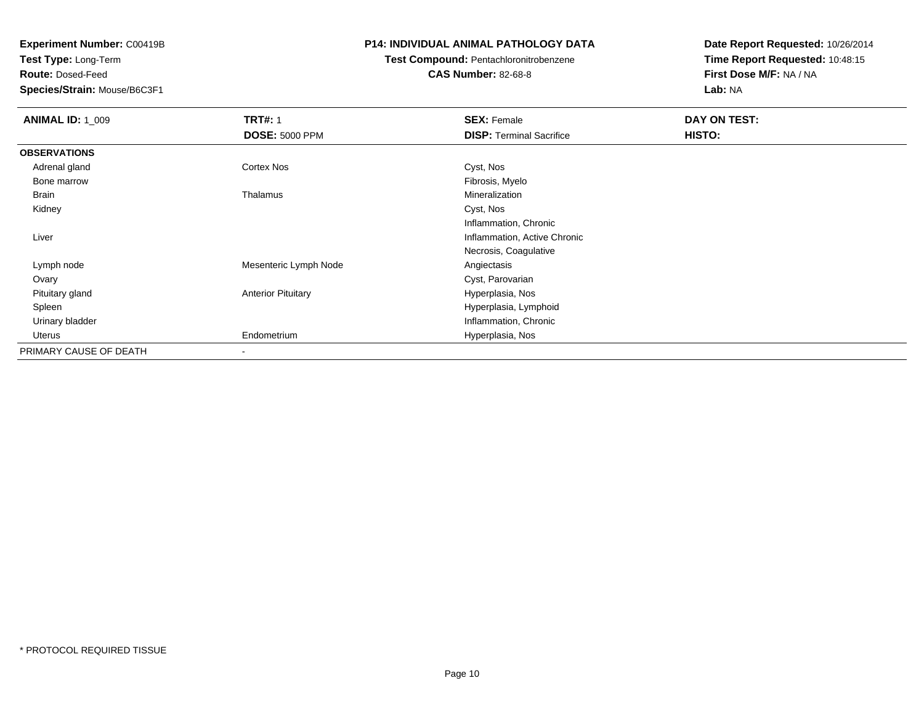**Test Type:** Long-Term

**Route:** Dosed-Feed

**Species/Strain:** Mouse/B6C3F1

### **P14: INDIVIDUAL ANIMAL PATHOLOGY DATA**

# **Test Compound:** Pentachloronitrobenzene

**CAS Number:** 82-68-8

| <b>ANIMAL ID: 1_009</b> | <b>TRT#: 1</b><br><b>DOSE: 5000 PPM</b> | <b>SEX: Female</b><br><b>DISP:</b> Terminal Sacrifice | DAY ON TEST:<br>HISTO: |
|-------------------------|-----------------------------------------|-------------------------------------------------------|------------------------|
| <b>OBSERVATIONS</b>     |                                         |                                                       |                        |
|                         |                                         |                                                       |                        |
| Adrenal gland           | <b>Cortex Nos</b>                       | Cyst, Nos                                             |                        |
| Bone marrow             |                                         | Fibrosis, Myelo                                       |                        |
| Brain                   | Thalamus                                | Mineralization                                        |                        |
| Kidney                  |                                         | Cyst, Nos                                             |                        |
|                         |                                         | Inflammation, Chronic                                 |                        |
| Liver                   |                                         | Inflammation, Active Chronic                          |                        |
|                         |                                         | Necrosis, Coagulative                                 |                        |
| Lymph node              | Mesenteric Lymph Node                   | Angiectasis                                           |                        |
| Ovary                   |                                         | Cyst, Parovarian                                      |                        |
| Pituitary gland         | <b>Anterior Pituitary</b>               | Hyperplasia, Nos                                      |                        |
| Spleen                  |                                         | Hyperplasia, Lymphoid                                 |                        |
| Urinary bladder         |                                         | Inflammation, Chronic                                 |                        |
| Uterus                  | Endometrium                             | Hyperplasia, Nos                                      |                        |
| PRIMARY CAUSE OF DEATH  |                                         |                                                       |                        |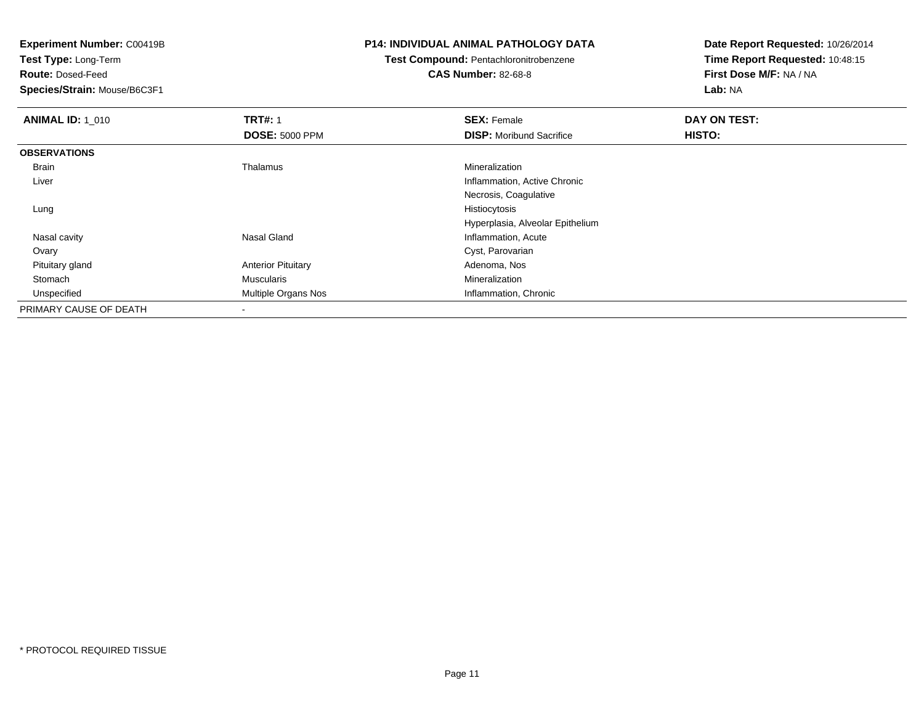**Test Type:** Long-Term

**Route:** Dosed-Feed

**Species/Strain:** Mouse/B6C3F1

#### **P14: INDIVIDUAL ANIMAL PATHOLOGY DATA**

### **Test Compound:** Pentachloronitrobenzene**CAS Number:** 82-68-8

| <b>ANIMAL ID: 1_010</b> | <b>TRT#: 1</b>            | <b>SEX: Female</b>               | DAY ON TEST: |  |
|-------------------------|---------------------------|----------------------------------|--------------|--|
|                         | <b>DOSE: 5000 PPM</b>     | <b>DISP:</b> Moribund Sacrifice  | HISTO:       |  |
| <b>OBSERVATIONS</b>     |                           |                                  |              |  |
| <b>Brain</b>            | Thalamus                  | Mineralization                   |              |  |
| Liver                   |                           | Inflammation, Active Chronic     |              |  |
|                         |                           | Necrosis, Coagulative            |              |  |
| Lung                    |                           | Histiocytosis                    |              |  |
|                         |                           | Hyperplasia, Alveolar Epithelium |              |  |
| Nasal cavity            | Nasal Gland               | Inflammation, Acute              |              |  |
| Ovary                   |                           | Cyst, Parovarian                 |              |  |
| Pituitary gland         | <b>Anterior Pituitary</b> | Adenoma, Nos                     |              |  |
| Stomach                 | Muscularis                | Mineralization                   |              |  |
| Unspecified             | Multiple Organs Nos       | Inflammation, Chronic            |              |  |
| PRIMARY CAUSE OF DEATH  |                           |                                  |              |  |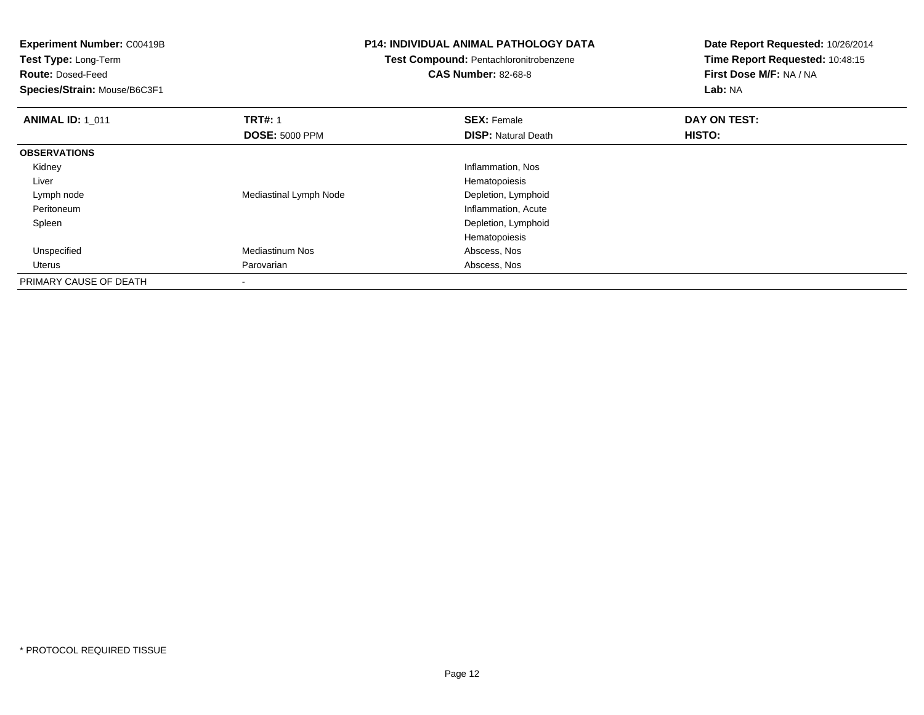| <b>Experiment Number: C00419B</b><br>Test Type: Long-Term<br><b>Route: Dosed-Feed</b> |                        | <b>P14: INDIVIDUAL ANIMAL PATHOLOGY DATA</b><br>Test Compound: Pentachloronitrobenzene<br><b>CAS Number: 82-68-8</b> | Date Report Requested: 10/26/2014<br>Time Report Requested: 10:48:15<br>First Dose M/F: NA / NA |
|---------------------------------------------------------------------------------------|------------------------|----------------------------------------------------------------------------------------------------------------------|-------------------------------------------------------------------------------------------------|
| Species/Strain: Mouse/B6C3F1                                                          |                        |                                                                                                                      | Lab: NA                                                                                         |
| <b>ANIMAL ID: 1 011</b>                                                               | <b>TRT#: 1</b>         | <b>SEX: Female</b>                                                                                                   | DAY ON TEST:                                                                                    |
|                                                                                       | <b>DOSE: 5000 PPM</b>  | <b>DISP:</b> Natural Death                                                                                           | HISTO:                                                                                          |
| <b>OBSERVATIONS</b>                                                                   |                        |                                                                                                                      |                                                                                                 |
| Kidney                                                                                |                        | Inflammation, Nos                                                                                                    |                                                                                                 |
| Liver                                                                                 |                        | Hematopoiesis                                                                                                        |                                                                                                 |
| Lymph node                                                                            | Mediastinal Lymph Node | Depletion, Lymphoid                                                                                                  |                                                                                                 |
| Peritoneum                                                                            |                        | Inflammation, Acute                                                                                                  |                                                                                                 |
| Spleen                                                                                |                        | Depletion, Lymphoid                                                                                                  |                                                                                                 |
|                                                                                       |                        | Hematopoiesis                                                                                                        |                                                                                                 |
| Unspecified                                                                           | <b>Mediastinum Nos</b> | Abscess, Nos                                                                                                         |                                                                                                 |
| Uterus                                                                                | Parovarian             | Abscess, Nos                                                                                                         |                                                                                                 |
| PRIMARY CAUSE OF DEATH                                                                |                        |                                                                                                                      |                                                                                                 |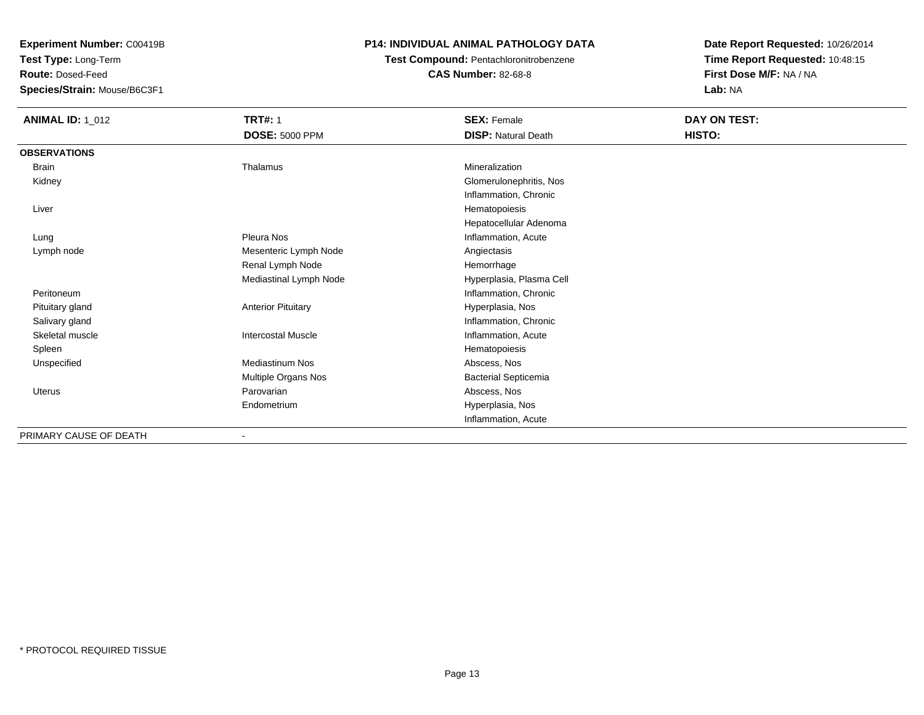**Test Type:** Long-Term

**Route:** Dosed-Feed

**Species/Strain:** Mouse/B6C3F1

### **P14: INDIVIDUAL ANIMAL PATHOLOGY DATA**

### **Test Compound:** Pentachloronitrobenzene**CAS Number:** 82-68-8

| <b>ANIMAL ID: 1_012</b> | <b>TRT#: 1</b>            | <b>SEX: Female</b>          | DAY ON TEST: |  |
|-------------------------|---------------------------|-----------------------------|--------------|--|
|                         | <b>DOSE: 5000 PPM</b>     | <b>DISP: Natural Death</b>  | HISTO:       |  |
| <b>OBSERVATIONS</b>     |                           |                             |              |  |
| Brain                   | Thalamus                  | Mineralization              |              |  |
| Kidney                  |                           | Glomerulonephritis, Nos     |              |  |
|                         |                           | Inflammation, Chronic       |              |  |
| Liver                   |                           | Hematopoiesis               |              |  |
|                         |                           | Hepatocellular Adenoma      |              |  |
| Lung                    | Pleura Nos                | Inflammation, Acute         |              |  |
| Lymph node              | Mesenteric Lymph Node     | Angiectasis                 |              |  |
|                         | Renal Lymph Node          | Hemorrhage                  |              |  |
|                         | Mediastinal Lymph Node    | Hyperplasia, Plasma Cell    |              |  |
| Peritoneum              |                           | Inflammation, Chronic       |              |  |
| Pituitary gland         | <b>Anterior Pituitary</b> | Hyperplasia, Nos            |              |  |
| Salivary gland          |                           | Inflammation, Chronic       |              |  |
| Skeletal muscle         | <b>Intercostal Muscle</b> | Inflammation, Acute         |              |  |
| Spleen                  |                           | Hematopoiesis               |              |  |
| Unspecified             | <b>Mediastinum Nos</b>    | Abscess, Nos                |              |  |
|                         | Multiple Organs Nos       | <b>Bacterial Septicemia</b> |              |  |
| Uterus                  | Parovarian                | Abscess, Nos                |              |  |
|                         | Endometrium               | Hyperplasia, Nos            |              |  |
|                         |                           | Inflammation, Acute         |              |  |
| PRIMARY CAUSE OF DEATH  |                           |                             |              |  |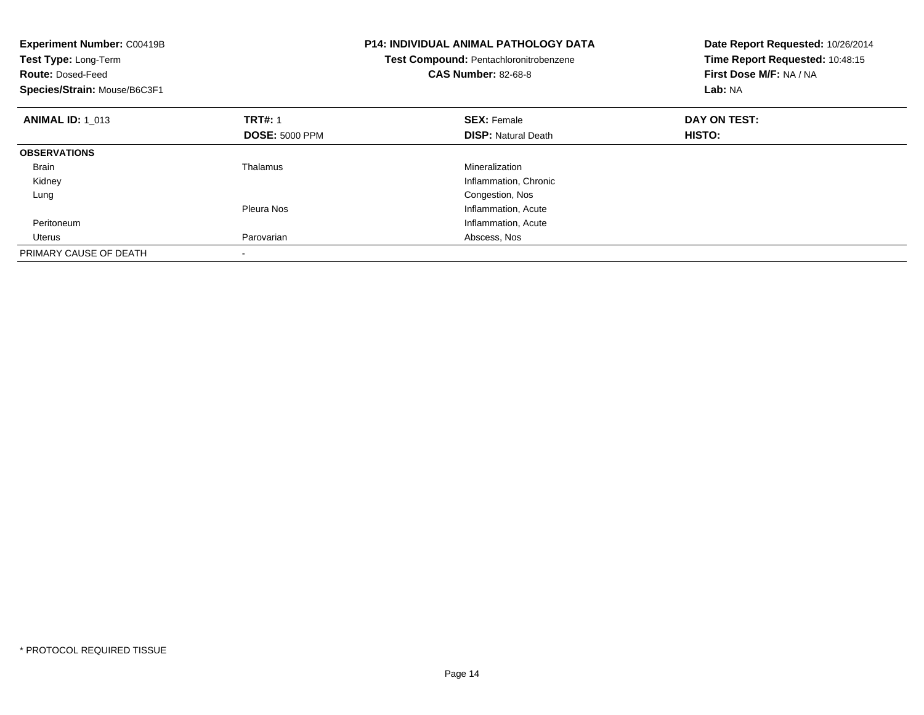| <b>Experiment Number: C00419B</b><br>Test Type: Long-Term<br><b>Route: Dosed-Feed</b><br>Species/Strain: Mouse/B6C3F1 |                       | <b>P14: INDIVIDUAL ANIMAL PATHOLOGY DATA</b><br>Test Compound: Pentachloronitrobenzene<br><b>CAS Number: 82-68-8</b> | Date Report Requested: 10/26/2014<br>Time Report Requested: 10:48:15<br>First Dose M/F: NA / NA<br>Lab: NA |
|-----------------------------------------------------------------------------------------------------------------------|-----------------------|----------------------------------------------------------------------------------------------------------------------|------------------------------------------------------------------------------------------------------------|
| <b>ANIMAL ID: 1 013</b>                                                                                               | <b>TRT#: 1</b>        | <b>SEX: Female</b>                                                                                                   | DAY ON TEST:                                                                                               |
|                                                                                                                       | <b>DOSE: 5000 PPM</b> | <b>DISP:</b> Natural Death                                                                                           | HISTO:                                                                                                     |
| <b>OBSERVATIONS</b>                                                                                                   |                       |                                                                                                                      |                                                                                                            |
| <b>Brain</b>                                                                                                          | Thalamus              | Mineralization                                                                                                       |                                                                                                            |
| Kidney                                                                                                                |                       | Inflammation, Chronic                                                                                                |                                                                                                            |
| Lung                                                                                                                  |                       | Congestion, Nos                                                                                                      |                                                                                                            |
|                                                                                                                       | Pleura Nos            | Inflammation, Acute                                                                                                  |                                                                                                            |
| Peritoneum                                                                                                            |                       | Inflammation, Acute                                                                                                  |                                                                                                            |
| Uterus                                                                                                                | Parovarian            | Abscess, Nos                                                                                                         |                                                                                                            |
| PRIMARY CAUSE OF DEATH                                                                                                |                       |                                                                                                                      |                                                                                                            |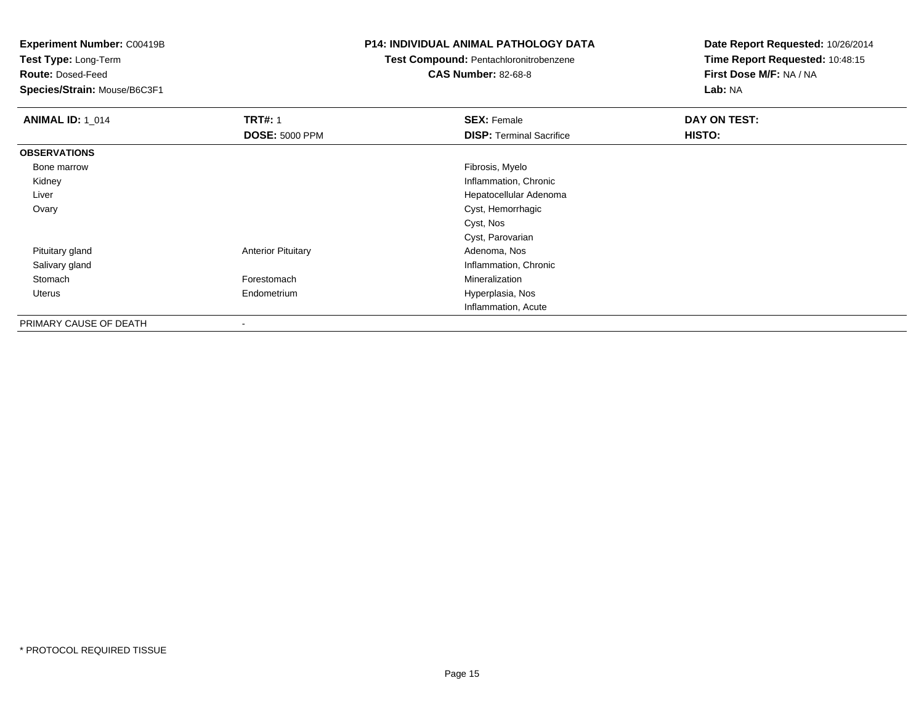**Test Type:** Long-Term

**Route:** Dosed-Feed

**Species/Strain:** Mouse/B6C3F1

#### **P14: INDIVIDUAL ANIMAL PATHOLOGY DATA**

# **Test Compound:** Pentachloronitrobenzene

**CAS Number:** 82-68-8

| <b>ANIMAL ID: 1_014</b> | <b>TRT#: 1</b>            | <b>SEX: Female</b>              | DAY ON TEST: |  |
|-------------------------|---------------------------|---------------------------------|--------------|--|
|                         | <b>DOSE: 5000 PPM</b>     | <b>DISP:</b> Terminal Sacrifice | HISTO:       |  |
| <b>OBSERVATIONS</b>     |                           |                                 |              |  |
| Bone marrow             |                           | Fibrosis, Myelo                 |              |  |
| Kidney                  |                           | Inflammation, Chronic           |              |  |
| Liver                   |                           | Hepatocellular Adenoma          |              |  |
| Ovary                   |                           | Cyst, Hemorrhagic               |              |  |
|                         |                           | Cyst, Nos                       |              |  |
|                         |                           | Cyst, Parovarian                |              |  |
| Pituitary gland         | <b>Anterior Pituitary</b> | Adenoma, Nos                    |              |  |
| Salivary gland          |                           | Inflammation, Chronic           |              |  |
| Stomach                 | Forestomach               | Mineralization                  |              |  |
| Uterus                  | Endometrium               | Hyperplasia, Nos                |              |  |
|                         |                           | Inflammation, Acute             |              |  |
| PRIMARY CAUSE OF DEATH  | $\blacksquare$            |                                 |              |  |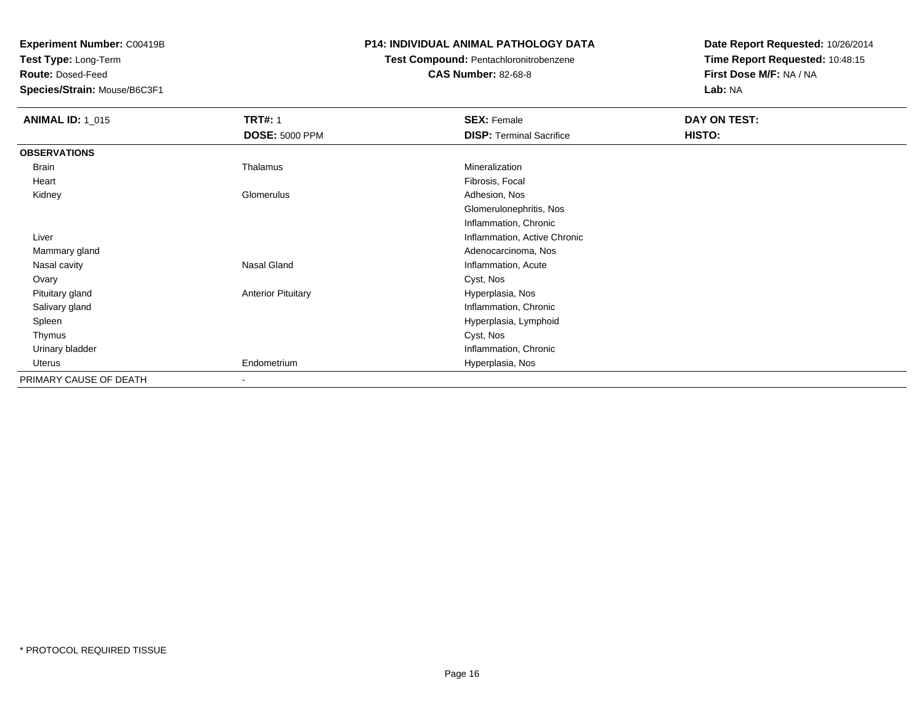**Test Type:** Long-Term

**Route:** Dosed-Feed

**Species/Strain:** Mouse/B6C3F1

### **P14: INDIVIDUAL ANIMAL PATHOLOGY DATA**

# **Test Compound:** Pentachloronitrobenzene

**CAS Number:** 82-68-8

| <b>ANIMAL ID: 1_015</b> | <b>TRT#: 1</b>            | <b>SEX: Female</b>              | DAY ON TEST: |  |
|-------------------------|---------------------------|---------------------------------|--------------|--|
|                         | <b>DOSE: 5000 PPM</b>     | <b>DISP: Terminal Sacrifice</b> | HISTO:       |  |
| <b>OBSERVATIONS</b>     |                           |                                 |              |  |
| Brain                   | Thalamus                  | Mineralization                  |              |  |
| Heart                   |                           | Fibrosis, Focal                 |              |  |
| Kidney                  | Glomerulus                | Adhesion, Nos                   |              |  |
|                         |                           | Glomerulonephritis, Nos         |              |  |
|                         |                           | Inflammation, Chronic           |              |  |
| Liver                   |                           | Inflammation, Active Chronic    |              |  |
| Mammary gland           |                           | Adenocarcinoma, Nos             |              |  |
| Nasal cavity            | Nasal Gland               | Inflammation, Acute             |              |  |
| Ovary                   |                           | Cyst, Nos                       |              |  |
| Pituitary gland         | <b>Anterior Pituitary</b> | Hyperplasia, Nos                |              |  |
| Salivary gland          |                           | Inflammation, Chronic           |              |  |
| Spleen                  |                           | Hyperplasia, Lymphoid           |              |  |
| Thymus                  |                           | Cyst, Nos                       |              |  |
| Urinary bladder         |                           | Inflammation, Chronic           |              |  |
| Uterus                  | Endometrium               | Hyperplasia, Nos                |              |  |
| PRIMARY CAUSE OF DEATH  | -                         |                                 |              |  |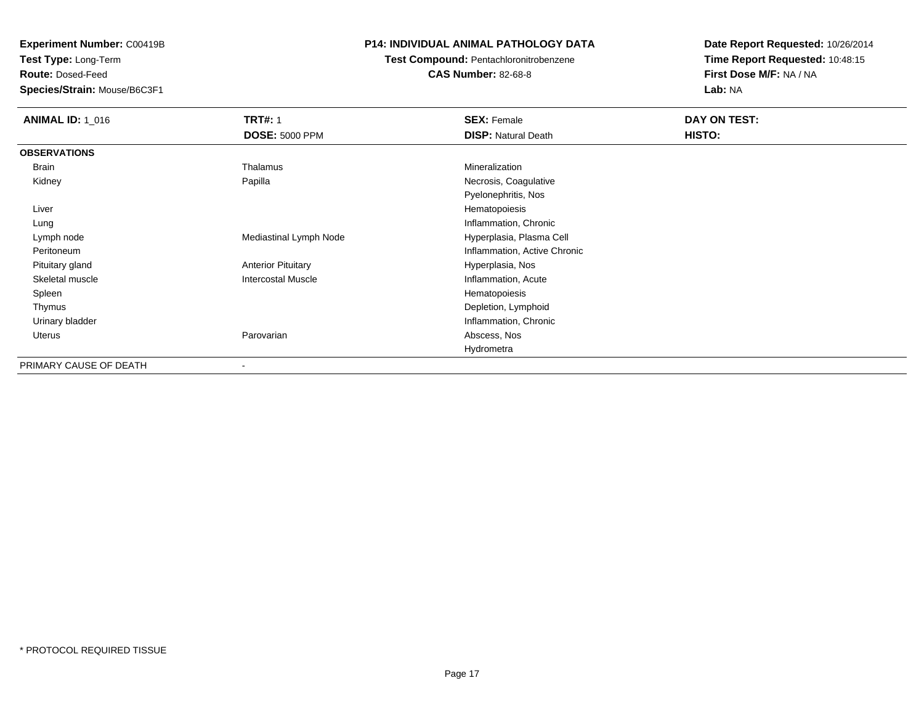**Test Type:** Long-Term

**Route:** Dosed-Feed

**Species/Strain:** Mouse/B6C3F1

### **P14: INDIVIDUAL ANIMAL PATHOLOGY DATA**

## **Test Compound:** Pentachloronitrobenzene

**CAS Number:** 82-68-8

| <b>ANIMAL ID: 1 016</b> | <b>TRT#: 1</b>            | <b>SEX: Female</b>           | DAY ON TEST: |
|-------------------------|---------------------------|------------------------------|--------------|
|                         | <b>DOSE: 5000 PPM</b>     | <b>DISP: Natural Death</b>   | HISTO:       |
| <b>OBSERVATIONS</b>     |                           |                              |              |
| Brain                   | Thalamus                  | Mineralization               |              |
| Kidney                  | Papilla                   | Necrosis, Coagulative        |              |
|                         |                           | Pyelonephritis, Nos          |              |
| Liver                   |                           | Hematopoiesis                |              |
| Lung                    |                           | Inflammation, Chronic        |              |
| Lymph node              | Mediastinal Lymph Node    | Hyperplasia, Plasma Cell     |              |
| Peritoneum              |                           | Inflammation, Active Chronic |              |
| Pituitary gland         | <b>Anterior Pituitary</b> | Hyperplasia, Nos             |              |
| Skeletal muscle         | <b>Intercostal Muscle</b> | Inflammation, Acute          |              |
| Spleen                  |                           | Hematopoiesis                |              |
| Thymus                  |                           | Depletion, Lymphoid          |              |
| Urinary bladder         |                           | Inflammation, Chronic        |              |
| Uterus                  | Parovarian                | Abscess, Nos                 |              |
|                         |                           | Hydrometra                   |              |
| PRIMARY CAUSE OF DEATH  | $\blacksquare$            |                              |              |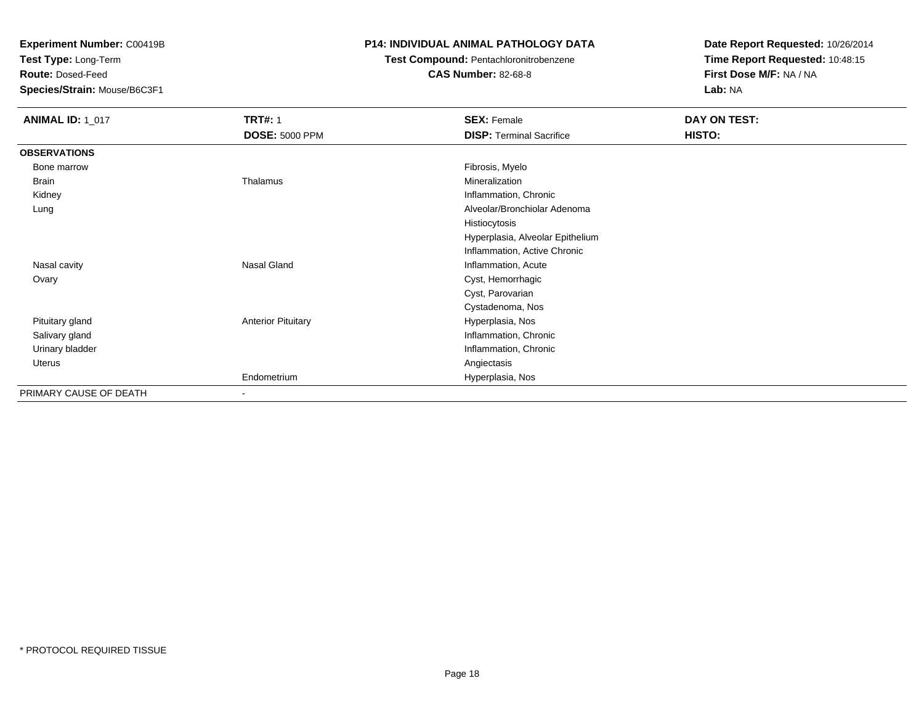**Test Type:** Long-Term

**Route:** Dosed-Feed

**Species/Strain:** Mouse/B6C3F1

### **P14: INDIVIDUAL ANIMAL PATHOLOGY DATA**

### **Test Compound:** Pentachloronitrobenzene

**CAS Number:** 82-68-8

| <b>ANIMAL ID: 1_017</b> | <b>TRT#: 1</b>            | <b>SEX: Female</b>               | DAY ON TEST: |
|-------------------------|---------------------------|----------------------------------|--------------|
|                         | <b>DOSE: 5000 PPM</b>     | <b>DISP: Terminal Sacrifice</b>  | HISTO:       |
| <b>OBSERVATIONS</b>     |                           |                                  |              |
| Bone marrow             |                           | Fibrosis, Myelo                  |              |
| Brain                   | Thalamus                  | Mineralization                   |              |
| Kidney                  |                           | Inflammation, Chronic            |              |
| Lung                    |                           | Alveolar/Bronchiolar Adenoma     |              |
|                         |                           | Histiocytosis                    |              |
|                         |                           | Hyperplasia, Alveolar Epithelium |              |
|                         |                           | Inflammation, Active Chronic     |              |
| Nasal cavity            | Nasal Gland               | Inflammation, Acute              |              |
| Ovary                   |                           | Cyst, Hemorrhagic                |              |
|                         |                           | Cyst, Parovarian                 |              |
|                         |                           | Cystadenoma, Nos                 |              |
| Pituitary gland         | <b>Anterior Pituitary</b> | Hyperplasia, Nos                 |              |
| Salivary gland          |                           | Inflammation, Chronic            |              |
| Urinary bladder         |                           | Inflammation, Chronic            |              |
| Uterus                  |                           | Angiectasis                      |              |
|                         | Endometrium               | Hyperplasia, Nos                 |              |
| PRIMARY CAUSE OF DEATH  | ۰                         |                                  |              |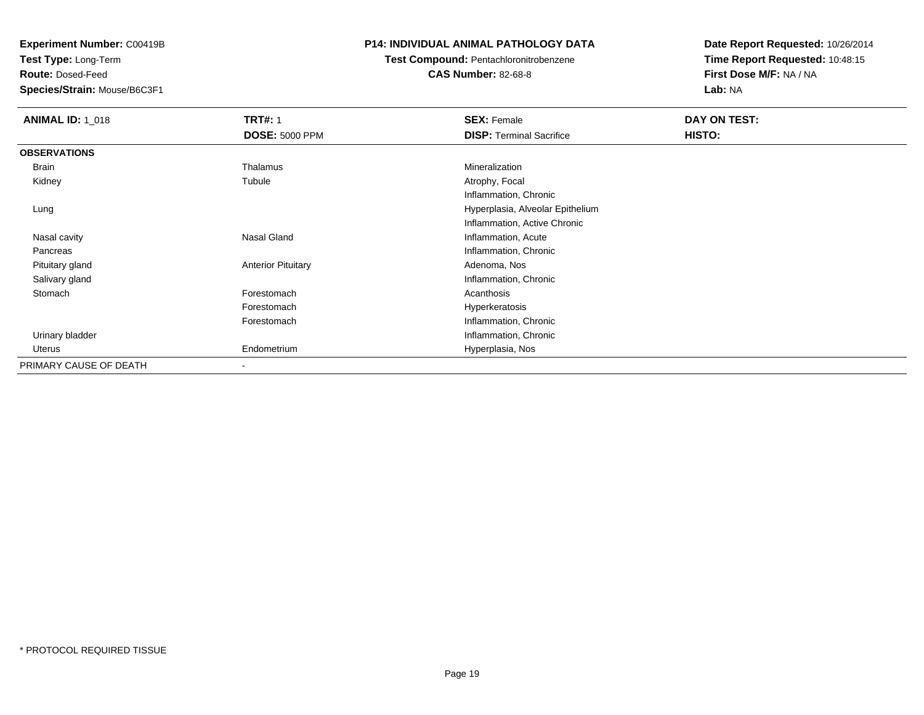**Test Type:** Long-Term

**Route:** Dosed-Feed

**Species/Strain:** Mouse/B6C3F1

### **P14: INDIVIDUAL ANIMAL PATHOLOGY DATA**

# **Test Compound:** Pentachloronitrobenzene

**CAS Number:** 82-68-8

| <b>ANIMAL ID: 1_018</b> | <b>TRT#: 1</b>            | <b>SEX: Female</b>               | DAY ON TEST: |  |
|-------------------------|---------------------------|----------------------------------|--------------|--|
|                         | <b>DOSE: 5000 PPM</b>     | <b>DISP: Terminal Sacrifice</b>  | HISTO:       |  |
| <b>OBSERVATIONS</b>     |                           |                                  |              |  |
| Brain                   | Thalamus                  | Mineralization                   |              |  |
| Kidney                  | Tubule                    | Atrophy, Focal                   |              |  |
|                         |                           | Inflammation, Chronic            |              |  |
| Lung                    |                           | Hyperplasia, Alveolar Epithelium |              |  |
|                         |                           | Inflammation, Active Chronic     |              |  |
| Nasal cavity            | Nasal Gland               | Inflammation, Acute              |              |  |
| Pancreas                |                           | Inflammation, Chronic            |              |  |
| Pituitary gland         | <b>Anterior Pituitary</b> | Adenoma, Nos                     |              |  |
| Salivary gland          |                           | Inflammation, Chronic            |              |  |
| Stomach                 | Forestomach               | Acanthosis                       |              |  |
|                         | Forestomach               | Hyperkeratosis                   |              |  |
|                         | Forestomach               | Inflammation, Chronic            |              |  |
| Urinary bladder         |                           | Inflammation, Chronic            |              |  |
| Uterus                  | Endometrium               | Hyperplasia, Nos                 |              |  |
| PRIMARY CAUSE OF DEATH  | $\blacksquare$            |                                  |              |  |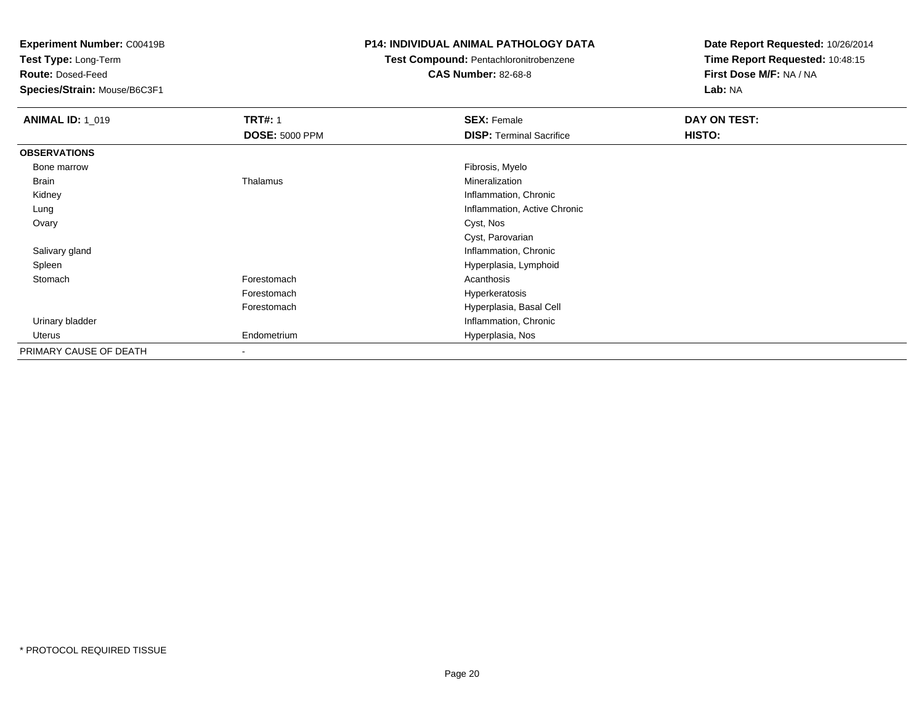**Test Type:** Long-Term

**Route:** Dosed-Feed

**Species/Strain:** Mouse/B6C3F1

### **P14: INDIVIDUAL ANIMAL PATHOLOGY DATA**

## **Test Compound:** Pentachloronitrobenzene

**CAS Number:** 82-68-8

| <b>ANIMAL ID: 1_019</b> | <b>TRT#: 1</b>        | <b>SEX: Female</b>              | DAY ON TEST: |
|-------------------------|-----------------------|---------------------------------|--------------|
|                         | <b>DOSE: 5000 PPM</b> | <b>DISP: Terminal Sacrifice</b> | HISTO:       |
| <b>OBSERVATIONS</b>     |                       |                                 |              |
| Bone marrow             |                       | Fibrosis, Myelo                 |              |
| Brain                   | Thalamus              | Mineralization                  |              |
| Kidney                  |                       | Inflammation, Chronic           |              |
| Lung                    |                       | Inflammation, Active Chronic    |              |
| Ovary                   |                       | Cyst, Nos                       |              |
|                         |                       | Cyst, Parovarian                |              |
| Salivary gland          |                       | Inflammation, Chronic           |              |
| Spleen                  |                       | Hyperplasia, Lymphoid           |              |
| Stomach                 | Forestomach           | Acanthosis                      |              |
|                         | Forestomach           | Hyperkeratosis                  |              |
|                         | Forestomach           | Hyperplasia, Basal Cell         |              |
| Urinary bladder         |                       | Inflammation, Chronic           |              |
| Uterus                  | Endometrium           | Hyperplasia, Nos                |              |
| PRIMARY CAUSE OF DEATH  | $\blacksquare$        |                                 |              |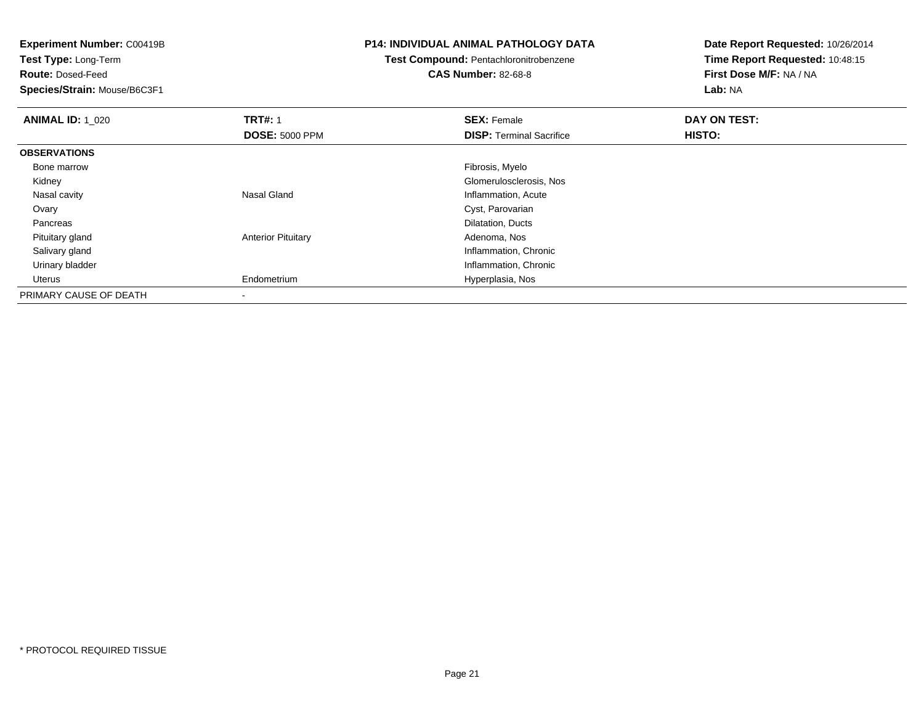**Experiment Number:** C00419B**Test Type:** Long-Term**Route:** Dosed-Feed **Species/Strain:** Mouse/B6C3F1**P14: INDIVIDUAL ANIMAL PATHOLOGY DATATest Compound:** Pentachloronitrobenzene**CAS Number:** 82-68-8**Date Report Requested:** 10/26/2014**Time Report Requested:** 10:48:15**First Dose M/F:** NA / NA**Lab:** NA**ANIMAL ID: 1\_020 C TRT#:** 1 **SEX:** Female **DAY ON TEST: DOSE:** 5000 PPM**DISP:** Terminal Sacrifice **HISTO: OBSERVATIONS** Bone marroww which is a state of the state of the state of the state of the state of the Fibrosis, Myelo state of the state of the state of the state of the state of the state of the state of the state of the state of the state of th Kidney Glomerulosclerosis, Nos Nasal cavity Nasal Gland Inflammation, Acute Ovary Cyst, Parovarians Dilatation, Ducts Pancreas Pituitary glandAnterior Pituitary **Adenoma, Nos** Adenoma, Nos Salivary gland Inflammation, Chronic Urinary bladder Inflammation, Chronic Uterus Endometrium Hyperplasia, Nos PRIMARY CAUSE OF DEATH-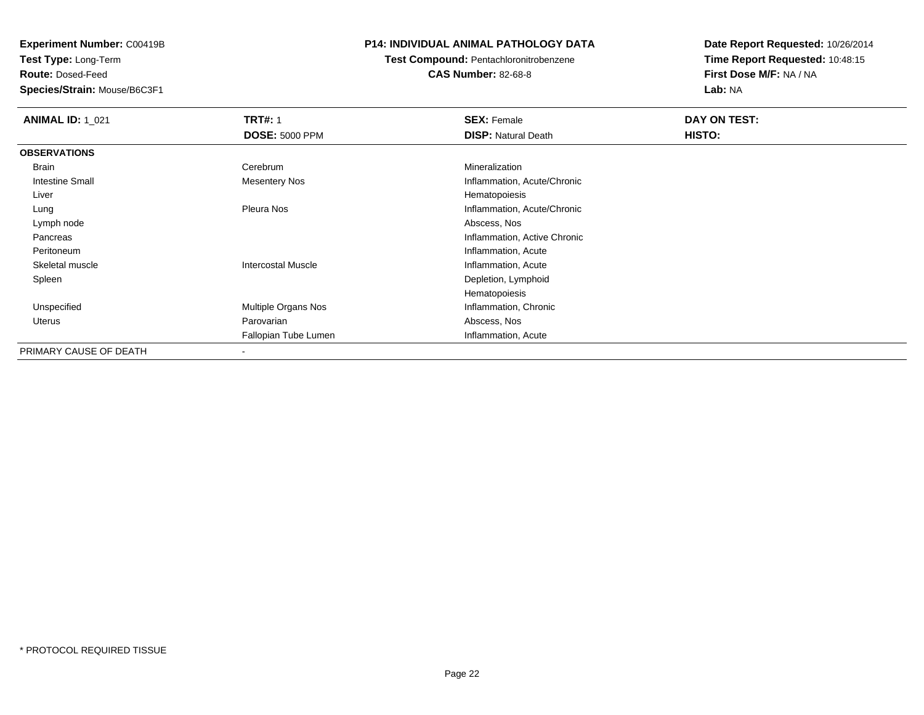**Test Type:** Long-Term

**Route:** Dosed-Feed

**Species/Strain:** Mouse/B6C3F1

### **P14: INDIVIDUAL ANIMAL PATHOLOGY DATA**

### **Test Compound:** Pentachloronitrobenzene**CAS Number:** 82-68-8

| <b>ANIMAL ID: 1_021</b> | <b>TRT#: 1</b>            | <b>SEX: Female</b>           | DAY ON TEST:  |  |
|-------------------------|---------------------------|------------------------------|---------------|--|
|                         | <b>DOSE: 5000 PPM</b>     | <b>DISP: Natural Death</b>   | <b>HISTO:</b> |  |
| <b>OBSERVATIONS</b>     |                           |                              |               |  |
| Brain                   | Cerebrum                  | Mineralization               |               |  |
| <b>Intestine Small</b>  | <b>Mesentery Nos</b>      | Inflammation, Acute/Chronic  |               |  |
| Liver                   |                           | Hematopoiesis                |               |  |
| Lung                    | Pleura Nos                | Inflammation, Acute/Chronic  |               |  |
| Lymph node              |                           | Abscess, Nos                 |               |  |
| Pancreas                |                           | Inflammation, Active Chronic |               |  |
| Peritoneum              |                           | Inflammation, Acute          |               |  |
| Skeletal muscle         | <b>Intercostal Muscle</b> | Inflammation, Acute          |               |  |
| Spleen                  |                           | Depletion, Lymphoid          |               |  |
|                         |                           | Hematopoiesis                |               |  |
| Unspecified             | Multiple Organs Nos       | Inflammation, Chronic        |               |  |
| Uterus                  | Parovarian                | Abscess, Nos                 |               |  |
|                         | Fallopian Tube Lumen      | Inflammation, Acute          |               |  |
| PRIMARY CAUSE OF DEATH  |                           |                              |               |  |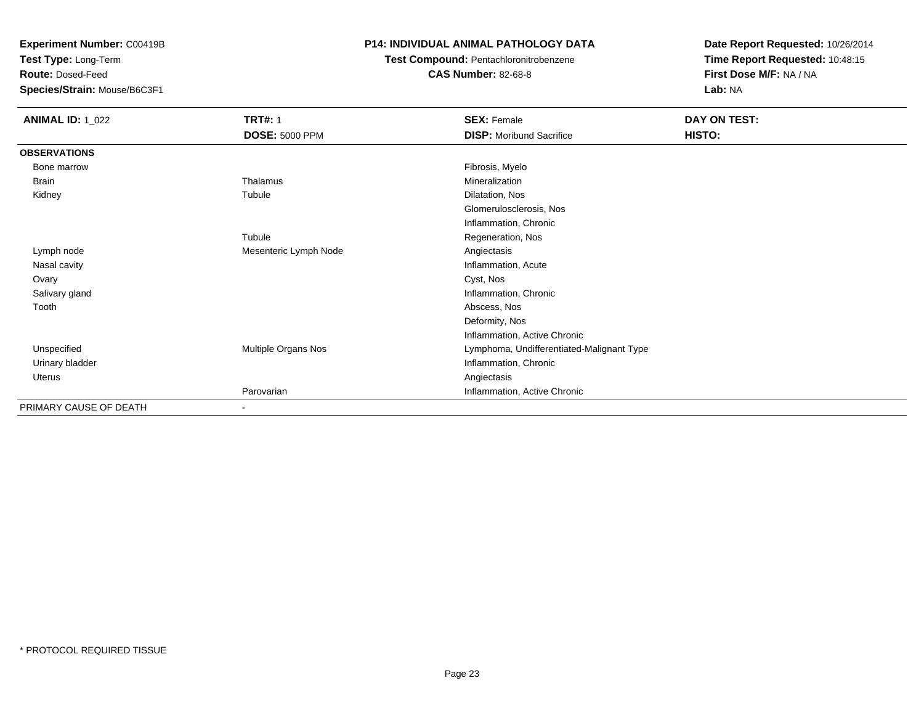**Test Type:** Long-Term

**Route:** Dosed-Feed

**Species/Strain:** Mouse/B6C3F1

### **P14: INDIVIDUAL ANIMAL PATHOLOGY DATA**

## **Test Compound:** Pentachloronitrobenzene

**CAS Number:** 82-68-8

| <b>ANIMAL ID: 1_022</b> | <b>TRT#: 1</b>           | <b>SEX: Female</b>                        | DAY ON TEST: |  |
|-------------------------|--------------------------|-------------------------------------------|--------------|--|
|                         | <b>DOSE: 5000 PPM</b>    | <b>DISP:</b> Moribund Sacrifice           | HISTO:       |  |
| <b>OBSERVATIONS</b>     |                          |                                           |              |  |
| Bone marrow             |                          | Fibrosis, Myelo                           |              |  |
| Brain                   | Thalamus                 | Mineralization                            |              |  |
| Kidney                  | Tubule                   | Dilatation, Nos                           |              |  |
|                         |                          | Glomerulosclerosis, Nos                   |              |  |
|                         |                          | Inflammation, Chronic                     |              |  |
|                         | Tubule                   | Regeneration, Nos                         |              |  |
| Lymph node              | Mesenteric Lymph Node    | Angiectasis                               |              |  |
| Nasal cavity            |                          | Inflammation, Acute                       |              |  |
| Ovary                   |                          | Cyst, Nos                                 |              |  |
| Salivary gland          |                          | Inflammation, Chronic                     |              |  |
| Tooth                   |                          | Abscess, Nos                              |              |  |
|                         |                          | Deformity, Nos                            |              |  |
|                         |                          | Inflammation, Active Chronic              |              |  |
| Unspecified             | Multiple Organs Nos      | Lymphoma, Undifferentiated-Malignant Type |              |  |
| Urinary bladder         |                          | Inflammation, Chronic                     |              |  |
| Uterus                  |                          | Angiectasis                               |              |  |
|                         | Parovarian               | Inflammation, Active Chronic              |              |  |
| PRIMARY CAUSE OF DEATH  | $\overline{\phantom{a}}$ |                                           |              |  |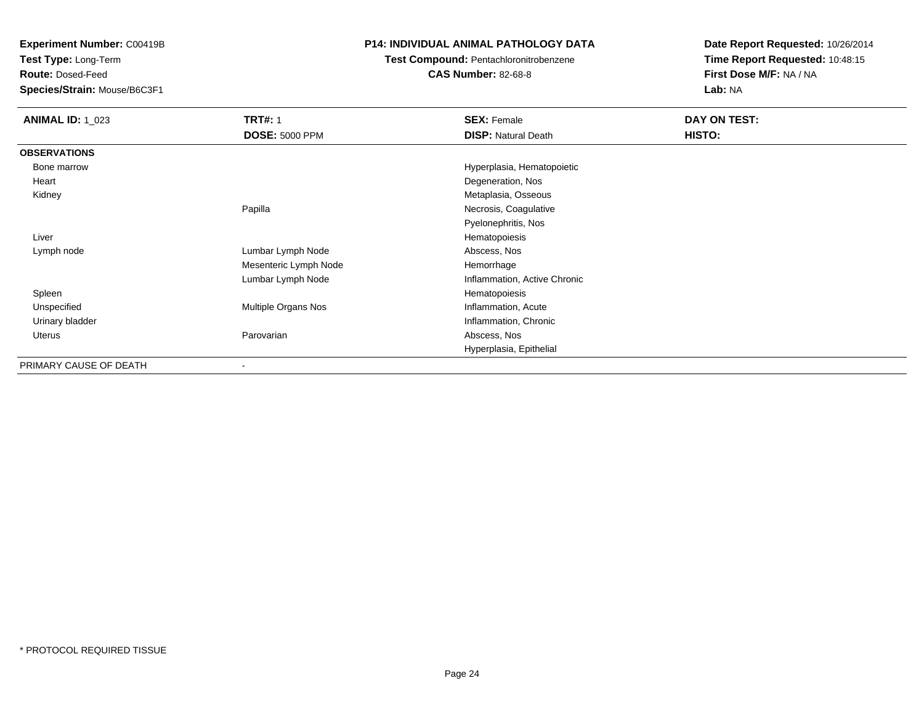**Test Type:** Long-Term

**Route:** Dosed-Feed

**Species/Strain:** Mouse/B6C3F1

### **P14: INDIVIDUAL ANIMAL PATHOLOGY DATA**

### **Test Compound:** Pentachloronitrobenzene

**CAS Number:** 82-68-8

| <b>ANIMAL ID: 1_023</b> | <b>TRT#: 1</b>        | <b>SEX: Female</b>           | DAY ON TEST: |
|-------------------------|-----------------------|------------------------------|--------------|
|                         | <b>DOSE: 5000 PPM</b> | <b>DISP: Natural Death</b>   | HISTO:       |
| <b>OBSERVATIONS</b>     |                       |                              |              |
| Bone marrow             |                       | Hyperplasia, Hematopoietic   |              |
| Heart                   |                       | Degeneration, Nos            |              |
| Kidney                  |                       | Metaplasia, Osseous          |              |
|                         | Papilla               | Necrosis, Coagulative        |              |
|                         |                       | Pyelonephritis, Nos          |              |
| Liver                   |                       | Hematopoiesis                |              |
| Lymph node              | Lumbar Lymph Node     | Abscess, Nos                 |              |
|                         | Mesenteric Lymph Node | Hemorrhage                   |              |
|                         | Lumbar Lymph Node     | Inflammation, Active Chronic |              |
| Spleen                  |                       | Hematopoiesis                |              |
| Unspecified             | Multiple Organs Nos   | Inflammation, Acute          |              |
| Urinary bladder         |                       | Inflammation, Chronic        |              |
| Uterus                  | Parovarian            | Abscess, Nos                 |              |
|                         |                       | Hyperplasia, Epithelial      |              |
| PRIMARY CAUSE OF DEATH  | $\blacksquare$        |                              |              |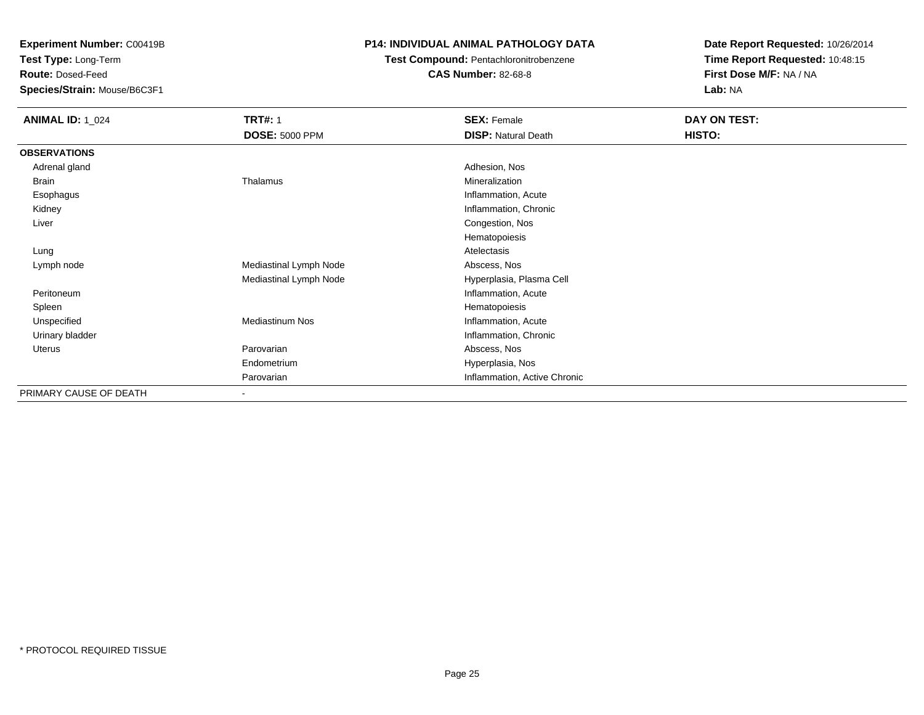**Test Type:** Long-Term

**Route:** Dosed-Feed

**Species/Strain:** Mouse/B6C3F1

### **P14: INDIVIDUAL ANIMAL PATHOLOGY DATA**

## **Test Compound:** Pentachloronitrobenzene

**CAS Number:** 82-68-8

| <b>ANIMAL ID: 1_024</b> | <b>TRT#: 1</b>               | <b>SEX: Female</b>           | DAY ON TEST: |  |
|-------------------------|------------------------------|------------------------------|--------------|--|
|                         | <b>DOSE: 5000 PPM</b>        | <b>DISP: Natural Death</b>   | HISTO:       |  |
| <b>OBSERVATIONS</b>     |                              |                              |              |  |
| Adrenal gland           |                              | Adhesion, Nos                |              |  |
| Brain                   | Thalamus                     | Mineralization               |              |  |
| Esophagus               |                              | Inflammation, Acute          |              |  |
| Kidney                  |                              | Inflammation, Chronic        |              |  |
| Liver                   |                              | Congestion, Nos              |              |  |
|                         |                              | Hematopoiesis                |              |  |
| Lung                    |                              | Atelectasis                  |              |  |
| Lymph node              | Mediastinal Lymph Node       | Abscess, Nos                 |              |  |
|                         | Mediastinal Lymph Node       | Hyperplasia, Plasma Cell     |              |  |
| Peritoneum              |                              | Inflammation, Acute          |              |  |
| Spleen                  |                              | Hematopoiesis                |              |  |
| Unspecified             | <b>Mediastinum Nos</b>       | Inflammation, Acute          |              |  |
| Urinary bladder         |                              | Inflammation, Chronic        |              |  |
| Uterus                  | Parovarian                   | Abscess, Nos                 |              |  |
|                         | Endometrium                  | Hyperplasia, Nos             |              |  |
|                         | Parovarian                   | Inflammation, Active Chronic |              |  |
| PRIMARY CAUSE OF DEATH  | $\qquad \qquad \blacksquare$ |                              |              |  |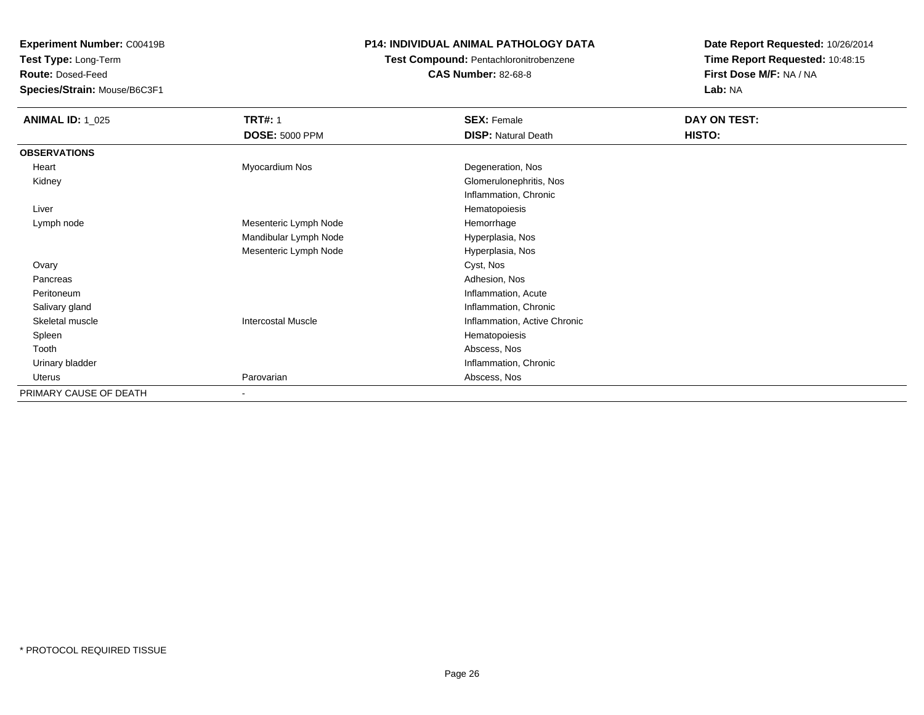**Test Type:** Long-Term

**Route:** Dosed-Feed

**Species/Strain:** Mouse/B6C3F1

### **P14: INDIVIDUAL ANIMAL PATHOLOGY DATA**

### **Test Compound:** Pentachloronitrobenzene**CAS Number:** 82-68-8

| <b>ANIMAL ID: 1_025</b> | <b>TRT#: 1</b>            | <b>SEX: Female</b>           | DAY ON TEST: |  |
|-------------------------|---------------------------|------------------------------|--------------|--|
|                         | <b>DOSE: 5000 PPM</b>     | <b>DISP: Natural Death</b>   | HISTO:       |  |
| <b>OBSERVATIONS</b>     |                           |                              |              |  |
| Heart                   | Myocardium Nos            | Degeneration, Nos            |              |  |
| Kidney                  |                           | Glomerulonephritis, Nos      |              |  |
|                         |                           | Inflammation, Chronic        |              |  |
| Liver                   |                           | Hematopoiesis                |              |  |
| Lymph node              | Mesenteric Lymph Node     | Hemorrhage                   |              |  |
|                         | Mandibular Lymph Node     | Hyperplasia, Nos             |              |  |
|                         | Mesenteric Lymph Node     | Hyperplasia, Nos             |              |  |
| Ovary                   |                           | Cyst, Nos                    |              |  |
| Pancreas                |                           | Adhesion, Nos                |              |  |
| Peritoneum              |                           | Inflammation, Acute          |              |  |
| Salivary gland          |                           | Inflammation, Chronic        |              |  |
| Skeletal muscle         | <b>Intercostal Muscle</b> | Inflammation, Active Chronic |              |  |
| Spleen                  |                           | Hematopoiesis                |              |  |
| Tooth                   |                           | Abscess, Nos                 |              |  |
| Urinary bladder         |                           | Inflammation, Chronic        |              |  |
| Uterus                  | Parovarian                | Abscess, Nos                 |              |  |
| PRIMARY CAUSE OF DEATH  |                           |                              |              |  |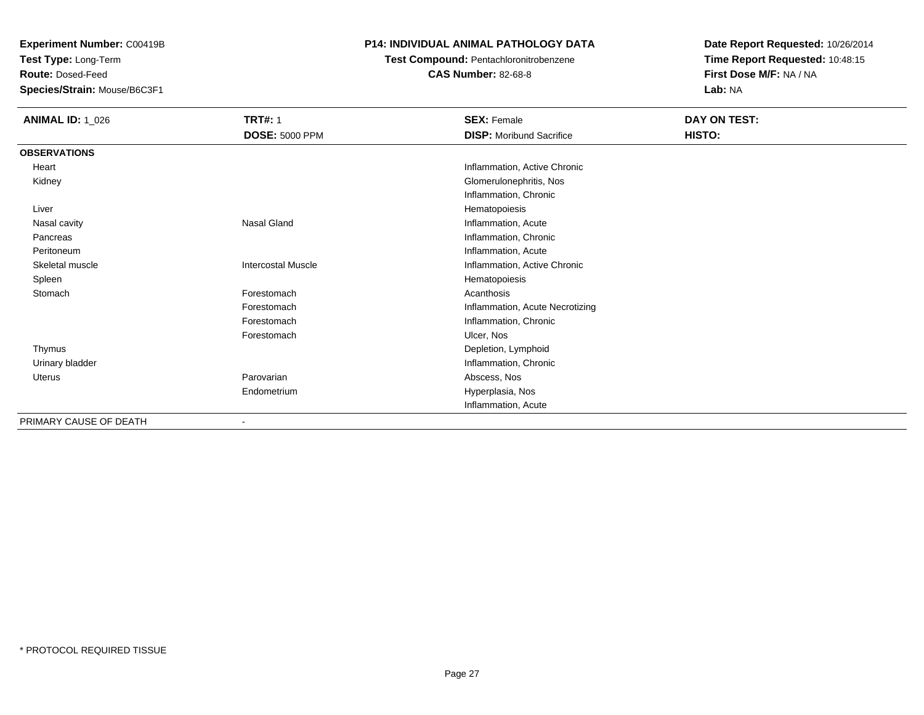**Test Type:** Long-Term

**Route:** Dosed-Feed

**Species/Strain:** Mouse/B6C3F1

### **P14: INDIVIDUAL ANIMAL PATHOLOGY DATA**

**Test Compound:** Pentachloronitrobenzene

**CAS Number:** 82-68-8

| <b>ANIMAL ID: 1_026</b> | <b>TRT#: 1</b>            | <b>SEX: Female</b>              | DAY ON TEST: |
|-------------------------|---------------------------|---------------------------------|--------------|
|                         | <b>DOSE: 5000 PPM</b>     | <b>DISP:</b> Moribund Sacrifice | HISTO:       |
| <b>OBSERVATIONS</b>     |                           |                                 |              |
| Heart                   |                           | Inflammation, Active Chronic    |              |
| Kidney                  |                           | Glomerulonephritis, Nos         |              |
|                         |                           | Inflammation, Chronic           |              |
| Liver                   |                           | Hematopoiesis                   |              |
| Nasal cavity            | Nasal Gland               | Inflammation, Acute             |              |
| Pancreas                |                           | Inflammation, Chronic           |              |
| Peritoneum              |                           | Inflammation, Acute             |              |
| Skeletal muscle         | <b>Intercostal Muscle</b> | Inflammation, Active Chronic    |              |
| Spleen                  |                           | Hematopoiesis                   |              |
| Stomach                 | Forestomach               | Acanthosis                      |              |
|                         | Forestomach               | Inflammation, Acute Necrotizing |              |
|                         | Forestomach               | Inflammation, Chronic           |              |
|                         | Forestomach               | Ulcer, Nos                      |              |
| Thymus                  |                           | Depletion, Lymphoid             |              |
| Urinary bladder         |                           | Inflammation, Chronic           |              |
| Uterus                  | Parovarian                | Abscess, Nos                    |              |
|                         | Endometrium               | Hyperplasia, Nos                |              |
|                         |                           | Inflammation, Acute             |              |
| PRIMARY CAUSE OF DEATH  |                           |                                 |              |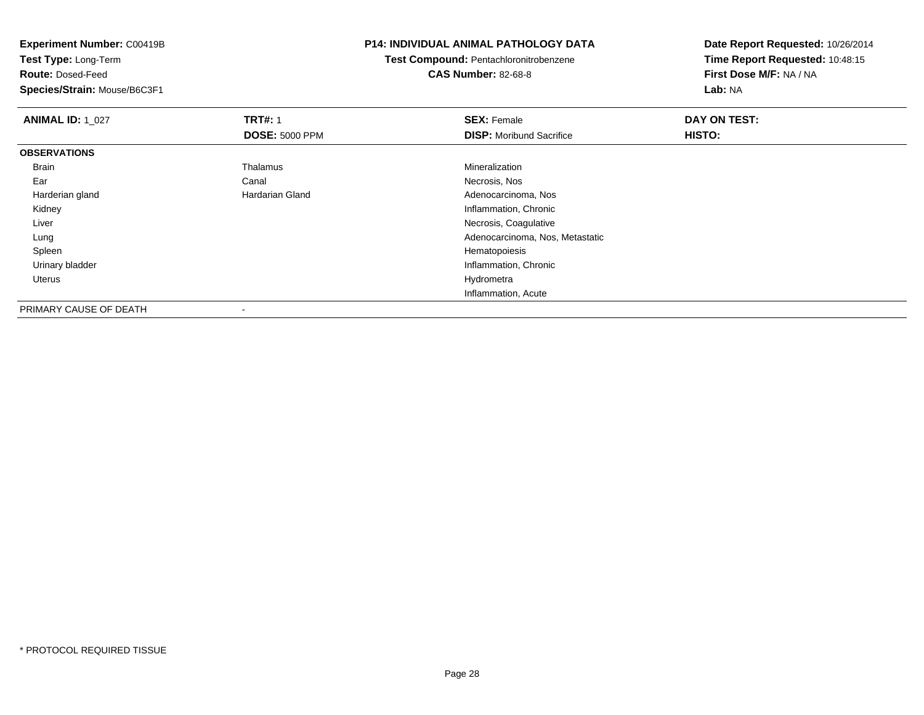|                       | <b>P14: INDIVIDUAL ANIMAL PATHOLOGY DATA</b> | Date Report Requested: 10/26/2014 |  |
|-----------------------|----------------------------------------------|-----------------------------------|--|
|                       | Test Compound: Pentachloronitrobenzene       | Time Report Requested: 10:48:15   |  |
|                       | <b>CAS Number: 82-68-8</b>                   | First Dose M/F: NA / NA           |  |
|                       |                                              | Lab: NA                           |  |
| <b>TRT#: 1</b>        | <b>SEX: Female</b>                           | DAY ON TEST:                      |  |
| <b>DOSE: 5000 PPM</b> | <b>DISP:</b> Moribund Sacrifice              | <b>HISTO:</b>                     |  |
|                       |                                              |                                   |  |
| Thalamus              | Mineralization                               |                                   |  |
| Canal                 | Necrosis, Nos                                |                                   |  |
| Hardarian Gland       | Adenocarcinoma, Nos                          |                                   |  |
|                       | Inflammation, Chronic                        |                                   |  |
|                       | Necrosis, Coagulative                        |                                   |  |
|                       | Adenocarcinoma, Nos, Metastatic              |                                   |  |
|                       | Hematopoiesis                                |                                   |  |
|                       | Inflammation, Chronic                        |                                   |  |
|                       | Hydrometra                                   |                                   |  |
|                       | Inflammation, Acute                          |                                   |  |
|                       |                                              |                                   |  |

PRIMARY CAUSE OF DEATH-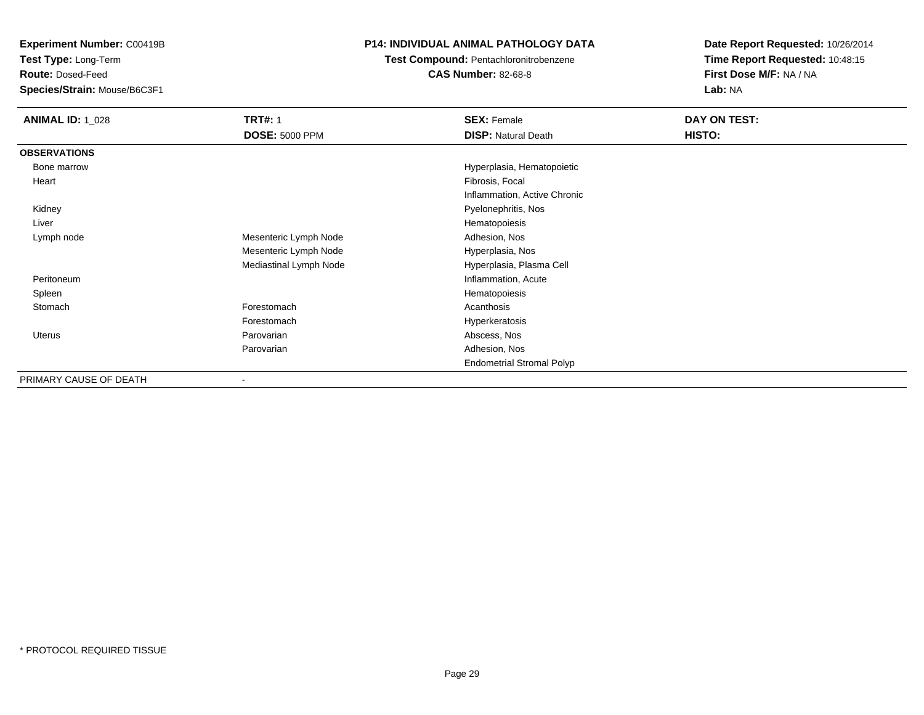**Test Type:** Long-Term

**Route:** Dosed-Feed

**Species/Strain:** Mouse/B6C3F1

### **P14: INDIVIDUAL ANIMAL PATHOLOGY DATA**

**Test Compound:** Pentachloronitrobenzene

**CAS Number:** 82-68-8

| <b>ANIMAL ID: 1_028</b> | <b>TRT#: 1</b>         | <b>SEX: Female</b>               | DAY ON TEST: |  |
|-------------------------|------------------------|----------------------------------|--------------|--|
|                         | <b>DOSE: 5000 PPM</b>  | <b>DISP: Natural Death</b>       | HISTO:       |  |
| <b>OBSERVATIONS</b>     |                        |                                  |              |  |
| Bone marrow             |                        | Hyperplasia, Hematopoietic       |              |  |
| Heart                   |                        | Fibrosis, Focal                  |              |  |
|                         |                        | Inflammation, Active Chronic     |              |  |
| Kidney                  |                        | Pyelonephritis, Nos              |              |  |
| Liver                   |                        | Hematopoiesis                    |              |  |
| Lymph node              | Mesenteric Lymph Node  | Adhesion, Nos                    |              |  |
|                         | Mesenteric Lymph Node  | Hyperplasia, Nos                 |              |  |
|                         | Mediastinal Lymph Node | Hyperplasia, Plasma Cell         |              |  |
| Peritoneum              |                        | Inflammation, Acute              |              |  |
| Spleen                  |                        | Hematopoiesis                    |              |  |
| Stomach                 | Forestomach            | Acanthosis                       |              |  |
|                         | Forestomach            | Hyperkeratosis                   |              |  |
| Uterus                  | Parovarian             | Abscess, Nos                     |              |  |
|                         | Parovarian             | Adhesion, Nos                    |              |  |
|                         |                        | <b>Endometrial Stromal Polyp</b> |              |  |
| PRIMARY CAUSE OF DEATH  |                        |                                  |              |  |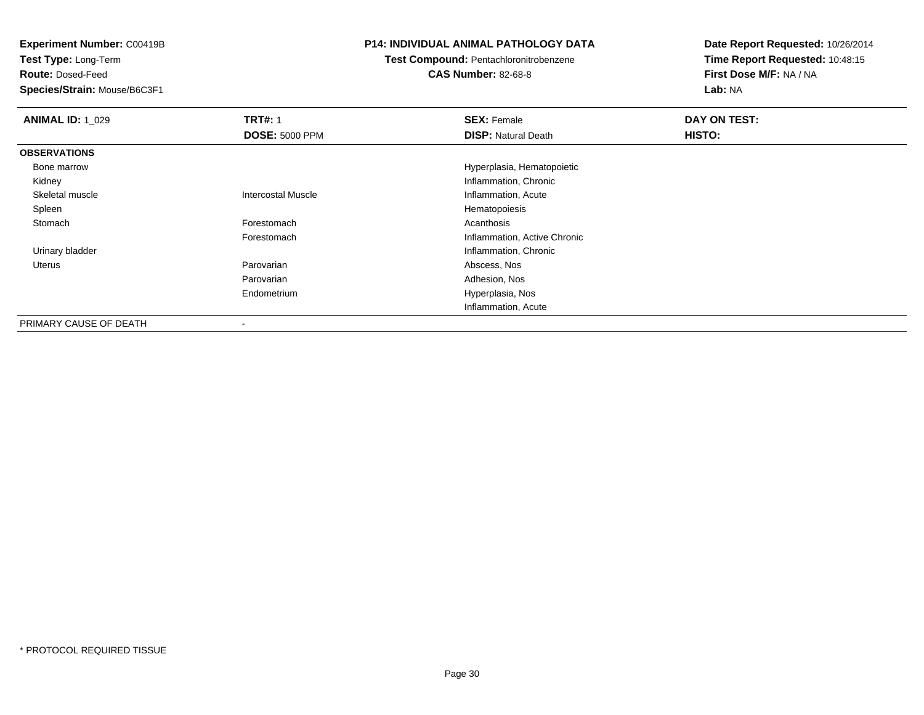**Test Type:** Long-Term

**Route:** Dosed-Feed

**Species/Strain:** Mouse/B6C3F1

### **P14: INDIVIDUAL ANIMAL PATHOLOGY DATA**

**Test Compound:** Pentachloronitrobenzene

**CAS Number:** 82-68-8

| <b>ANIMAL ID: 1_029</b> | <b>TRT#: 1</b>            | <b>SEX: Female</b>           | DAY ON TEST: |  |
|-------------------------|---------------------------|------------------------------|--------------|--|
|                         | <b>DOSE: 5000 PPM</b>     | <b>DISP: Natural Death</b>   | HISTO:       |  |
| <b>OBSERVATIONS</b>     |                           |                              |              |  |
| Bone marrow             |                           | Hyperplasia, Hematopoietic   |              |  |
| Kidney                  |                           | Inflammation, Chronic        |              |  |
| Skeletal muscle         | <b>Intercostal Muscle</b> | Inflammation, Acute          |              |  |
| Spleen                  |                           | Hematopoiesis                |              |  |
| Stomach                 | Forestomach               | Acanthosis                   |              |  |
|                         | Forestomach               | Inflammation, Active Chronic |              |  |
| Urinary bladder         |                           | Inflammation, Chronic        |              |  |
| Uterus                  | Parovarian                | Abscess, Nos                 |              |  |
|                         | Parovarian                | Adhesion, Nos                |              |  |
|                         | Endometrium               | Hyperplasia, Nos             |              |  |
|                         |                           | Inflammation, Acute          |              |  |
| PRIMARY CAUSE OF DEATH  | $\blacksquare$            |                              |              |  |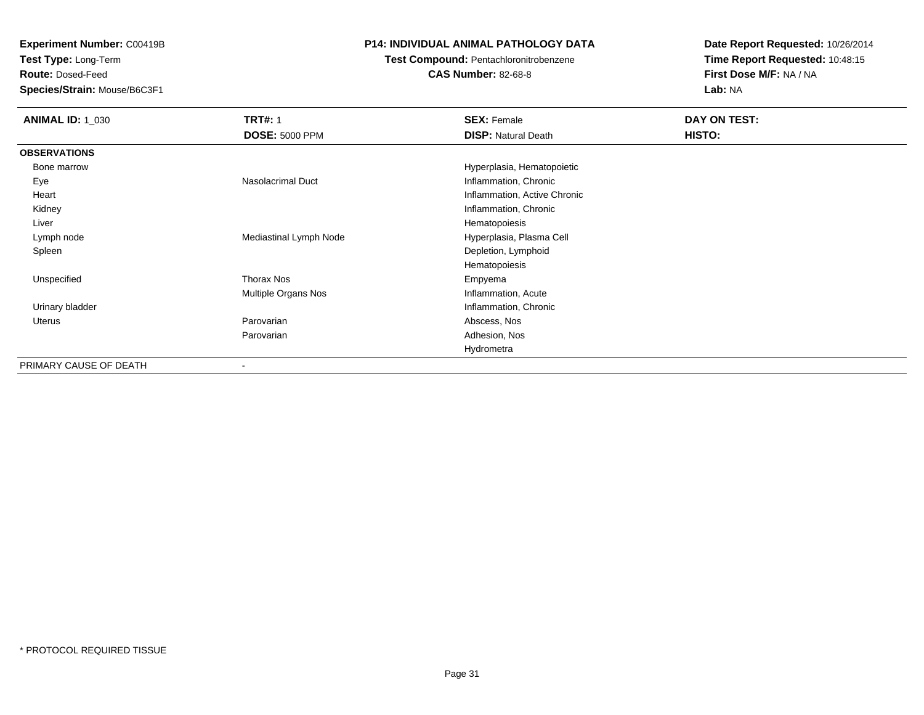**Test Type:** Long-Term

**Route:** Dosed-Feed

**Species/Strain:** Mouse/B6C3F1

### **P14: INDIVIDUAL ANIMAL PATHOLOGY DATA**

### **Test Compound:** Pentachloronitrobenzene

**CAS Number:** 82-68-8

| <b>ANIMAL ID: 1_030</b> | <b>TRT#: 1</b>           | <b>SEX: Female</b>           | DAY ON TEST: |  |
|-------------------------|--------------------------|------------------------------|--------------|--|
|                         | <b>DOSE: 5000 PPM</b>    | <b>DISP: Natural Death</b>   | HISTO:       |  |
| <b>OBSERVATIONS</b>     |                          |                              |              |  |
| Bone marrow             |                          | Hyperplasia, Hematopoietic   |              |  |
| Eye                     | <b>Nasolacrimal Duct</b> | Inflammation, Chronic        |              |  |
| Heart                   |                          | Inflammation, Active Chronic |              |  |
| Kidney                  |                          | Inflammation, Chronic        |              |  |
| Liver                   |                          | Hematopoiesis                |              |  |
| Lymph node              | Mediastinal Lymph Node   | Hyperplasia, Plasma Cell     |              |  |
| Spleen                  |                          | Depletion, Lymphoid          |              |  |
|                         |                          | Hematopoiesis                |              |  |
| Unspecified             | <b>Thorax Nos</b>        | Empyema                      |              |  |
|                         | Multiple Organs Nos      | Inflammation, Acute          |              |  |
| Urinary bladder         |                          | Inflammation, Chronic        |              |  |
| Uterus                  | Parovarian               | Abscess, Nos                 |              |  |
|                         | Parovarian               | Adhesion, Nos                |              |  |
|                         |                          | Hydrometra                   |              |  |
| PRIMARY CAUSE OF DEATH  | -                        |                              |              |  |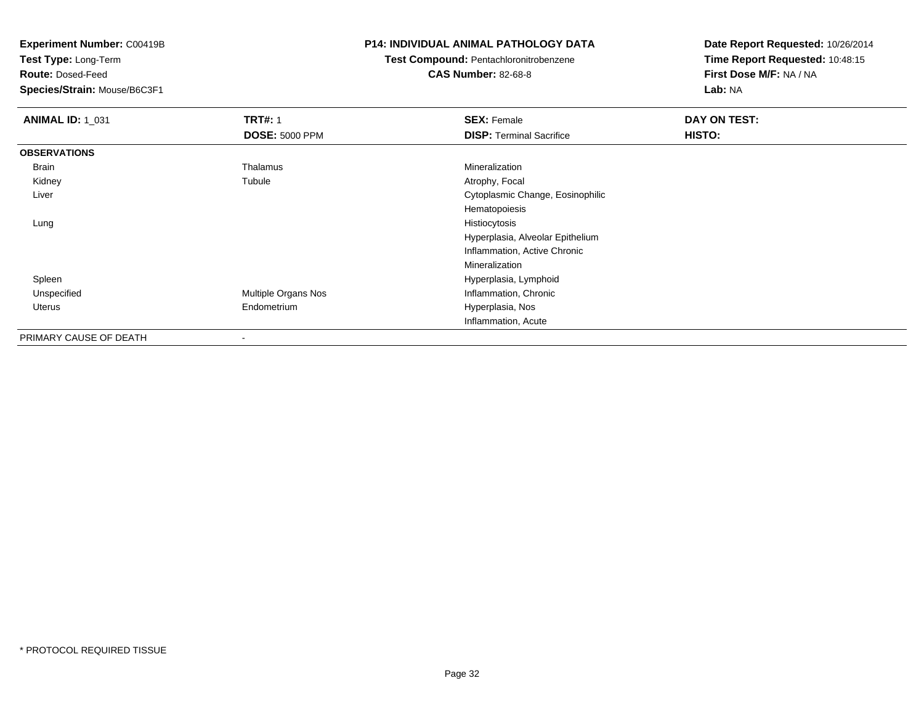**Test Type:** Long-Term

**Route:** Dosed-Feed

**Species/Strain:** Mouse/B6C3F1

### **P14: INDIVIDUAL ANIMAL PATHOLOGY DATA**

**Test Compound:** Pentachloronitrobenzene**CAS Number:** 82-68-8

| <b>ANIMAL ID: 1_031</b> | <b>TRT#: 1</b>        | <b>SEX: Female</b>               | DAY ON TEST: |  |
|-------------------------|-----------------------|----------------------------------|--------------|--|
|                         | <b>DOSE: 5000 PPM</b> | <b>DISP:</b> Terminal Sacrifice  | HISTO:       |  |
| <b>OBSERVATIONS</b>     |                       |                                  |              |  |
| Brain                   | Thalamus              | Mineralization                   |              |  |
| Kidney                  | Tubule                | Atrophy, Focal                   |              |  |
| Liver                   |                       | Cytoplasmic Change, Eosinophilic |              |  |
|                         |                       | Hematopoiesis                    |              |  |
| Lung                    |                       | Histiocytosis                    |              |  |
|                         |                       | Hyperplasia, Alveolar Epithelium |              |  |
|                         |                       | Inflammation, Active Chronic     |              |  |
|                         |                       | Mineralization                   |              |  |
| Spleen                  |                       | Hyperplasia, Lymphoid            |              |  |
| Unspecified             | Multiple Organs Nos   | Inflammation, Chronic            |              |  |
| Uterus                  | Endometrium           | Hyperplasia, Nos                 |              |  |
|                         |                       | Inflammation, Acute              |              |  |
| PRIMARY CAUSE OF DEATH  |                       |                                  |              |  |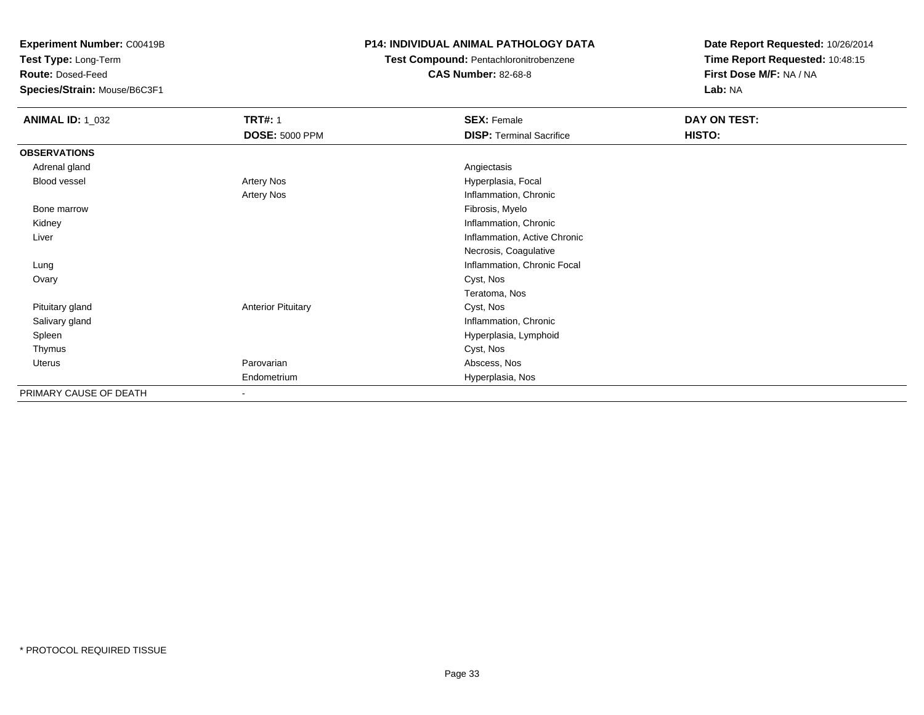**Test Type:** Long-Term

**Route:** Dosed-Feed

**Species/Strain:** Mouse/B6C3F1

### **P14: INDIVIDUAL ANIMAL PATHOLOGY DATA**

## **Test Compound:** Pentachloronitrobenzene

**CAS Number:** 82-68-8

| <b>ANIMAL ID: 1_032</b> | <b>TRT#: 1</b>            | <b>SEX: Female</b>              | DAY ON TEST: |  |
|-------------------------|---------------------------|---------------------------------|--------------|--|
|                         | <b>DOSE: 5000 PPM</b>     | <b>DISP: Terminal Sacrifice</b> | HISTO:       |  |
| <b>OBSERVATIONS</b>     |                           |                                 |              |  |
| Adrenal gland           |                           | Angiectasis                     |              |  |
| Blood vessel            | Artery Nos                | Hyperplasia, Focal              |              |  |
|                         | Artery Nos                | Inflammation, Chronic           |              |  |
| Bone marrow             |                           | Fibrosis, Myelo                 |              |  |
| Kidney                  |                           | Inflammation, Chronic           |              |  |
| Liver                   |                           | Inflammation, Active Chronic    |              |  |
|                         |                           | Necrosis, Coagulative           |              |  |
| Lung                    |                           | Inflammation, Chronic Focal     |              |  |
| Ovary                   |                           | Cyst, Nos                       |              |  |
|                         |                           | Teratoma, Nos                   |              |  |
| Pituitary gland         | <b>Anterior Pituitary</b> | Cyst, Nos                       |              |  |
| Salivary gland          |                           | Inflammation, Chronic           |              |  |
| Spleen                  |                           | Hyperplasia, Lymphoid           |              |  |
| Thymus                  |                           | Cyst, Nos                       |              |  |
| Uterus                  | Parovarian                | Abscess, Nos                    |              |  |
|                         | Endometrium               | Hyperplasia, Nos                |              |  |
| PRIMARY CAUSE OF DEATH  | $\overline{\phantom{a}}$  |                                 |              |  |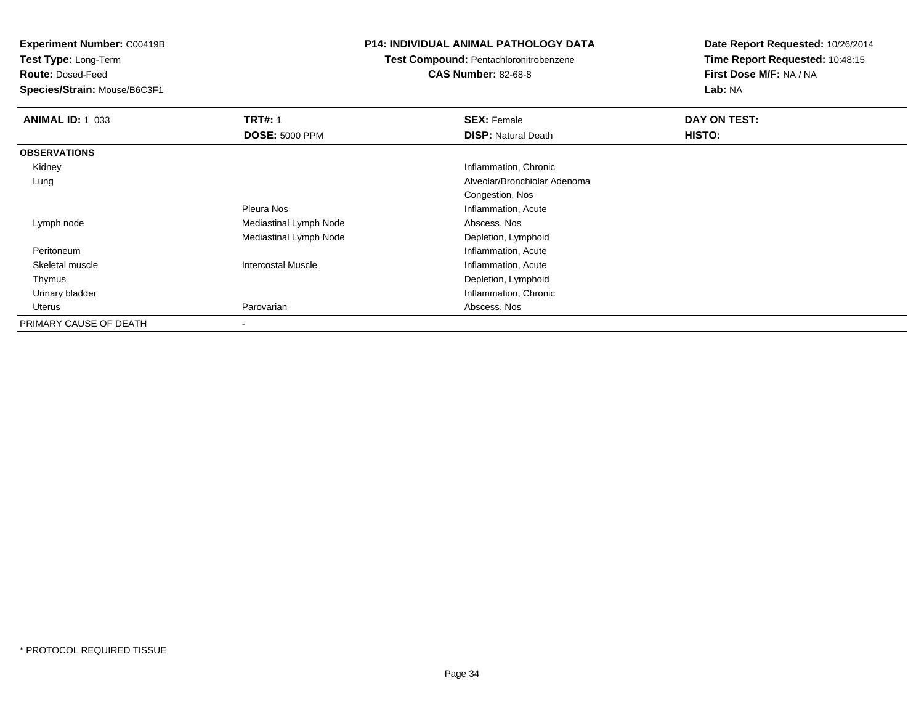**Test Type:** Long-Term

**Route:** Dosed-Feed

**Species/Strain:** Mouse/B6C3F1

### **P14: INDIVIDUAL ANIMAL PATHOLOGY DATA**

## **Test Compound:** Pentachloronitrobenzene

**CAS Number:** 82-68-8

| <b>ANIMAL ID: 1_033</b> | <b>TRT#: 1</b>            | <b>SEX: Female</b>           | DAY ON TEST: |
|-------------------------|---------------------------|------------------------------|--------------|
|                         | <b>DOSE: 5000 PPM</b>     | <b>DISP: Natural Death</b>   | HISTO:       |
| <b>OBSERVATIONS</b>     |                           |                              |              |
| Kidney                  |                           | Inflammation, Chronic        |              |
| Lung                    |                           | Alveolar/Bronchiolar Adenoma |              |
|                         |                           | Congestion, Nos              |              |
|                         | Pleura Nos                | Inflammation, Acute          |              |
| Lymph node              | Mediastinal Lymph Node    | Abscess, Nos                 |              |
|                         | Mediastinal Lymph Node    | Depletion, Lymphoid          |              |
| Peritoneum              |                           | Inflammation, Acute          |              |
| Skeletal muscle         | <b>Intercostal Muscle</b> | Inflammation, Acute          |              |
| Thymus                  |                           | Depletion, Lymphoid          |              |
| Urinary bladder         |                           | Inflammation, Chronic        |              |
| Uterus                  | Parovarian                | Abscess, Nos                 |              |
| PRIMARY CAUSE OF DEATH  |                           |                              |              |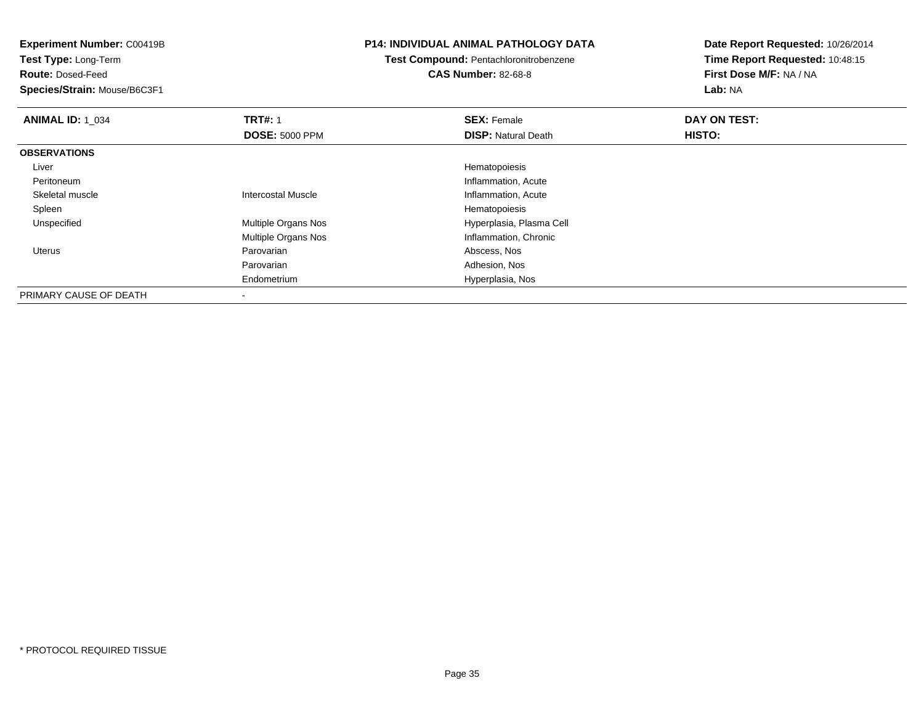**Experiment Number:** C00419B**Test Type:** Long-Term**Route:** Dosed-Feed **Species/Strain:** Mouse/B6C3F1**P14: INDIVIDUAL ANIMAL PATHOLOGY DATATest Compound:** Pentachloronitrobenzene**CAS Number:** 82-68-8**Date Report Requested:** 10/26/2014**Time Report Requested:** 10:48:15**First Dose M/F:** NA / NA**Lab:** NA**ANIMAL ID: 1\_034 TRT#:** 1 **SEX:** Female **DAY ON TEST: DOSE:** 5000 PPM**DISP:** Natural Death **HISTO: OBSERVATIONS** Liver HematopoiesisInflammation, Acute Peritoneumm<br>
Inflammation, Acute Skeletal muscleIntercostal Muscle **Inflammation**, Acute **Inflammation**, Acute Spleenn and the state of the state of the state of the state of the state of the state of the state of the state of the state of the state of the state of the state of the state of the state of the state of the state of the stat UnspecifiedMultiple Organs Nos **Hyperplasia**, Plasma Cell Multiple Organs Nos Inflammation, Chronic Uterus Parovarian Abscess, Nos Parovarian Adhesion, Nos EndometriumHyperplasia, Nos

PRIMARY CAUSE OF DEATH-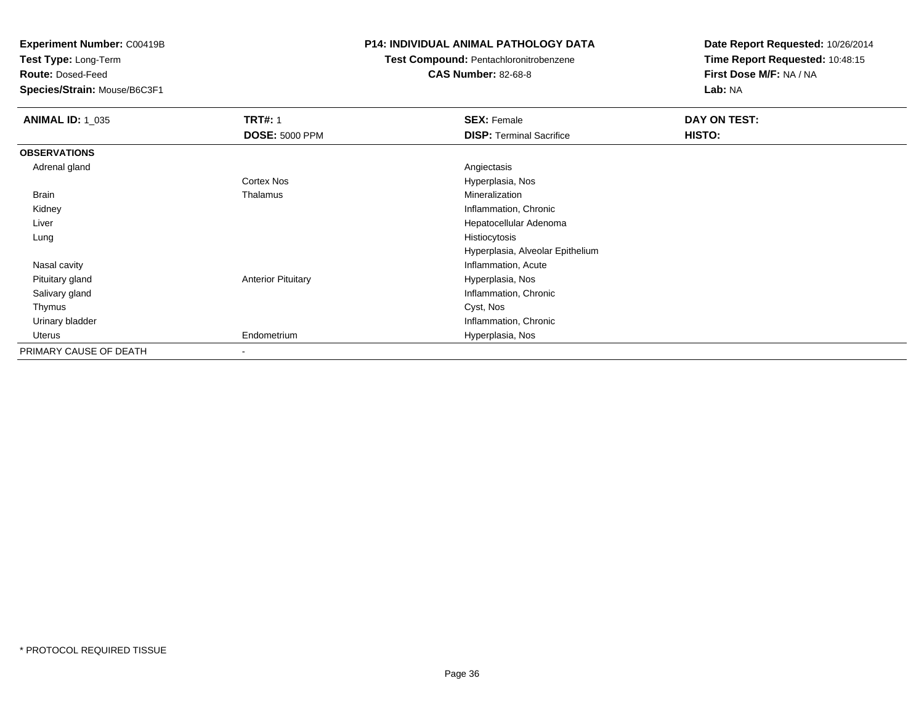**Test Type:** Long-Term

**Route:** Dosed-Feed

**Species/Strain:** Mouse/B6C3F1

### **P14: INDIVIDUAL ANIMAL PATHOLOGY DATA**

## **Test Compound:** Pentachloronitrobenzene

**CAS Number:** 82-68-8

| <b>ANIMAL ID: 1_035</b> | <b>TRT#: 1</b><br><b>DOSE: 5000 PPM</b> | <b>SEX: Female</b><br><b>DISP:</b> Terminal Sacrifice | DAY ON TEST:<br>HISTO: |
|-------------------------|-----------------------------------------|-------------------------------------------------------|------------------------|
|                         |                                         |                                                       |                        |
| <b>OBSERVATIONS</b>     |                                         |                                                       |                        |
| Adrenal gland           |                                         | Angiectasis                                           |                        |
|                         | <b>Cortex Nos</b>                       | Hyperplasia, Nos                                      |                        |
| Brain                   | Thalamus                                | Mineralization                                        |                        |
| Kidney                  |                                         | Inflammation, Chronic                                 |                        |
| Liver                   |                                         | Hepatocellular Adenoma                                |                        |
| Lung                    |                                         | Histiocytosis                                         |                        |
|                         |                                         | Hyperplasia, Alveolar Epithelium                      |                        |
| Nasal cavity            |                                         | Inflammation, Acute                                   |                        |
| Pituitary gland         | <b>Anterior Pituitary</b>               | Hyperplasia, Nos                                      |                        |
| Salivary gland          |                                         | Inflammation, Chronic                                 |                        |
| Thymus                  |                                         | Cyst, Nos                                             |                        |
| Urinary bladder         |                                         | Inflammation, Chronic                                 |                        |
| Uterus                  | Endometrium                             | Hyperplasia, Nos                                      |                        |
| PRIMARY CAUSE OF DEATH  |                                         |                                                       |                        |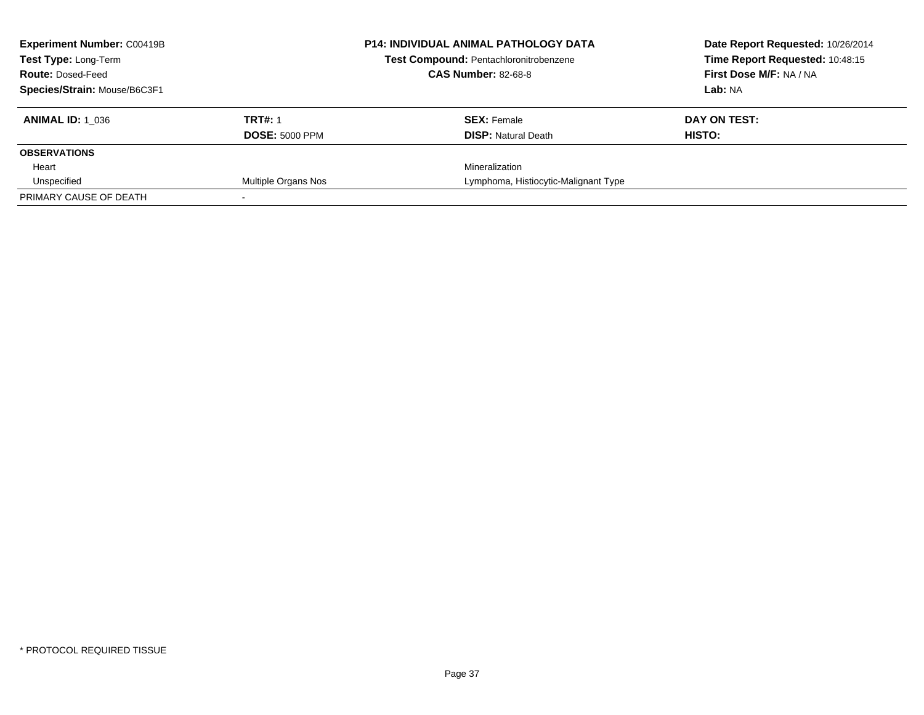| <b>Experiment Number: C00419B</b><br><b>Test Type: Long-Term</b><br><b>Route: Dosed-Feed</b> |                       | <b>P14: INDIVIDUAL ANIMAL PATHOLOGY DATA</b><br>Test Compound: Pentachloronitrobenzene<br><b>CAS Number: 82-68-8</b> | Date Report Requested: 10/26/2014<br>Time Report Requested: 10:48:15<br>First Dose M/F: NA / NA |
|----------------------------------------------------------------------------------------------|-----------------------|----------------------------------------------------------------------------------------------------------------------|-------------------------------------------------------------------------------------------------|
| Species/Strain: Mouse/B6C3F1                                                                 |                       |                                                                                                                      | Lab: NA                                                                                         |
| <b>ANIMAL ID:</b> 1 036                                                                      | <b>TRT#: 1</b>        | <b>SEX: Female</b>                                                                                                   | DAY ON TEST:                                                                                    |
|                                                                                              | <b>DOSE: 5000 PPM</b> | <b>DISP:</b> Natural Death                                                                                           | HISTO:                                                                                          |
| <b>OBSERVATIONS</b>                                                                          |                       |                                                                                                                      |                                                                                                 |
| Heart                                                                                        |                       | Mineralization                                                                                                       |                                                                                                 |
| Unspecified                                                                                  | Multiple Organs Nos   | Lymphoma, Histiocytic-Malignant Type                                                                                 |                                                                                                 |
| PRIMARY CAUSE OF DEATH                                                                       |                       |                                                                                                                      |                                                                                                 |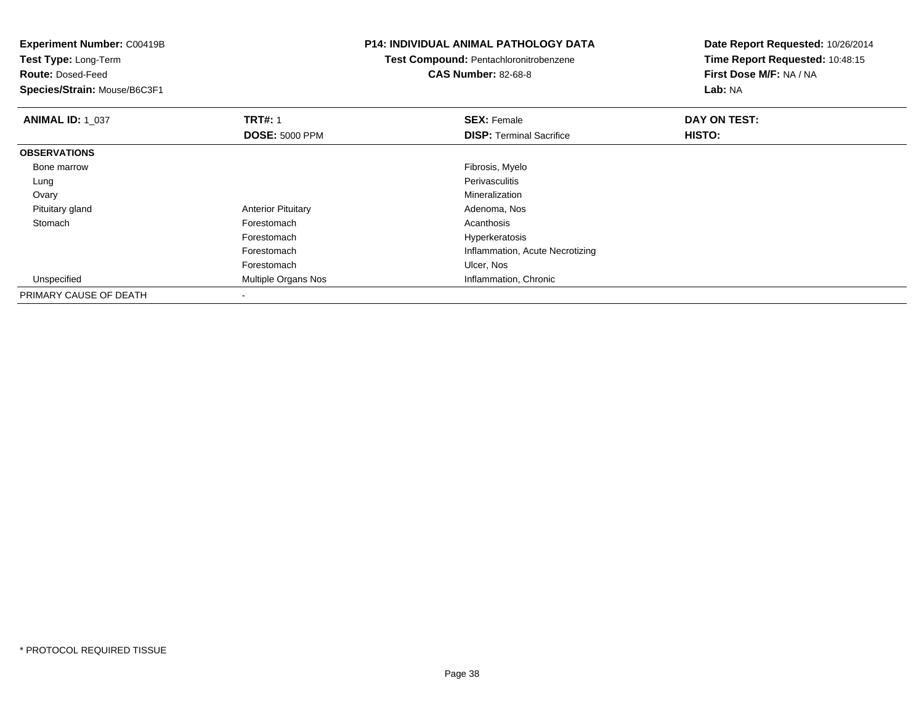| <b>Experiment Number: C00419B</b><br>Test Type: Long-Term<br><b>Route: Dosed-Feed</b><br>Species/Strain: Mouse/B6C3F1 |                           | <b>P14: INDIVIDUAL ANIMAL PATHOLOGY DATA</b><br><b>Test Compound: Pentachloronitrobenzene</b><br><b>CAS Number: 82-68-8</b> | Date Report Requested: 10/26/2014<br>Time Report Requested: 10:48:15<br>First Dose M/F: NA / NA<br>Lab: NA |
|-----------------------------------------------------------------------------------------------------------------------|---------------------------|-----------------------------------------------------------------------------------------------------------------------------|------------------------------------------------------------------------------------------------------------|
| <b>ANIMAL ID: 1_037</b>                                                                                               | <b>TRT#: 1</b>            | <b>SEX: Female</b>                                                                                                          | DAY ON TEST:                                                                                               |
|                                                                                                                       | <b>DOSE: 5000 PPM</b>     | <b>DISP:</b> Terminal Sacrifice                                                                                             | HISTO:                                                                                                     |
| <b>OBSERVATIONS</b>                                                                                                   |                           |                                                                                                                             |                                                                                                            |
| Bone marrow                                                                                                           |                           | Fibrosis, Myelo                                                                                                             |                                                                                                            |
| Lung                                                                                                                  |                           | Perivasculitis                                                                                                              |                                                                                                            |
| Ovary                                                                                                                 |                           | Mineralization                                                                                                              |                                                                                                            |
| Pituitary gland                                                                                                       | <b>Anterior Pituitary</b> | Adenoma, Nos                                                                                                                |                                                                                                            |
| Stomach                                                                                                               | Forestomach               | Acanthosis                                                                                                                  |                                                                                                            |
|                                                                                                                       | Forestomach               | Hyperkeratosis                                                                                                              |                                                                                                            |
|                                                                                                                       | Forestomach               | Inflammation, Acute Necrotizing                                                                                             |                                                                                                            |
|                                                                                                                       | Forestomach               | Ulcer, Nos                                                                                                                  |                                                                                                            |
| Unspecified                                                                                                           | Multiple Organs Nos       | Inflammation, Chronic                                                                                                       |                                                                                                            |
| PRIMARY CAUSE OF DEATH                                                                                                |                           |                                                                                                                             |                                                                                                            |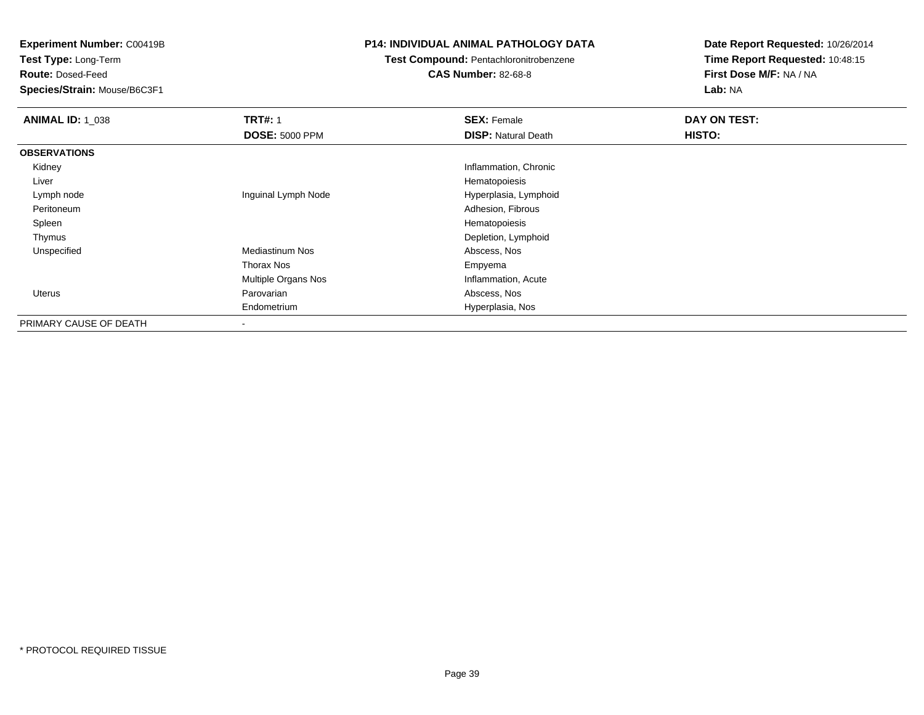**Test Type:** Long-Term

**Route:** Dosed-Feed

**Species/Strain:** Mouse/B6C3F1

#### **P14: INDIVIDUAL ANIMAL PATHOLOGY DATA**

# **Test Compound:** Pentachloronitrobenzene

**CAS Number:** 82-68-8

| <b>ANIMAL ID: 1_038</b> | <b>TRT#: 1</b>        | <b>SEX: Female</b>         | DAY ON TEST: |
|-------------------------|-----------------------|----------------------------|--------------|
|                         | <b>DOSE: 5000 PPM</b> | <b>DISP: Natural Death</b> | HISTO:       |
| <b>OBSERVATIONS</b>     |                       |                            |              |
| Kidney                  |                       | Inflammation, Chronic      |              |
| Liver                   |                       | Hematopoiesis              |              |
| Lymph node              | Inguinal Lymph Node   | Hyperplasia, Lymphoid      |              |
| Peritoneum              |                       | Adhesion, Fibrous          |              |
| Spleen                  |                       | Hematopoiesis              |              |
| Thymus                  |                       | Depletion, Lymphoid        |              |
| Unspecified             | Mediastinum Nos       | Abscess, Nos               |              |
|                         | Thorax Nos            | Empyema                    |              |
|                         | Multiple Organs Nos   | Inflammation, Acute        |              |
| <b>Uterus</b>           | Parovarian            | Abscess, Nos               |              |
|                         | Endometrium           | Hyperplasia, Nos           |              |
| PRIMARY CAUSE OF DEATH  |                       |                            |              |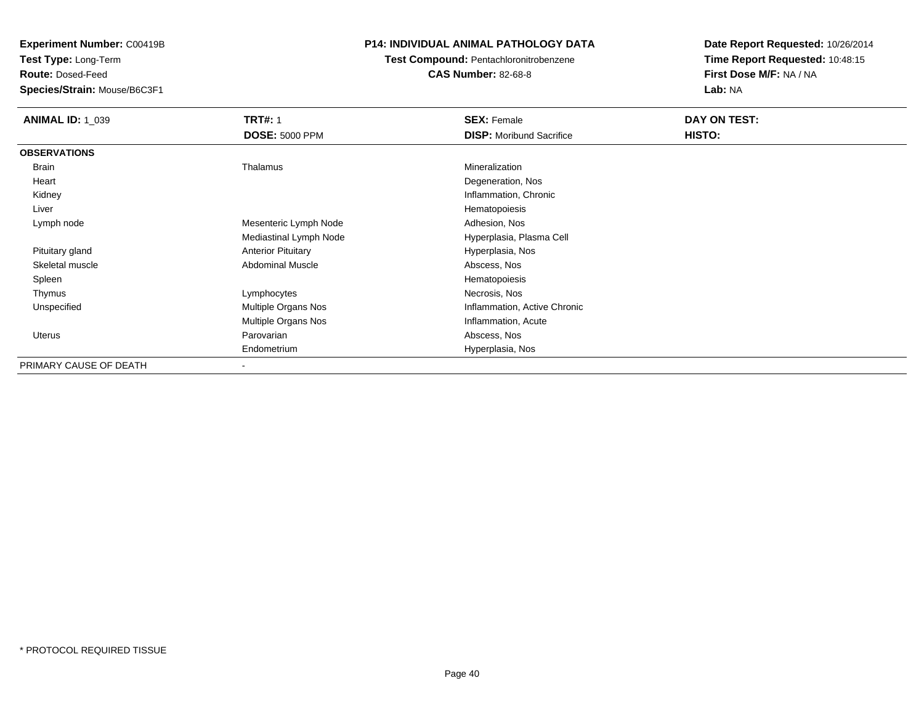**Test Type:** Long-Term

**Route:** Dosed-Feed

**Species/Strain:** Mouse/B6C3F1

#### **P14: INDIVIDUAL ANIMAL PATHOLOGY DATA**

#### **Test Compound:** Pentachloronitrobenzene**CAS Number:** 82-68-8

| <b>ANIMAL ID: 1_039</b> | <b>TRT#: 1</b>            | <b>SEX: Female</b>              | DAY ON TEST: |  |
|-------------------------|---------------------------|---------------------------------|--------------|--|
|                         | <b>DOSE: 5000 PPM</b>     | <b>DISP:</b> Moribund Sacrifice | HISTO:       |  |
| <b>OBSERVATIONS</b>     |                           |                                 |              |  |
| Brain                   | Thalamus                  | Mineralization                  |              |  |
| Heart                   |                           | Degeneration, Nos               |              |  |
| Kidney                  |                           | Inflammation, Chronic           |              |  |
| Liver                   |                           | Hematopoiesis                   |              |  |
| Lymph node              | Mesenteric Lymph Node     | Adhesion, Nos                   |              |  |
|                         | Mediastinal Lymph Node    | Hyperplasia, Plasma Cell        |              |  |
| Pituitary gland         | <b>Anterior Pituitary</b> | Hyperplasia, Nos                |              |  |
| Skeletal muscle         | <b>Abdominal Muscle</b>   | Abscess, Nos                    |              |  |
| Spleen                  |                           | Hematopoiesis                   |              |  |
| Thymus                  | Lymphocytes               | Necrosis, Nos                   |              |  |
| Unspecified             | Multiple Organs Nos       | Inflammation, Active Chronic    |              |  |
|                         | Multiple Organs Nos       | Inflammation, Acute             |              |  |
| Uterus                  | Parovarian                | Abscess, Nos                    |              |  |
|                         | Endometrium               | Hyperplasia, Nos                |              |  |
| PRIMARY CAUSE OF DEATH  | $\,$                      |                                 |              |  |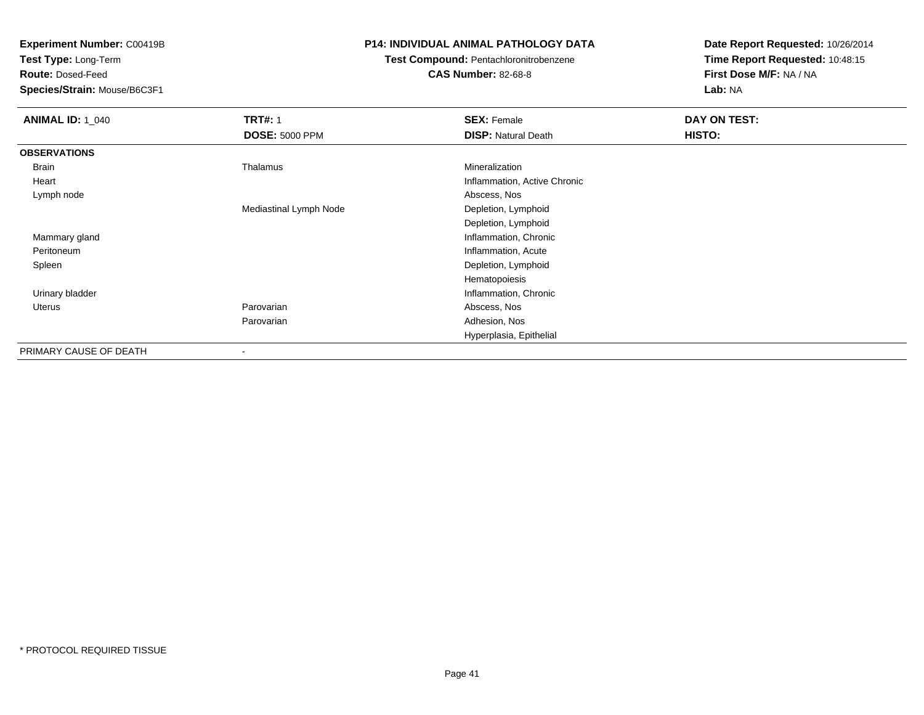**Test Type:** Long-Term

**Route:** Dosed-Feed

**Species/Strain:** Mouse/B6C3F1

#### **P14: INDIVIDUAL ANIMAL PATHOLOGY DATA**

# **Test Compound:** Pentachloronitrobenzene

**CAS Number:** 82-68-8

| <b>ANIMAL ID: 1_040</b> | <b>TRT#: 1</b>           | <b>SEX: Female</b>           | DAY ON TEST:  |
|-------------------------|--------------------------|------------------------------|---------------|
|                         | <b>DOSE: 5000 PPM</b>    | <b>DISP: Natural Death</b>   | <b>HISTO:</b> |
| <b>OBSERVATIONS</b>     |                          |                              |               |
| Brain                   | Thalamus                 | Mineralization               |               |
| Heart                   |                          | Inflammation, Active Chronic |               |
| Lymph node              |                          | Abscess, Nos                 |               |
|                         | Mediastinal Lymph Node   | Depletion, Lymphoid          |               |
|                         |                          | Depletion, Lymphoid          |               |
| Mammary gland           |                          | Inflammation, Chronic        |               |
| Peritoneum              |                          | Inflammation, Acute          |               |
| Spleen                  |                          | Depletion, Lymphoid          |               |
|                         |                          | Hematopoiesis                |               |
| Urinary bladder         |                          | Inflammation, Chronic        |               |
| Uterus                  | Parovarian               | Abscess, Nos                 |               |
|                         | Parovarian               | Adhesion, Nos                |               |
|                         |                          | Hyperplasia, Epithelial      |               |
| PRIMARY CAUSE OF DEATH  | $\overline{\phantom{a}}$ |                              |               |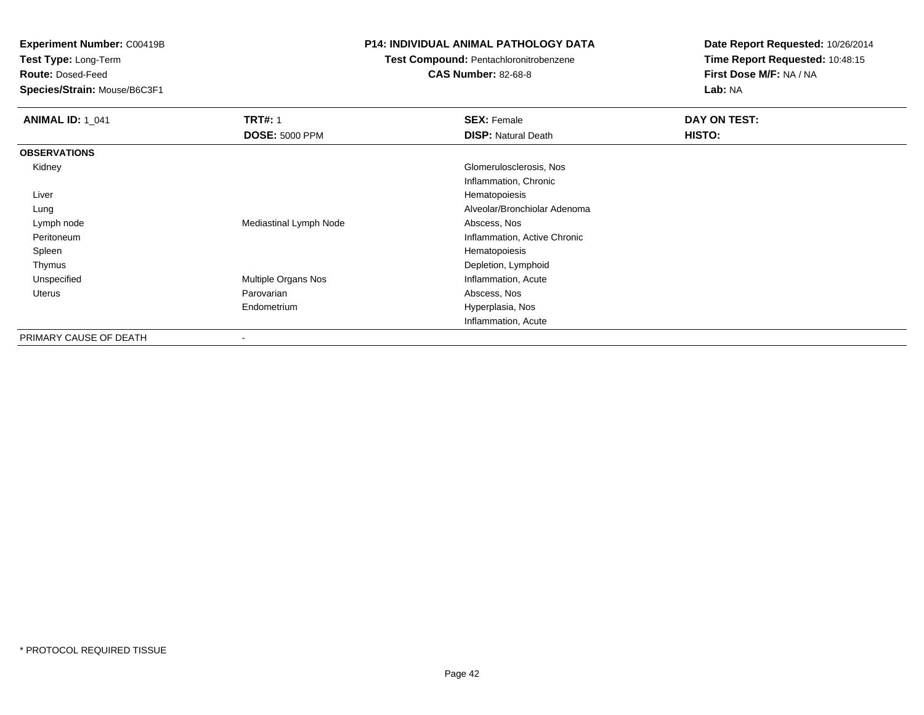**Test Type:** Long-Term

**Route:** Dosed-Feed

**Species/Strain:** Mouse/B6C3F1

#### **P14: INDIVIDUAL ANIMAL PATHOLOGY DATA**

### **Test Compound:** Pentachloronitrobenzene

**CAS Number:** 82-68-8

| <b>ANIMAL ID: 1 041</b> | <b>TRT#: 1</b>           | <b>SEX: Female</b>           | DAY ON TEST: |
|-------------------------|--------------------------|------------------------------|--------------|
|                         | <b>DOSE: 5000 PPM</b>    | <b>DISP: Natural Death</b>   | HISTO:       |
| <b>OBSERVATIONS</b>     |                          |                              |              |
| Kidney                  |                          | Glomerulosclerosis, Nos      |              |
|                         |                          | Inflammation, Chronic        |              |
| Liver                   |                          | Hematopoiesis                |              |
| Lung                    |                          | Alveolar/Bronchiolar Adenoma |              |
| Lymph node              | Mediastinal Lymph Node   | Abscess, Nos                 |              |
| Peritoneum              |                          | Inflammation, Active Chronic |              |
| Spleen                  |                          | Hematopoiesis                |              |
| Thymus                  |                          | Depletion, Lymphoid          |              |
| Unspecified             | Multiple Organs Nos      | Inflammation, Acute          |              |
| Uterus                  | Parovarian               | Abscess, Nos                 |              |
|                         | Endometrium              | Hyperplasia, Nos             |              |
|                         |                          | Inflammation, Acute          |              |
| PRIMARY CAUSE OF DEATH  | $\overline{\phantom{a}}$ |                              |              |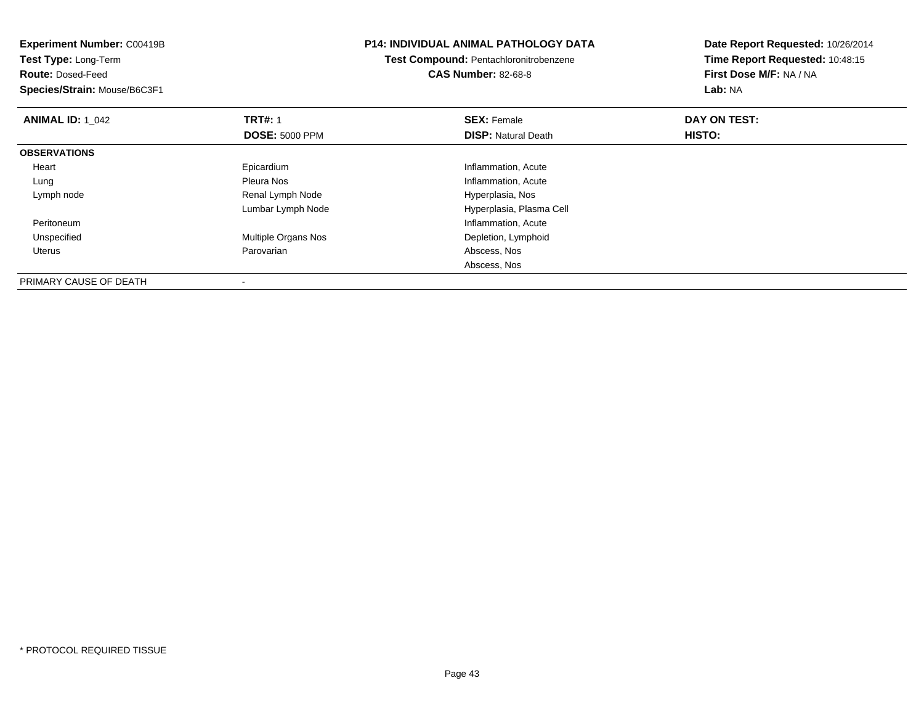| <b>Experiment Number: C00419B</b><br>Test Type: Long-Term |                       | <b>P14: INDIVIDUAL ANIMAL PATHOLOGY DATA</b> | Date Report Requested: 10/26/2014 |
|-----------------------------------------------------------|-----------------------|----------------------------------------------|-----------------------------------|
|                                                           |                       | Test Compound: Pentachloronitrobenzene       | Time Report Requested: 10:48:15   |
| <b>Route: Dosed-Feed</b>                                  |                       | <b>CAS Number: 82-68-8</b>                   | First Dose M/F: NA / NA           |
| Species/Strain: Mouse/B6C3F1                              |                       |                                              | Lab: NA                           |
| <b>ANIMAL ID: 1 042</b>                                   | <b>TRT#: 1</b>        | <b>SEX: Female</b>                           | DAY ON TEST:                      |
|                                                           | <b>DOSE: 5000 PPM</b> | <b>DISP:</b> Natural Death                   | <b>HISTO:</b>                     |
| <b>OBSERVATIONS</b>                                       |                       |                                              |                                   |
| Heart                                                     | Epicardium            | Inflammation, Acute                          |                                   |
| Lung                                                      | Pleura Nos            | Inflammation, Acute                          |                                   |
| Lymph node                                                | Renal Lymph Node      | Hyperplasia, Nos                             |                                   |
|                                                           | Lumbar Lymph Node     | Hyperplasia, Plasma Cell                     |                                   |
| Peritoneum                                                |                       | Inflammation, Acute                          |                                   |
| Unspecified                                               | Multiple Organs Nos   | Depletion, Lymphoid                          |                                   |
| Uterus                                                    | Parovarian            | Abscess, Nos                                 |                                   |
|                                                           |                       | Abscess, Nos                                 |                                   |
| PRIMARY CAUSE OF DEATH                                    |                       |                                              |                                   |

-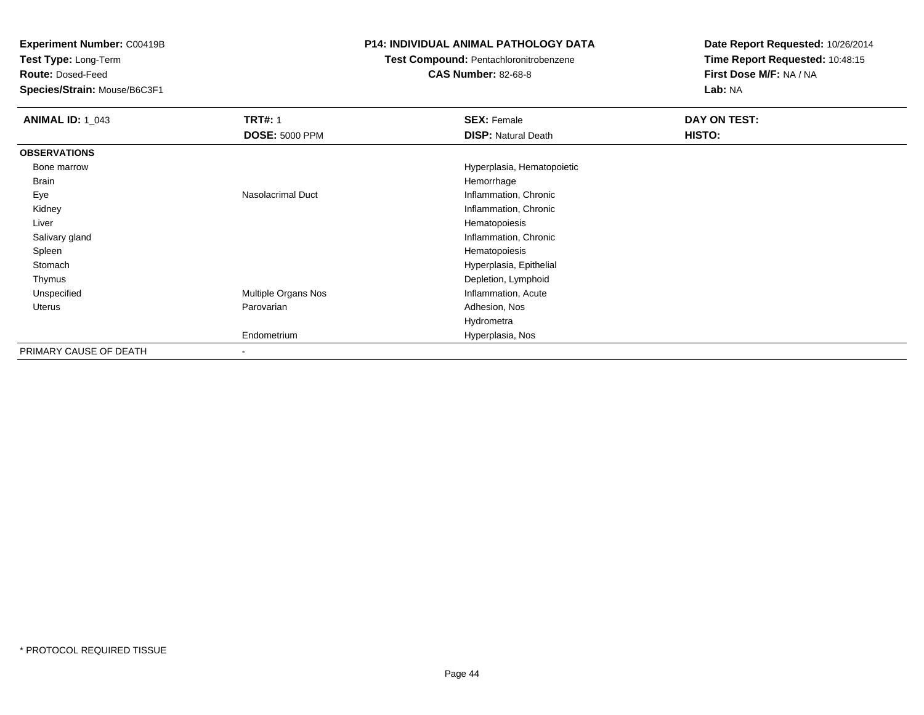**Test Type:** Long-Term

**Route:** Dosed-Feed

**Species/Strain:** Mouse/B6C3F1

#### **P14: INDIVIDUAL ANIMAL PATHOLOGY DATA**

### **Test Compound:** Pentachloronitrobenzene

**CAS Number:** 82-68-8

| <b>ANIMAL ID: 1 043</b> | <b>TRT#: 1</b><br><b>DOSE: 5000 PPM</b> | <b>SEX: Female</b><br><b>DISP: Natural Death</b> | DAY ON TEST:<br>HISTO: |
|-------------------------|-----------------------------------------|--------------------------------------------------|------------------------|
| <b>OBSERVATIONS</b>     |                                         |                                                  |                        |
| Bone marrow             |                                         | Hyperplasia, Hematopoietic                       |                        |
| <b>Brain</b>            |                                         | Hemorrhage                                       |                        |
| Eye                     | Nasolacrimal Duct                       | Inflammation, Chronic                            |                        |
| Kidney                  |                                         | Inflammation, Chronic                            |                        |
| Liver                   |                                         | Hematopoiesis                                    |                        |
| Salivary gland          |                                         | Inflammation, Chronic                            |                        |
| Spleen                  |                                         | Hematopoiesis                                    |                        |
| Stomach                 |                                         | Hyperplasia, Epithelial                          |                        |
| Thymus                  |                                         | Depletion, Lymphoid                              |                        |
| Unspecified             | Multiple Organs Nos                     | Inflammation, Acute                              |                        |
| Uterus                  | Parovarian                              | Adhesion, Nos                                    |                        |
|                         |                                         | Hydrometra                                       |                        |
|                         | Endometrium                             | Hyperplasia, Nos                                 |                        |
| PRIMARY CAUSE OF DEATH  | $\overline{\phantom{a}}$                |                                                  |                        |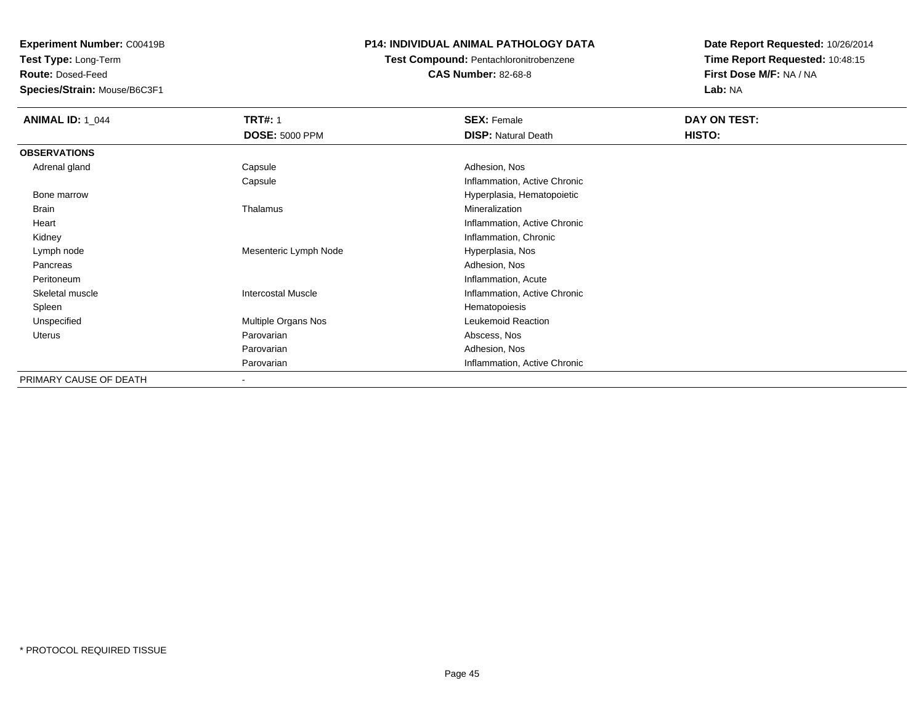**Test Type:** Long-Term

**Route:** Dosed-Feed

**Species/Strain:** Mouse/B6C3F1

#### **P14: INDIVIDUAL ANIMAL PATHOLOGY DATA**

# **Test Compound:** Pentachloronitrobenzene

**CAS Number:** 82-68-8

| <b>ANIMAL ID: 1_044</b> | <b>TRT#: 1</b>            | <b>SEX: Female</b>           | DAY ON TEST: |  |
|-------------------------|---------------------------|------------------------------|--------------|--|
|                         | <b>DOSE: 5000 PPM</b>     | <b>DISP: Natural Death</b>   | HISTO:       |  |
| <b>OBSERVATIONS</b>     |                           |                              |              |  |
| Adrenal gland           | Capsule                   | Adhesion, Nos                |              |  |
|                         | Capsule                   | Inflammation, Active Chronic |              |  |
| Bone marrow             |                           | Hyperplasia, Hematopoietic   |              |  |
| Brain                   | Thalamus                  | Mineralization               |              |  |
| Heart                   |                           | Inflammation, Active Chronic |              |  |
| Kidney                  |                           | Inflammation, Chronic        |              |  |
| Lymph node              | Mesenteric Lymph Node     | Hyperplasia, Nos             |              |  |
| Pancreas                |                           | Adhesion, Nos                |              |  |
| Peritoneum              |                           | Inflammation, Acute          |              |  |
| Skeletal muscle         | <b>Intercostal Muscle</b> | Inflammation, Active Chronic |              |  |
| Spleen                  |                           | Hematopoiesis                |              |  |
| Unspecified             | Multiple Organs Nos       | Leukemoid Reaction           |              |  |
| Uterus                  | Parovarian                | Abscess, Nos                 |              |  |
|                         | Parovarian                | Adhesion, Nos                |              |  |
|                         | Parovarian                | Inflammation, Active Chronic |              |  |
| PRIMARY CAUSE OF DEATH  | $\overline{\phantom{a}}$  |                              |              |  |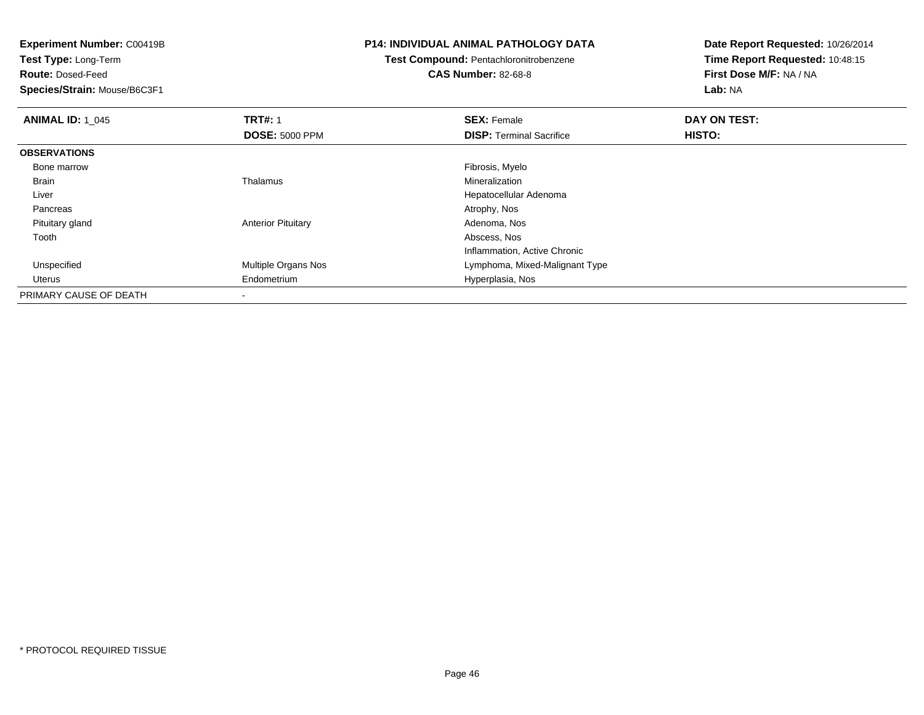**Test Type:** Long-Term

**Route:** Dosed-Feed

**Species/Strain:** Mouse/B6C3F1

#### **P14: INDIVIDUAL ANIMAL PATHOLOGY DATA**

# **Test Compound:** Pentachloronitrobenzene

**CAS Number:** 82-68-8

| <b>ANIMAL ID: 1_045</b> | <b>TRT#: 1</b>             | <b>SEX: Female</b>              | DAY ON TEST: |  |
|-------------------------|----------------------------|---------------------------------|--------------|--|
|                         | <b>DOSE: 5000 PPM</b>      | <b>DISP: Terminal Sacrifice</b> | HISTO:       |  |
| <b>OBSERVATIONS</b>     |                            |                                 |              |  |
| Bone marrow             |                            | Fibrosis, Myelo                 |              |  |
| Brain                   | Thalamus                   | Mineralization                  |              |  |
| Liver                   |                            | Hepatocellular Adenoma          |              |  |
| Pancreas                |                            | Atrophy, Nos                    |              |  |
| Pituitary gland         | <b>Anterior Pituitary</b>  | Adenoma, Nos                    |              |  |
| Tooth                   |                            | Abscess, Nos                    |              |  |
|                         |                            | Inflammation, Active Chronic    |              |  |
| Unspecified             | <b>Multiple Organs Nos</b> | Lymphoma, Mixed-Malignant Type  |              |  |
| Uterus                  | Endometrium                | Hyperplasia, Nos                |              |  |
| PRIMARY CAUSE OF DEATH  |                            |                                 |              |  |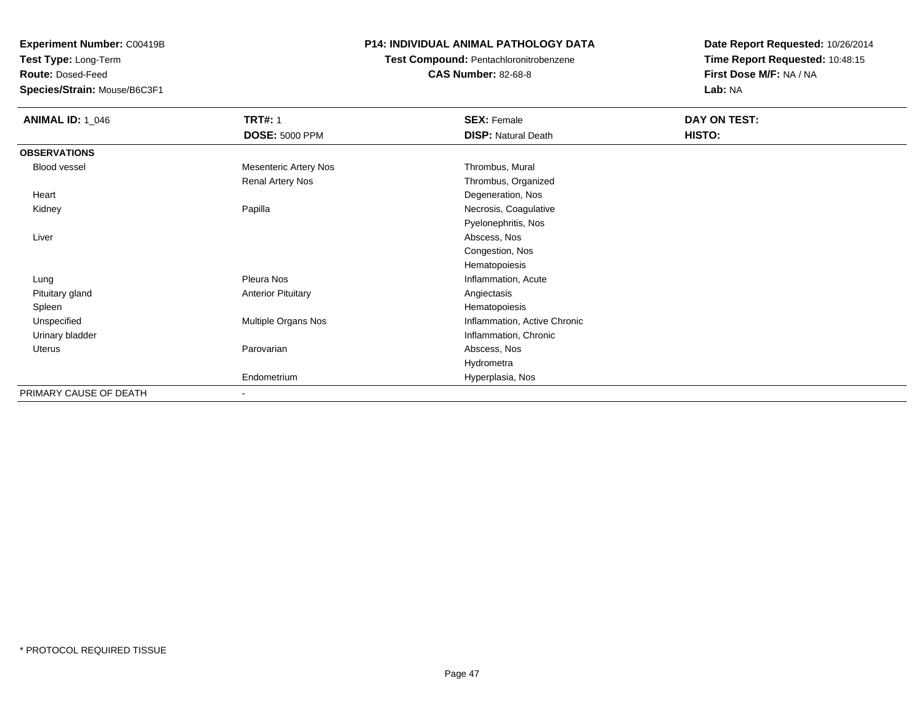**Test Type:** Long-Term

**Route:** Dosed-Feed

**Species/Strain:** Mouse/B6C3F1

#### **P14: INDIVIDUAL ANIMAL PATHOLOGY DATA**

#### **Test Compound:** Pentachloronitrobenzene**CAS Number:** 82-68-8

| <b>ANIMAL ID: 1_046</b> | <b>TRT#: 1</b>               | <b>SEX: Female</b>           | DAY ON TEST: |  |
|-------------------------|------------------------------|------------------------------|--------------|--|
|                         | <b>DOSE: 5000 PPM</b>        | <b>DISP: Natural Death</b>   | HISTO:       |  |
| <b>OBSERVATIONS</b>     |                              |                              |              |  |
| Blood vessel            | <b>Mesenteric Artery Nos</b> | Thrombus, Mural              |              |  |
|                         | Renal Artery Nos             | Thrombus, Organized          |              |  |
| Heart                   |                              | Degeneration, Nos            |              |  |
| Kidney                  | Papilla                      | Necrosis, Coagulative        |              |  |
|                         |                              | Pyelonephritis, Nos          |              |  |
| Liver                   |                              | Abscess, Nos                 |              |  |
|                         |                              | Congestion, Nos              |              |  |
|                         |                              | Hematopoiesis                |              |  |
| Lung                    | Pleura Nos                   | Inflammation, Acute          |              |  |
| Pituitary gland         | <b>Anterior Pituitary</b>    | Angiectasis                  |              |  |
| Spleen                  |                              | Hematopoiesis                |              |  |
| Unspecified             | Multiple Organs Nos          | Inflammation, Active Chronic |              |  |
| Urinary bladder         |                              | Inflammation, Chronic        |              |  |
| Uterus                  | Parovarian                   | Abscess, Nos                 |              |  |
|                         |                              | Hydrometra                   |              |  |
|                         | Endometrium                  | Hyperplasia, Nos             |              |  |
| PRIMARY CAUSE OF DEATH  |                              |                              |              |  |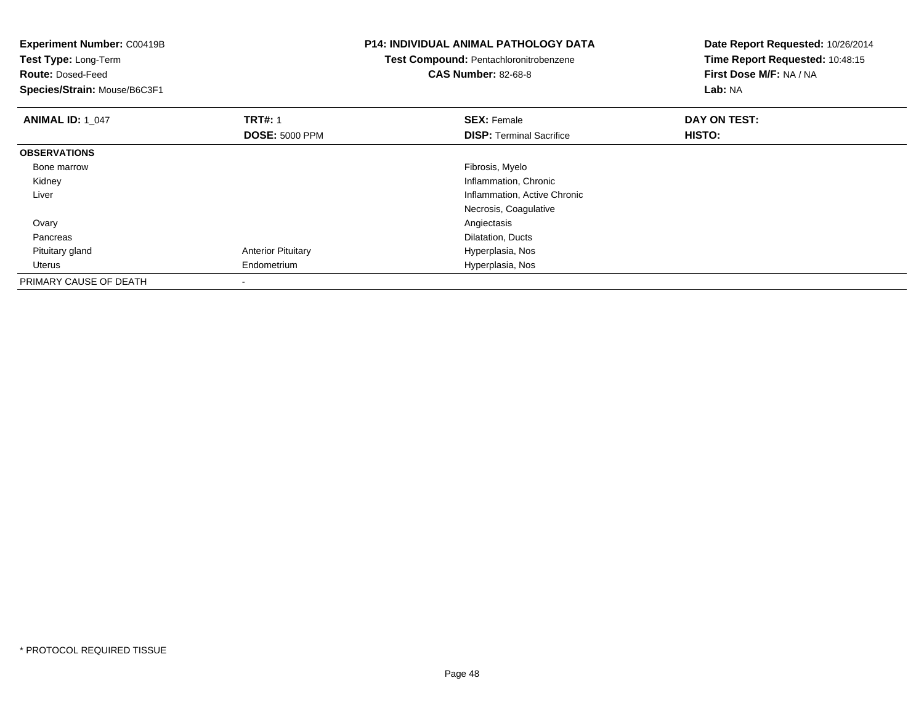| <b>Experiment Number: C00419B</b><br>Test Type: Long-Term<br><b>Route: Dosed-Feed</b><br>Species/Strain: Mouse/B6C3F1 |                           | <b>P14: INDIVIDUAL ANIMAL PATHOLOGY DATA</b><br>Test Compound: Pentachloronitrobenzene<br><b>CAS Number: 82-68-8</b> | Date Report Requested: 10/26/2014<br>Time Report Requested: 10:48:15<br>First Dose M/F: NA / NA<br>Lab: NA |
|-----------------------------------------------------------------------------------------------------------------------|---------------------------|----------------------------------------------------------------------------------------------------------------------|------------------------------------------------------------------------------------------------------------|
| <b>ANIMAL ID: 1_047</b>                                                                                               | <b>TRT#: 1</b>            | <b>SEX: Female</b>                                                                                                   | DAY ON TEST:                                                                                               |
|                                                                                                                       | <b>DOSE: 5000 PPM</b>     | <b>DISP:</b> Terminal Sacrifice                                                                                      | HISTO:                                                                                                     |
| <b>OBSERVATIONS</b>                                                                                                   |                           |                                                                                                                      |                                                                                                            |
| Bone marrow                                                                                                           |                           | Fibrosis, Myelo                                                                                                      |                                                                                                            |
| Kidney                                                                                                                |                           | Inflammation, Chronic                                                                                                |                                                                                                            |
| Liver                                                                                                                 |                           | Inflammation, Active Chronic                                                                                         |                                                                                                            |
|                                                                                                                       |                           | Necrosis, Coagulative                                                                                                |                                                                                                            |
| Ovary                                                                                                                 |                           | Angiectasis                                                                                                          |                                                                                                            |
| Pancreas                                                                                                              |                           | Dilatation, Ducts                                                                                                    |                                                                                                            |
| Pituitary gland                                                                                                       | <b>Anterior Pituitary</b> | Hyperplasia, Nos                                                                                                     |                                                                                                            |
| Uterus                                                                                                                | Endometrium               | Hyperplasia, Nos                                                                                                     |                                                                                                            |
| PRIMARY CAUSE OF DEATH                                                                                                |                           |                                                                                                                      |                                                                                                            |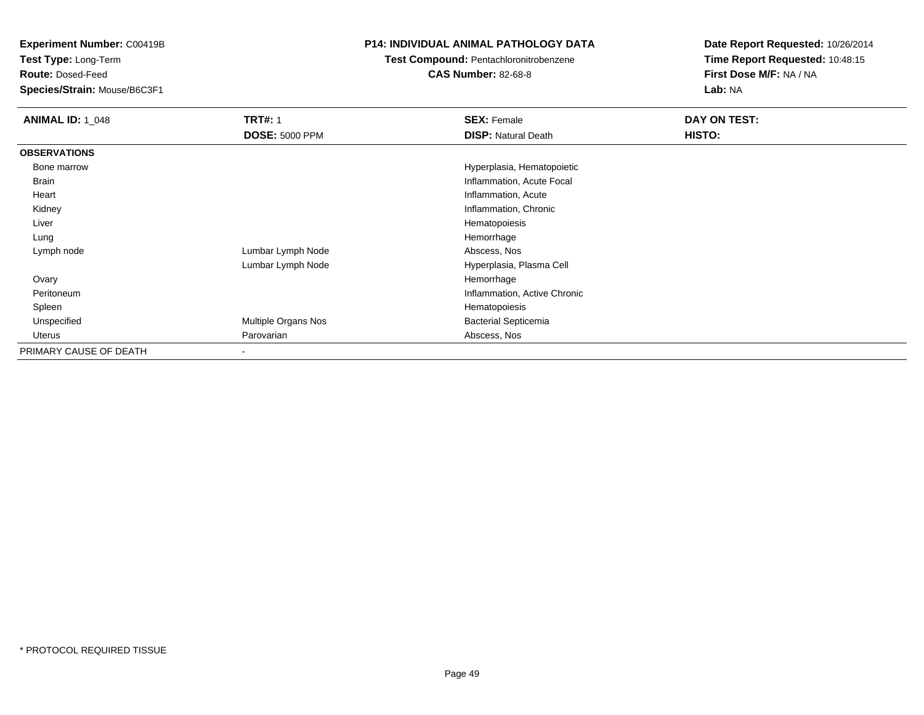**Test Type:** Long-Term

**Route:** Dosed-Feed

**Species/Strain:** Mouse/B6C3F1

#### **P14: INDIVIDUAL ANIMAL PATHOLOGY DATA**

## **Test Compound:** Pentachloronitrobenzene

**CAS Number:** 82-68-8

| <b>ANIMAL ID: 1 048</b> | <b>TRT#: 1</b>        | <b>SEX: Female</b>           | DAY ON TEST: |
|-------------------------|-----------------------|------------------------------|--------------|
|                         | <b>DOSE: 5000 PPM</b> | <b>DISP: Natural Death</b>   | HISTO:       |
| <b>OBSERVATIONS</b>     |                       |                              |              |
| Bone marrow             |                       | Hyperplasia, Hematopoietic   |              |
| Brain                   |                       | Inflammation, Acute Focal    |              |
| Heart                   |                       | Inflammation, Acute          |              |
| Kidney                  |                       | Inflammation, Chronic        |              |
| Liver                   |                       | Hematopoiesis                |              |
| Lung                    |                       | Hemorrhage                   |              |
| Lymph node              | Lumbar Lymph Node     | Abscess, Nos                 |              |
|                         | Lumbar Lymph Node     | Hyperplasia, Plasma Cell     |              |
| Ovary                   |                       | Hemorrhage                   |              |
| Peritoneum              |                       | Inflammation, Active Chronic |              |
| Spleen                  |                       | Hematopoiesis                |              |
| Unspecified             | Multiple Organs Nos   | <b>Bacterial Septicemia</b>  |              |
| Uterus                  | Parovarian            | Abscess, Nos                 |              |
| PRIMARY CAUSE OF DEATH  |                       |                              |              |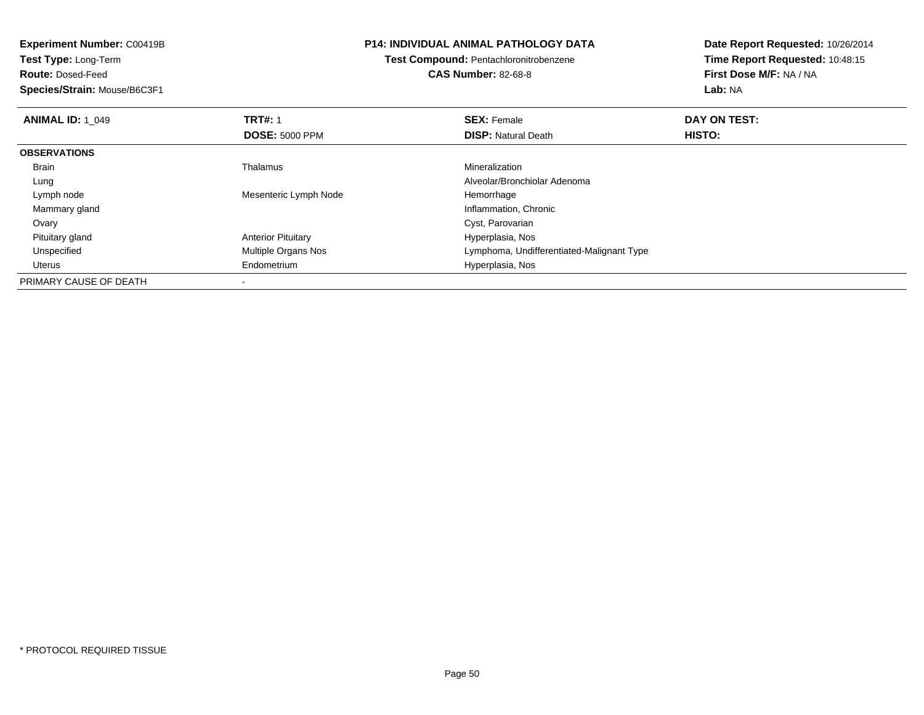| <b>Experiment Number: C00419B</b><br><b>Test Type: Long-Term</b> |                           | <b>P14: INDIVIDUAL ANIMAL PATHOLOGY DATA</b> | Date Report Requested: 10/26/2014 |
|------------------------------------------------------------------|---------------------------|----------------------------------------------|-----------------------------------|
|                                                                  |                           | Test Compound: Pentachloronitrobenzene       | Time Report Requested: 10:48:15   |
| <b>Route: Dosed-Feed</b>                                         |                           | <b>CAS Number: 82-68-8</b>                   | First Dose M/F: NA / NA           |
| Species/Strain: Mouse/B6C3F1                                     |                           |                                              | Lab: NA                           |
| <b>ANIMAL ID: 1 049</b>                                          | <b>TRT#: 1</b>            | <b>SEX: Female</b>                           | DAY ON TEST:                      |
|                                                                  | <b>DOSE: 5000 PPM</b>     | <b>DISP: Natural Death</b>                   | HISTO:                            |
| <b>OBSERVATIONS</b>                                              |                           |                                              |                                   |
| Brain                                                            | Thalamus                  | Mineralization                               |                                   |
| Lung                                                             |                           | Alveolar/Bronchiolar Adenoma                 |                                   |
| Lymph node                                                       | Mesenteric Lymph Node     | Hemorrhage                                   |                                   |
| Mammary gland                                                    |                           | Inflammation, Chronic                        |                                   |
| Ovary                                                            |                           | Cyst, Parovarian                             |                                   |
| Pituitary gland                                                  | <b>Anterior Pituitary</b> | Hyperplasia, Nos                             |                                   |
| Unspecified                                                      | Multiple Organs Nos       | Lymphoma, Undifferentiated-Malignant Type    |                                   |
| Uterus                                                           | Endometrium               | Hyperplasia, Nos                             |                                   |
| PRIMARY CAUSE OF DEATH                                           |                           |                                              |                                   |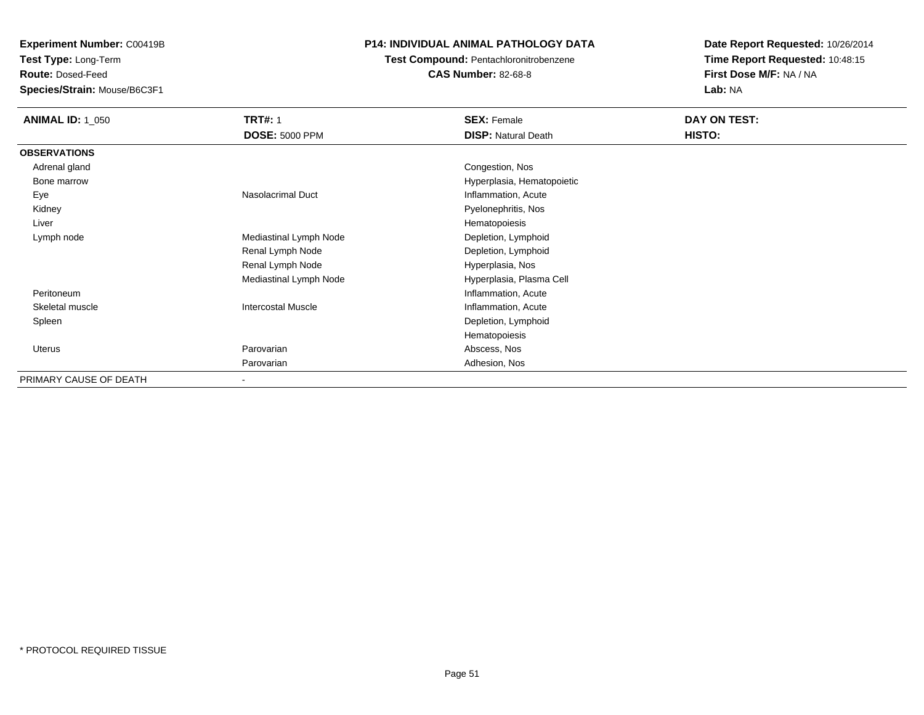**Test Type:** Long-Term

**Route:** Dosed-Feed

**Species/Strain:** Mouse/B6C3F1

#### **P14: INDIVIDUAL ANIMAL PATHOLOGY DATA**

# **Test Compound:** Pentachloronitrobenzene

**CAS Number:** 82-68-8

| <b>ANIMAL ID: 1_050</b> | <b>TRT#: 1</b>            | <b>SEX: Female</b>         | DAY ON TEST: |  |
|-------------------------|---------------------------|----------------------------|--------------|--|
|                         | <b>DOSE: 5000 PPM</b>     | <b>DISP: Natural Death</b> | HISTO:       |  |
| <b>OBSERVATIONS</b>     |                           |                            |              |  |
| Adrenal gland           |                           | Congestion, Nos            |              |  |
| Bone marrow             |                           | Hyperplasia, Hematopoietic |              |  |
| Eye                     | Nasolacrimal Duct         | Inflammation, Acute        |              |  |
| Kidney                  |                           | Pyelonephritis, Nos        |              |  |
| Liver                   |                           | Hematopoiesis              |              |  |
| Lymph node              | Mediastinal Lymph Node    | Depletion, Lymphoid        |              |  |
|                         | Renal Lymph Node          | Depletion, Lymphoid        |              |  |
|                         | Renal Lymph Node          | Hyperplasia, Nos           |              |  |
|                         | Mediastinal Lymph Node    | Hyperplasia, Plasma Cell   |              |  |
| Peritoneum              |                           | Inflammation, Acute        |              |  |
| Skeletal muscle         | <b>Intercostal Muscle</b> | Inflammation, Acute        |              |  |
| Spleen                  |                           | Depletion, Lymphoid        |              |  |
|                         |                           | Hematopoiesis              |              |  |
| Uterus                  | Parovarian                | Abscess, Nos               |              |  |
|                         | Parovarian                | Adhesion, Nos              |              |  |
| PRIMARY CAUSE OF DEATH  | $\blacksquare$            |                            |              |  |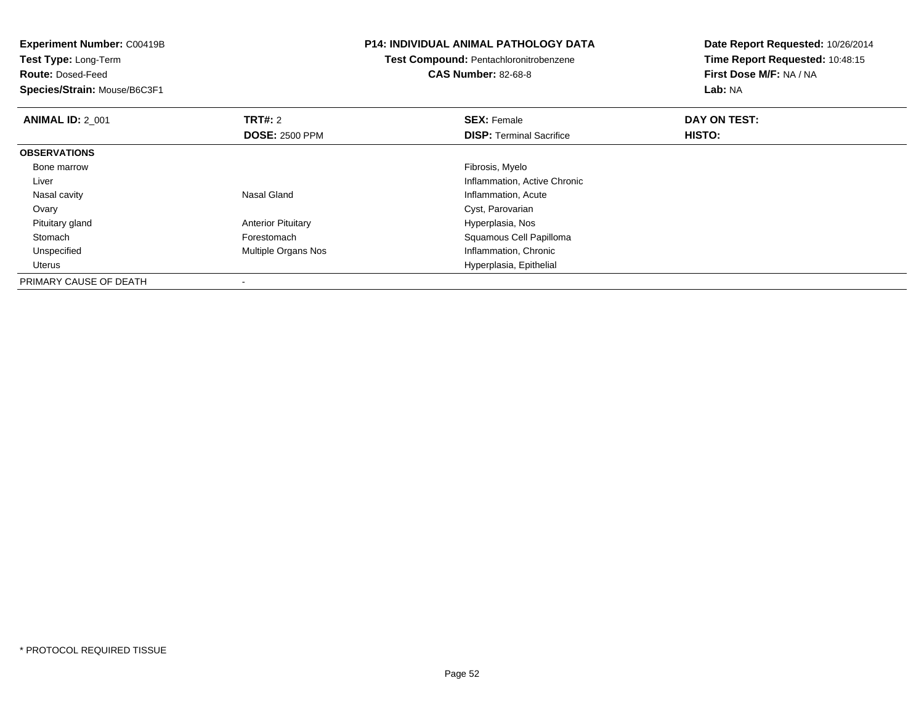| <b>Experiment Number: C00419B</b><br>Test Type: Long-Term<br><b>Route: Dosed-Feed</b><br>Species/Strain: Mouse/B6C3F1 |                           | <b>P14: INDIVIDUAL ANIMAL PATHOLOGY DATA</b><br><b>Test Compound: Pentachloronitrobenzene</b><br><b>CAS Number: 82-68-8</b> | Date Report Requested: 10/26/2014<br>Time Report Requested: 10:48:15<br>First Dose M/F: NA / NA<br>Lab: NA |
|-----------------------------------------------------------------------------------------------------------------------|---------------------------|-----------------------------------------------------------------------------------------------------------------------------|------------------------------------------------------------------------------------------------------------|
| <b>ANIMAL ID: 2 001</b>                                                                                               | <b>TRT#: 2</b>            | <b>SEX: Female</b>                                                                                                          | DAY ON TEST:                                                                                               |
|                                                                                                                       | <b>DOSE: 2500 PPM</b>     | <b>DISP:</b> Terminal Sacrifice                                                                                             | HISTO:                                                                                                     |
| <b>OBSERVATIONS</b>                                                                                                   |                           |                                                                                                                             |                                                                                                            |
| Bone marrow                                                                                                           |                           | Fibrosis, Myelo                                                                                                             |                                                                                                            |
| Liver                                                                                                                 |                           | Inflammation, Active Chronic                                                                                                |                                                                                                            |
| Nasal cavity                                                                                                          | Nasal Gland               | Inflammation, Acute                                                                                                         |                                                                                                            |
| Ovary                                                                                                                 |                           | Cyst, Parovarian                                                                                                            |                                                                                                            |
| Pituitary gland                                                                                                       | <b>Anterior Pituitary</b> | Hyperplasia, Nos                                                                                                            |                                                                                                            |
| Stomach                                                                                                               | Forestomach               | Squamous Cell Papilloma                                                                                                     |                                                                                                            |
| Unspecified                                                                                                           | Multiple Organs Nos       | Inflammation, Chronic                                                                                                       |                                                                                                            |
| Uterus                                                                                                                |                           | Hyperplasia, Epithelial                                                                                                     |                                                                                                            |
| PRIMARY CAUSE OF DEATH                                                                                                |                           |                                                                                                                             |                                                                                                            |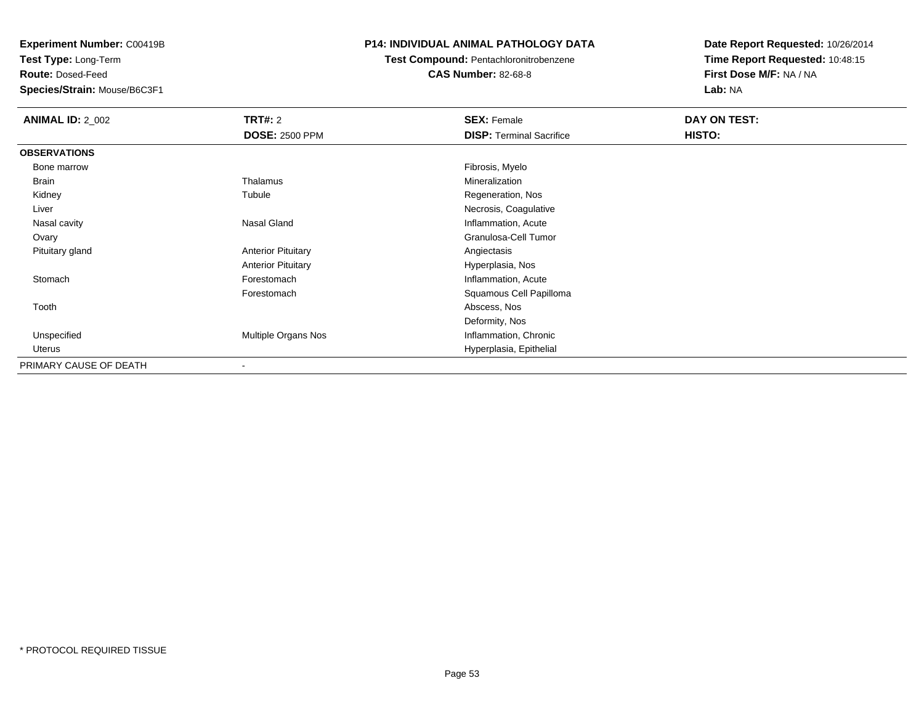**Test Type:** Long-Term

**Route:** Dosed-Feed

**Species/Strain:** Mouse/B6C3F1

#### **P14: INDIVIDUAL ANIMAL PATHOLOGY DATA**

## **Test Compound:** Pentachloronitrobenzene

**CAS Number:** 82-68-8

| <b>ANIMAL ID: 2_002</b> | TRT#: 2                   | <b>SEX: Female</b>              | DAY ON TEST: |
|-------------------------|---------------------------|---------------------------------|--------------|
|                         | <b>DOSE: 2500 PPM</b>     | <b>DISP: Terminal Sacrifice</b> | HISTO:       |
| <b>OBSERVATIONS</b>     |                           |                                 |              |
| Bone marrow             |                           | Fibrosis, Myelo                 |              |
| Brain                   | Thalamus                  | Mineralization                  |              |
| Kidney                  | Tubule                    | Regeneration, Nos               |              |
| Liver                   |                           | Necrosis, Coagulative           |              |
| Nasal cavity            | Nasal Gland               | Inflammation, Acute             |              |
| Ovary                   |                           | Granulosa-Cell Tumor            |              |
| Pituitary gland         | <b>Anterior Pituitary</b> | Angiectasis                     |              |
|                         | <b>Anterior Pituitary</b> | Hyperplasia, Nos                |              |
| Stomach                 | Forestomach               | Inflammation, Acute             |              |
|                         | Forestomach               | Squamous Cell Papilloma         |              |
| Tooth                   |                           | Abscess, Nos                    |              |
|                         |                           | Deformity, Nos                  |              |
| Unspecified             | Multiple Organs Nos       | Inflammation, Chronic           |              |
| Uterus                  |                           | Hyperplasia, Epithelial         |              |
| PRIMARY CAUSE OF DEATH  | $\blacksquare$            |                                 |              |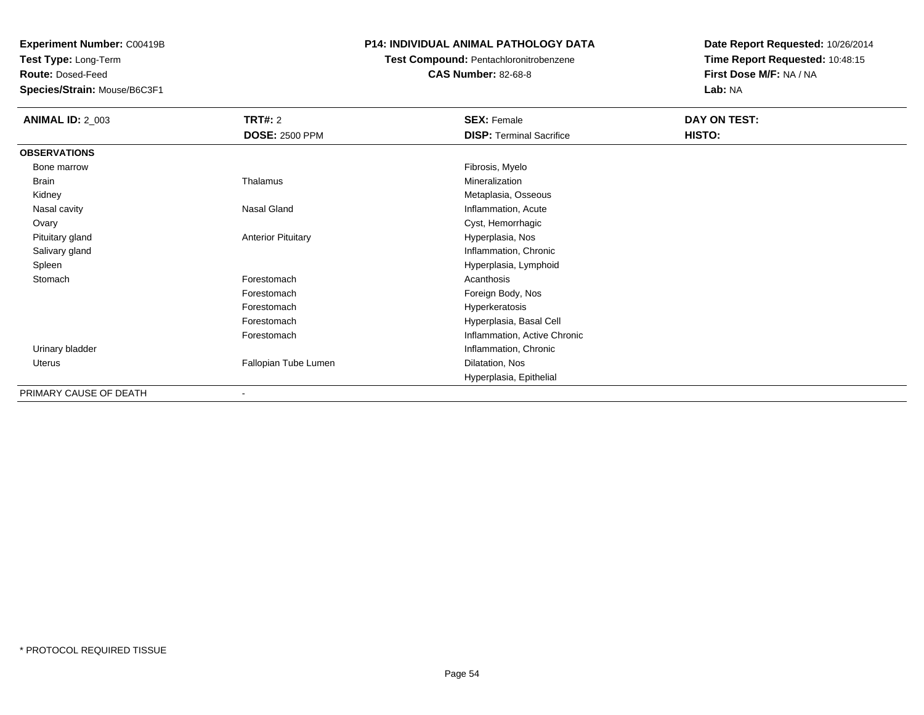**Test Type:** Long-Term

**Route:** Dosed-Feed

**Species/Strain:** Mouse/B6C3F1

#### **P14: INDIVIDUAL ANIMAL PATHOLOGY DATA**

## **Test Compound:** Pentachloronitrobenzene

**CAS Number:** 82-68-8

| <b>ANIMAL ID: 2_003</b> | <b>TRT#: 2</b>            | <b>SEX: Female</b>              | DAY ON TEST: |  |
|-------------------------|---------------------------|---------------------------------|--------------|--|
|                         | <b>DOSE: 2500 PPM</b>     | <b>DISP: Terminal Sacrifice</b> | HISTO:       |  |
| <b>OBSERVATIONS</b>     |                           |                                 |              |  |
| Bone marrow             |                           | Fibrosis, Myelo                 |              |  |
| Brain                   | Thalamus                  | Mineralization                  |              |  |
| Kidney                  |                           | Metaplasia, Osseous             |              |  |
| Nasal cavity            | Nasal Gland               | Inflammation, Acute             |              |  |
| Ovary                   |                           | Cyst, Hemorrhagic               |              |  |
| Pituitary gland         | <b>Anterior Pituitary</b> | Hyperplasia, Nos                |              |  |
| Salivary gland          |                           | Inflammation, Chronic           |              |  |
| Spleen                  |                           | Hyperplasia, Lymphoid           |              |  |
| Stomach                 | Forestomach               | Acanthosis                      |              |  |
|                         | Forestomach               | Foreign Body, Nos               |              |  |
|                         | Forestomach               | Hyperkeratosis                  |              |  |
|                         | Forestomach               | Hyperplasia, Basal Cell         |              |  |
|                         | Forestomach               | Inflammation, Active Chronic    |              |  |
| Urinary bladder         |                           | Inflammation, Chronic           |              |  |
| Uterus                  | Fallopian Tube Lumen      | Dilatation, Nos                 |              |  |
|                         |                           | Hyperplasia, Epithelial         |              |  |
| PRIMARY CAUSE OF DEATH  | ۰                         |                                 |              |  |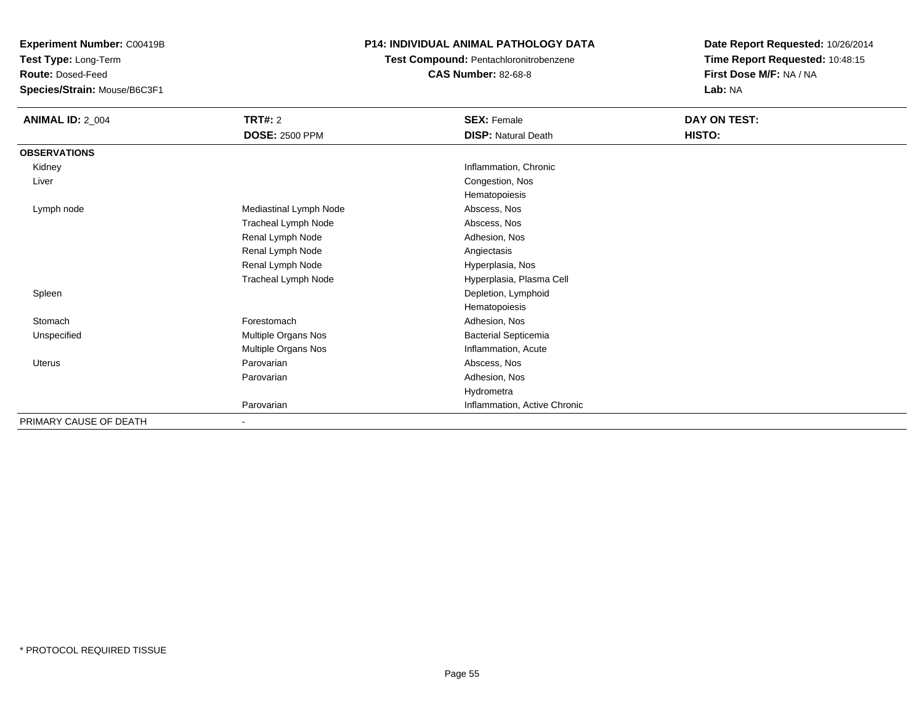**Test Type:** Long-Term

**Route:** Dosed-Feed

**Species/Strain:** Mouse/B6C3F1

#### **P14: INDIVIDUAL ANIMAL PATHOLOGY DATA**

**Test Compound:** Pentachloronitrobenzene

**CAS Number:** 82-68-8

| <b>ANIMAL ID: 2_004</b> | <b>TRT#: 2</b>           | <b>SEX: Female</b>           | DAY ON TEST: |  |
|-------------------------|--------------------------|------------------------------|--------------|--|
|                         | <b>DOSE: 2500 PPM</b>    | <b>DISP: Natural Death</b>   | HISTO:       |  |
| <b>OBSERVATIONS</b>     |                          |                              |              |  |
| Kidney                  |                          | Inflammation, Chronic        |              |  |
| Liver                   |                          | Congestion, Nos              |              |  |
|                         |                          | Hematopoiesis                |              |  |
| Lymph node              | Mediastinal Lymph Node   | Abscess, Nos                 |              |  |
|                         | Tracheal Lymph Node      | Abscess, Nos                 |              |  |
|                         | Renal Lymph Node         | Adhesion, Nos                |              |  |
|                         | Renal Lymph Node         | Angiectasis                  |              |  |
|                         | Renal Lymph Node         | Hyperplasia, Nos             |              |  |
|                         | Tracheal Lymph Node      | Hyperplasia, Plasma Cell     |              |  |
| Spleen                  |                          | Depletion, Lymphoid          |              |  |
|                         |                          | Hematopoiesis                |              |  |
| Stomach                 | Forestomach              | Adhesion, Nos                |              |  |
| Unspecified             | Multiple Organs Nos      | <b>Bacterial Septicemia</b>  |              |  |
|                         | Multiple Organs Nos      | Inflammation, Acute          |              |  |
| Uterus                  | Parovarian               | Abscess, Nos                 |              |  |
|                         | Parovarian               | Adhesion, Nos                |              |  |
|                         |                          | Hydrometra                   |              |  |
|                         | Parovarian               | Inflammation, Active Chronic |              |  |
| PRIMARY CAUSE OF DEATH  | $\overline{\phantom{0}}$ |                              |              |  |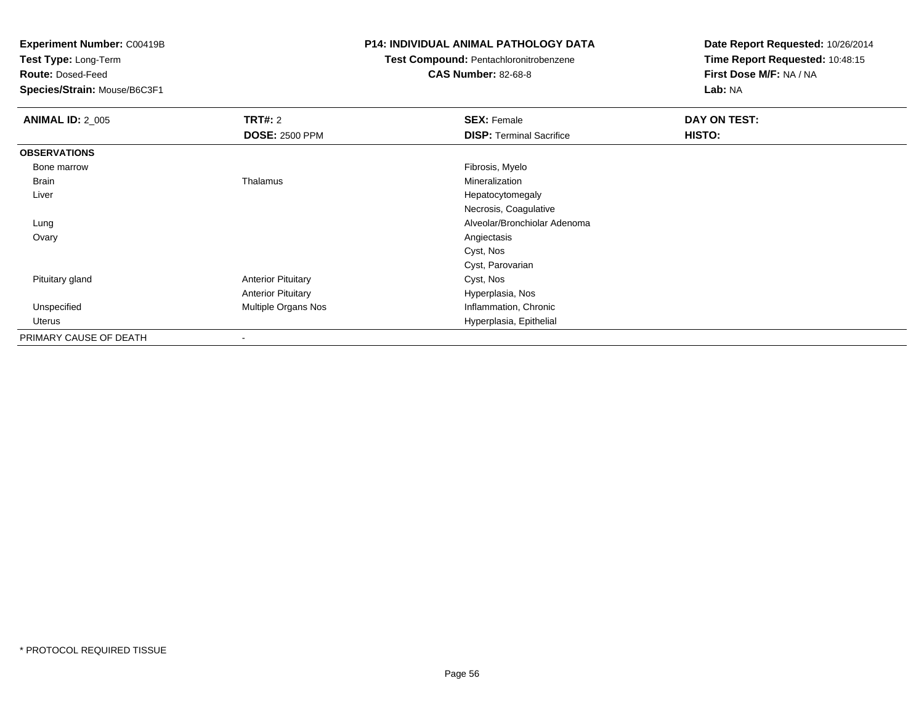**Test Type:** Long-Term

**Route:** Dosed-Feed

**Species/Strain:** Mouse/B6C3F1

#### **P14: INDIVIDUAL ANIMAL PATHOLOGY DATA**

**Test Compound:** Pentachloronitrobenzene

**CAS Number:** 82-68-8

| <b>ANIMAL ID: 2_005</b> | TRT#: 2                   | <b>SEX: Female</b>              | DAY ON TEST: |
|-------------------------|---------------------------|---------------------------------|--------------|
|                         | <b>DOSE: 2500 PPM</b>     | <b>DISP: Terminal Sacrifice</b> | HISTO:       |
| <b>OBSERVATIONS</b>     |                           |                                 |              |
| Bone marrow             |                           | Fibrosis, Myelo                 |              |
| Brain                   | Thalamus                  | Mineralization                  |              |
| Liver                   |                           | Hepatocytomegaly                |              |
|                         |                           | Necrosis, Coagulative           |              |
| Lung                    |                           | Alveolar/Bronchiolar Adenoma    |              |
| Ovary                   |                           | Angiectasis                     |              |
|                         |                           | Cyst, Nos                       |              |
|                         |                           | Cyst, Parovarian                |              |
| Pituitary gland         | <b>Anterior Pituitary</b> | Cyst, Nos                       |              |
|                         | <b>Anterior Pituitary</b> | Hyperplasia, Nos                |              |
| Unspecified             | Multiple Organs Nos       | Inflammation, Chronic           |              |
| Uterus                  |                           | Hyperplasia, Epithelial         |              |
| PRIMARY CAUSE OF DEATH  |                           |                                 |              |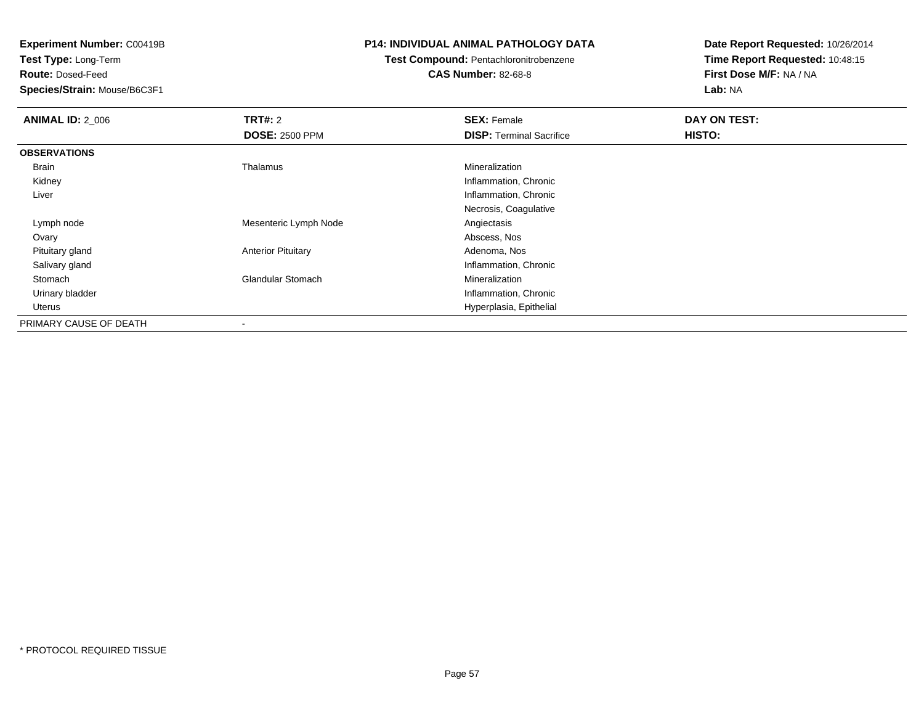**Test Type:** Long-Term

**Route:** Dosed-Feed

**Species/Strain:** Mouse/B6C3F1

#### **P14: INDIVIDUAL ANIMAL PATHOLOGY DATA**

# **Test Compound:** Pentachloronitrobenzene

**CAS Number:** 82-68-8

| <b>ANIMAL ID: 2_006</b> | <b>TRT#: 2</b>            | <b>SEX: Female</b>              | DAY ON TEST: |  |
|-------------------------|---------------------------|---------------------------------|--------------|--|
|                         | <b>DOSE: 2500 PPM</b>     | <b>DISP:</b> Terminal Sacrifice | HISTO:       |  |
| <b>OBSERVATIONS</b>     |                           |                                 |              |  |
| Brain                   | Thalamus                  | Mineralization                  |              |  |
| Kidney                  |                           | Inflammation, Chronic           |              |  |
| Liver                   |                           | Inflammation, Chronic           |              |  |
|                         |                           | Necrosis, Coagulative           |              |  |
| Lymph node              | Mesenteric Lymph Node     | Angiectasis                     |              |  |
| Ovary                   |                           | Abscess, Nos                    |              |  |
| Pituitary gland         | <b>Anterior Pituitary</b> | Adenoma, Nos                    |              |  |
| Salivary gland          |                           | Inflammation, Chronic           |              |  |
| Stomach                 | <b>Glandular Stomach</b>  | Mineralization                  |              |  |
| Urinary bladder         |                           | Inflammation, Chronic           |              |  |
| Uterus                  |                           | Hyperplasia, Epithelial         |              |  |
| PRIMARY CAUSE OF DEATH  |                           |                                 |              |  |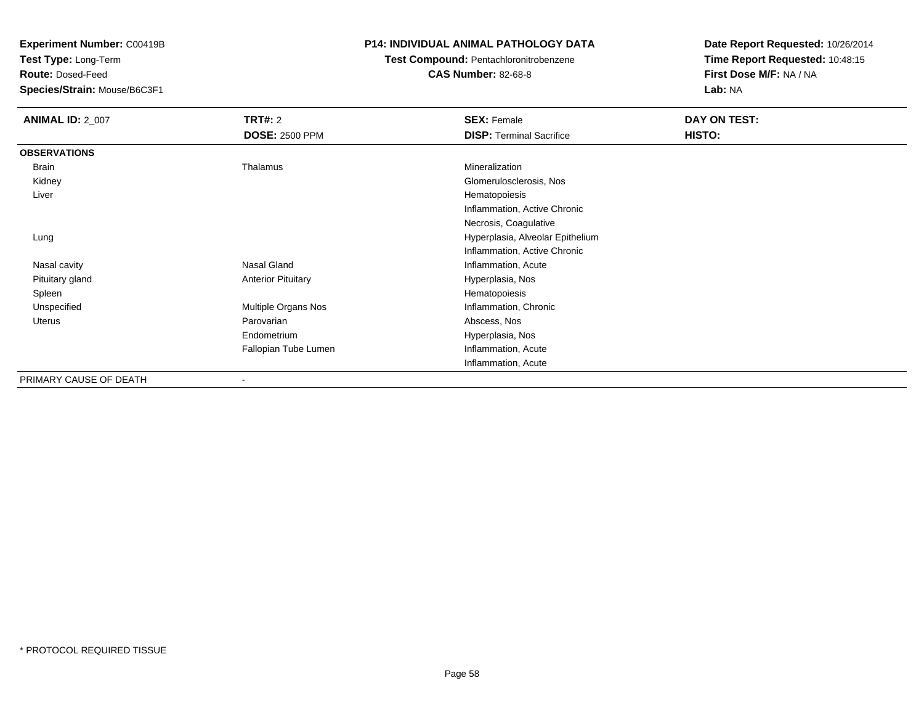**Test Type:** Long-Term

**Route:** Dosed-Feed

**Species/Strain:** Mouse/B6C3F1

#### **P14: INDIVIDUAL ANIMAL PATHOLOGY DATA**

#### **Test Compound:** Pentachloronitrobenzene**CAS Number:** 82-68-8

| <b>ANIMAL ID: 2_007</b> | TRT#: 2                   | <b>SEX: Female</b>               | DAY ON TEST: |
|-------------------------|---------------------------|----------------------------------|--------------|
|                         | <b>DOSE: 2500 PPM</b>     | <b>DISP: Terminal Sacrifice</b>  | HISTO:       |
| <b>OBSERVATIONS</b>     |                           |                                  |              |
| Brain                   | Thalamus                  | Mineralization                   |              |
| Kidney                  |                           | Glomerulosclerosis, Nos          |              |
| Liver                   |                           | Hematopoiesis                    |              |
|                         |                           | Inflammation, Active Chronic     |              |
|                         |                           | Necrosis, Coagulative            |              |
| Lung                    |                           | Hyperplasia, Alveolar Epithelium |              |
|                         |                           | Inflammation, Active Chronic     |              |
| Nasal cavity            | Nasal Gland               | Inflammation, Acute              |              |
| Pituitary gland         | <b>Anterior Pituitary</b> | Hyperplasia, Nos                 |              |
| Spleen                  |                           | Hematopoiesis                    |              |
| Unspecified             | Multiple Organs Nos       | Inflammation, Chronic            |              |
| <b>Uterus</b>           | Parovarian                | Abscess, Nos                     |              |
|                         | Endometrium               | Hyperplasia, Nos                 |              |
|                         | Fallopian Tube Lumen      | Inflammation, Acute              |              |
|                         |                           | Inflammation, Acute              |              |
| PRIMARY CAUSE OF DEATH  |                           |                                  |              |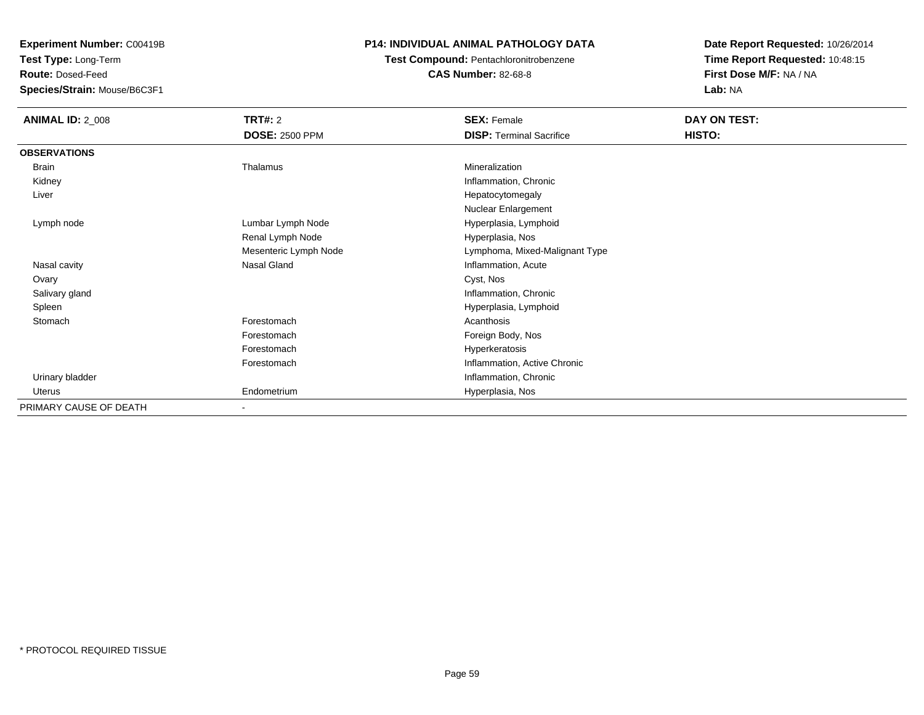**Test Type:** Long-Term

**Route:** Dosed-Feed

**Species/Strain:** Mouse/B6C3F1

#### **P14: INDIVIDUAL ANIMAL PATHOLOGY DATA**

#### **Test Compound:** Pentachloronitrobenzene**CAS Number:** 82-68-8

| <b>ANIMAL ID: 2_008</b> | <b>TRT#: 2</b>        | <b>SEX: Female</b>              | DAY ON TEST: |  |
|-------------------------|-----------------------|---------------------------------|--------------|--|
|                         | <b>DOSE: 2500 PPM</b> | <b>DISP: Terminal Sacrifice</b> | HISTO:       |  |
| <b>OBSERVATIONS</b>     |                       |                                 |              |  |
| Brain                   | Thalamus              | Mineralization                  |              |  |
| Kidney                  |                       | Inflammation, Chronic           |              |  |
| Liver                   |                       | Hepatocytomegaly                |              |  |
|                         |                       | Nuclear Enlargement             |              |  |
| Lymph node              | Lumbar Lymph Node     | Hyperplasia, Lymphoid           |              |  |
|                         | Renal Lymph Node      | Hyperplasia, Nos                |              |  |
|                         | Mesenteric Lymph Node | Lymphoma, Mixed-Malignant Type  |              |  |
| Nasal cavity            | Nasal Gland           | Inflammation, Acute             |              |  |
| Ovary                   |                       | Cyst, Nos                       |              |  |
| Salivary gland          |                       | Inflammation, Chronic           |              |  |
| Spleen                  |                       | Hyperplasia, Lymphoid           |              |  |
| Stomach                 | Forestomach           | Acanthosis                      |              |  |
|                         | Forestomach           | Foreign Body, Nos               |              |  |
|                         | Forestomach           | Hyperkeratosis                  |              |  |
|                         | Forestomach           | Inflammation, Active Chronic    |              |  |
| Urinary bladder         |                       | Inflammation, Chronic           |              |  |
| <b>Uterus</b>           | Endometrium           | Hyperplasia, Nos                |              |  |
| PRIMARY CAUSE OF DEATH  |                       |                                 |              |  |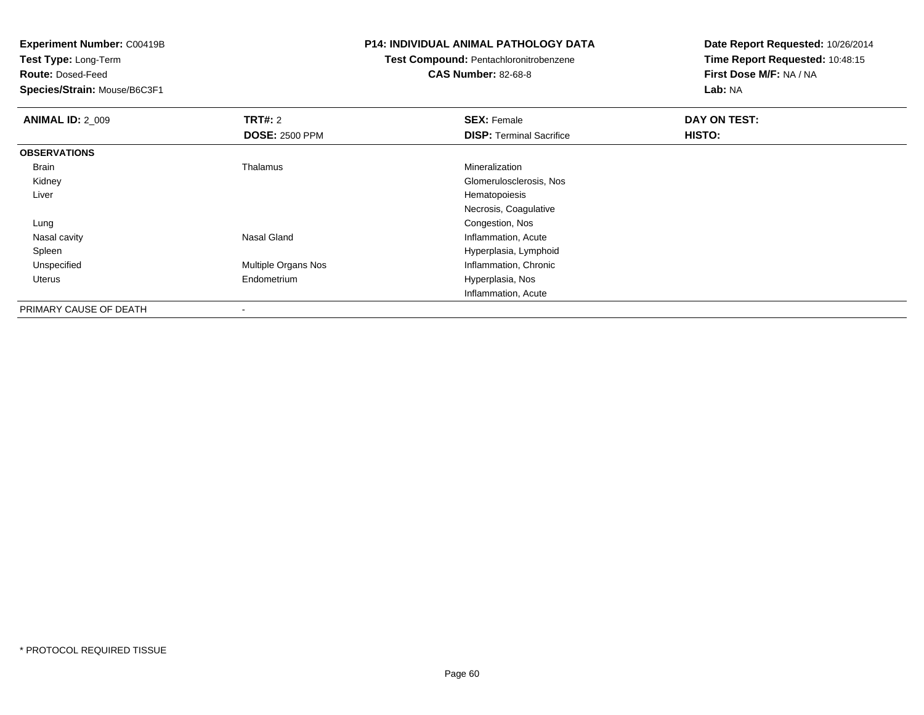**Test Type:** Long-Term

**Route:** Dosed-Feed

**Species/Strain:** Mouse/B6C3F1

#### **P14: INDIVIDUAL ANIMAL PATHOLOGY DATA**

#### **Test Compound:** Pentachloronitrobenzene**CAS Number:** 82-68-8

| <b>ANIMAL ID: 2_009</b> | TRT#: 2                    | <b>SEX: Female</b>              | DAY ON TEST: |  |
|-------------------------|----------------------------|---------------------------------|--------------|--|
|                         | <b>DOSE: 2500 PPM</b>      | <b>DISP: Terminal Sacrifice</b> | HISTO:       |  |
| <b>OBSERVATIONS</b>     |                            |                                 |              |  |
| Brain                   | Thalamus                   | Mineralization                  |              |  |
| Kidney                  |                            | Glomerulosclerosis, Nos         |              |  |
| Liver                   |                            | Hematopoiesis                   |              |  |
|                         |                            | Necrosis, Coagulative           |              |  |
| Lung                    |                            | Congestion, Nos                 |              |  |
| Nasal cavity            | Nasal Gland                | Inflammation, Acute             |              |  |
| Spleen                  |                            | Hyperplasia, Lymphoid           |              |  |
| Unspecified             | <b>Multiple Organs Nos</b> | Inflammation, Chronic           |              |  |
| <b>Uterus</b>           | Endometrium                | Hyperplasia, Nos                |              |  |
|                         |                            | Inflammation, Acute             |              |  |
| PRIMARY CAUSE OF DEATH  |                            |                                 |              |  |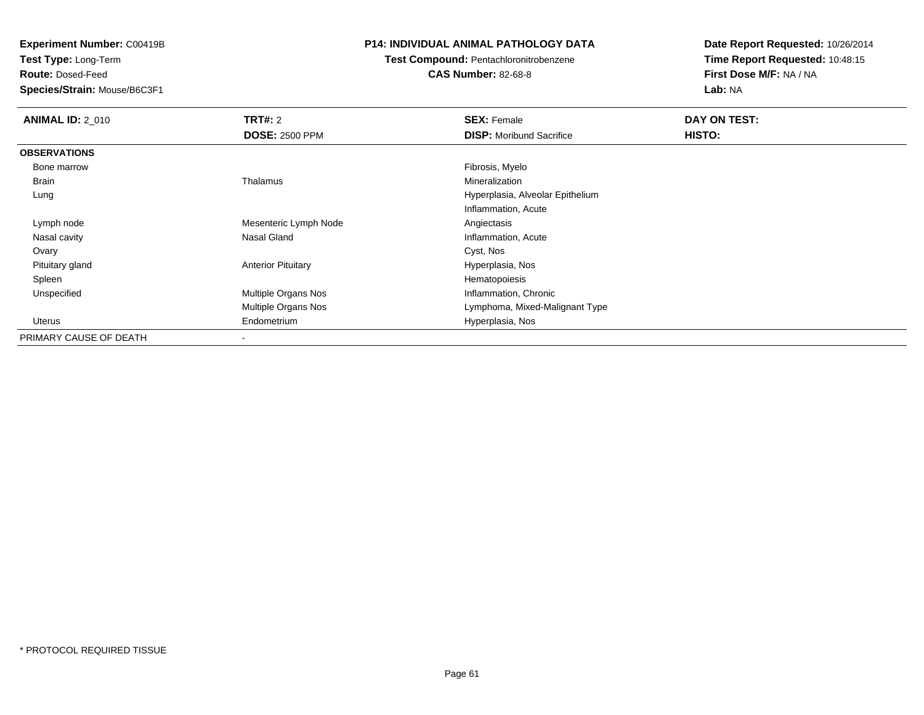**Test Type:** Long-Term

**Route:** Dosed-Feed

**Species/Strain:** Mouse/B6C3F1

#### **P14: INDIVIDUAL ANIMAL PATHOLOGY DATA**

## **Test Compound:** Pentachloronitrobenzene

**CAS Number:** 82-68-8

| <b>ANIMAL ID: 2 010</b> | <b>TRT#:</b> 2            | <b>SEX: Female</b>               | DAY ON TEST: |  |
|-------------------------|---------------------------|----------------------------------|--------------|--|
|                         | <b>DOSE: 2500 PPM</b>     | <b>DISP:</b> Moribund Sacrifice  | HISTO:       |  |
| <b>OBSERVATIONS</b>     |                           |                                  |              |  |
| Bone marrow             |                           | Fibrosis, Myelo                  |              |  |
| <b>Brain</b>            | Thalamus                  | Mineralization                   |              |  |
| Lung                    |                           | Hyperplasia, Alveolar Epithelium |              |  |
|                         |                           | Inflammation, Acute              |              |  |
| Lymph node              | Mesenteric Lymph Node     | Angiectasis                      |              |  |
| Nasal cavity            | Nasal Gland               | Inflammation, Acute              |              |  |
| Ovary                   |                           | Cyst, Nos                        |              |  |
| Pituitary gland         | <b>Anterior Pituitary</b> | Hyperplasia, Nos                 |              |  |
| Spleen                  |                           | Hematopoiesis                    |              |  |
| Unspecified             | Multiple Organs Nos       | Inflammation, Chronic            |              |  |
|                         | Multiple Organs Nos       | Lymphoma, Mixed-Malignant Type   |              |  |
| Uterus                  | Endometrium               | Hyperplasia, Nos                 |              |  |
| PRIMARY CAUSE OF DEATH  |                           |                                  |              |  |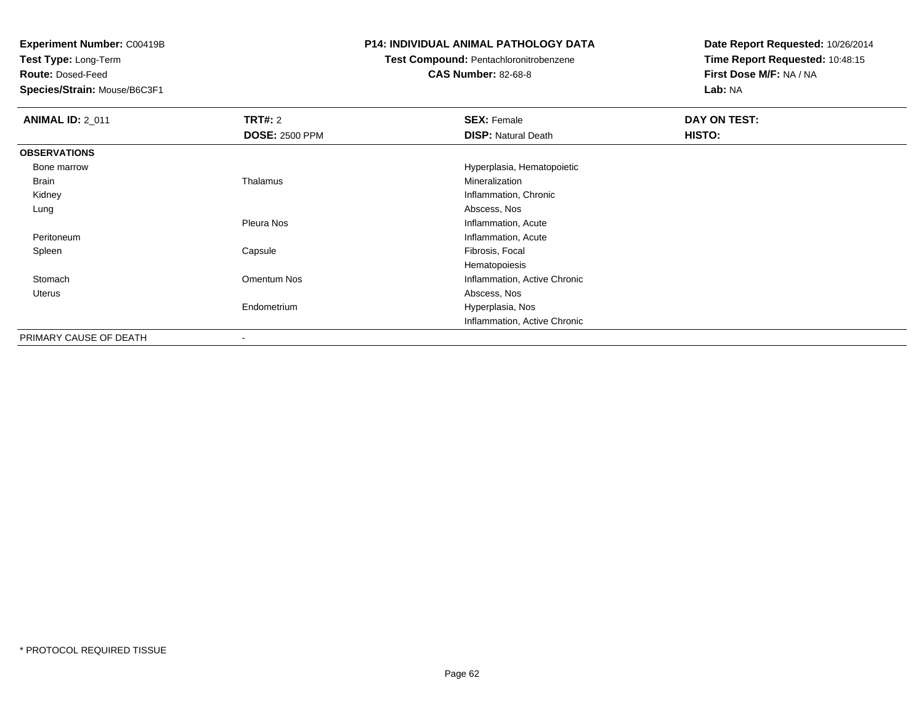**Test Type:** Long-Term

**Route:** Dosed-Feed

**Species/Strain:** Mouse/B6C3F1

#### **P14: INDIVIDUAL ANIMAL PATHOLOGY DATA**

### **Test Compound:** Pentachloronitrobenzene

**CAS Number:** 82-68-8

| <b>ANIMAL ID: 2 011</b> | <b>TRT#: 2</b>        | <b>SEX: Female</b>           | DAY ON TEST: |
|-------------------------|-----------------------|------------------------------|--------------|
|                         | <b>DOSE: 2500 PPM</b> | <b>DISP: Natural Death</b>   | HISTO:       |
| <b>OBSERVATIONS</b>     |                       |                              |              |
| Bone marrow             |                       | Hyperplasia, Hematopoietic   |              |
| Brain                   | Thalamus              | Mineralization               |              |
| Kidney                  |                       | Inflammation, Chronic        |              |
| Lung                    |                       | Abscess, Nos                 |              |
|                         | Pleura Nos            | Inflammation, Acute          |              |
| Peritoneum              |                       | Inflammation, Acute          |              |
| Spleen                  | Capsule               | Fibrosis, Focal              |              |
|                         |                       | Hematopoiesis                |              |
| Stomach                 | Omentum Nos           | Inflammation, Active Chronic |              |
| Uterus                  |                       | Abscess, Nos                 |              |
|                         | Endometrium           | Hyperplasia, Nos             |              |
|                         |                       | Inflammation, Active Chronic |              |
| PRIMARY CAUSE OF DEATH  |                       |                              |              |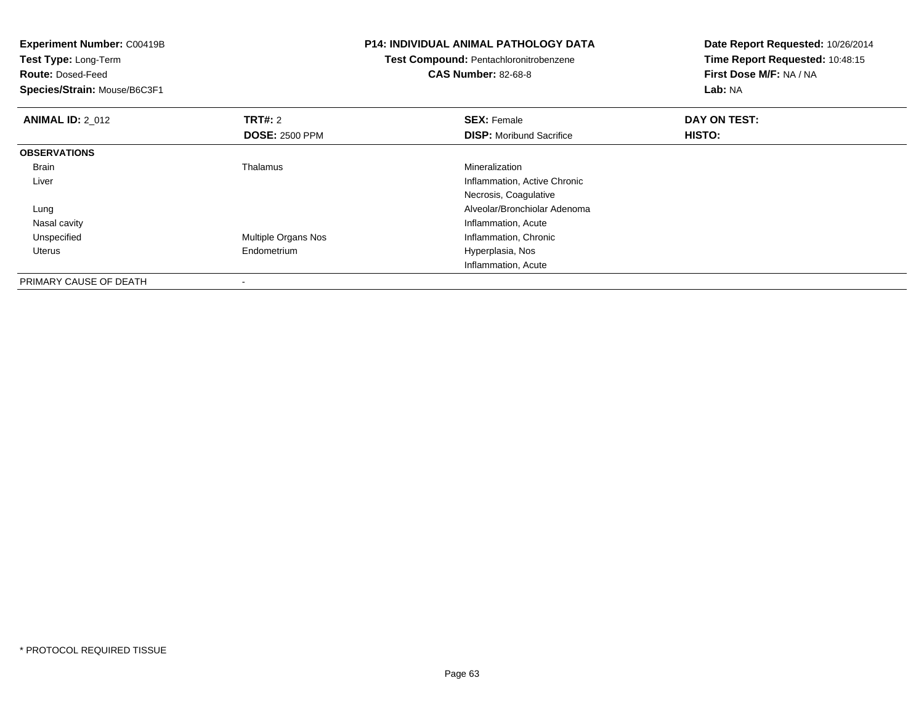| Experiment Number: C00419B<br>Test Type: Long-Term<br><b>Route: Dosed-Feed</b><br>Species/Strain: Mouse/B6C3F1 |                       | <b>P14: INDIVIDUAL ANIMAL PATHOLOGY DATA</b><br>Test Compound: Pentachloronitrobenzene<br><b>CAS Number: 82-68-8</b> | Date Report Requested: 10/26/2014<br>Time Report Requested: 10:48:15<br>First Dose M/F: NA / NA<br>Lab: NA |
|----------------------------------------------------------------------------------------------------------------|-----------------------|----------------------------------------------------------------------------------------------------------------------|------------------------------------------------------------------------------------------------------------|
| <b>ANIMAL ID: 2_012</b>                                                                                        | <b>TRT#: 2</b>        | <b>SEX: Female</b>                                                                                                   | DAY ON TEST:                                                                                               |
|                                                                                                                | <b>DOSE: 2500 PPM</b> | <b>DISP:</b> Moribund Sacrifice                                                                                      | <b>HISTO:</b>                                                                                              |
| <b>OBSERVATIONS</b>                                                                                            |                       |                                                                                                                      |                                                                                                            |
| Brain                                                                                                          | Thalamus              | Mineralization                                                                                                       |                                                                                                            |
| Liver                                                                                                          |                       | Inflammation, Active Chronic                                                                                         |                                                                                                            |
|                                                                                                                |                       | Necrosis, Coagulative                                                                                                |                                                                                                            |
| Lung                                                                                                           |                       | Alveolar/Bronchiolar Adenoma                                                                                         |                                                                                                            |
| Nasal cavity                                                                                                   |                       | Inflammation, Acute                                                                                                  |                                                                                                            |
| Unspecified                                                                                                    | Multiple Organs Nos   | Inflammation, Chronic                                                                                                |                                                                                                            |
| Uterus                                                                                                         | Endometrium           | Hyperplasia, Nos                                                                                                     |                                                                                                            |
|                                                                                                                |                       | Inflammation, Acute                                                                                                  |                                                                                                            |
| PRIMARY CAUSE OF DEATH                                                                                         |                       |                                                                                                                      |                                                                                                            |

-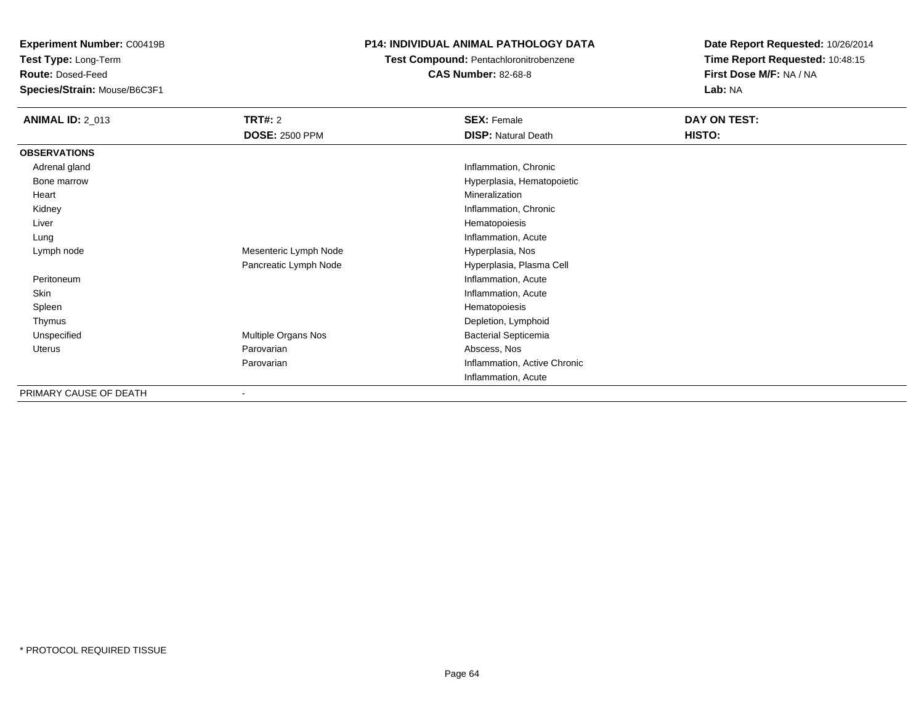**Test Type:** Long-Term

**Route:** Dosed-Feed

**Species/Strain:** Mouse/B6C3F1

#### **P14: INDIVIDUAL ANIMAL PATHOLOGY DATA**

**Test Compound:** Pentachloronitrobenzene

**CAS Number:** 82-68-8

| <b>ANIMAL ID: 2_013</b> | <b>TRT#: 2</b>        | <b>SEX: Female</b>           | DAY ON TEST: |  |
|-------------------------|-----------------------|------------------------------|--------------|--|
|                         | <b>DOSE: 2500 PPM</b> | <b>DISP: Natural Death</b>   | HISTO:       |  |
| <b>OBSERVATIONS</b>     |                       |                              |              |  |
| Adrenal gland           |                       | Inflammation, Chronic        |              |  |
| Bone marrow             |                       | Hyperplasia, Hematopoietic   |              |  |
| Heart                   |                       | Mineralization               |              |  |
| Kidney                  |                       | Inflammation, Chronic        |              |  |
| Liver                   |                       | Hematopoiesis                |              |  |
| Lung                    |                       | Inflammation, Acute          |              |  |
| Lymph node              | Mesenteric Lymph Node | Hyperplasia, Nos             |              |  |
|                         | Pancreatic Lymph Node | Hyperplasia, Plasma Cell     |              |  |
| Peritoneum              |                       | Inflammation, Acute          |              |  |
| Skin                    |                       | Inflammation, Acute          |              |  |
| Spleen                  |                       | Hematopoiesis                |              |  |
| Thymus                  |                       | Depletion, Lymphoid          |              |  |
| Unspecified             | Multiple Organs Nos   | <b>Bacterial Septicemia</b>  |              |  |
| Uterus                  | Parovarian            | Abscess, Nos                 |              |  |
|                         | Parovarian            | Inflammation, Active Chronic |              |  |
|                         |                       | Inflammation, Acute          |              |  |
| PRIMARY CAUSE OF DEATH  |                       |                              |              |  |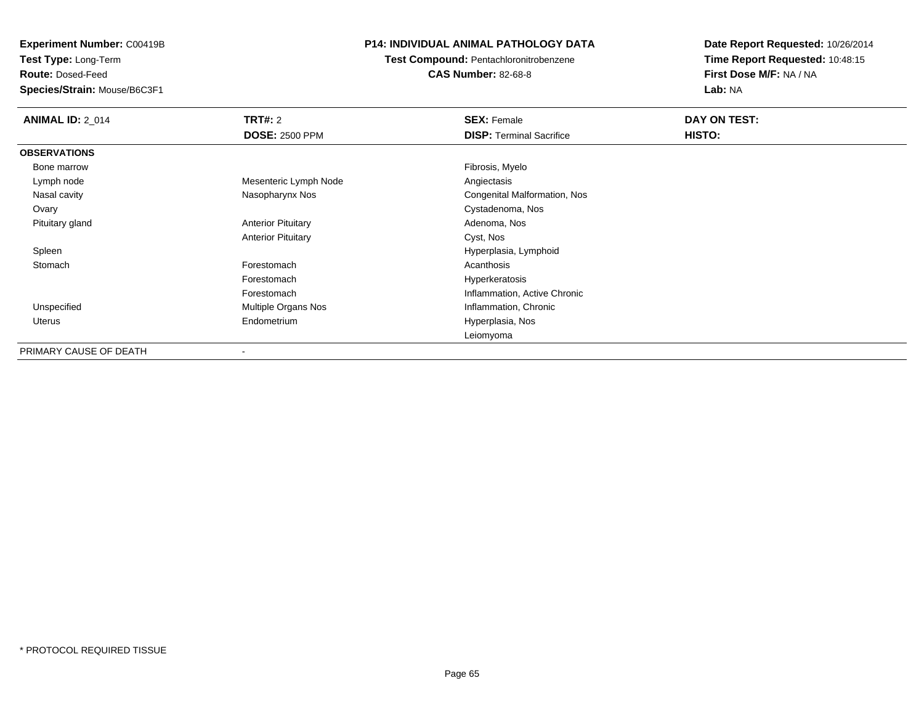**Test Type:** Long-Term

**Route:** Dosed-Feed

**Species/Strain:** Mouse/B6C3F1

#### **P14: INDIVIDUAL ANIMAL PATHOLOGY DATA**

**Test Compound:** Pentachloronitrobenzene

**CAS Number:** 82-68-8

| <b>ANIMAL ID: 2_014</b> | <b>TRT#: 2</b>            | <b>SEX: Female</b>              | DAY ON TEST: |  |
|-------------------------|---------------------------|---------------------------------|--------------|--|
|                         | <b>DOSE: 2500 PPM</b>     | <b>DISP:</b> Terminal Sacrifice | HISTO:       |  |
| <b>OBSERVATIONS</b>     |                           |                                 |              |  |
| Bone marrow             |                           | Fibrosis, Myelo                 |              |  |
| Lymph node              | Mesenteric Lymph Node     | Angiectasis                     |              |  |
| Nasal cavity            | Nasopharynx Nos           | Congenital Malformation, Nos    |              |  |
| Ovary                   |                           | Cystadenoma, Nos                |              |  |
| Pituitary gland         | <b>Anterior Pituitary</b> | Adenoma, Nos                    |              |  |
|                         | <b>Anterior Pituitary</b> | Cyst, Nos                       |              |  |
| Spleen                  |                           | Hyperplasia, Lymphoid           |              |  |
| Stomach                 | Forestomach               | Acanthosis                      |              |  |
|                         | Forestomach               | Hyperkeratosis                  |              |  |
|                         | Forestomach               | Inflammation, Active Chronic    |              |  |
| Unspecified             | Multiple Organs Nos       | Inflammation, Chronic           |              |  |
| Uterus                  | Endometrium               | Hyperplasia, Nos                |              |  |
|                         |                           | Leiomyoma                       |              |  |
| PRIMARY CAUSE OF DEATH  |                           |                                 |              |  |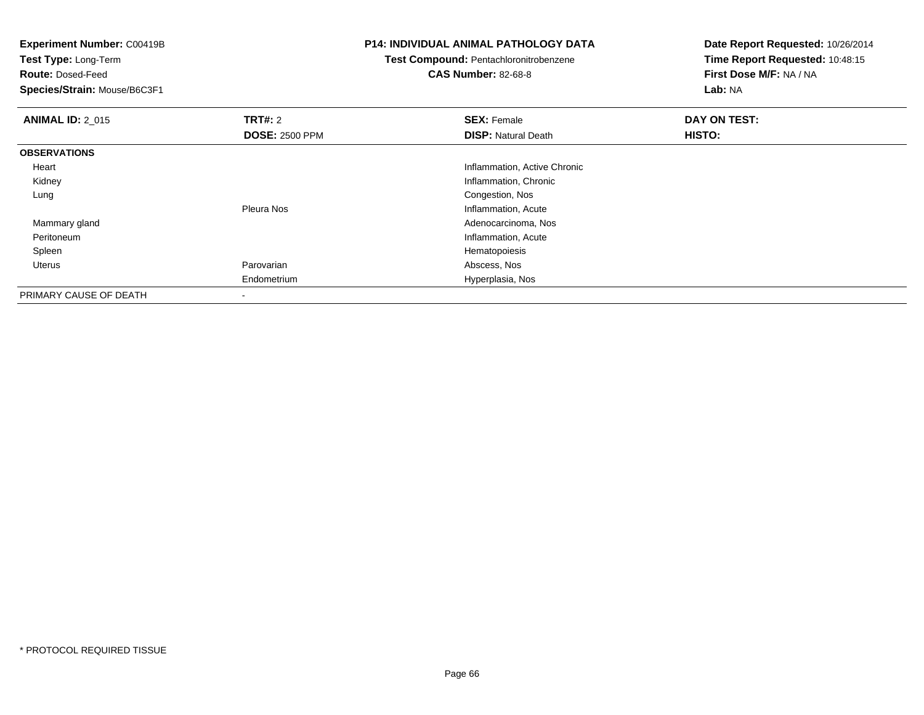**Experiment Number:** C00419B**Test Type:** Long-Term**Route:** Dosed-Feed **Species/Strain:** Mouse/B6C3F1**P14: INDIVIDUAL ANIMAL PATHOLOGY DATATest Compound:** Pentachloronitrobenzene**CAS Number:** 82-68-8**Date Report Requested:** 10/26/2014**Time Report Requested:** 10:48:15**First Dose M/F:** NA / NA**Lab:** NA**ANIMAL ID: 2 015 TRT#:** 2 **SEX:** Female **DAY ON TEST: DOSE:** 2500 PPM**DISP:** Natural Death **HISTO: OBSERVATIONS** Heart Inflammation, Active Chronic Kidney Inflammation, Chronic Lung Congestion, Nos Pleura Nos Inflammation, Acute Adenocarcinoma, Nos Mammary gland Peritoneumntiammation, Acute and The Contract of the Contract of the Contract of the Inflammation, Acute and The Contract of the Contract of the Contract of the Contract of the Contract of the Contract of the Contract of the Contrac Spleen Hematopoiesis Uterus Parovarian Abscess, Nos Endometrium Hyperplasia, Nos PRIMARY CAUSE OF DEATH-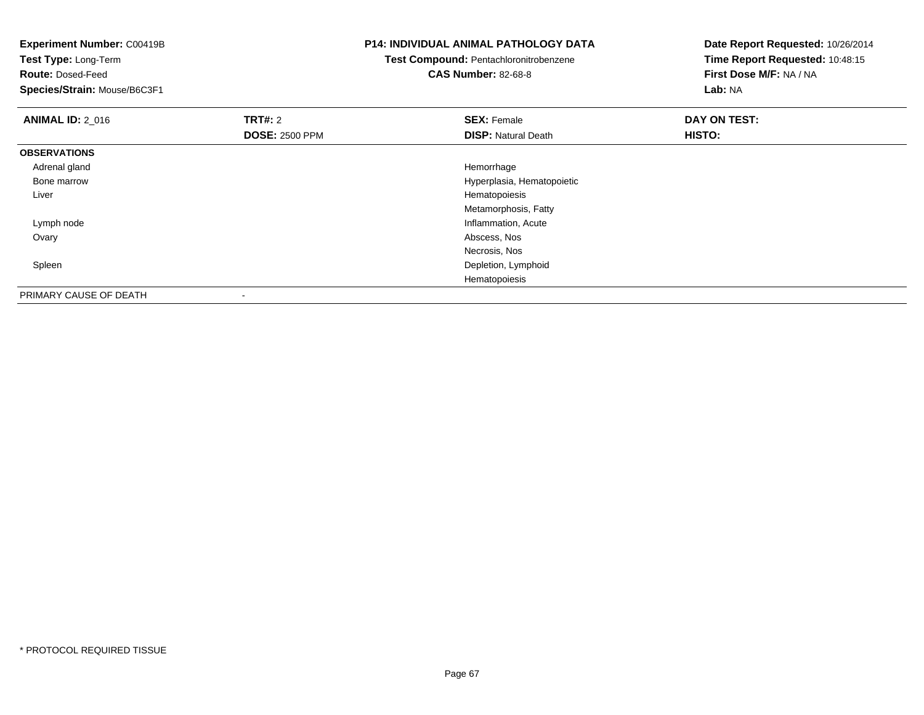| <b>Experiment Number: C00419B</b><br>Test Type: Long-Term<br><b>Route: Dosed-Feed</b><br>Species/Strain: Mouse/B6C3F1 |                       | <b>P14: INDIVIDUAL ANIMAL PATHOLOGY DATA</b><br>Test Compound: Pentachloronitrobenzene<br><b>CAS Number: 82-68-8</b> | Date Report Requested: 10/26/2014<br>Time Report Requested: 10:48:15<br>First Dose M/F: NA / NA<br>Lab: NA |  |
|-----------------------------------------------------------------------------------------------------------------------|-----------------------|----------------------------------------------------------------------------------------------------------------------|------------------------------------------------------------------------------------------------------------|--|
| <b>ANIMAL ID: 2 016</b>                                                                                               | <b>TRT#: 2</b>        | <b>SEX: Female</b>                                                                                                   | DAY ON TEST:                                                                                               |  |
|                                                                                                                       | <b>DOSE: 2500 PPM</b> | <b>DISP: Natural Death</b>                                                                                           | HISTO:                                                                                                     |  |
| <b>OBSERVATIONS</b>                                                                                                   |                       |                                                                                                                      |                                                                                                            |  |
| Adrenal gland                                                                                                         |                       | Hemorrhage                                                                                                           |                                                                                                            |  |
| Bone marrow                                                                                                           |                       | Hyperplasia, Hematopoietic                                                                                           |                                                                                                            |  |
| Liver                                                                                                                 |                       | Hematopoiesis                                                                                                        |                                                                                                            |  |
|                                                                                                                       |                       | Metamorphosis, Fatty                                                                                                 |                                                                                                            |  |
| Lymph node                                                                                                            |                       | Inflammation, Acute                                                                                                  |                                                                                                            |  |
| Ovary                                                                                                                 |                       | Abscess, Nos                                                                                                         |                                                                                                            |  |
|                                                                                                                       |                       | Necrosis, Nos                                                                                                        |                                                                                                            |  |
| Spleen                                                                                                                |                       | Depletion, Lymphoid                                                                                                  |                                                                                                            |  |
|                                                                                                                       |                       | Hematopoiesis                                                                                                        |                                                                                                            |  |
| PRIMARY CAUSE OF DEATH                                                                                                |                       |                                                                                                                      |                                                                                                            |  |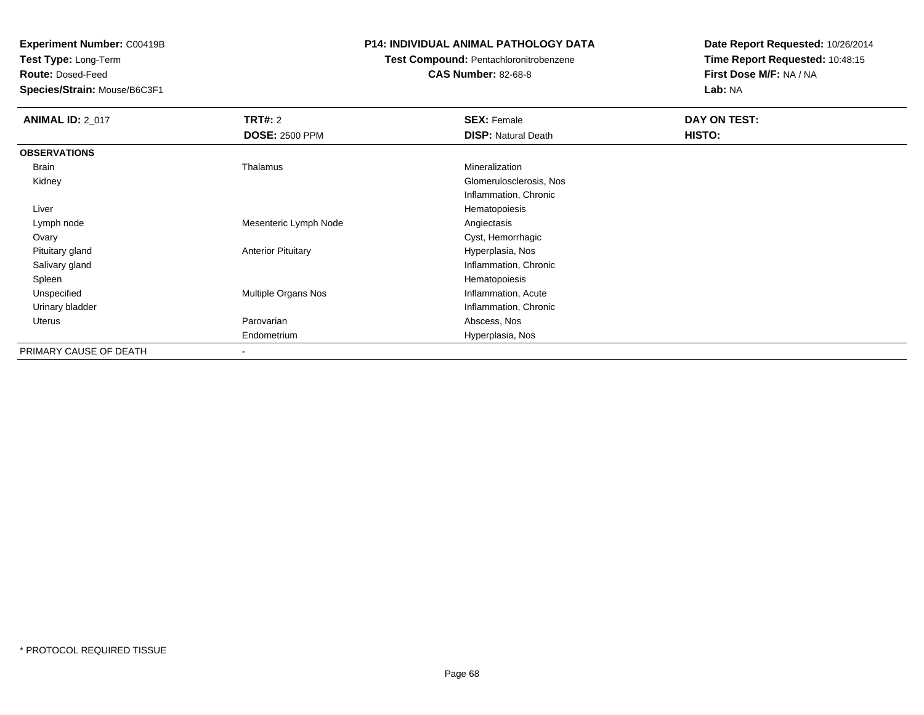**Test Type:** Long-Term

**Route:** Dosed-Feed

**Species/Strain:** Mouse/B6C3F1

#### **P14: INDIVIDUAL ANIMAL PATHOLOGY DATA**

# **Test Compound:** Pentachloronitrobenzene

**CAS Number:** 82-68-8

| <b>ANIMAL ID: 2_017</b> | <b>TRT#: 2</b>            | <b>SEX: Female</b>         | DAY ON TEST: |
|-------------------------|---------------------------|----------------------------|--------------|
|                         | <b>DOSE: 2500 PPM</b>     | <b>DISP: Natural Death</b> | HISTO:       |
| <b>OBSERVATIONS</b>     |                           |                            |              |
| Brain                   | Thalamus                  | Mineralization             |              |
| Kidney                  |                           | Glomerulosclerosis, Nos    |              |
|                         |                           | Inflammation, Chronic      |              |
| Liver                   |                           | Hematopoiesis              |              |
| Lymph node              | Mesenteric Lymph Node     | Angiectasis                |              |
| Ovary                   |                           | Cyst, Hemorrhagic          |              |
| Pituitary gland         | <b>Anterior Pituitary</b> | Hyperplasia, Nos           |              |
| Salivary gland          |                           | Inflammation, Chronic      |              |
| Spleen                  |                           | Hematopoiesis              |              |
| Unspecified             | Multiple Organs Nos       | Inflammation, Acute        |              |
| Urinary bladder         |                           | Inflammation, Chronic      |              |
| Uterus                  | Parovarian                | Abscess, Nos               |              |
|                         | Endometrium               | Hyperplasia, Nos           |              |
| PRIMARY CAUSE OF DEATH  |                           |                            |              |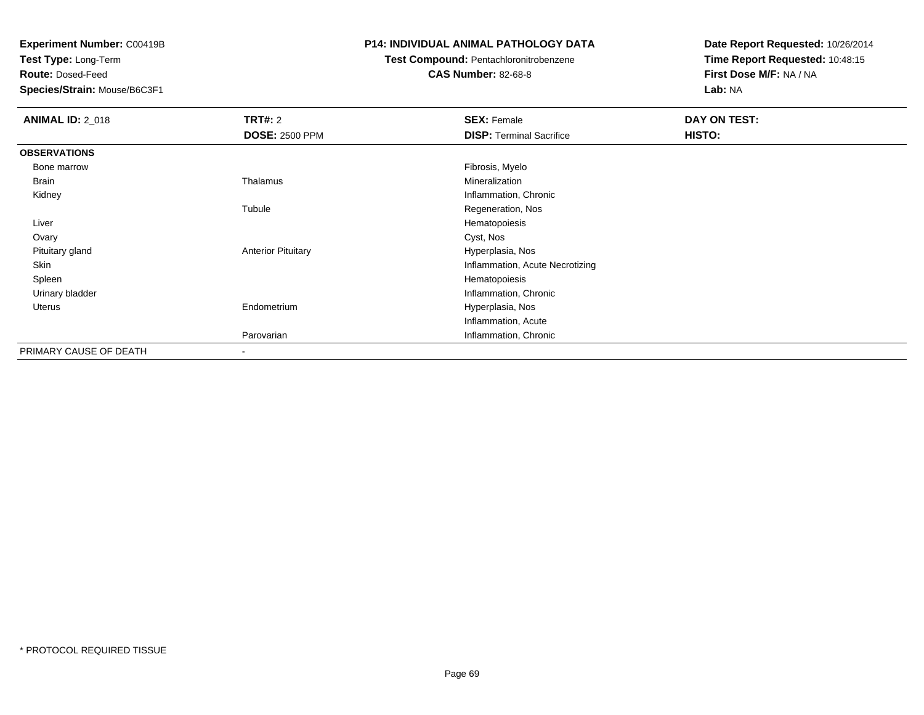**Test Type:** Long-Term

**Route:** Dosed-Feed

**Species/Strain:** Mouse/B6C3F1

#### **P14: INDIVIDUAL ANIMAL PATHOLOGY DATA**

### **Test Compound:** Pentachloronitrobenzene

**CAS Number:** 82-68-8

| <b>ANIMAL ID: 2_018</b> | TRT#: 2                   | <b>SEX: Female</b>              | DAY ON TEST: |  |
|-------------------------|---------------------------|---------------------------------|--------------|--|
|                         | <b>DOSE: 2500 PPM</b>     | <b>DISP: Terminal Sacrifice</b> | HISTO:       |  |
| <b>OBSERVATIONS</b>     |                           |                                 |              |  |
| Bone marrow             |                           | Fibrosis, Myelo                 |              |  |
| Brain                   | Thalamus                  | Mineralization                  |              |  |
| Kidney                  |                           | Inflammation, Chronic           |              |  |
|                         | Tubule                    | Regeneration, Nos               |              |  |
| Liver                   |                           | Hematopoiesis                   |              |  |
| Ovary                   |                           | Cyst, Nos                       |              |  |
| Pituitary gland         | <b>Anterior Pituitary</b> | Hyperplasia, Nos                |              |  |
| Skin                    |                           | Inflammation, Acute Necrotizing |              |  |
| Spleen                  |                           | Hematopoiesis                   |              |  |
| Urinary bladder         |                           | Inflammation, Chronic           |              |  |
| <b>Uterus</b>           | Endometrium               | Hyperplasia, Nos                |              |  |
|                         |                           | Inflammation, Acute             |              |  |
|                         | Parovarian                | Inflammation, Chronic           |              |  |
| PRIMARY CAUSE OF DEATH  | ٠                         |                                 |              |  |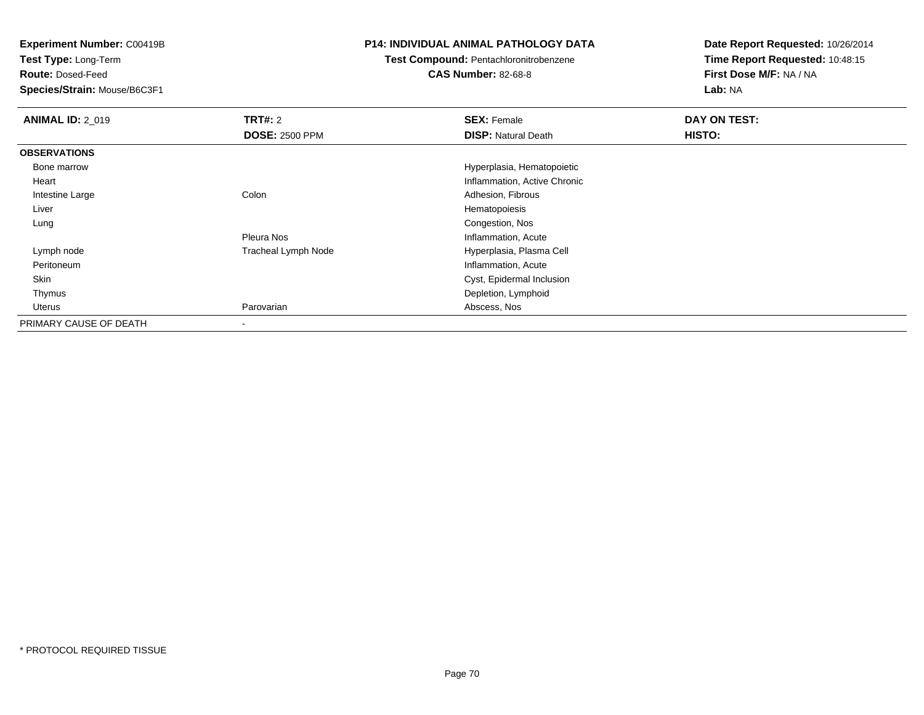**Test Type:** Long-Term

**Route:** Dosed-Feed

**Species/Strain:** Mouse/B6C3F1

#### **P14: INDIVIDUAL ANIMAL PATHOLOGY DATA**

### **Test Compound:** Pentachloronitrobenzene

**CAS Number:** 82-68-8

| <b>ANIMAL ID: 2_019</b> | TRT#: 2                    | <b>SEX: Female</b>           | DAY ON TEST: |  |
|-------------------------|----------------------------|------------------------------|--------------|--|
|                         | <b>DOSE: 2500 PPM</b>      | <b>DISP: Natural Death</b>   | HISTO:       |  |
| <b>OBSERVATIONS</b>     |                            |                              |              |  |
| Bone marrow             |                            | Hyperplasia, Hematopoietic   |              |  |
| Heart                   |                            | Inflammation, Active Chronic |              |  |
| Intestine Large         | Colon                      | Adhesion, Fibrous            |              |  |
| Liver                   |                            | Hematopoiesis                |              |  |
| Lung                    |                            | Congestion, Nos              |              |  |
|                         | Pleura Nos                 | Inflammation, Acute          |              |  |
| Lymph node              | <b>Tracheal Lymph Node</b> | Hyperplasia, Plasma Cell     |              |  |
| Peritoneum              |                            | Inflammation, Acute          |              |  |
| Skin                    |                            | Cyst, Epidermal Inclusion    |              |  |
| Thymus                  |                            | Depletion, Lymphoid          |              |  |
| Uterus                  | Parovarian                 | Abscess, Nos                 |              |  |
| PRIMARY CAUSE OF DEATH  | $\blacksquare$             |                              |              |  |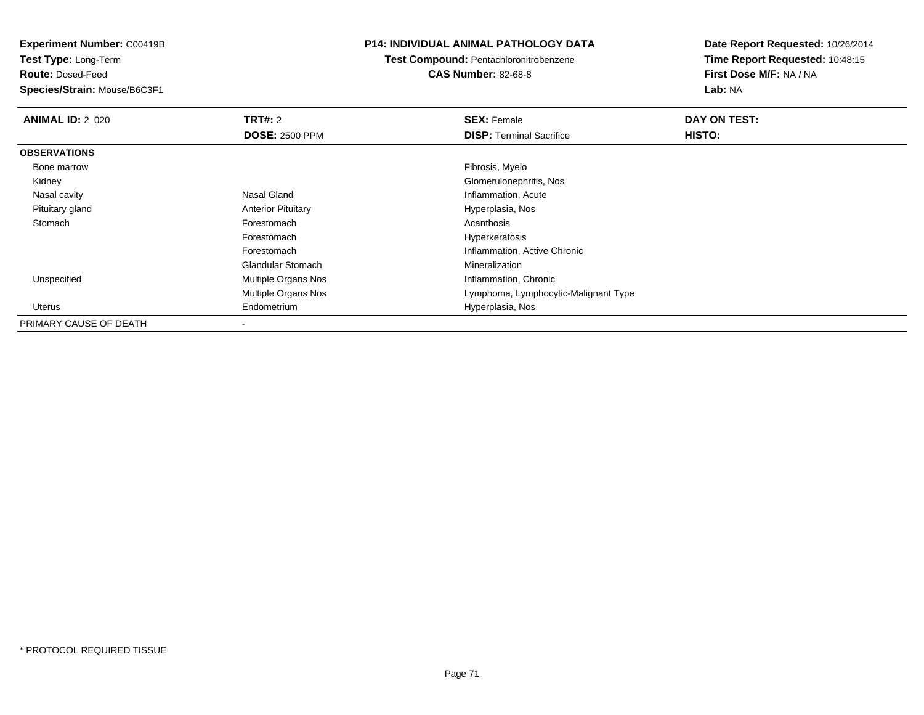**Test Type:** Long-Term

**Route:** Dosed-Feed

**Species/Strain:** Mouse/B6C3F1

#### **P14: INDIVIDUAL ANIMAL PATHOLOGY DATA**

**Test Compound:** Pentachloronitrobenzene**CAS Number:** 82-68-8

| <b>ANIMAL ID: 2 020</b> | TRT#: 2                    | <b>SEX: Female</b>                   | DAY ON TEST: |  |
|-------------------------|----------------------------|--------------------------------------|--------------|--|
|                         | <b>DOSE: 2500 PPM</b>      | <b>DISP:</b> Terminal Sacrifice      | HISTO:       |  |
| <b>OBSERVATIONS</b>     |                            |                                      |              |  |
| Bone marrow             |                            | Fibrosis, Myelo                      |              |  |
| Kidney                  |                            | Glomerulonephritis, Nos              |              |  |
| Nasal cavity            | Nasal Gland                | Inflammation, Acute                  |              |  |
| Pituitary gland         | <b>Anterior Pituitary</b>  | Hyperplasia, Nos                     |              |  |
| Stomach                 | Forestomach                | Acanthosis                           |              |  |
|                         | Forestomach                | Hyperkeratosis                       |              |  |
|                         | Forestomach                | Inflammation, Active Chronic         |              |  |
|                         | <b>Glandular Stomach</b>   | Mineralization                       |              |  |
| Unspecified             | Multiple Organs Nos        | Inflammation, Chronic                |              |  |
|                         | <b>Multiple Organs Nos</b> | Lymphoma, Lymphocytic-Malignant Type |              |  |
| Uterus                  | Endometrium                | Hyperplasia, Nos                     |              |  |
| PRIMARY CAUSE OF DEATH  |                            |                                      |              |  |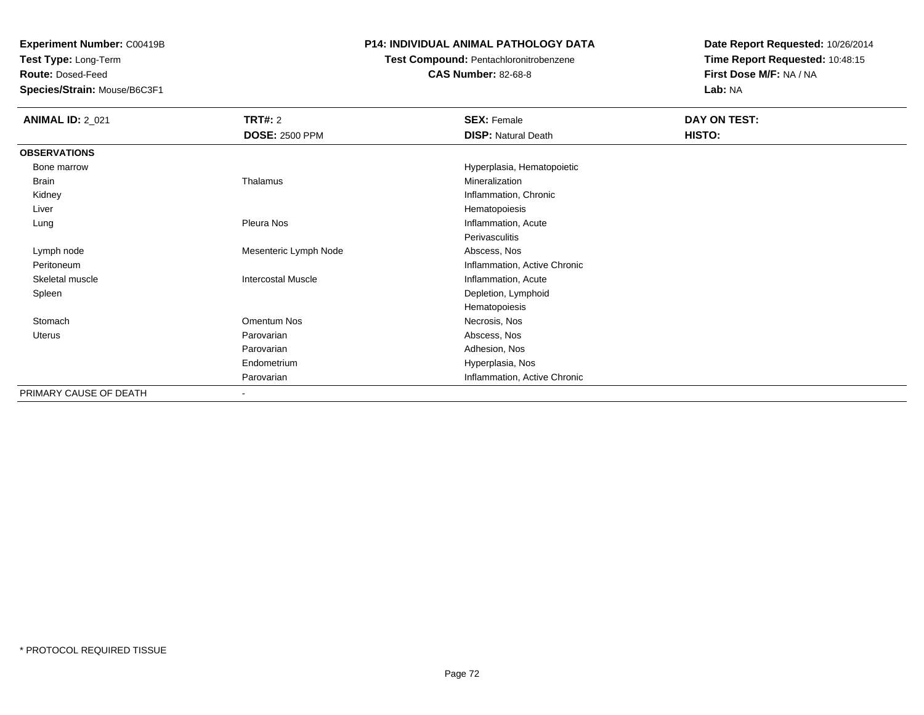**Test Type:** Long-Term

**Route:** Dosed-Feed

**Species/Strain:** Mouse/B6C3F1

#### **P14: INDIVIDUAL ANIMAL PATHOLOGY DATA**

### **Test Compound:** Pentachloronitrobenzene

**CAS Number:** 82-68-8

| <b>ANIMAL ID: 2_021</b> | <b>TRT#: 2</b><br><b>DOSE: 2500 PPM</b> | <b>SEX: Female</b><br><b>DISP: Natural Death</b> | DAY ON TEST:<br>HISTO: |
|-------------------------|-----------------------------------------|--------------------------------------------------|------------------------|
| <b>OBSERVATIONS</b>     |                                         |                                                  |                        |
| Bone marrow             |                                         | Hyperplasia, Hematopoietic                       |                        |
| Brain                   | Thalamus                                | Mineralization                                   |                        |
| Kidney                  |                                         | Inflammation, Chronic                            |                        |
| Liver                   |                                         | Hematopoiesis                                    |                        |
| Lung                    | Pleura Nos                              | Inflammation, Acute                              |                        |
|                         |                                         | Perivasculitis                                   |                        |
| Lymph node              | Mesenteric Lymph Node                   | Abscess, Nos                                     |                        |
| Peritoneum              |                                         | Inflammation, Active Chronic                     |                        |
| Skeletal muscle         | <b>Intercostal Muscle</b>               | Inflammation, Acute                              |                        |
| Spleen                  |                                         | Depletion, Lymphoid                              |                        |
|                         |                                         | Hematopoiesis                                    |                        |
| Stomach                 | Omentum Nos                             | Necrosis, Nos                                    |                        |
| Uterus                  | Parovarian                              | Abscess, Nos                                     |                        |
|                         | Parovarian                              | Adhesion, Nos                                    |                        |
|                         | Endometrium                             | Hyperplasia, Nos                                 |                        |
|                         | Parovarian                              | Inflammation, Active Chronic                     |                        |
| PRIMARY CAUSE OF DEATH  | $\overline{\phantom{a}}$                |                                                  |                        |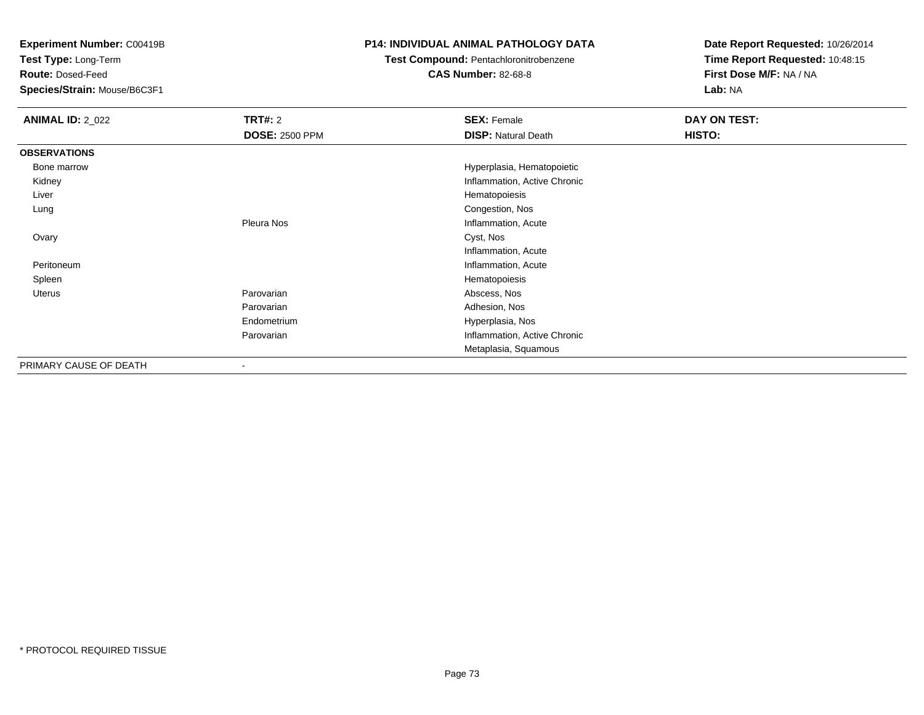**Test Type:** Long-Term

**Route:** Dosed-Feed

**Species/Strain:** Mouse/B6C3F1

### **P14: INDIVIDUAL ANIMAL PATHOLOGY DATA**

### **Test Compound:** Pentachloronitrobenzene

**CAS Number:** 82-68-8

| <b>ANIMAL ID: 2_022</b> | <b>TRT#: 2</b>           | <b>SEX: Female</b>           | DAY ON TEST:  |
|-------------------------|--------------------------|------------------------------|---------------|
|                         | <b>DOSE: 2500 PPM</b>    | <b>DISP: Natural Death</b>   | <b>HISTO:</b> |
| <b>OBSERVATIONS</b>     |                          |                              |               |
| Bone marrow             |                          | Hyperplasia, Hematopoietic   |               |
| Kidney                  |                          | Inflammation, Active Chronic |               |
| Liver                   |                          | Hematopoiesis                |               |
| Lung                    |                          | Congestion, Nos              |               |
|                         | Pleura Nos               | Inflammation, Acute          |               |
| Ovary                   |                          | Cyst, Nos                    |               |
|                         |                          | Inflammation, Acute          |               |
| Peritoneum              |                          | Inflammation, Acute          |               |
| Spleen                  |                          | Hematopoiesis                |               |
| Uterus                  | Parovarian               | Abscess, Nos                 |               |
|                         | Parovarian               | Adhesion, Nos                |               |
|                         | Endometrium              | Hyperplasia, Nos             |               |
|                         | Parovarian               | Inflammation, Active Chronic |               |
|                         |                          | Metaplasia, Squamous         |               |
| PRIMARY CAUSE OF DEATH  | $\overline{\phantom{a}}$ |                              |               |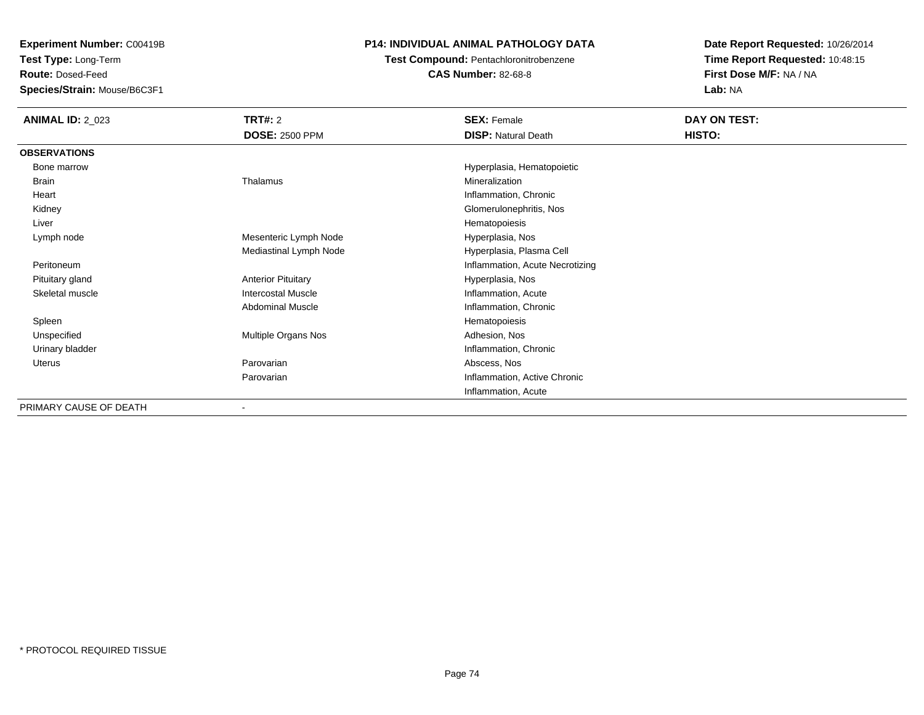**Test Type:** Long-Term

**Route:** Dosed-Feed

**Species/Strain:** Mouse/B6C3F1

### **P14: INDIVIDUAL ANIMAL PATHOLOGY DATA**

**Test Compound:** Pentachloronitrobenzene

**CAS Number:** 82-68-8

| <b>ANIMAL ID: 2_023</b> | TRT#: 2                   | <b>SEX: Female</b>              | DAY ON TEST: |
|-------------------------|---------------------------|---------------------------------|--------------|
|                         | <b>DOSE: 2500 PPM</b>     | <b>DISP: Natural Death</b>      | HISTO:       |
| <b>OBSERVATIONS</b>     |                           |                                 |              |
| Bone marrow             |                           | Hyperplasia, Hematopoietic      |              |
| Brain                   | Thalamus                  | Mineralization                  |              |
| Heart                   |                           | Inflammation, Chronic           |              |
| Kidney                  |                           | Glomerulonephritis, Nos         |              |
| Liver                   |                           | Hematopoiesis                   |              |
| Lymph node              | Mesenteric Lymph Node     | Hyperplasia, Nos                |              |
|                         | Mediastinal Lymph Node    | Hyperplasia, Plasma Cell        |              |
| Peritoneum              |                           | Inflammation, Acute Necrotizing |              |
| Pituitary gland         | <b>Anterior Pituitary</b> | Hyperplasia, Nos                |              |
| Skeletal muscle         | <b>Intercostal Muscle</b> | Inflammation, Acute             |              |
|                         | <b>Abdominal Muscle</b>   | Inflammation, Chronic           |              |
| Spleen                  |                           | Hematopoiesis                   |              |
| Unspecified             | Multiple Organs Nos       | Adhesion, Nos                   |              |
| Urinary bladder         |                           | Inflammation, Chronic           |              |
| Uterus                  | Parovarian                | Abscess, Nos                    |              |
|                         | Parovarian                | Inflammation, Active Chronic    |              |
|                         |                           | Inflammation, Acute             |              |
| PRIMARY CAUSE OF DEATH  |                           |                                 |              |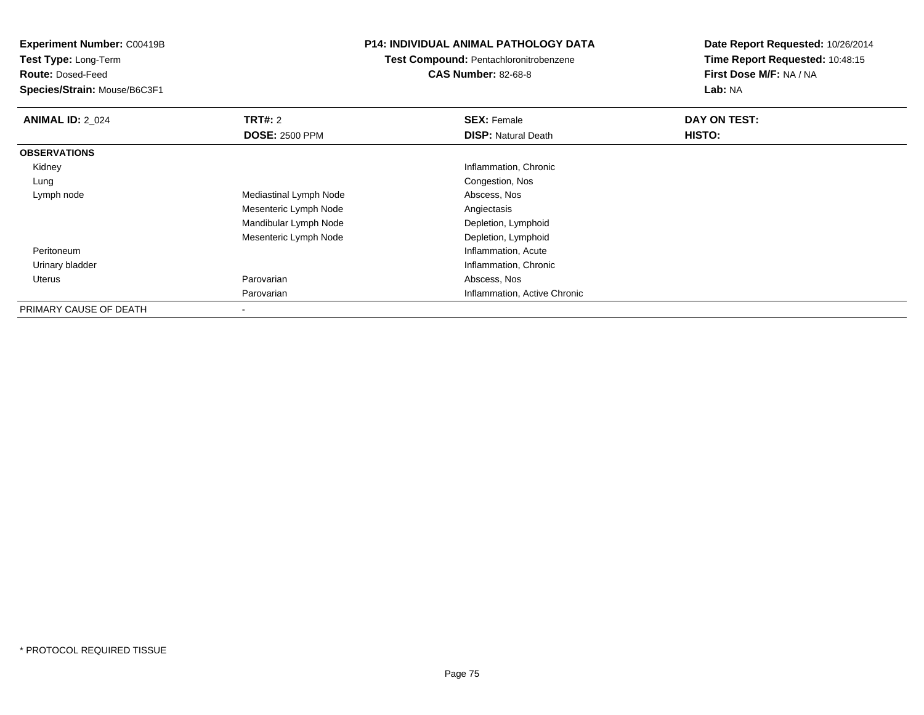**Experiment Number:** C00419B**Test Type:** Long-Term**Route:** Dosed-Feed **Species/Strain:** Mouse/B6C3F1**P14: INDIVIDUAL ANIMAL PATHOLOGY DATATest Compound:** Pentachloronitrobenzene**CAS Number:** 82-68-8**Date Report Requested:** 10/26/2014**Time Report Requested:** 10:48:15**First Dose M/F:** NA / NA**Lab:** NA**ANIMAL ID: 2 024 TRT#:** 2 **SEX:** Female **DAY ON TEST: DOSE:** 2500 PPM**DISP:** Natural Death **HISTO: OBSERVATIONS** Kidney Inflammation, Chronic Lung Congestion, Nos Lymph nodeMediastinal Lymph Node Mesenteric Lymph Node Angiectasis Mandibular Lymph Node Depletion, Lymphoid Mesenteric Lymph NodeDepletion, Lymphoid<br>Inflammation, Acute Peritoneumm<br>
Inflammation, Acute Urinary bladder Inflammation, Chronic Uterus Parovarian Abscess, Nos ParovarianInflammation, Active Chronic

PRIMARY CAUSE OF DEATH-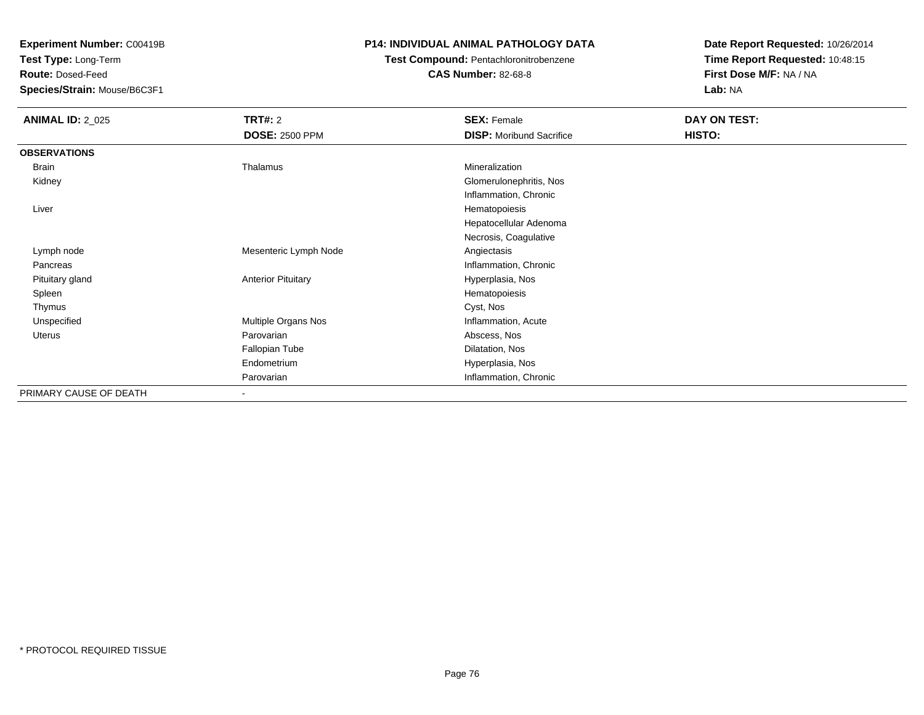**Test Type:** Long-Term

**Route:** Dosed-Feed

**Species/Strain:** Mouse/B6C3F1

### **P14: INDIVIDUAL ANIMAL PATHOLOGY DATA**

# **Test Compound:** Pentachloronitrobenzene

**CAS Number:** 82-68-8

| <b>ANIMAL ID: 2_025</b> | TRT#: 2                   | <b>SEX: Female</b>              | DAY ON TEST: |  |
|-------------------------|---------------------------|---------------------------------|--------------|--|
|                         | <b>DOSE: 2500 PPM</b>     | <b>DISP:</b> Moribund Sacrifice | HISTO:       |  |
| <b>OBSERVATIONS</b>     |                           |                                 |              |  |
| Brain                   | Thalamus                  | Mineralization                  |              |  |
| Kidney                  |                           | Glomerulonephritis, Nos         |              |  |
|                         |                           | Inflammation, Chronic           |              |  |
| Liver                   |                           | Hematopoiesis                   |              |  |
|                         |                           | Hepatocellular Adenoma          |              |  |
|                         |                           | Necrosis, Coagulative           |              |  |
| Lymph node              | Mesenteric Lymph Node     | Angiectasis                     |              |  |
| Pancreas                |                           | Inflammation, Chronic           |              |  |
| Pituitary gland         | <b>Anterior Pituitary</b> | Hyperplasia, Nos                |              |  |
| Spleen                  |                           | Hematopoiesis                   |              |  |
| Thymus                  |                           | Cyst, Nos                       |              |  |
| Unspecified             | Multiple Organs Nos       | Inflammation, Acute             |              |  |
| Uterus                  | Parovarian                | Abscess, Nos                    |              |  |
|                         | Fallopian Tube            | Dilatation, Nos                 |              |  |
|                         | Endometrium               | Hyperplasia, Nos                |              |  |
|                         | Parovarian                | Inflammation, Chronic           |              |  |
| PRIMARY CAUSE OF DEATH  | ٠                         |                                 |              |  |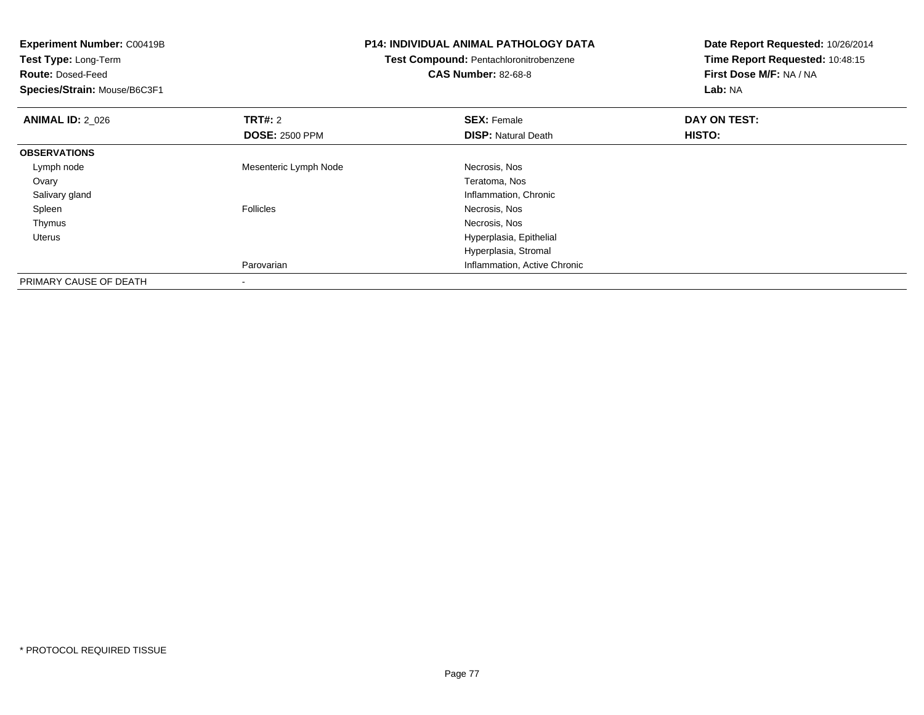| Experiment Number: C00419B<br>Test Type: Long-Term<br><b>Route: Dosed-Feed</b><br>Species/Strain: Mouse/B6C3F1 |                       | <b>P14: INDIVIDUAL ANIMAL PATHOLOGY DATA</b><br>Test Compound: Pentachloronitrobenzene<br><b>CAS Number: 82-68-8</b> | Date Report Requested: 10/26/2014<br>Time Report Requested: 10:48:15<br>First Dose M/F: NA / NA<br>Lab: NA |
|----------------------------------------------------------------------------------------------------------------|-----------------------|----------------------------------------------------------------------------------------------------------------------|------------------------------------------------------------------------------------------------------------|
| <b>ANIMAL ID: 2 026</b>                                                                                        | <b>TRT#: 2</b>        | <b>SEX: Female</b>                                                                                                   | DAY ON TEST:                                                                                               |
|                                                                                                                | <b>DOSE: 2500 PPM</b> | <b>DISP:</b> Natural Death                                                                                           | HISTO:                                                                                                     |
| <b>OBSERVATIONS</b>                                                                                            |                       |                                                                                                                      |                                                                                                            |
| Lymph node                                                                                                     | Mesenteric Lymph Node | Necrosis, Nos                                                                                                        |                                                                                                            |
| Ovary                                                                                                          |                       | Teratoma, Nos                                                                                                        |                                                                                                            |
| Salivary gland                                                                                                 |                       | Inflammation, Chronic                                                                                                |                                                                                                            |
| Spleen                                                                                                         | <b>Follicles</b>      | Necrosis, Nos                                                                                                        |                                                                                                            |
| Thymus                                                                                                         |                       | Necrosis, Nos                                                                                                        |                                                                                                            |
| <b>Uterus</b>                                                                                                  |                       | Hyperplasia, Epithelial                                                                                              |                                                                                                            |
|                                                                                                                |                       | Hyperplasia, Stromal                                                                                                 |                                                                                                            |
|                                                                                                                | Parovarian            | Inflammation, Active Chronic                                                                                         |                                                                                                            |
| PRIMARY CAUSE OF DEATH                                                                                         |                       |                                                                                                                      |                                                                                                            |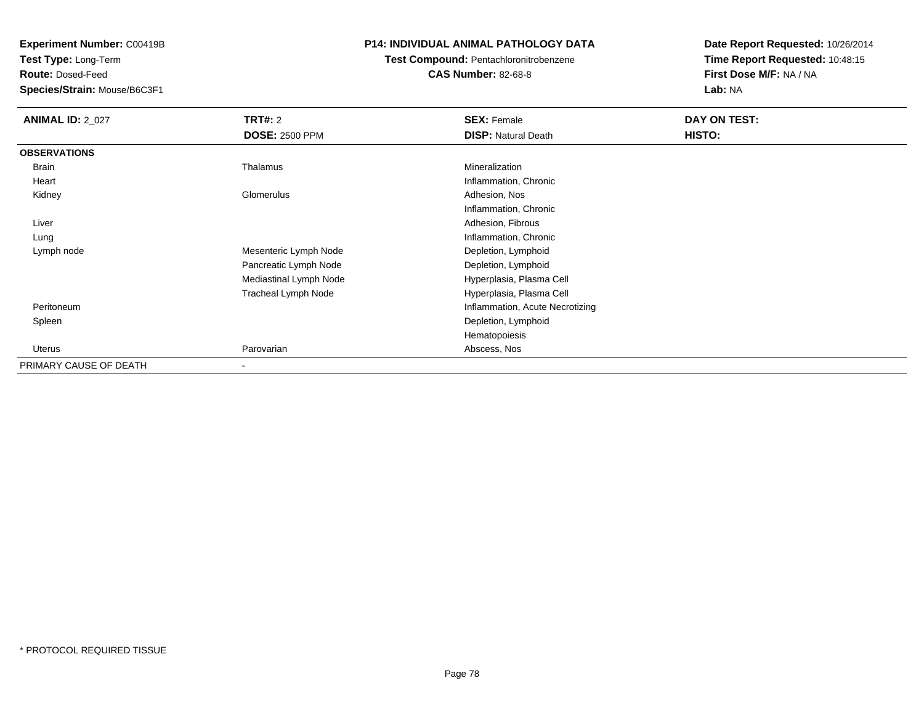**Test Type:** Long-Term

**Route:** Dosed-Feed

**Species/Strain:** Mouse/B6C3F1

### **P14: INDIVIDUAL ANIMAL PATHOLOGY DATA**

### **Test Compound:** Pentachloronitrobenzene**CAS Number:** 82-68-8

| <b>ANIMAL ID: 2_027</b> | TRT#: 2                | <b>SEX: Female</b>              | DAY ON TEST: |  |
|-------------------------|------------------------|---------------------------------|--------------|--|
|                         | <b>DOSE: 2500 PPM</b>  | <b>DISP: Natural Death</b>      | HISTO:       |  |
| <b>OBSERVATIONS</b>     |                        |                                 |              |  |
| <b>Brain</b>            | Thalamus               | Mineralization                  |              |  |
| Heart                   |                        | Inflammation, Chronic           |              |  |
| Kidney                  | Glomerulus             | Adhesion, Nos                   |              |  |
|                         |                        | Inflammation, Chronic           |              |  |
| Liver                   |                        | Adhesion, Fibrous               |              |  |
| Lung                    |                        | Inflammation, Chronic           |              |  |
| Lymph node              | Mesenteric Lymph Node  | Depletion, Lymphoid             |              |  |
|                         | Pancreatic Lymph Node  | Depletion, Lymphoid             |              |  |
|                         | Mediastinal Lymph Node | Hyperplasia, Plasma Cell        |              |  |
|                         | Tracheal Lymph Node    | Hyperplasia, Plasma Cell        |              |  |
| Peritoneum              |                        | Inflammation, Acute Necrotizing |              |  |
| Spleen                  |                        | Depletion, Lymphoid             |              |  |
|                         |                        | Hematopoiesis                   |              |  |
| <b>Uterus</b>           | Parovarian             | Abscess, Nos                    |              |  |
| PRIMARY CAUSE OF DEATH  |                        |                                 |              |  |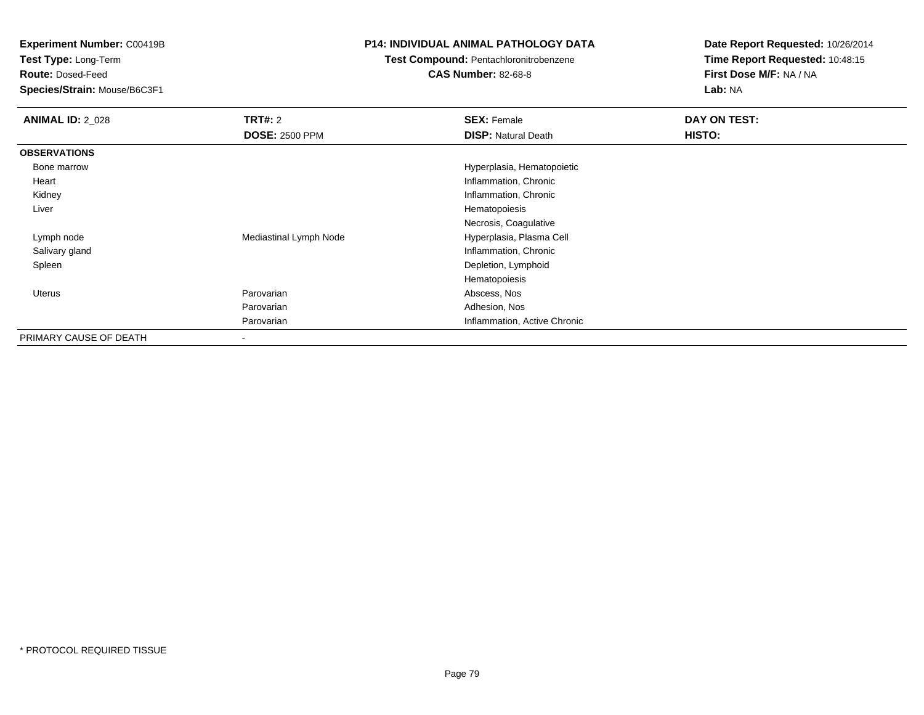**Test Type:** Long-Term

**Route:** Dosed-Feed

**Species/Strain:** Mouse/B6C3F1

### **P14: INDIVIDUAL ANIMAL PATHOLOGY DATA**

## **Test Compound:** Pentachloronitrobenzene

**CAS Number:** 82-68-8

| <b>ANIMAL ID: 2 028</b> | <b>TRT#:</b> 2           | <b>SEX: Female</b>           | DAY ON TEST: |
|-------------------------|--------------------------|------------------------------|--------------|
|                         | <b>DOSE: 2500 PPM</b>    | <b>DISP: Natural Death</b>   | HISTO:       |
| <b>OBSERVATIONS</b>     |                          |                              |              |
| Bone marrow             |                          | Hyperplasia, Hematopoietic   |              |
| Heart                   |                          | Inflammation, Chronic        |              |
| Kidney                  |                          | Inflammation, Chronic        |              |
| Liver                   |                          | Hematopoiesis                |              |
|                         |                          | Necrosis, Coagulative        |              |
| Lymph node              | Mediastinal Lymph Node   | Hyperplasia, Plasma Cell     |              |
| Salivary gland          |                          | Inflammation, Chronic        |              |
| Spleen                  |                          | Depletion, Lymphoid          |              |
|                         |                          | Hematopoiesis                |              |
| <b>Uterus</b>           | Parovarian               | Abscess, Nos                 |              |
|                         | Parovarian               | Adhesion, Nos                |              |
|                         | Parovarian               | Inflammation, Active Chronic |              |
| PRIMARY CAUSE OF DEATH  | $\overline{\phantom{a}}$ |                              |              |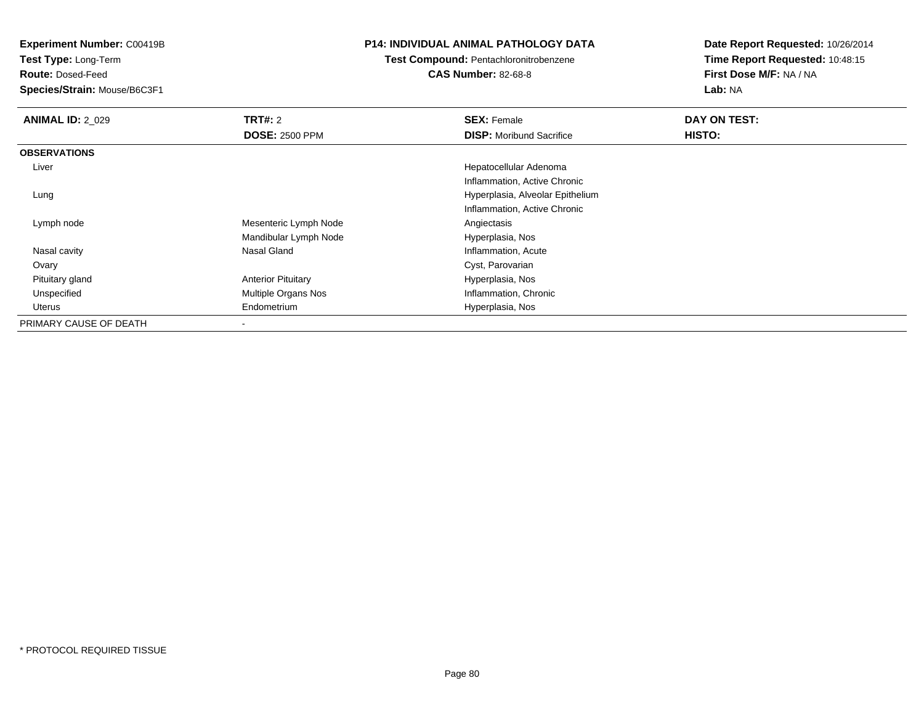**Test Type:** Long-Term

**Route:** Dosed-Feed

**Species/Strain:** Mouse/B6C3F1

### **P14: INDIVIDUAL ANIMAL PATHOLOGY DATA**

### **Test Compound:** Pentachloronitrobenzene**CAS Number:** 82-68-8

| <b>ANIMAL ID: 2_029</b> | <b>TRT#: 2</b>             | <b>SEX: Female</b>               | DAY ON TEST: |  |
|-------------------------|----------------------------|----------------------------------|--------------|--|
|                         | <b>DOSE: 2500 PPM</b>      | <b>DISP:</b> Moribund Sacrifice  | HISTO:       |  |
| <b>OBSERVATIONS</b>     |                            |                                  |              |  |
| Liver                   |                            | Hepatocellular Adenoma           |              |  |
|                         |                            | Inflammation, Active Chronic     |              |  |
| Lung                    |                            | Hyperplasia, Alveolar Epithelium |              |  |
|                         |                            | Inflammation, Active Chronic     |              |  |
| Lymph node              | Mesenteric Lymph Node      | Angiectasis                      |              |  |
|                         | Mandibular Lymph Node      | Hyperplasia, Nos                 |              |  |
| Nasal cavity            | Nasal Gland                | Inflammation, Acute              |              |  |
| Ovary                   |                            | Cyst, Parovarian                 |              |  |
| Pituitary gland         | <b>Anterior Pituitary</b>  | Hyperplasia, Nos                 |              |  |
| Unspecified             | <b>Multiple Organs Nos</b> | Inflammation, Chronic            |              |  |
| Uterus                  | Endometrium                | Hyperplasia, Nos                 |              |  |
| PRIMARY CAUSE OF DEATH  |                            |                                  |              |  |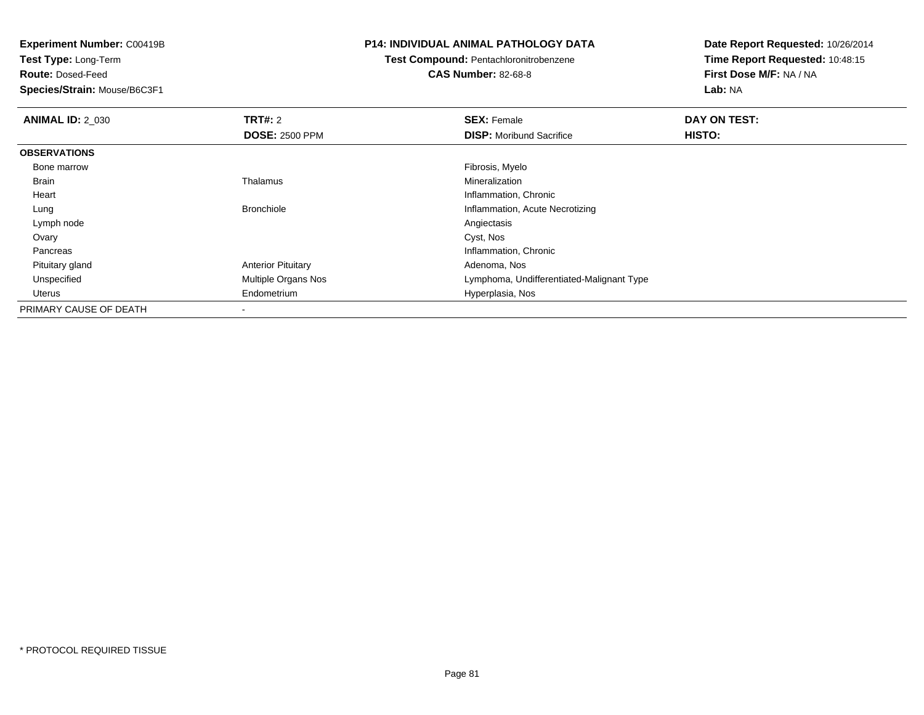**Test Type:** Long-Term

**Route:** Dosed-Feed

**Species/Strain:** Mouse/B6C3F1

#### **P14: INDIVIDUAL ANIMAL PATHOLOGY DATA**

# **Test Compound:** Pentachloronitrobenzene

**CAS Number:** 82-68-8

| <b>ANIMAL ID: 2 030</b> | TRT#: 2                   | <b>SEX: Female</b>                        | DAY ON TEST:  |  |
|-------------------------|---------------------------|-------------------------------------------|---------------|--|
|                         | <b>DOSE: 2500 PPM</b>     | <b>DISP:</b> Moribund Sacrifice           | <b>HISTO:</b> |  |
| <b>OBSERVATIONS</b>     |                           |                                           |               |  |
| Bone marrow             |                           | Fibrosis, Myelo                           |               |  |
| Brain                   | Thalamus                  | Mineralization                            |               |  |
| Heart                   |                           | Inflammation, Chronic                     |               |  |
| Lung                    | <b>Bronchiole</b>         | Inflammation, Acute Necrotizing           |               |  |
| Lymph node              |                           | Angiectasis                               |               |  |
| Ovary                   |                           | Cyst, Nos                                 |               |  |
| Pancreas                |                           | Inflammation, Chronic                     |               |  |
| Pituitary gland         | <b>Anterior Pituitary</b> | Adenoma, Nos                              |               |  |
| Unspecified             | Multiple Organs Nos       | Lymphoma, Undifferentiated-Malignant Type |               |  |
| Uterus                  | Endometrium               | Hyperplasia, Nos                          |               |  |
| PRIMARY CAUSE OF DEATH  | $\overline{\phantom{a}}$  |                                           |               |  |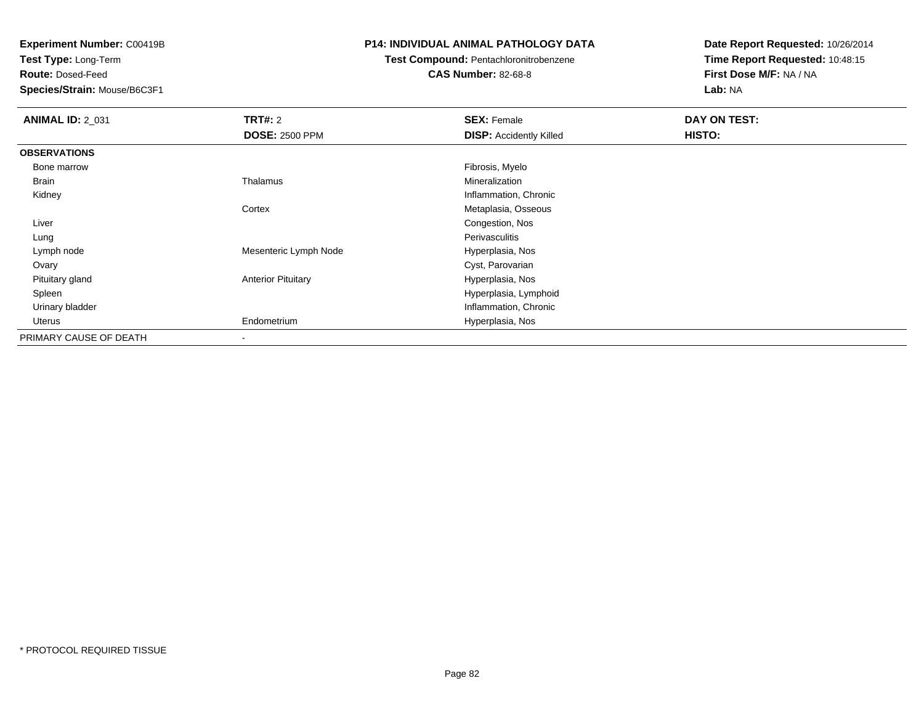**Test Type:** Long-Term

**Route:** Dosed-Feed

**Species/Strain:** Mouse/B6C3F1

### **P14: INDIVIDUAL ANIMAL PATHOLOGY DATA**

## **Test Compound:** Pentachloronitrobenzene

**CAS Number:** 82-68-8

| <b>ANIMAL ID: 2 031</b> | TRT#: 2                   | <b>SEX: Female</b>             | DAY ON TEST: |
|-------------------------|---------------------------|--------------------------------|--------------|
|                         | <b>DOSE: 2500 PPM</b>     | <b>DISP:</b> Accidently Killed | HISTO:       |
| <b>OBSERVATIONS</b>     |                           |                                |              |
| Bone marrow             |                           | Fibrosis, Myelo                |              |
| Brain                   | Thalamus                  | Mineralization                 |              |
| Kidney                  |                           | Inflammation, Chronic          |              |
|                         | Cortex                    | Metaplasia, Osseous            |              |
| Liver                   |                           | Congestion, Nos                |              |
| Lung                    |                           | Perivasculitis                 |              |
| Lymph node              | Mesenteric Lymph Node     | Hyperplasia, Nos               |              |
| Ovary                   |                           | Cyst, Parovarian               |              |
| Pituitary gland         | <b>Anterior Pituitary</b> | Hyperplasia, Nos               |              |
| Spleen                  |                           | Hyperplasia, Lymphoid          |              |
| Urinary bladder         |                           | Inflammation, Chronic          |              |
| Uterus                  | Endometrium               | Hyperplasia, Nos               |              |
| PRIMARY CAUSE OF DEATH  | $\overline{\phantom{a}}$  |                                |              |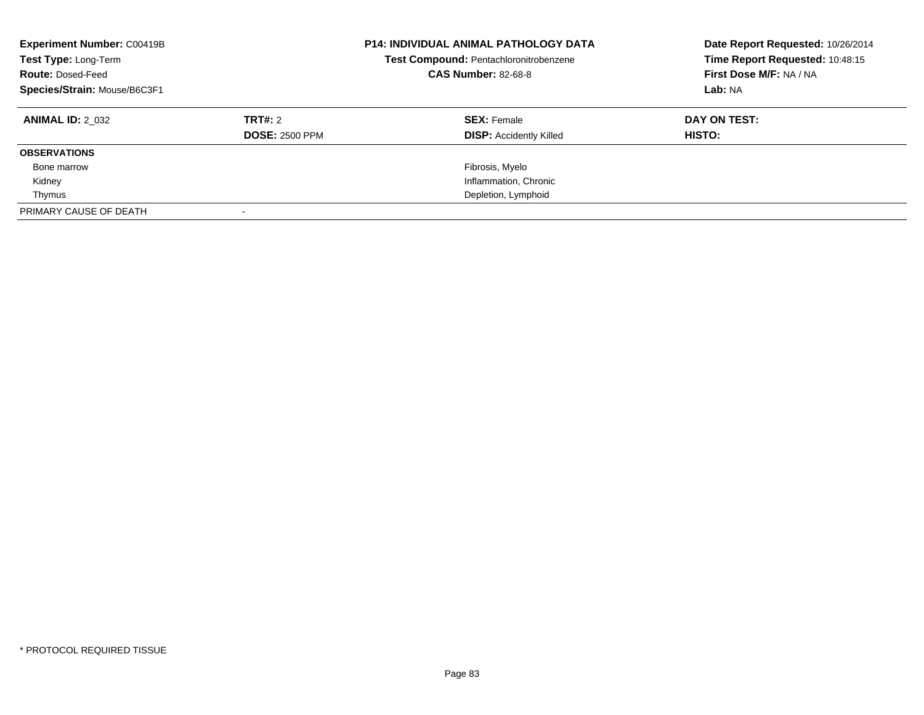| <b>Experiment Number: C00419B</b><br>Test Type: Long-Term<br><b>Route: Dosed-Feed</b><br>Species/Strain: Mouse/B6C3F1 |                       |                                | <b>P14: INDIVIDUAL ANIMAL PATHOLOGY DATA</b><br>Test Compound: Pentachloronitrobenzene<br><b>CAS Number: 82-68-8</b> |  | Date Report Requested: 10/26/2014<br>Time Report Requested: 10:48:15<br>First Dose M/F: NA / NA<br>Lab: NA |
|-----------------------------------------------------------------------------------------------------------------------|-----------------------|--------------------------------|----------------------------------------------------------------------------------------------------------------------|--|------------------------------------------------------------------------------------------------------------|
| <b>ANIMAL ID: 2 032</b>                                                                                               | TRT#: 2               | <b>SEX: Female</b>             | DAY ON TEST:                                                                                                         |  |                                                                                                            |
|                                                                                                                       | <b>DOSE: 2500 PPM</b> | <b>DISP:</b> Accidently Killed | HISTO:                                                                                                               |  |                                                                                                            |
| <b>OBSERVATIONS</b>                                                                                                   |                       |                                |                                                                                                                      |  |                                                                                                            |
| Bone marrow                                                                                                           |                       | Fibrosis, Myelo                |                                                                                                                      |  |                                                                                                            |
| Kidney                                                                                                                |                       | Inflammation, Chronic          |                                                                                                                      |  |                                                                                                            |
| Thymus                                                                                                                |                       | Depletion, Lymphoid            |                                                                                                                      |  |                                                                                                            |
| PRIMARY CAUSE OF DEATH                                                                                                |                       |                                |                                                                                                                      |  |                                                                                                            |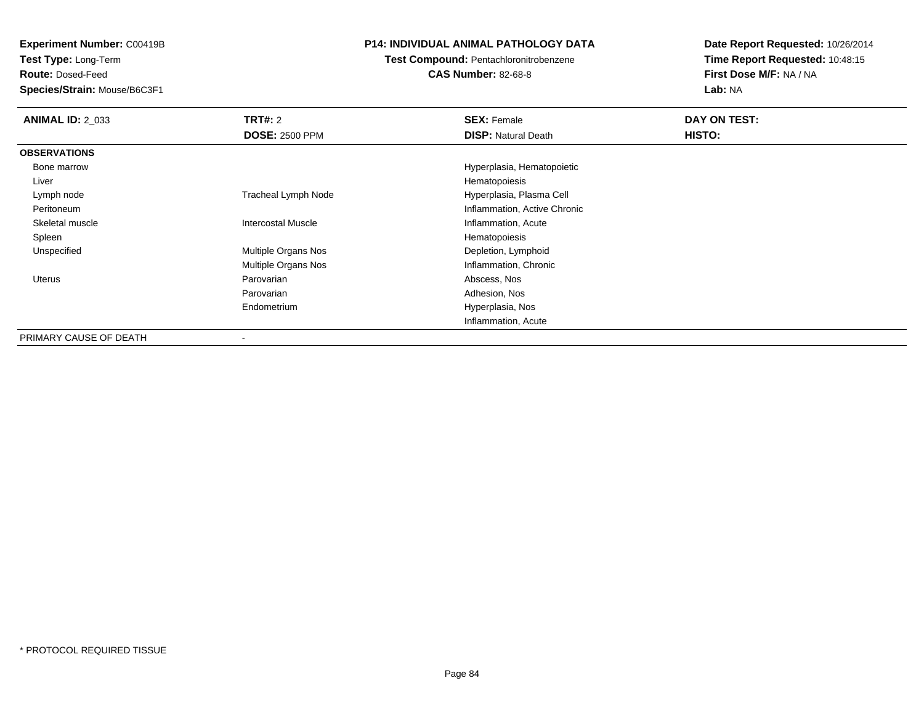**Test Type:** Long-Term

**Route:** Dosed-Feed

**Species/Strain:** Mouse/B6C3F1

### **P14: INDIVIDUAL ANIMAL PATHOLOGY DATA**

**Test Compound:** Pentachloronitrobenzene

**CAS Number:** 82-68-8

| <b>ANIMAL ID: 2 033</b> | <b>TRT#: 2</b>             | <b>SEX: Female</b>           | DAY ON TEST: |  |
|-------------------------|----------------------------|------------------------------|--------------|--|
|                         | <b>DOSE: 2500 PPM</b>      | <b>DISP: Natural Death</b>   | HISTO:       |  |
| <b>OBSERVATIONS</b>     |                            |                              |              |  |
| Bone marrow             |                            | Hyperplasia, Hematopoietic   |              |  |
| Liver                   |                            | Hematopoiesis                |              |  |
| Lymph node              | <b>Tracheal Lymph Node</b> | Hyperplasia, Plasma Cell     |              |  |
| Peritoneum              |                            | Inflammation, Active Chronic |              |  |
| Skeletal muscle         | <b>Intercostal Muscle</b>  | Inflammation, Acute          |              |  |
| Spleen                  |                            | Hematopoiesis                |              |  |
| Unspecified             | <b>Multiple Organs Nos</b> | Depletion, Lymphoid          |              |  |
|                         | <b>Multiple Organs Nos</b> | Inflammation, Chronic        |              |  |
| Uterus                  | Parovarian                 | Abscess, Nos                 |              |  |
|                         | Parovarian                 | Adhesion, Nos                |              |  |
|                         | Endometrium                | Hyperplasia, Nos             |              |  |
|                         |                            | Inflammation, Acute          |              |  |
| PRIMARY CAUSE OF DEATH  |                            |                              |              |  |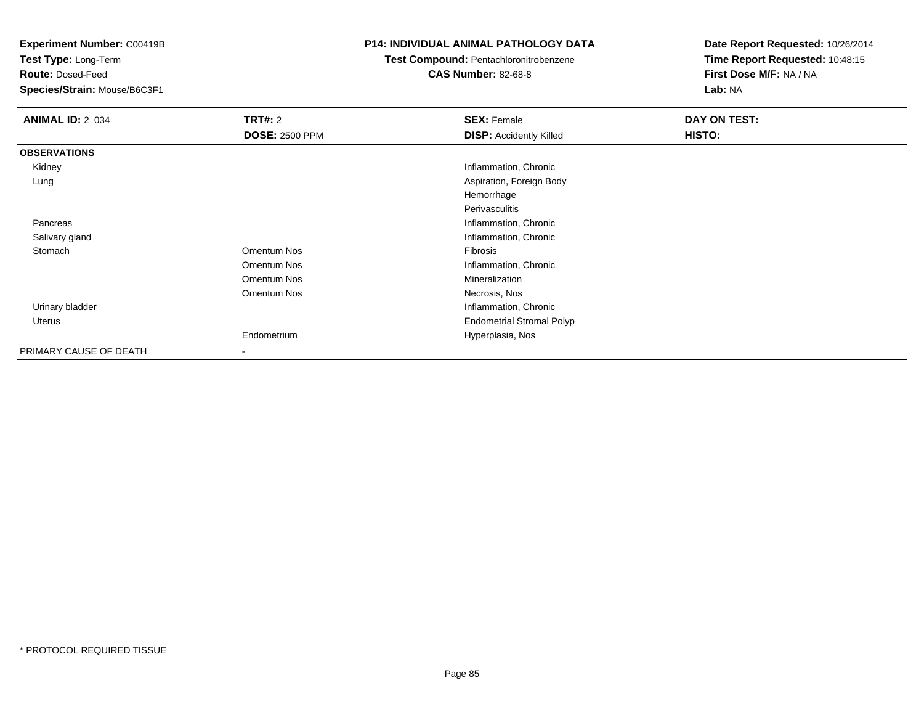**Test Type:** Long-Term

**Route:** Dosed-Feed

**Species/Strain:** Mouse/B6C3F1

### **P14: INDIVIDUAL ANIMAL PATHOLOGY DATA**

**Test Compound:** Pentachloronitrobenzene

**CAS Number:** 82-68-8

| <b>ANIMAL ID: 2_034</b> | <b>TRT#: 2</b>        | <b>SEX: Female</b>               | DAY ON TEST: |  |
|-------------------------|-----------------------|----------------------------------|--------------|--|
|                         | <b>DOSE: 2500 PPM</b> | <b>DISP:</b> Accidently Killed   | HISTO:       |  |
| <b>OBSERVATIONS</b>     |                       |                                  |              |  |
| Kidney                  |                       | Inflammation, Chronic            |              |  |
| Lung                    |                       | Aspiration, Foreign Body         |              |  |
|                         |                       | Hemorrhage                       |              |  |
|                         |                       | Perivasculitis                   |              |  |
| Pancreas                |                       | Inflammation, Chronic            |              |  |
| Salivary gland          |                       | Inflammation, Chronic            |              |  |
| Stomach                 | Omentum Nos           | Fibrosis                         |              |  |
|                         | Omentum Nos           | Inflammation, Chronic            |              |  |
|                         | Omentum Nos           | Mineralization                   |              |  |
|                         | Omentum Nos           | Necrosis, Nos                    |              |  |
| Urinary bladder         |                       | Inflammation, Chronic            |              |  |
| <b>Uterus</b>           |                       | <b>Endometrial Stromal Polyp</b> |              |  |
|                         | Endometrium           | Hyperplasia, Nos                 |              |  |
| PRIMARY CAUSE OF DEATH  | $\blacksquare$        |                                  |              |  |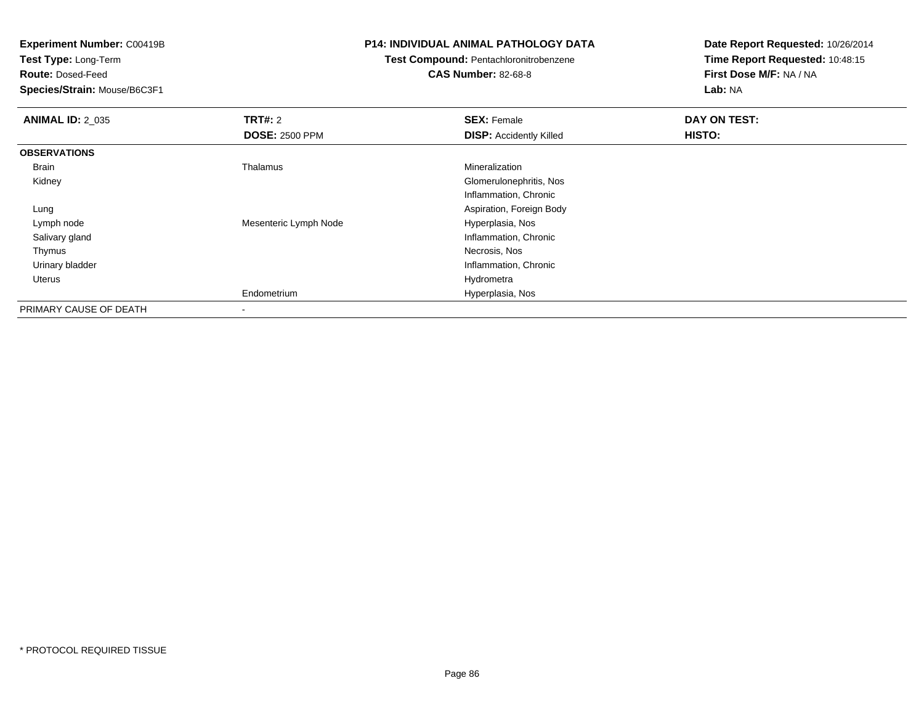**Test Type:** Long-Term

**Route:** Dosed-Feed

**Species/Strain:** Mouse/B6C3F1

### **P14: INDIVIDUAL ANIMAL PATHOLOGY DATA**

### **Test Compound:** Pentachloronitrobenzene**CAS Number:** 82-68-8

| <b>ANIMAL ID: 2 035</b> | <b>TRT#: 2</b>        | <b>SEX: Female</b>             | DAY ON TEST: |  |
|-------------------------|-----------------------|--------------------------------|--------------|--|
|                         | <b>DOSE: 2500 PPM</b> | <b>DISP:</b> Accidently Killed | HISTO:       |  |
| <b>OBSERVATIONS</b>     |                       |                                |              |  |
| Brain                   | Thalamus              | Mineralization                 |              |  |
| Kidney                  |                       | Glomerulonephritis, Nos        |              |  |
|                         |                       | Inflammation, Chronic          |              |  |
| Lung                    |                       | Aspiration, Foreign Body       |              |  |
| Lymph node              | Mesenteric Lymph Node | Hyperplasia, Nos               |              |  |
| Salivary gland          |                       | Inflammation, Chronic          |              |  |
| Thymus                  |                       | Necrosis, Nos                  |              |  |
| Urinary bladder         |                       | Inflammation, Chronic          |              |  |
| Uterus                  |                       | Hydrometra                     |              |  |
|                         | Endometrium           | Hyperplasia, Nos               |              |  |
| PRIMARY CAUSE OF DEATH  |                       |                                |              |  |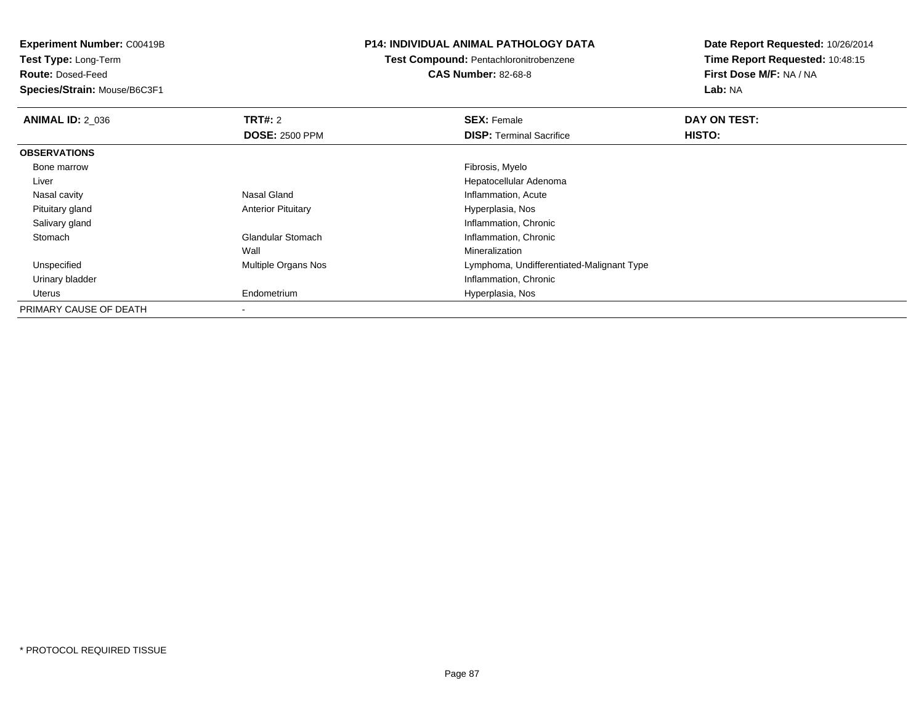**Experiment Number:** C00419B**Test Type:** Long-Term**Route:** Dosed-Feed **Species/Strain:** Mouse/B6C3F1**P14: INDIVIDUAL ANIMAL PATHOLOGY DATATest Compound:** Pentachloronitrobenzene**CAS Number:** 82-68-8**Date Report Requested:** 10/26/2014**Time Report Requested:** 10:48:15**First Dose M/F:** NA / NA**Lab:** NA**ANIMAL ID: 2 036 6 DAY ON TEST: TRT#:** 2 **SEX:** Female **SEX:** Female **DOSE:** 2500 PPM**DISP:** Terminal Sacrifice **HISTO: OBSERVATIONS** Bone marroww which is a state of the state of the state of the state of the state of the Fibrosis, Myelo state of the state of the state of the state of the state of the state of the state of the state of the state of the state of th Liver Hepatocellular Adenoma Nasal cavity Nasal GlandNasal Gland<br>
Anterior Pituitary<br>
Anterior Pituitary<br> **Inflammation, Acute Anterior Pituitary**  Pituitary glandHyperplasia, Nos Salivary glandInflammation, Chronic<br>Inflammation, Chronic<br>Inflammation, Chronic StomachInflammation, Chronic Wall Mineralizationd **Example 20 Multiple Organs Nos** Communist Communist Cymphoma, Undifferentiated-Malignant Type Unspecified Urinary bladder Inflammation, Chronic Uterus Endometrium Hyperplasia, Nos PRIMARY CAUSE OF DEATH-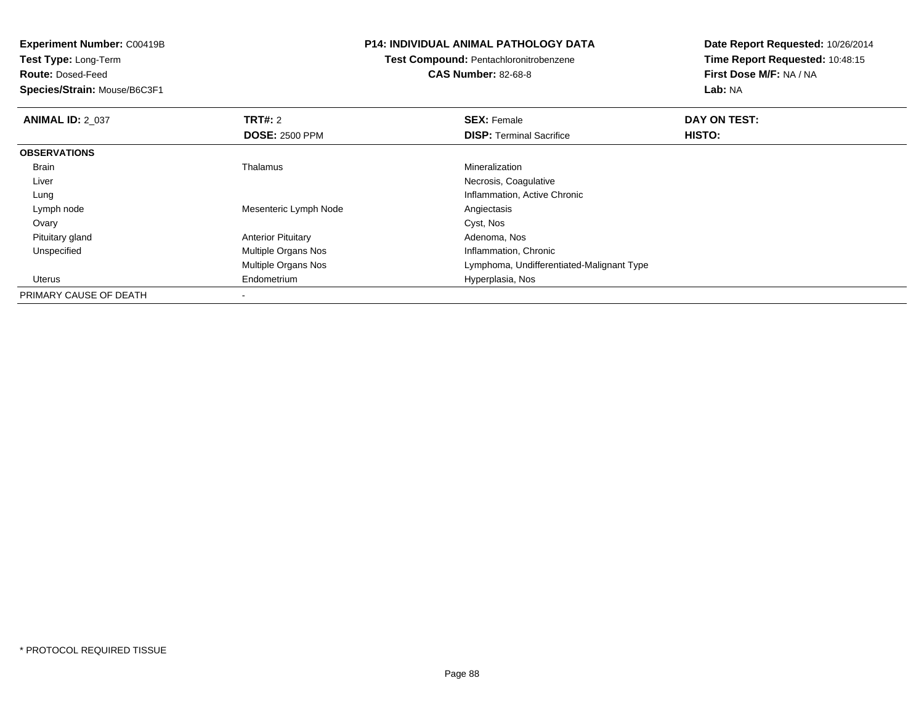**Experiment Number:** C00419B**Test Type:** Long-Term**Route:** Dosed-Feed **Species/Strain:** Mouse/B6C3F1**P14: INDIVIDUAL ANIMAL PATHOLOGY DATATest Compound:** Pentachloronitrobenzene**CAS Number:** 82-68-8**Date Report Requested:** 10/26/2014**Time Report Requested:** 10:48:15**First Dose M/F:** NA / NA**Lab:** NA**ANIMAL ID: 2 037 TRT#:** <sup>2</sup> **SEX:** Female **DAY ON TEST: DOSE:** 2500 PPM**DISP:** Terminal Sacrifice **HISTO: OBSERVATIONS** Brain Thalamus Mineralization Liver Necrosis, Coagulativeg and the contraction of the contraction of the contraction of the contraction of the chronic state of the chronic state of the chronic state of the chronic state of the chronic state of the chronic state of the chronic st Lung Lymph nodeMesenteric Lymph Node<br>
Cyst, Nos<br>
Cyst, Nos Ovaryy and the control of the control of the control of the control of the control of the control of the control of the control of the control of the control of the control of the control of the control of the control of the co Pituitary glandAnterior Pituitary **Adenoma, Nos**<br>
Multiple Organs Nos **Adenoma, Chronic**<br>
Inflammation, Chronic UnspecifiedMultiple Organs Nos Multiple Organs Nos Lymphoma, Undifferentiated-Malignant Type Uterus Endometrium Hyperplasia, Nos PRIMARY CAUSE OF DEATH-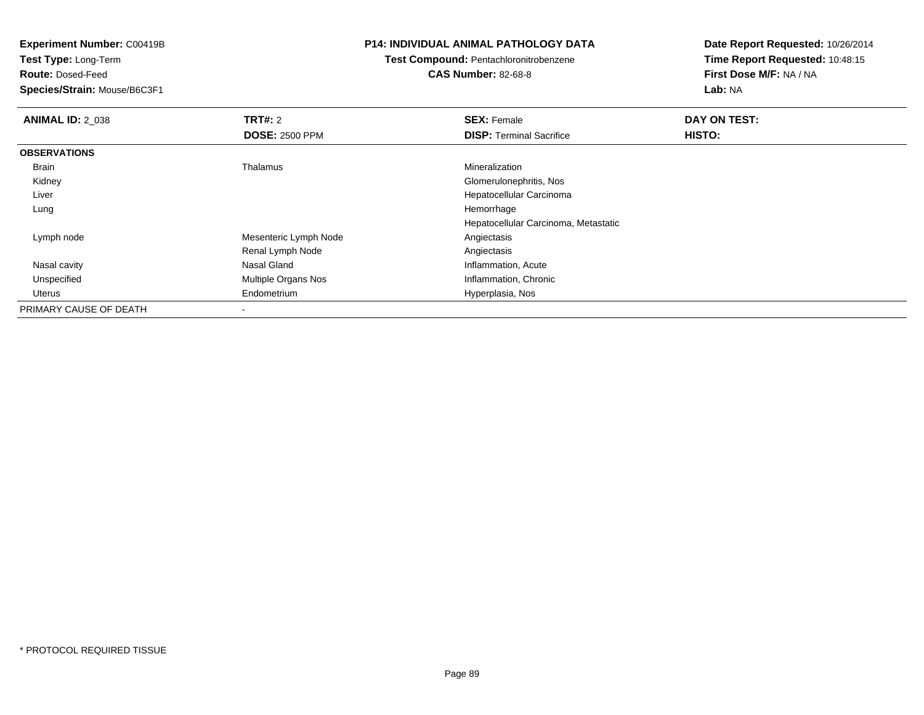**Test Type:** Long-Term

**Route:** Dosed-Feed

**Species/Strain:** Mouse/B6C3F1

#### **P14: INDIVIDUAL ANIMAL PATHOLOGY DATA**

**Test Compound:** Pentachloronitrobenzene**CAS Number:** 82-68-8

| <b>ANIMAL ID: 2_038</b> | TRT#: 2                  | <b>SEX: Female</b>                   | DAY ON TEST:  |  |
|-------------------------|--------------------------|--------------------------------------|---------------|--|
|                         | <b>DOSE: 2500 PPM</b>    | <b>DISP: Terminal Sacrifice</b>      | <b>HISTO:</b> |  |
| <b>OBSERVATIONS</b>     |                          |                                      |               |  |
| Brain                   | Thalamus                 | Mineralization                       |               |  |
| Kidney                  |                          | Glomerulonephritis, Nos              |               |  |
| Liver                   |                          | Hepatocellular Carcinoma             |               |  |
| Lung                    |                          | Hemorrhage                           |               |  |
|                         |                          | Hepatocellular Carcinoma, Metastatic |               |  |
| Lymph node              | Mesenteric Lymph Node    | Angiectasis                          |               |  |
|                         | Renal Lymph Node         | Angiectasis                          |               |  |
| Nasal cavity            | Nasal Gland              | Inflammation, Acute                  |               |  |
| Unspecified             | Multiple Organs Nos      | Inflammation, Chronic                |               |  |
| Uterus                  | Endometrium              | Hyperplasia, Nos                     |               |  |
| PRIMARY CAUSE OF DEATH  | $\overline{\phantom{a}}$ |                                      |               |  |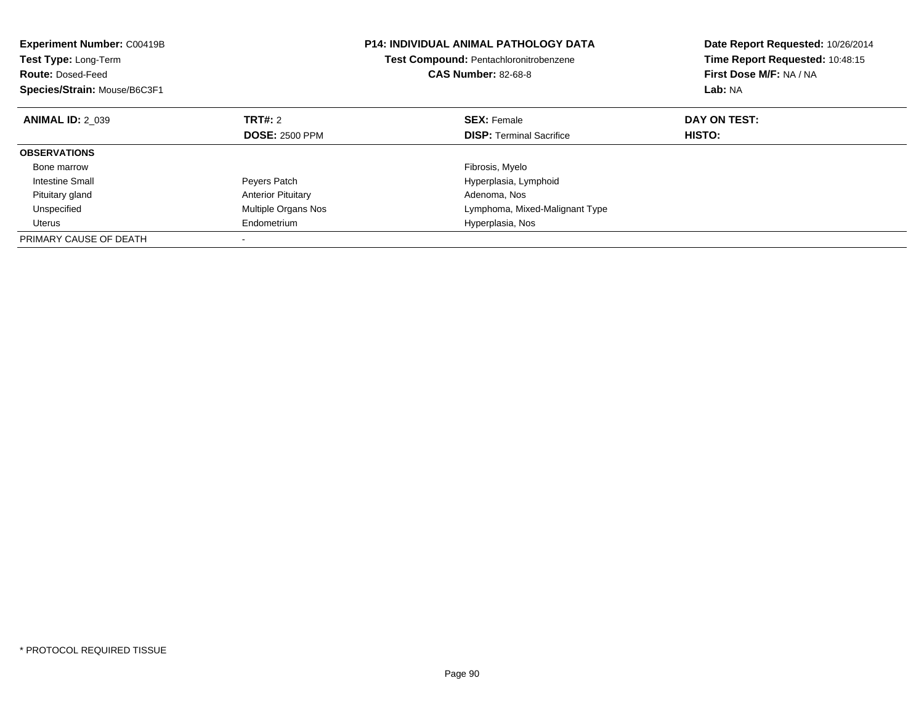| <b>Experiment Number: C00419B</b><br>Test Type: Long-Term<br><b>Route: Dosed-Feed</b><br>Species/Strain: Mouse/B6C3F1 |                           | <b>P14: INDIVIDUAL ANIMAL PATHOLOGY DATA</b><br>Test Compound: Pentachloronitrobenzene<br><b>CAS Number: 82-68-8</b> | Date Report Requested: 10/26/2014<br>Time Report Requested: 10:48:15<br>First Dose M/F: NA / NA<br>Lab: NA |
|-----------------------------------------------------------------------------------------------------------------------|---------------------------|----------------------------------------------------------------------------------------------------------------------|------------------------------------------------------------------------------------------------------------|
| <b>ANIMAL ID: 2 039</b>                                                                                               | TRT#: 2                   | <b>SEX:</b> Female                                                                                                   | DAY ON TEST:                                                                                               |
|                                                                                                                       | <b>DOSE: 2500 PPM</b>     | <b>DISP:</b> Terminal Sacrifice                                                                                      | HISTO:                                                                                                     |
| <b>OBSERVATIONS</b>                                                                                                   |                           |                                                                                                                      |                                                                                                            |
| Bone marrow                                                                                                           |                           | Fibrosis, Myelo                                                                                                      |                                                                                                            |
| Intestine Small                                                                                                       | Peyers Patch              | Hyperplasia, Lymphoid                                                                                                |                                                                                                            |
| Pituitary gland                                                                                                       | <b>Anterior Pituitary</b> | Adenoma, Nos                                                                                                         |                                                                                                            |
| Unspecified                                                                                                           | Multiple Organs Nos       | Lymphoma, Mixed-Malignant Type                                                                                       |                                                                                                            |
| Uterus                                                                                                                | Endometrium               | Hyperplasia, Nos                                                                                                     |                                                                                                            |
| PRIMARY CAUSE OF DEATH                                                                                                |                           |                                                                                                                      |                                                                                                            |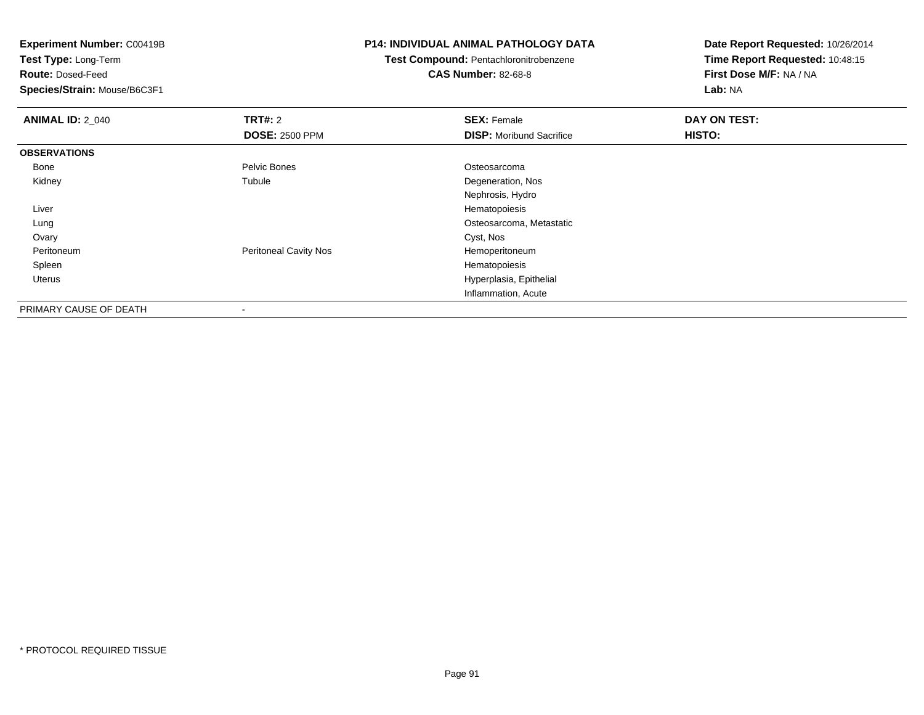**Experiment Number:** C00419B**Test Type:** Long-Term**Route:** Dosed-Feed **Species/Strain:** Mouse/B6C3F1**P14: INDIVIDUAL ANIMAL PATHOLOGY DATATest Compound:** Pentachloronitrobenzene**CAS Number:** 82-68-8**Date Report Requested:** 10/26/2014**Time Report Requested:** 10:48:15**First Dose M/F:** NA / NA**Lab:** NA**ANIMAL ID: 2 040 Communist SEX: Female DAY ON TEST: DAY ON TEST: DOSE:** 2500 PPM**DISP:** Moribund Sacrifice **HISTO: OBSERVATIONS** Bonee and the settlement of the Pelvic Bones and the Settlement of the Osteosarcoma Kidneyy the contract of the contract of the contract of the contract of the contract of the contract of the contract of the contract of the contract of the contract of the contract of the contract of the contract of the contract Tubule **Degeneration**, Nos Nephrosis, Hydro Liver Hematopoiesis Osteosarcoma, Metastatic Lung**Ovary** y and the control of the control of the control of the control of the control of the control of the control of the control of the control of the control of the control of the control of the control of the control of the co PeritoneumPeritoneal Cavity Nos<br>
Hemoperitoneum<br>
Hematopoiesis Spleenn and the state of the state of the state of the state of the state of the state of the state of the state of the state of the state of the state of the state of the state of the state of the state of the state of the stat Uterus Hyperplasia, Epithelial Inflammation, Acute

PRIMARY CAUSE OF DEATH-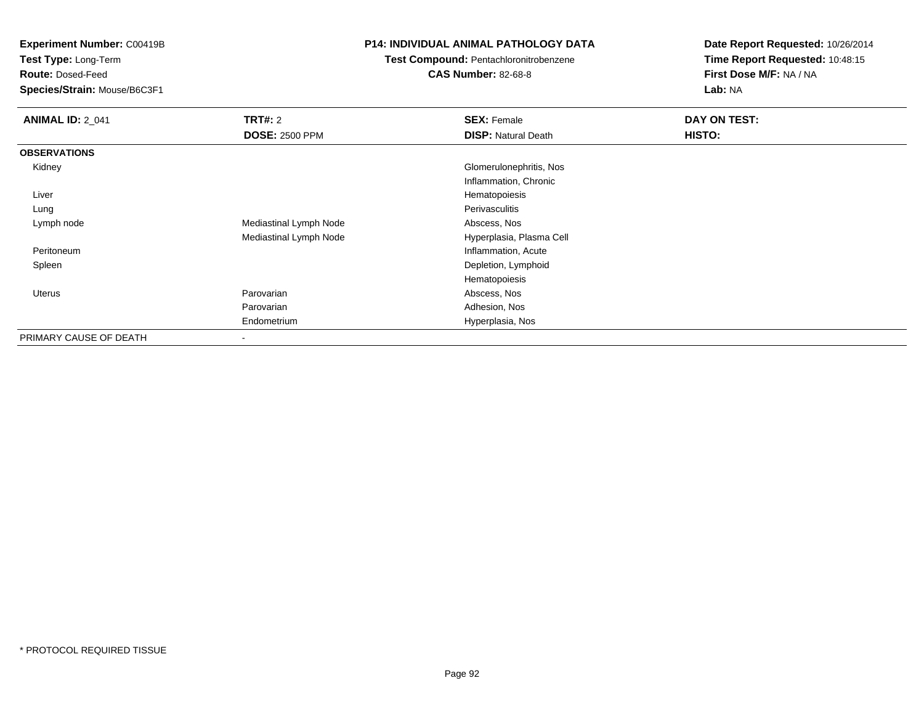**Test Type:** Long-Term

**Route:** Dosed-Feed

**Species/Strain:** Mouse/B6C3F1

### **P14: INDIVIDUAL ANIMAL PATHOLOGY DATA**

## **Test Compound:** Pentachloronitrobenzene

**CAS Number:** 82-68-8

| <b>ANIMAL ID: 2_041</b> | <b>TRT#:</b> 2         | <b>SEX: Female</b>         | DAY ON TEST: |
|-------------------------|------------------------|----------------------------|--------------|
|                         | <b>DOSE: 2500 PPM</b>  | <b>DISP:</b> Natural Death | HISTO:       |
| <b>OBSERVATIONS</b>     |                        |                            |              |
| Kidney                  |                        | Glomerulonephritis, Nos    |              |
|                         |                        | Inflammation, Chronic      |              |
| Liver                   |                        | Hematopoiesis              |              |
| Lung                    |                        | Perivasculitis             |              |
| Lymph node              | Mediastinal Lymph Node | Abscess, Nos               |              |
|                         | Mediastinal Lymph Node | Hyperplasia, Plasma Cell   |              |
| Peritoneum              |                        | Inflammation, Acute        |              |
| Spleen                  |                        | Depletion, Lymphoid        |              |
|                         |                        | Hematopoiesis              |              |
| <b>Uterus</b>           | Parovarian             | Abscess, Nos               |              |
|                         | Parovarian             | Adhesion, Nos              |              |
|                         | Endometrium            | Hyperplasia, Nos           |              |
| PRIMARY CAUSE OF DEATH  | ٠                      |                            |              |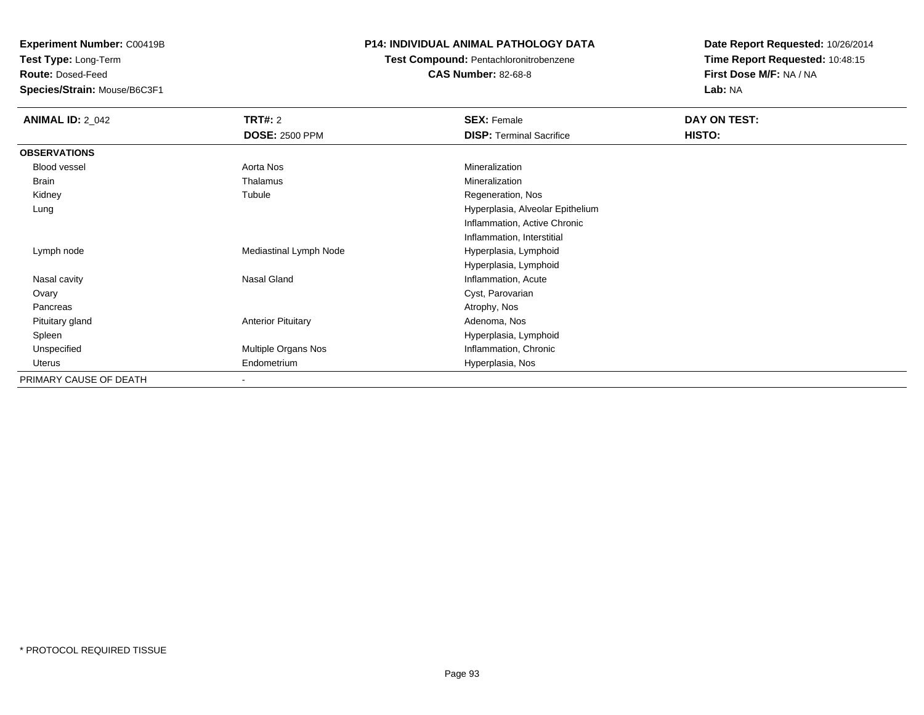**Test Type:** Long-Term

**Route:** Dosed-Feed

**Species/Strain:** Mouse/B6C3F1

### **P14: INDIVIDUAL ANIMAL PATHOLOGY DATA**

**Test Compound:** Pentachloronitrobenzene**CAS Number:** 82-68-8

| <b>ANIMAL ID: 2_042</b> | <b>TRT#: 2</b>            | <b>SEX: Female</b>               | DAY ON TEST: |  |
|-------------------------|---------------------------|----------------------------------|--------------|--|
|                         | <b>DOSE: 2500 PPM</b>     | <b>DISP: Terminal Sacrifice</b>  | HISTO:       |  |
| <b>OBSERVATIONS</b>     |                           |                                  |              |  |
| <b>Blood vessel</b>     | Aorta Nos                 | Mineralization                   |              |  |
| Brain                   | Thalamus                  | Mineralization                   |              |  |
| Kidney                  | Tubule                    | Regeneration, Nos                |              |  |
| Lung                    |                           | Hyperplasia, Alveolar Epithelium |              |  |
|                         |                           | Inflammation, Active Chronic     |              |  |
|                         |                           | Inflammation, Interstitial       |              |  |
| Lymph node              | Mediastinal Lymph Node    | Hyperplasia, Lymphoid            |              |  |
|                         |                           | Hyperplasia, Lymphoid            |              |  |
| Nasal cavity            | Nasal Gland               | Inflammation, Acute              |              |  |
| Ovary                   |                           | Cyst, Parovarian                 |              |  |
| Pancreas                |                           | Atrophy, Nos                     |              |  |
| Pituitary gland         | <b>Anterior Pituitary</b> | Adenoma, Nos                     |              |  |
| Spleen                  |                           | Hyperplasia, Lymphoid            |              |  |
| Unspecified             | Multiple Organs Nos       | Inflammation, Chronic            |              |  |
| Uterus                  | Endometrium               | Hyperplasia, Nos                 |              |  |
| PRIMARY CAUSE OF DEATH  |                           |                                  |              |  |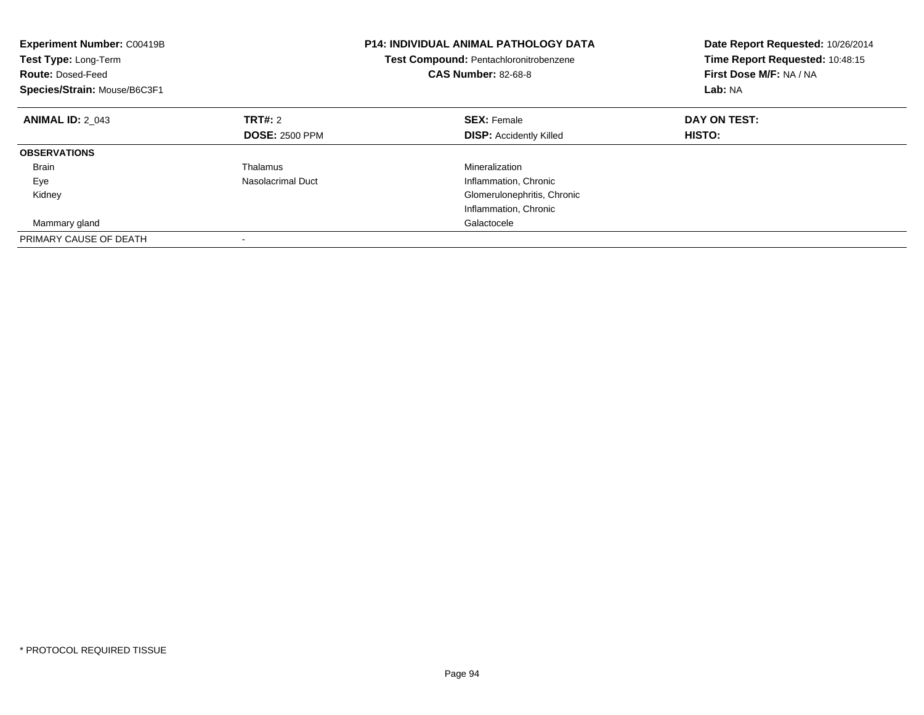| <b>Experiment Number: C00419B</b><br>Test Type: Long-Term<br><b>Route: Dosed-Feed</b><br>Species/Strain: Mouse/B6C3F1 |                       | <b>P14: INDIVIDUAL ANIMAL PATHOLOGY DATA</b><br>Test Compound: Pentachloronitrobenzene<br><b>CAS Number: 82-68-8</b> | Date Report Requested: 10/26/2014<br>Time Report Requested: 10:48:15<br>First Dose M/F: NA / NA<br>Lab: NA |
|-----------------------------------------------------------------------------------------------------------------------|-----------------------|----------------------------------------------------------------------------------------------------------------------|------------------------------------------------------------------------------------------------------------|
| <b>ANIMAL ID: 2 043</b>                                                                                               | TRT#: 2               | <b>SEX: Female</b>                                                                                                   | DAY ON TEST:                                                                                               |
|                                                                                                                       | <b>DOSE: 2500 PPM</b> | <b>DISP:</b> Accidently Killed                                                                                       | HISTO:                                                                                                     |
| <b>OBSERVATIONS</b>                                                                                                   |                       |                                                                                                                      |                                                                                                            |
| <b>Brain</b>                                                                                                          | Thalamus              | Mineralization                                                                                                       |                                                                                                            |
| Eye                                                                                                                   | Nasolacrimal Duct     | Inflammation, Chronic                                                                                                |                                                                                                            |
| Kidney                                                                                                                |                       | Glomerulonephritis, Chronic                                                                                          |                                                                                                            |
|                                                                                                                       |                       | Inflammation, Chronic                                                                                                |                                                                                                            |
| Mammary gland                                                                                                         |                       | Galactocele                                                                                                          |                                                                                                            |
| PRIMARY CAUSE OF DEATH                                                                                                |                       |                                                                                                                      |                                                                                                            |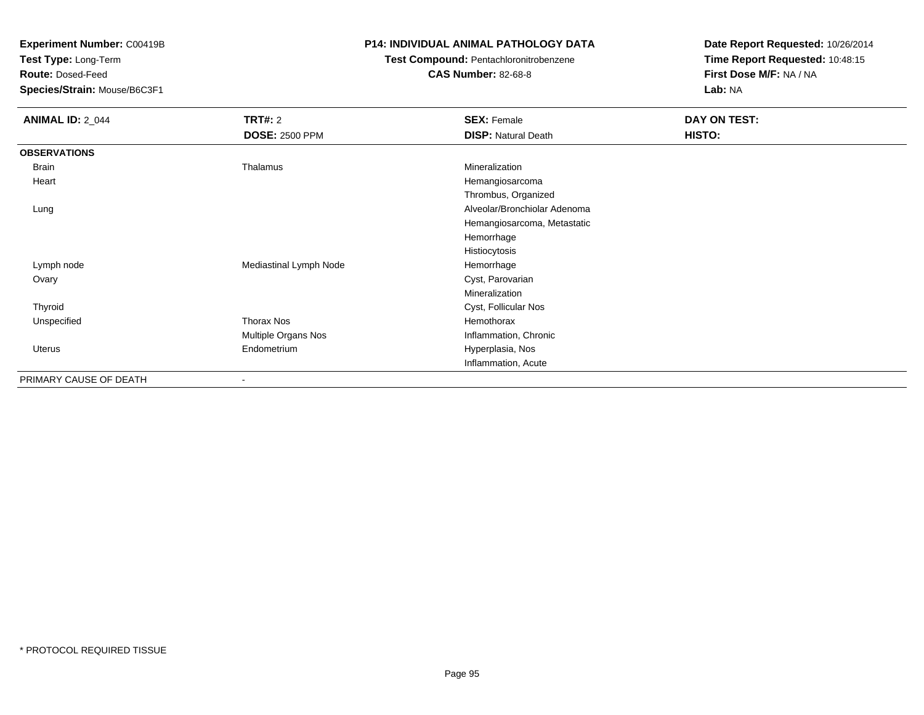**Test Type:** Long-Term

**Route:** Dosed-Feed

**Species/Strain:** Mouse/B6C3F1

### **P14: INDIVIDUAL ANIMAL PATHOLOGY DATA**

# **Test Compound:** Pentachloronitrobenzene

**CAS Number:** 82-68-8

| <b>ANIMAL ID: 2_044</b> | <b>TRT#: 2</b>         | <b>SEX: Female</b>           | DAY ON TEST: |  |
|-------------------------|------------------------|------------------------------|--------------|--|
|                         | <b>DOSE: 2500 PPM</b>  | <b>DISP: Natural Death</b>   | HISTO:       |  |
| <b>OBSERVATIONS</b>     |                        |                              |              |  |
| Brain                   | Thalamus               | Mineralization               |              |  |
| Heart                   |                        | Hemangiosarcoma              |              |  |
|                         |                        | Thrombus, Organized          |              |  |
| Lung                    |                        | Alveolar/Bronchiolar Adenoma |              |  |
|                         |                        | Hemangiosarcoma, Metastatic  |              |  |
|                         |                        | Hemorrhage                   |              |  |
|                         |                        | Histiocytosis                |              |  |
| Lymph node              | Mediastinal Lymph Node | Hemorrhage                   |              |  |
| Ovary                   |                        | Cyst, Parovarian             |              |  |
|                         |                        | Mineralization               |              |  |
| Thyroid                 |                        | Cyst, Follicular Nos         |              |  |
| Unspecified             | <b>Thorax Nos</b>      | Hemothorax                   |              |  |
|                         | Multiple Organs Nos    | Inflammation, Chronic        |              |  |
| <b>Uterus</b>           | Endometrium            | Hyperplasia, Nos             |              |  |
|                         |                        | Inflammation, Acute          |              |  |
| PRIMARY CAUSE OF DEATH  |                        |                              |              |  |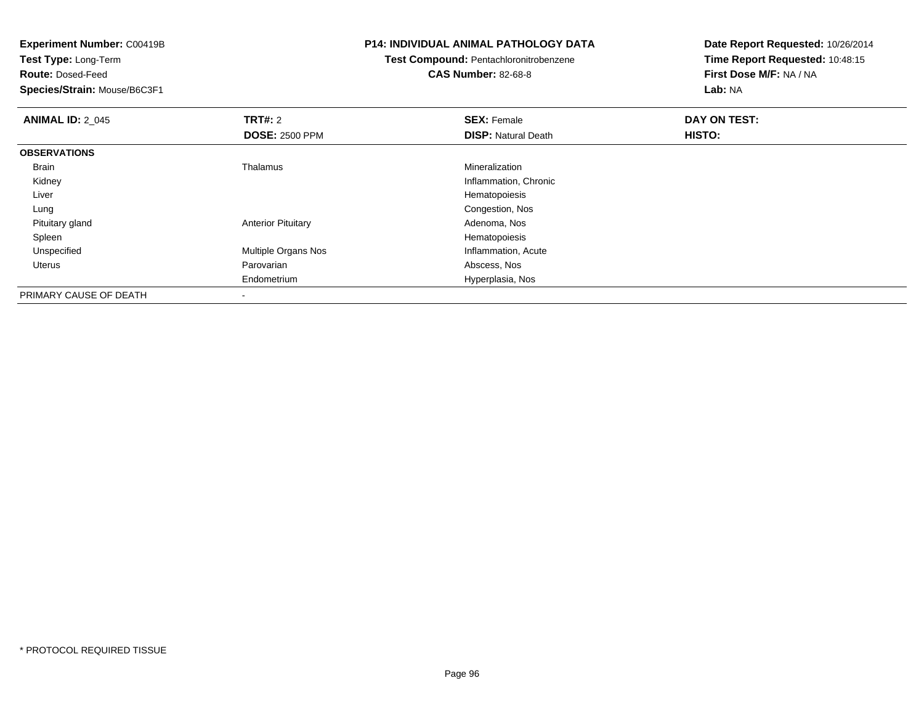**Experiment Number:** C00419B**Test Type:** Long-Term**Route:** Dosed-Feed **Species/Strain:** Mouse/B6C3F1**P14: INDIVIDUAL ANIMAL PATHOLOGY DATATest Compound:** Pentachloronitrobenzene**CAS Number:** 82-68-8**Date Report Requested:** 10/26/2014**Time Report Requested:** 10:48:15**First Dose M/F:** NA / NA**Lab:** NA**ANIMAL ID: 2 045 TRT#:** 2 **SEX:** Female **DAY ON TEST: DOSE:** 2500 PPM**DISP:** Natural Death **HISTO: OBSERVATIONS** Brain Thalamus Mineralization Kidney Inflammation, Chronic Liver Hematopoiesis Congestion, Nos Lung Pituitary glandAnterior Pituitary **Adenoma, Nosting Adenoma, Nosting Adenoma**, Nosting Adenoma, Nosting Adenoma, Nosting Adenoma, Nosting Adenoma, Nosting Adenoma, Nosting Adenoma, Nosting Adenoma, Nosting Adenoma, Nosting Adenoma, Nosti Spleenn and the state of the state of the state of the state of the state of the state of the state of the state of the state of the state of the state of the state of the state of the state of the state of the state of the stat UnspecifiedMultiple Organs Nos **Inflammation**, Acute Uterus Parovarian Abscess, Nos Endometrium Hyperplasia, Nos PRIMARY CAUSE OF DEATH-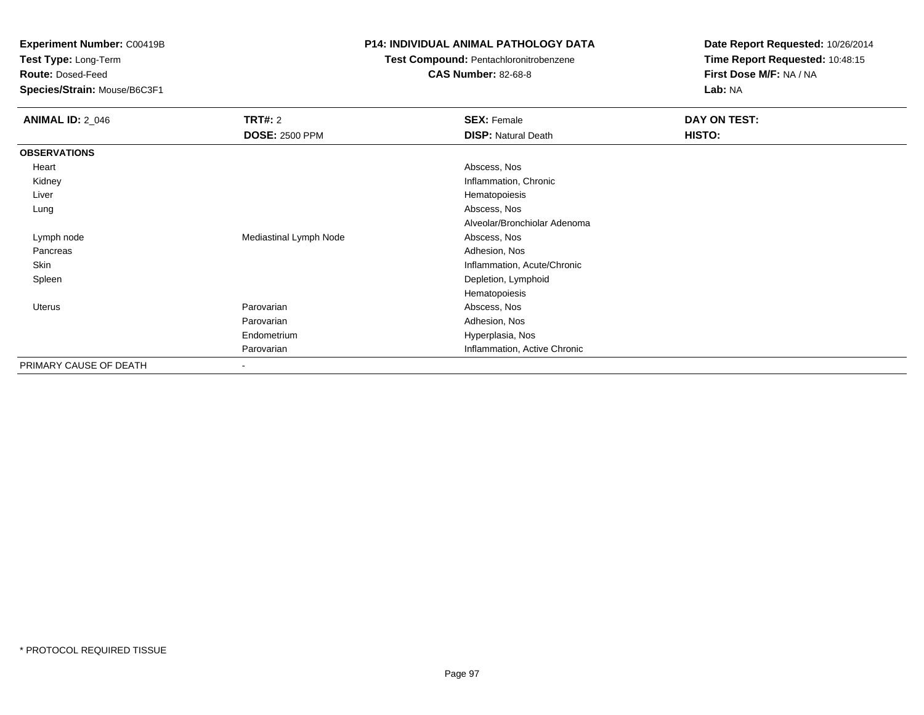**Test Type:** Long-Term

**Route:** Dosed-Feed

**Species/Strain:** Mouse/B6C3F1

### **P14: INDIVIDUAL ANIMAL PATHOLOGY DATA**

## **Test Compound:** Pentachloronitrobenzene

**CAS Number:** 82-68-8

| <b>ANIMAL ID: 2_046</b> | <b>TRT#: 2</b>           | <b>SEX: Female</b>           | DAY ON TEST: |  |
|-------------------------|--------------------------|------------------------------|--------------|--|
|                         | <b>DOSE: 2500 PPM</b>    | <b>DISP: Natural Death</b>   | HISTO:       |  |
| <b>OBSERVATIONS</b>     |                          |                              |              |  |
| Heart                   |                          | Abscess, Nos                 |              |  |
| Kidney                  |                          | Inflammation, Chronic        |              |  |
| Liver                   |                          | Hematopoiesis                |              |  |
| Lung                    |                          | Abscess, Nos                 |              |  |
|                         |                          | Alveolar/Bronchiolar Adenoma |              |  |
| Lymph node              | Mediastinal Lymph Node   | Abscess, Nos                 |              |  |
| Pancreas                |                          | Adhesion, Nos                |              |  |
| Skin                    |                          | Inflammation, Acute/Chronic  |              |  |
| Spleen                  |                          | Depletion, Lymphoid          |              |  |
|                         |                          | Hematopoiesis                |              |  |
| Uterus                  | Parovarian               | Abscess, Nos                 |              |  |
|                         | Parovarian               | Adhesion, Nos                |              |  |
|                         | Endometrium              | Hyperplasia, Nos             |              |  |
|                         | Parovarian               | Inflammation, Active Chronic |              |  |
| PRIMARY CAUSE OF DEATH  | $\overline{\phantom{a}}$ |                              |              |  |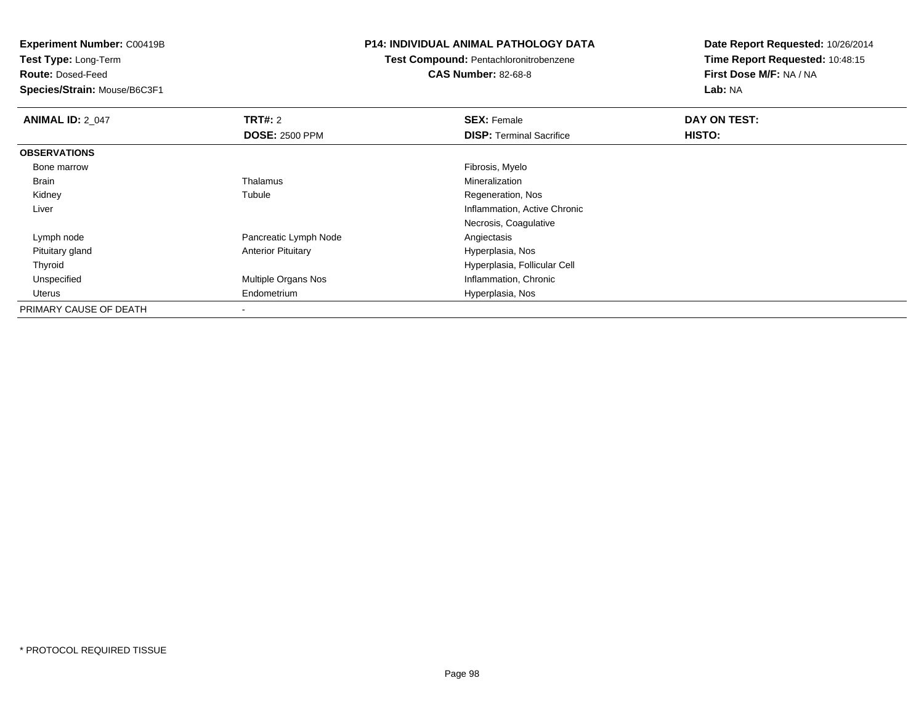**Test Type:** Long-Term

**Route:** Dosed-Feed

**Species/Strain:** Mouse/B6C3F1

#### **P14: INDIVIDUAL ANIMAL PATHOLOGY DATA**

# **Test Compound:** Pentachloronitrobenzene

**CAS Number:** 82-68-8

| <b>ANIMAL ID: 2 047</b> | TRT#: 2                    | <b>SEX: Female</b>              | DAY ON TEST: |  |
|-------------------------|----------------------------|---------------------------------|--------------|--|
|                         | <b>DOSE: 2500 PPM</b>      | <b>DISP: Terminal Sacrifice</b> | HISTO:       |  |
| <b>OBSERVATIONS</b>     |                            |                                 |              |  |
| Bone marrow             |                            | Fibrosis, Myelo                 |              |  |
| Brain                   | Thalamus                   | Mineralization                  |              |  |
| Kidney                  | Tubule                     | Regeneration, Nos               |              |  |
| Liver                   |                            | Inflammation, Active Chronic    |              |  |
|                         |                            | Necrosis, Coagulative           |              |  |
| Lymph node              | Pancreatic Lymph Node      | Angiectasis                     |              |  |
| Pituitary gland         | <b>Anterior Pituitary</b>  | Hyperplasia, Nos                |              |  |
| Thyroid                 |                            | Hyperplasia, Follicular Cell    |              |  |
| Unspecified             | <b>Multiple Organs Nos</b> | Inflammation, Chronic           |              |  |
| Uterus                  | Endometrium                | Hyperplasia, Nos                |              |  |
| PRIMARY CAUSE OF DEATH  | $\overline{\phantom{a}}$   |                                 |              |  |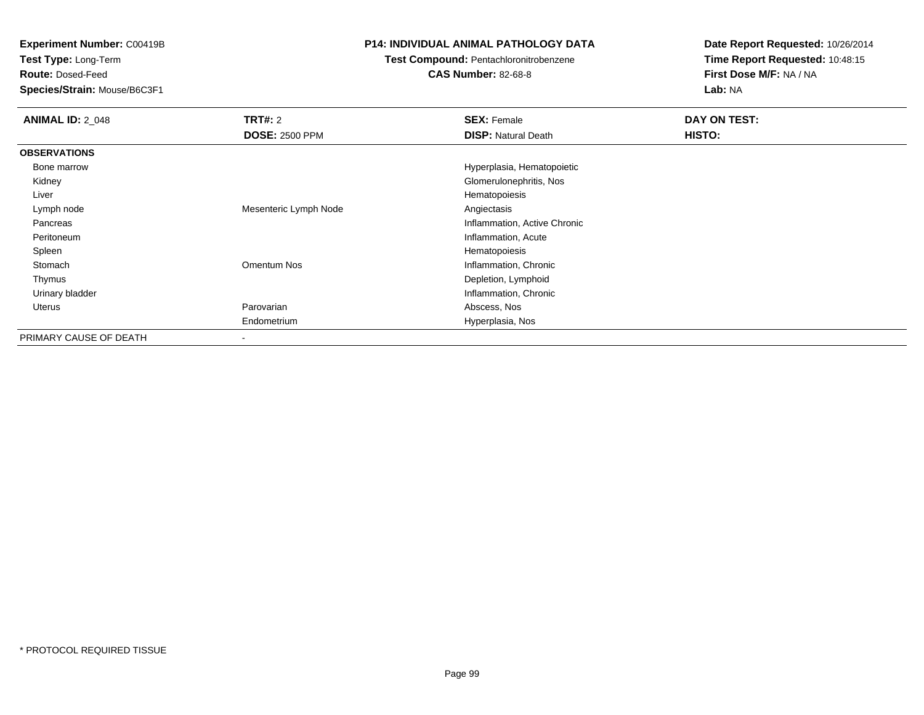**Test Type:** Long-Term

**Route:** Dosed-Feed

**Species/Strain:** Mouse/B6C3F1

### **P14: INDIVIDUAL ANIMAL PATHOLOGY DATA**

### **Test Compound:** Pentachloronitrobenzene

**CAS Number:** 82-68-8

| <b>ANIMAL ID: 2 048</b> | <b>TRT#: 2</b>        | <b>SEX: Female</b>           | DAY ON TEST: |
|-------------------------|-----------------------|------------------------------|--------------|
|                         | <b>DOSE: 2500 PPM</b> | <b>DISP: Natural Death</b>   | HISTO:       |
| <b>OBSERVATIONS</b>     |                       |                              |              |
| Bone marrow             |                       | Hyperplasia, Hematopoietic   |              |
| Kidney                  |                       | Glomerulonephritis, Nos      |              |
| Liver                   |                       | Hematopoiesis                |              |
| Lymph node              | Mesenteric Lymph Node | Angiectasis                  |              |
| Pancreas                |                       | Inflammation, Active Chronic |              |
| Peritoneum              |                       | Inflammation, Acute          |              |
| Spleen                  |                       | Hematopoiesis                |              |
| Stomach                 | Omentum Nos           | Inflammation, Chronic        |              |
| Thymus                  |                       | Depletion, Lymphoid          |              |
| Urinary bladder         |                       | Inflammation, Chronic        |              |
| Uterus                  | Parovarian            | Abscess, Nos                 |              |
|                         | Endometrium           | Hyperplasia, Nos             |              |
| PRIMARY CAUSE OF DEATH  |                       |                              |              |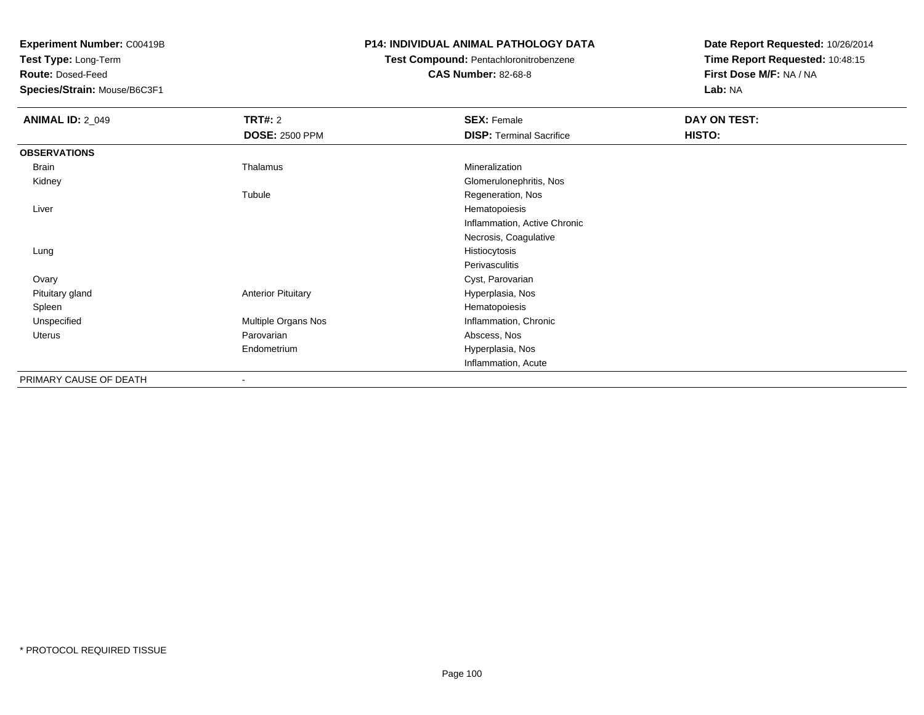**Test Type:** Long-Term

**Route:** Dosed-Feed

**Species/Strain:** Mouse/B6C3F1

### **P14: INDIVIDUAL ANIMAL PATHOLOGY DATA**

## **Test Compound:** Pentachloronitrobenzene

**CAS Number:** 82-68-8

| <b>ANIMAL ID: 2_049</b> | <b>TRT#: 2</b>            | <b>SEX: Female</b>              | DAY ON TEST: |
|-------------------------|---------------------------|---------------------------------|--------------|
|                         | <b>DOSE: 2500 PPM</b>     | <b>DISP: Terminal Sacrifice</b> | HISTO:       |
| <b>OBSERVATIONS</b>     |                           |                                 |              |
| <b>Brain</b>            | Thalamus                  | Mineralization                  |              |
| Kidney                  |                           | Glomerulonephritis, Nos         |              |
|                         | Tubule                    | Regeneration, Nos               |              |
| Liver                   |                           | Hematopoiesis                   |              |
|                         |                           | Inflammation, Active Chronic    |              |
|                         |                           | Necrosis, Coagulative           |              |
| Lung                    |                           | Histiocytosis                   |              |
|                         |                           | Perivasculitis                  |              |
| Ovary                   |                           | Cyst, Parovarian                |              |
| Pituitary gland         | <b>Anterior Pituitary</b> | Hyperplasia, Nos                |              |
| Spleen                  |                           | Hematopoiesis                   |              |
| Unspecified             | Multiple Organs Nos       | Inflammation, Chronic           |              |
| Uterus                  | Parovarian                | Abscess, Nos                    |              |
|                         | Endometrium               | Hyperplasia, Nos                |              |
|                         |                           | Inflammation, Acute             |              |
| PRIMARY CAUSE OF DEATH  | $\blacksquare$            |                                 |              |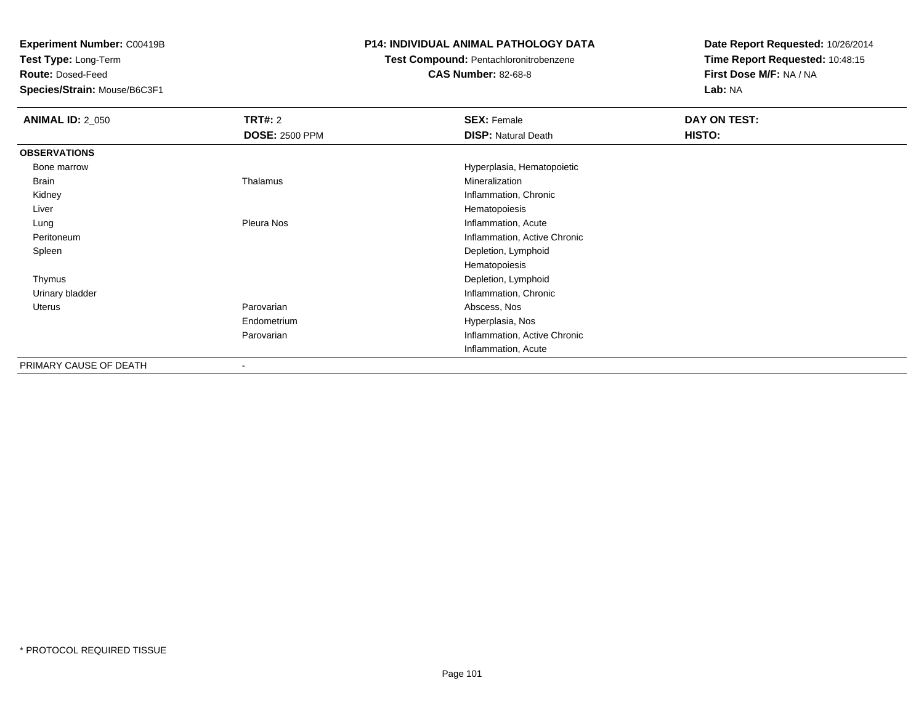**Test Type:** Long-Term

**Route:** Dosed-Feed

**Species/Strain:** Mouse/B6C3F1

### **P14: INDIVIDUAL ANIMAL PATHOLOGY DATA**

## **Test Compound:** Pentachloronitrobenzene

**CAS Number:** 82-68-8

| <b>ANIMAL ID: 2_050</b> | <b>TRT#: 2</b>           | <b>SEX: Female</b>           | DAY ON TEST: |
|-------------------------|--------------------------|------------------------------|--------------|
|                         | <b>DOSE: 2500 PPM</b>    | <b>DISP: Natural Death</b>   | HISTO:       |
| <b>OBSERVATIONS</b>     |                          |                              |              |
| Bone marrow             |                          | Hyperplasia, Hematopoietic   |              |
| Brain                   | Thalamus                 | Mineralization               |              |
| Kidney                  |                          | Inflammation, Chronic        |              |
| Liver                   |                          | Hematopoiesis                |              |
| Lung                    | Pleura Nos               | Inflammation, Acute          |              |
| Peritoneum              |                          | Inflammation, Active Chronic |              |
| Spleen                  |                          | Depletion, Lymphoid          |              |
|                         |                          | Hematopoiesis                |              |
| Thymus                  |                          | Depletion, Lymphoid          |              |
| Urinary bladder         |                          | Inflammation, Chronic        |              |
| <b>Uterus</b>           | Parovarian               | Abscess, Nos                 |              |
|                         | Endometrium              | Hyperplasia, Nos             |              |
|                         | Parovarian               | Inflammation, Active Chronic |              |
|                         |                          | Inflammation, Acute          |              |
| PRIMARY CAUSE OF DEATH  | $\overline{\phantom{a}}$ |                              |              |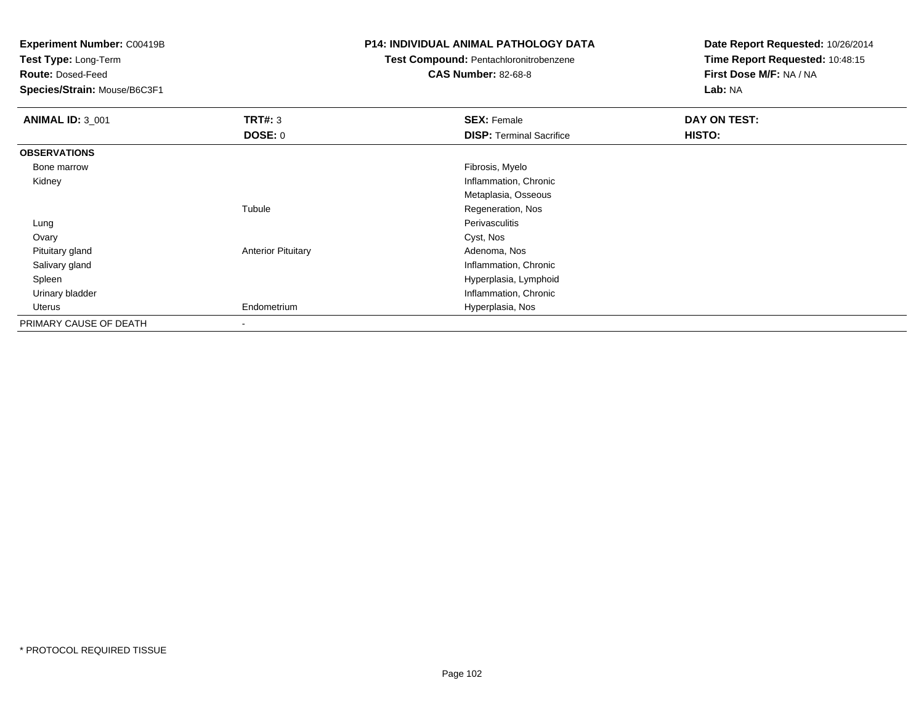**Test Type:** Long-Term

**Route:** Dosed-Feed

**Species/Strain:** Mouse/B6C3F1

### **P14: INDIVIDUAL ANIMAL PATHOLOGY DATA**

## **Test Compound:** Pentachloronitrobenzene

**CAS Number:** 82-68-8

| <b>ANIMAL ID: 3_001</b> | TRT#: 3                   | <b>SEX: Female</b>              | DAY ON TEST:  |
|-------------------------|---------------------------|---------------------------------|---------------|
|                         | <b>DOSE: 0</b>            | <b>DISP: Terminal Sacrifice</b> | <b>HISTO:</b> |
| <b>OBSERVATIONS</b>     |                           |                                 |               |
| Bone marrow             |                           | Fibrosis, Myelo                 |               |
| Kidney                  |                           | Inflammation, Chronic           |               |
|                         |                           | Metaplasia, Osseous             |               |
|                         | Tubule                    | Regeneration, Nos               |               |
| Lung                    |                           | Perivasculitis                  |               |
| Ovary                   |                           | Cyst, Nos                       |               |
| Pituitary gland         | <b>Anterior Pituitary</b> | Adenoma, Nos                    |               |
| Salivary gland          |                           | Inflammation, Chronic           |               |
| Spleen                  |                           | Hyperplasia, Lymphoid           |               |
| Urinary bladder         |                           | Inflammation, Chronic           |               |
| Uterus                  | Endometrium               | Hyperplasia, Nos                |               |
| PRIMARY CAUSE OF DEATH  | $\blacksquare$            |                                 |               |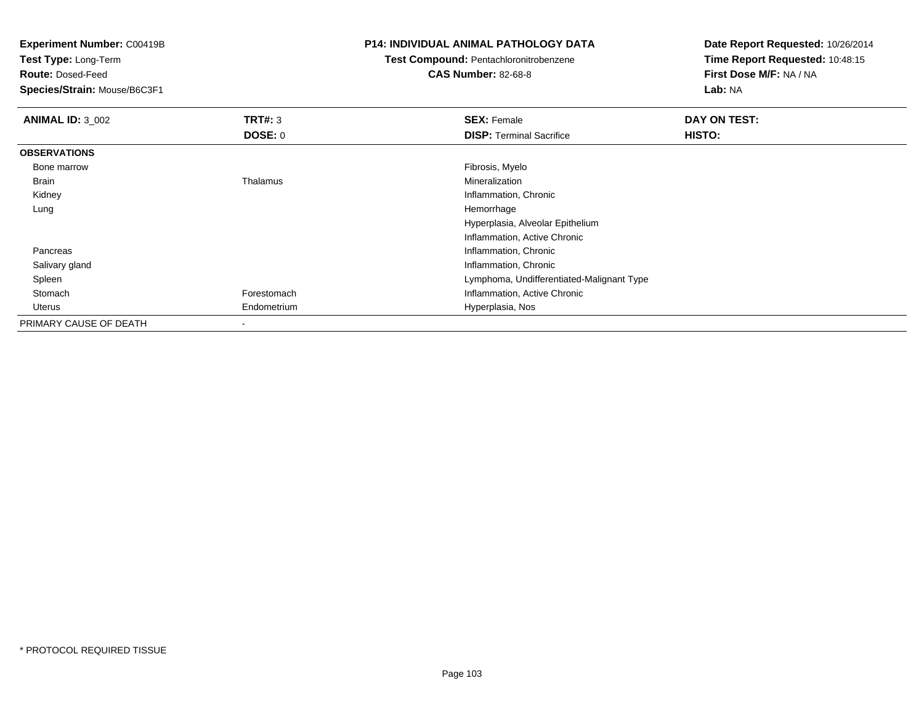**Test Type:** Long-Term

**Route:** Dosed-Feed

**Species/Strain:** Mouse/B6C3F1

### **P14: INDIVIDUAL ANIMAL PATHOLOGY DATA**

## **Test Compound:** Pentachloronitrobenzene

**CAS Number:** 82-68-8

| <b>ANIMAL ID: 3 002</b> | TRT#: 3        | <b>SEX: Female</b>                        | DAY ON TEST: |
|-------------------------|----------------|-------------------------------------------|--------------|
|                         | <b>DOSE: 0</b> | <b>DISP: Terminal Sacrifice</b>           | HISTO:       |
| <b>OBSERVATIONS</b>     |                |                                           |              |
| Bone marrow             |                | Fibrosis, Myelo                           |              |
| Brain                   | Thalamus       | Mineralization                            |              |
| Kidney                  |                | Inflammation, Chronic                     |              |
| Lung                    |                | Hemorrhage                                |              |
|                         |                | Hyperplasia, Alveolar Epithelium          |              |
|                         |                | Inflammation, Active Chronic              |              |
| Pancreas                |                | Inflammation, Chronic                     |              |
| Salivary gland          |                | Inflammation, Chronic                     |              |
| Spleen                  |                | Lymphoma, Undifferentiated-Malignant Type |              |
| Stomach                 | Forestomach    | Inflammation, Active Chronic              |              |
| Uterus                  | Endometrium    | Hyperplasia, Nos                          |              |
| PRIMARY CAUSE OF DEATH  | $\,$           |                                           |              |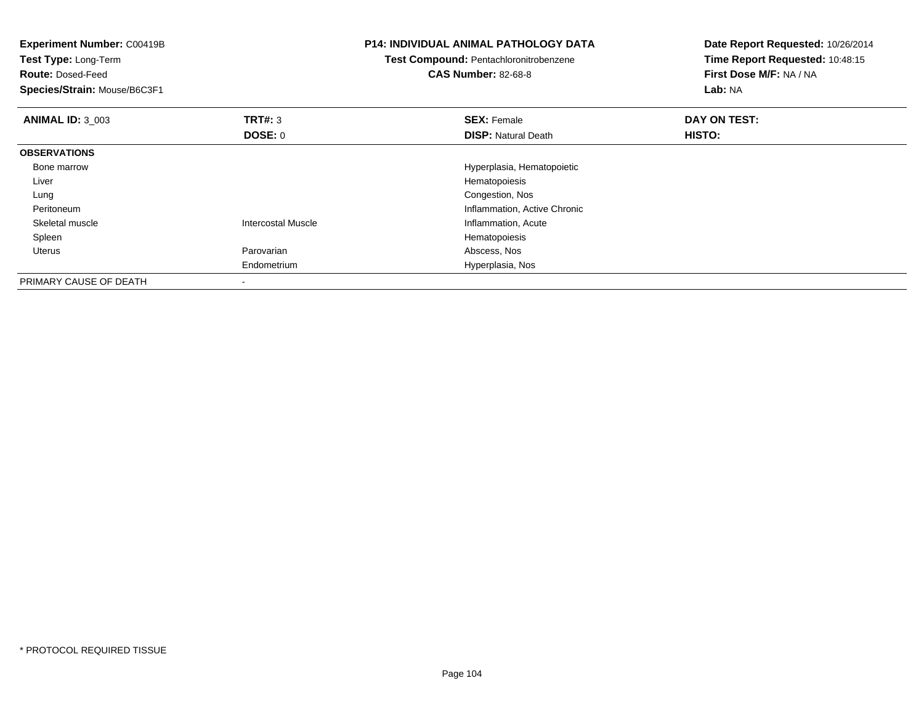| <b>Experiment Number: C00419B</b><br>Test Type: Long-Term<br><b>Route: Dosed-Feed</b><br>Species/Strain: Mouse/B6C3F1 |                           | <b>P14: INDIVIDUAL ANIMAL PATHOLOGY DATA</b><br>Test Compound: Pentachloronitrobenzene<br><b>CAS Number: 82-68-8</b> | Date Report Requested: 10/26/2014<br>Time Report Requested: 10:48:15<br>First Dose M/F: NA / NA<br>Lab: NA |
|-----------------------------------------------------------------------------------------------------------------------|---------------------------|----------------------------------------------------------------------------------------------------------------------|------------------------------------------------------------------------------------------------------------|
| <b>ANIMAL ID: 3 003</b>                                                                                               | <b>TRT#:</b> 3            | <b>SEX: Female</b>                                                                                                   | DAY ON TEST:                                                                                               |
|                                                                                                                       | DOSE: 0                   | <b>DISP: Natural Death</b>                                                                                           | HISTO:                                                                                                     |
| <b>OBSERVATIONS</b>                                                                                                   |                           |                                                                                                                      |                                                                                                            |
| Bone marrow                                                                                                           |                           | Hyperplasia, Hematopoietic                                                                                           |                                                                                                            |
| Liver                                                                                                                 |                           | Hematopoiesis                                                                                                        |                                                                                                            |
| Lung                                                                                                                  |                           | Congestion, Nos                                                                                                      |                                                                                                            |
| Peritoneum                                                                                                            |                           | Inflammation, Active Chronic                                                                                         |                                                                                                            |
| Skeletal muscle                                                                                                       | <b>Intercostal Muscle</b> | Inflammation, Acute                                                                                                  |                                                                                                            |
| Spleen                                                                                                                |                           | Hematopoiesis                                                                                                        |                                                                                                            |
| <b>Uterus</b>                                                                                                         | Parovarian                | Abscess, Nos                                                                                                         |                                                                                                            |
|                                                                                                                       | Endometrium               | Hyperplasia, Nos                                                                                                     |                                                                                                            |
| PRIMARY CAUSE OF DEATH                                                                                                |                           |                                                                                                                      |                                                                                                            |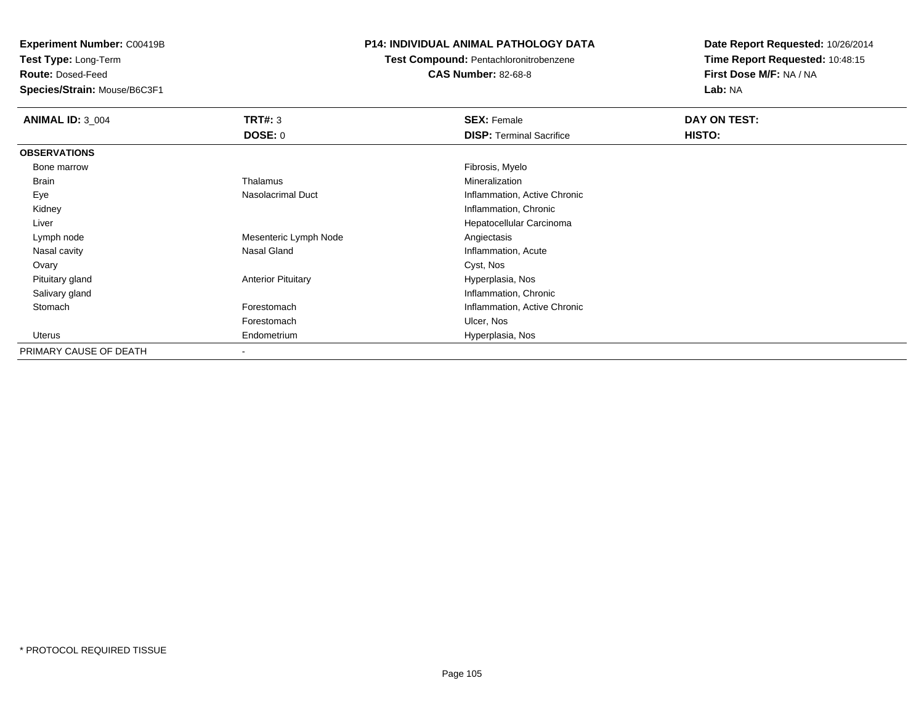**Test Type:** Long-Term

**Route:** Dosed-Feed

**Species/Strain:** Mouse/B6C3F1

### **P14: INDIVIDUAL ANIMAL PATHOLOGY DATA**

# **Test Compound:** Pentachloronitrobenzene

**CAS Number:** 82-68-8

| <b>ANIMAL ID: 3 004</b> | <b>TRT#: 3</b>            | <b>SEX: Female</b>              | DAY ON TEST: |
|-------------------------|---------------------------|---------------------------------|--------------|
|                         | <b>DOSE: 0</b>            | <b>DISP:</b> Terminal Sacrifice | HISTO:       |
| <b>OBSERVATIONS</b>     |                           |                                 |              |
| Bone marrow             |                           | Fibrosis, Myelo                 |              |
| <b>Brain</b>            | Thalamus                  | Mineralization                  |              |
| Eye                     | Nasolacrimal Duct         | Inflammation, Active Chronic    |              |
| Kidney                  |                           | Inflammation, Chronic           |              |
| Liver                   |                           | Hepatocellular Carcinoma        |              |
| Lymph node              | Mesenteric Lymph Node     | Angiectasis                     |              |
| Nasal cavity            | Nasal Gland               | Inflammation, Acute             |              |
| Ovary                   |                           | Cyst, Nos                       |              |
| Pituitary gland         | <b>Anterior Pituitary</b> | Hyperplasia, Nos                |              |
| Salivary gland          |                           | Inflammation, Chronic           |              |
| Stomach                 | Forestomach               | Inflammation, Active Chronic    |              |
|                         | Forestomach               | Ulcer, Nos                      |              |
| Uterus                  | Endometrium               | Hyperplasia, Nos                |              |
| PRIMARY CAUSE OF DEATH  |                           |                                 |              |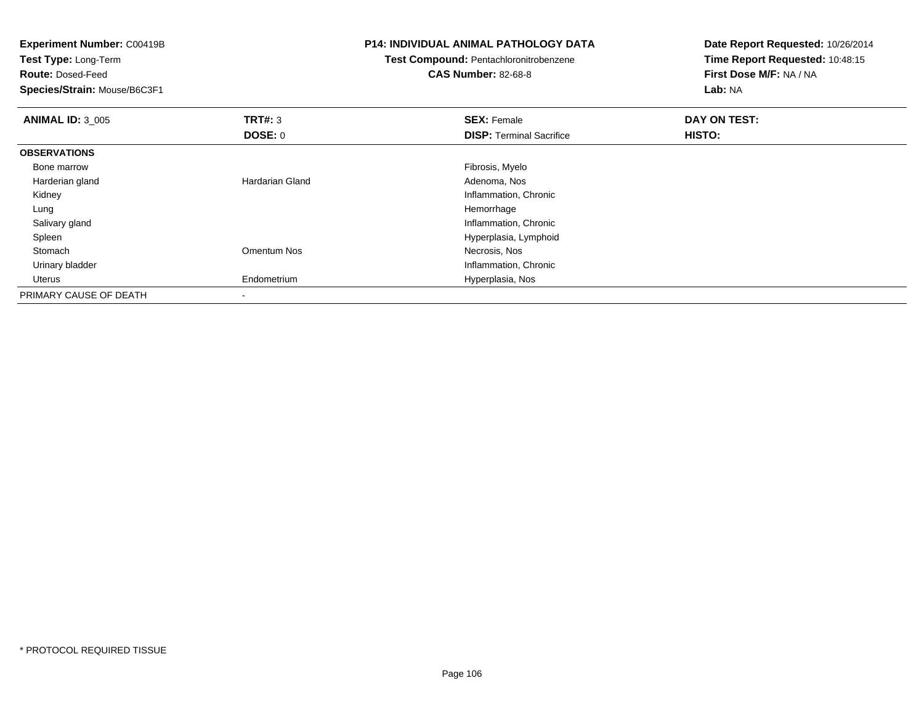| <b>Experiment Number: C00419B</b><br>Test Type: Long-Term |                        | <b>P14: INDIVIDUAL ANIMAL PATHOLOGY DATA</b> | Date Report Requested: 10/26/2014<br>Time Report Requested: 10:48:15 |
|-----------------------------------------------------------|------------------------|----------------------------------------------|----------------------------------------------------------------------|
|                                                           |                        | Test Compound: Pentachloronitrobenzene       |                                                                      |
| <b>Route: Dosed-Feed</b>                                  |                        | <b>CAS Number: 82-68-8</b>                   | First Dose M/F: NA / NA                                              |
| Species/Strain: Mouse/B6C3F1                              |                        |                                              | Lab: NA                                                              |
| <b>ANIMAL ID: 3_005</b>                                   | <b>TRT#: 3</b>         | <b>SEX: Female</b>                           | DAY ON TEST:                                                         |
|                                                           | <b>DOSE: 0</b>         | <b>DISP:</b> Terminal Sacrifice              | HISTO:                                                               |
| <b>OBSERVATIONS</b>                                       |                        |                                              |                                                                      |
| Bone marrow                                               |                        | Fibrosis, Myelo                              |                                                                      |
| Harderian gland                                           | <b>Hardarian Gland</b> | Adenoma, Nos                                 |                                                                      |
| Kidney                                                    |                        | Inflammation, Chronic                        |                                                                      |
| Lung                                                      |                        | Hemorrhage                                   |                                                                      |
| Salivary gland                                            |                        | Inflammation, Chronic                        |                                                                      |
| Spleen                                                    |                        | Hyperplasia, Lymphoid                        |                                                                      |
| Stomach                                                   | Omentum Nos            | Necrosis, Nos                                |                                                                      |
| Urinary bladder                                           |                        | Inflammation, Chronic                        |                                                                      |
| Uterus                                                    | Endometrium            | Hyperplasia, Nos                             |                                                                      |
| PRIMARY CAUSE OF DEATH                                    |                        |                                              |                                                                      |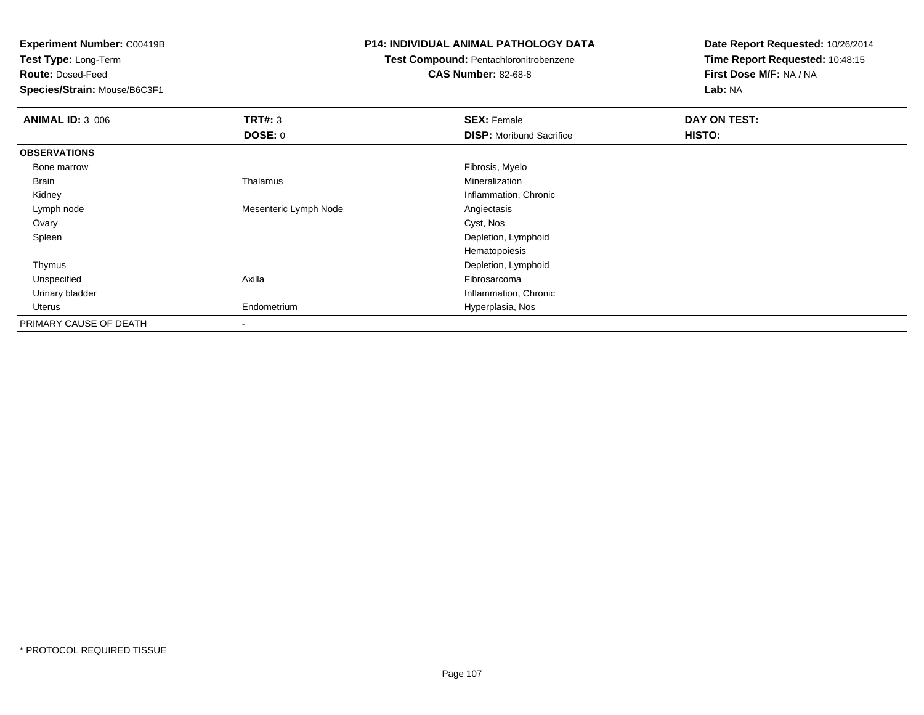**Test Type:** Long-Term

**Route:** Dosed-Feed

**Species/Strain:** Mouse/B6C3F1

### **P14: INDIVIDUAL ANIMAL PATHOLOGY DATA**

### **Test Compound:** Pentachloronitrobenzene

### **CAS Number:** 82-68-8

| <b>ANIMAL ID: 3_006</b> | TRT#: 3               | <b>SEX: Female</b>              | DAY ON TEST: |
|-------------------------|-----------------------|---------------------------------|--------------|
|                         | <b>DOSE: 0</b>        | <b>DISP:</b> Moribund Sacrifice | HISTO:       |
| <b>OBSERVATIONS</b>     |                       |                                 |              |
| Bone marrow             |                       | Fibrosis, Myelo                 |              |
| Brain                   | Thalamus              | Mineralization                  |              |
| Kidney                  |                       | Inflammation, Chronic           |              |
| Lymph node              | Mesenteric Lymph Node | Angiectasis                     |              |
| Ovary                   |                       | Cyst, Nos                       |              |
| Spleen                  |                       | Depletion, Lymphoid             |              |
|                         |                       | Hematopoiesis                   |              |
| Thymus                  |                       | Depletion, Lymphoid             |              |
| Unspecified             | Axilla                | Fibrosarcoma                    |              |
| Urinary bladder         |                       | Inflammation, Chronic           |              |
| Uterus                  | Endometrium           | Hyperplasia, Nos                |              |
| PRIMARY CAUSE OF DEATH  | $\blacksquare$        |                                 |              |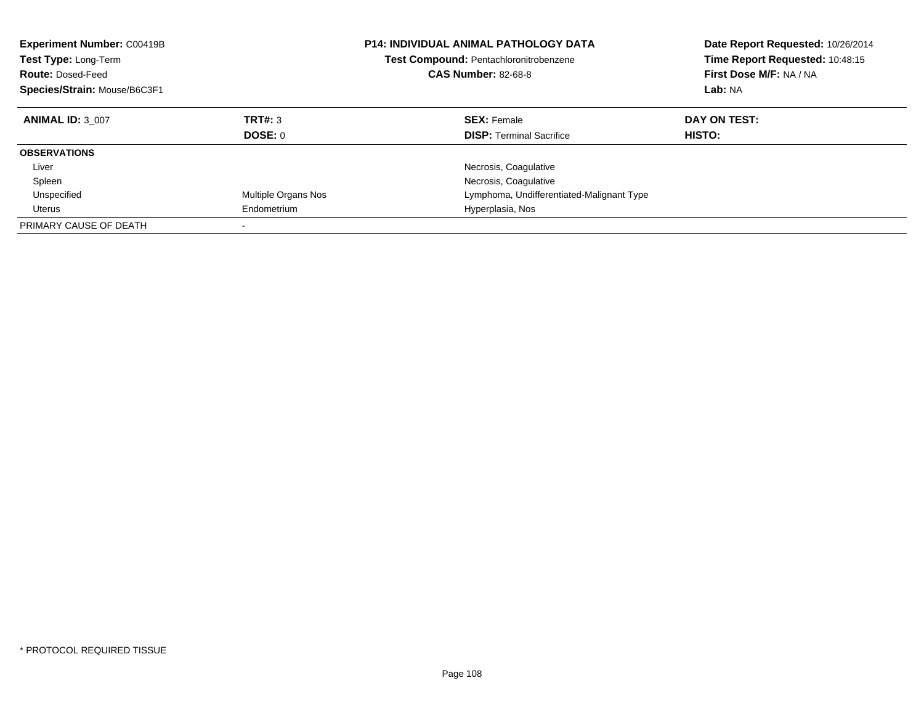| <b>Experiment Number: C00419B</b><br>Test Type: Long-Term<br><b>Route: Dosed-Feed</b><br>Species/Strain: Mouse/B6C3F1 |                     | <b>P14: INDIVIDUAL ANIMAL PATHOLOGY DATA</b><br><b>Test Compound: Pentachloronitrobenzene</b><br><b>CAS Number: 82-68-8</b> | Date Report Requested: 10/26/2014<br>Time Report Requested: 10:48:15<br>First Dose M/F: NA / NA<br>Lab: NA |
|-----------------------------------------------------------------------------------------------------------------------|---------------------|-----------------------------------------------------------------------------------------------------------------------------|------------------------------------------------------------------------------------------------------------|
| <b>ANIMAL ID: 3 007</b>                                                                                               | TRT#: 3             | <b>SEX: Female</b>                                                                                                          | DAY ON TEST:                                                                                               |
|                                                                                                                       | DOSE: 0             | <b>DISP:</b> Terminal Sacrifice                                                                                             | <b>HISTO:</b>                                                                                              |
| <b>OBSERVATIONS</b>                                                                                                   |                     |                                                                                                                             |                                                                                                            |
| Liver                                                                                                                 |                     | Necrosis, Coagulative                                                                                                       |                                                                                                            |
| Spleen                                                                                                                |                     | Necrosis, Coagulative                                                                                                       |                                                                                                            |
| Unspecified                                                                                                           | Multiple Organs Nos | Lymphoma, Undifferentiated-Malignant Type                                                                                   |                                                                                                            |
| Uterus                                                                                                                | Endometrium         | Hyperplasia, Nos                                                                                                            |                                                                                                            |
| PRIMARY CAUSE OF DEATH                                                                                                |                     |                                                                                                                             |                                                                                                            |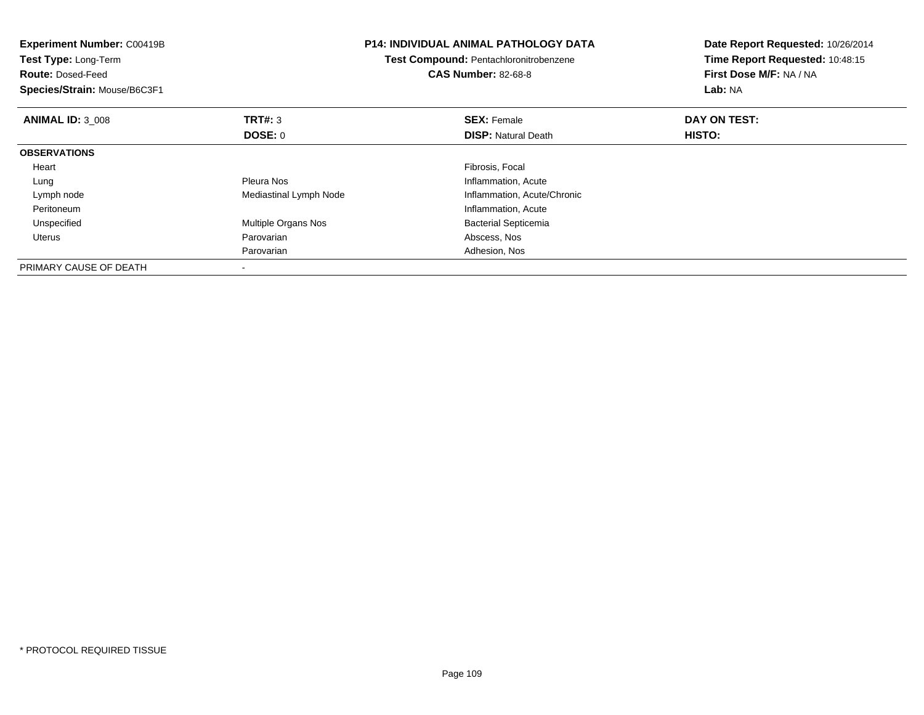| <b>Experiment Number: C00419B</b><br>Test Type: Long-Term<br><b>Route: Dosed-Feed</b><br>Species/Strain: Mouse/B6C3F1 |                        | <b>P14: INDIVIDUAL ANIMAL PATHOLOGY DATA</b><br>Test Compound: Pentachloronitrobenzene<br><b>CAS Number: 82-68-8</b> | Date Report Requested: 10/26/2014<br>Time Report Requested: 10:48:15<br>First Dose M/F: NA / NA<br>Lab: NA |
|-----------------------------------------------------------------------------------------------------------------------|------------------------|----------------------------------------------------------------------------------------------------------------------|------------------------------------------------------------------------------------------------------------|
| <b>ANIMAL ID: 3 008</b>                                                                                               | <b>TRT#: 3</b>         | <b>SEX: Female</b>                                                                                                   | DAY ON TEST:                                                                                               |
|                                                                                                                       | <b>DOSE: 0</b>         | <b>DISP: Natural Death</b>                                                                                           | HISTO:                                                                                                     |
| <b>OBSERVATIONS</b>                                                                                                   |                        |                                                                                                                      |                                                                                                            |
| Heart                                                                                                                 |                        | Fibrosis, Focal                                                                                                      |                                                                                                            |
| Lung                                                                                                                  | Pleura Nos             | Inflammation, Acute                                                                                                  |                                                                                                            |
| Lymph node                                                                                                            | Mediastinal Lymph Node | Inflammation, Acute/Chronic                                                                                          |                                                                                                            |
| Peritoneum                                                                                                            |                        | Inflammation, Acute                                                                                                  |                                                                                                            |
| Unspecified                                                                                                           | Multiple Organs Nos    | <b>Bacterial Septicemia</b>                                                                                          |                                                                                                            |
| Uterus                                                                                                                | Parovarian             | Abscess, Nos                                                                                                         |                                                                                                            |
|                                                                                                                       | Parovarian             | Adhesion, Nos                                                                                                        |                                                                                                            |
| PRIMARY CAUSE OF DEATH                                                                                                |                        |                                                                                                                      |                                                                                                            |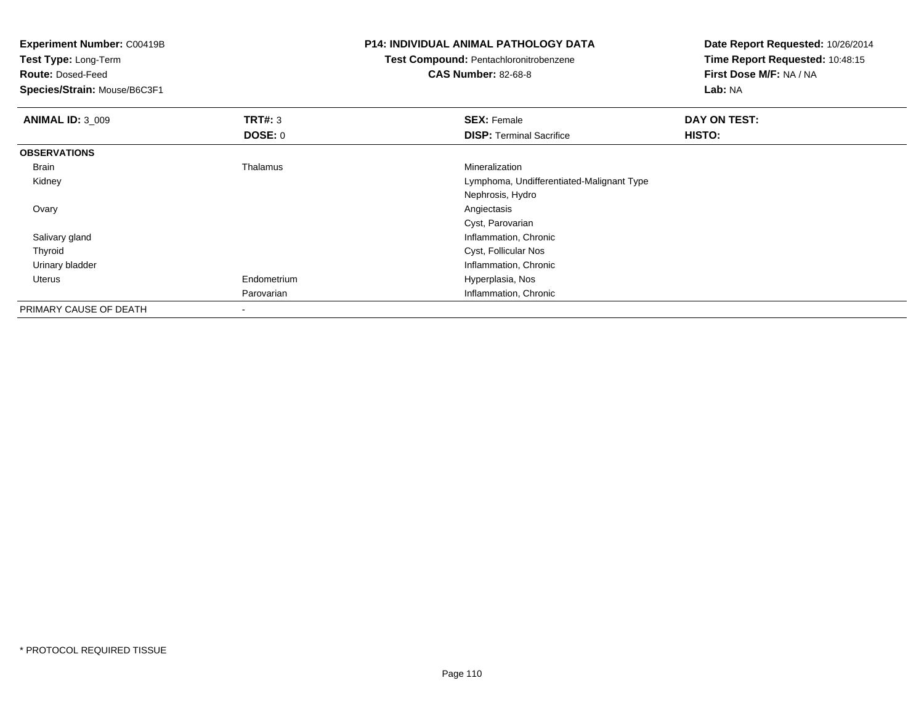| <b>Experiment Number: C00419B</b><br>Test Type: Long-Term |                | <b>P14: INDIVIDUAL ANIMAL PATHOLOGY DATA</b> | Date Report Requested: 10/26/2014<br>Time Report Requested: 10:48:15 |  |
|-----------------------------------------------------------|----------------|----------------------------------------------|----------------------------------------------------------------------|--|
|                                                           |                | Test Compound: Pentachloronitrobenzene       |                                                                      |  |
| <b>Route: Dosed-Feed</b>                                  |                | <b>CAS Number: 82-68-8</b>                   | First Dose M/F: NA / NA                                              |  |
| Species/Strain: Mouse/B6C3F1                              |                |                                              | Lab: NA                                                              |  |
| <b>ANIMAL ID: 3_009</b>                                   | TRT#: 3        | <b>SEX: Female</b>                           | DAY ON TEST:                                                         |  |
|                                                           | <b>DOSE: 0</b> | <b>DISP:</b> Terminal Sacrifice              | <b>HISTO:</b>                                                        |  |
| <b>OBSERVATIONS</b>                                       |                |                                              |                                                                      |  |
| Brain                                                     | Thalamus       | Mineralization                               |                                                                      |  |
| Kidney                                                    |                | Lymphoma, Undifferentiated-Malignant Type    |                                                                      |  |
|                                                           |                | Nephrosis, Hydro                             |                                                                      |  |
| Ovary                                                     |                | Angiectasis                                  |                                                                      |  |
|                                                           |                | Cyst, Parovarian                             |                                                                      |  |
| Salivary gland                                            |                | Inflammation, Chronic                        |                                                                      |  |
| Thyroid                                                   |                | Cyst, Follicular Nos                         |                                                                      |  |
| Urinary bladder                                           |                | Inflammation, Chronic                        |                                                                      |  |
| Uterus                                                    | Endometrium    | Hyperplasia, Nos                             |                                                                      |  |
|                                                           | Parovarian     | Inflammation, Chronic                        |                                                                      |  |
| PRIMARY CAUSE OF DEATH                                    |                |                                              |                                                                      |  |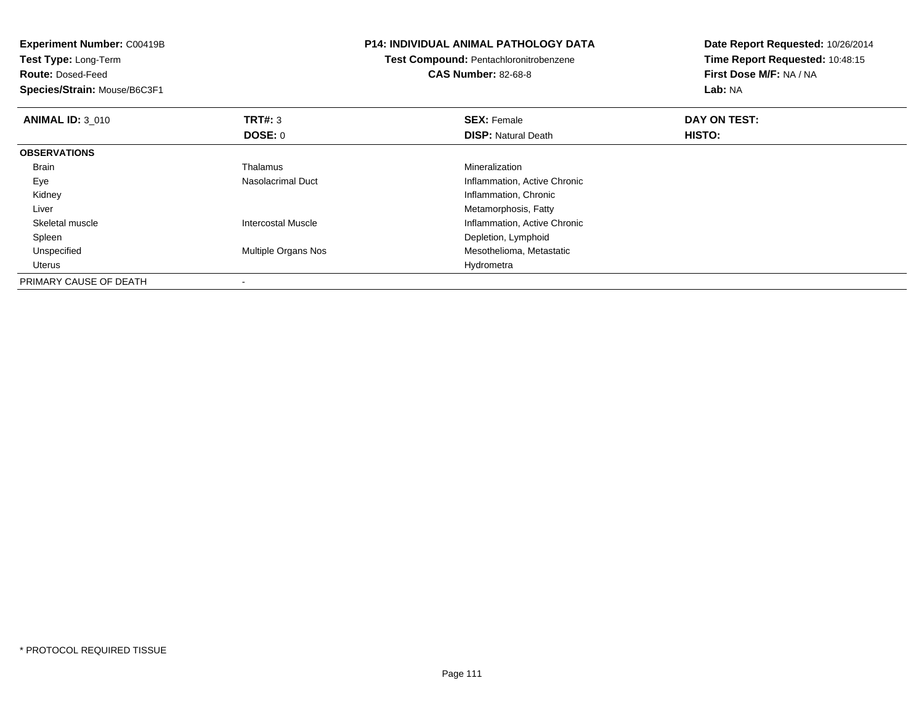| <b>Experiment Number: C00419B</b><br>Test Type: Long-Term |                           | P14: INDIVIDUAL ANIMAL PATHOLOGY DATA  | Date Report Requested: 10/26/2014 |
|-----------------------------------------------------------|---------------------------|----------------------------------------|-----------------------------------|
|                                                           |                           | Test Compound: Pentachloronitrobenzene | Time Report Requested: 10:48:15   |
| <b>Route: Dosed-Feed</b>                                  |                           | <b>CAS Number: 82-68-8</b>             | First Dose M/F: NA / NA           |
| Species/Strain: Mouse/B6C3F1                              |                           |                                        | Lab: NA                           |
| <b>ANIMAL ID: 3 010</b>                                   | TRT#: 3                   | <b>SEX: Female</b>                     | DAY ON TEST:                      |
|                                                           | <b>DOSE: 0</b>            | <b>DISP:</b> Natural Death             | HISTO:                            |
| <b>OBSERVATIONS</b>                                       |                           |                                        |                                   |
| <b>Brain</b>                                              | Thalamus                  | Mineralization                         |                                   |
| Eye                                                       | Nasolacrimal Duct         | Inflammation, Active Chronic           |                                   |
| Kidney                                                    |                           | Inflammation, Chronic                  |                                   |
| Liver                                                     |                           | Metamorphosis, Fatty                   |                                   |
| Skeletal muscle                                           | <b>Intercostal Muscle</b> | Inflammation, Active Chronic           |                                   |
| Spleen                                                    |                           | Depletion, Lymphoid                    |                                   |
| Unspecified                                               | Multiple Organs Nos       | Mesothelioma, Metastatic               |                                   |
| Uterus                                                    |                           | Hydrometra                             |                                   |
| PRIMARY CAUSE OF DEATH                                    |                           |                                        |                                   |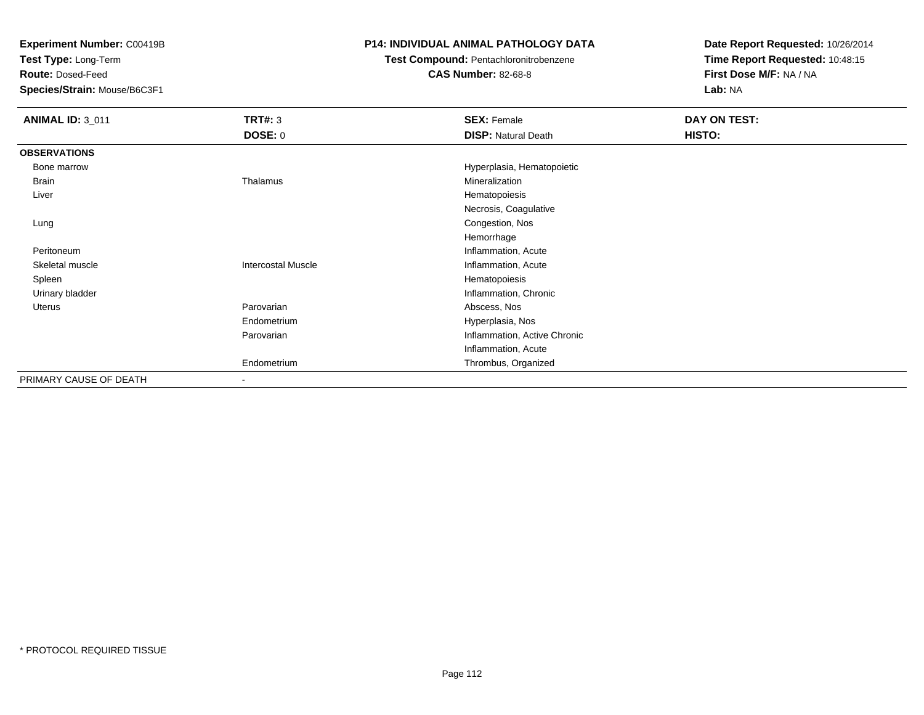**Test Type:** Long-Term

**Route:** Dosed-Feed

**Species/Strain:** Mouse/B6C3F1

## **P14: INDIVIDUAL ANIMAL PATHOLOGY DATA**

## **Test Compound:** Pentachloronitrobenzene

**CAS Number:** 82-68-8

| <b>ANIMAL ID: 3_011</b> | <b>TRT#: 3</b>            | <b>SEX: Female</b>           | DAY ON TEST: |  |
|-------------------------|---------------------------|------------------------------|--------------|--|
|                         | DOSE: 0                   | <b>DISP: Natural Death</b>   | HISTO:       |  |
| <b>OBSERVATIONS</b>     |                           |                              |              |  |
| Bone marrow             |                           | Hyperplasia, Hematopoietic   |              |  |
| Brain                   | Thalamus                  | Mineralization               |              |  |
| Liver                   |                           | Hematopoiesis                |              |  |
|                         |                           | Necrosis, Coagulative        |              |  |
| Lung                    |                           | Congestion, Nos              |              |  |
|                         |                           | Hemorrhage                   |              |  |
| Peritoneum              |                           | Inflammation, Acute          |              |  |
| Skeletal muscle         | <b>Intercostal Muscle</b> | Inflammation, Acute          |              |  |
| Spleen                  |                           | Hematopoiesis                |              |  |
| Urinary bladder         |                           | Inflammation, Chronic        |              |  |
| Uterus                  | Parovarian                | Abscess, Nos                 |              |  |
|                         | Endometrium               | Hyperplasia, Nos             |              |  |
|                         | Parovarian                | Inflammation, Active Chronic |              |  |
|                         |                           | Inflammation, Acute          |              |  |
|                         | Endometrium               | Thrombus, Organized          |              |  |
| PRIMARY CAUSE OF DEATH  | $\overline{\phantom{a}}$  |                              |              |  |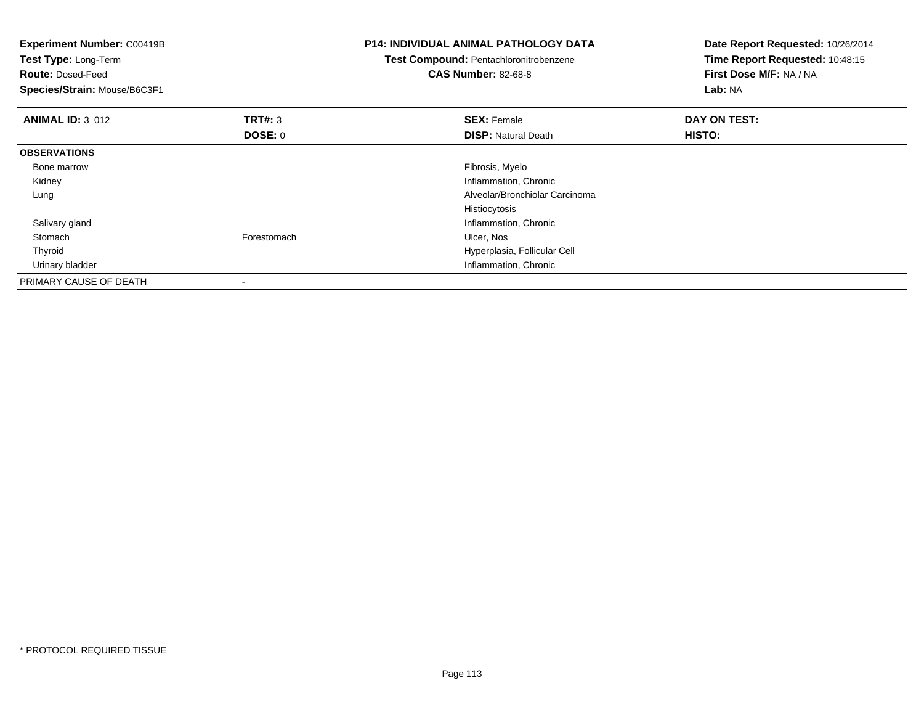| <b>Experiment Number: C00419B</b><br>Test Type: Long-Term<br><b>Route: Dosed-Feed</b><br>Species/Strain: Mouse/B6C3F1 |                          | <b>P14: INDIVIDUAL ANIMAL PATHOLOGY DATA</b><br>Test Compound: Pentachloronitrobenzene<br><b>CAS Number: 82-68-8</b> | Date Report Requested: 10/26/2014<br>Time Report Requested: 10:48:15<br>First Dose M/F: NA / NA<br>Lab: NA |  |
|-----------------------------------------------------------------------------------------------------------------------|--------------------------|----------------------------------------------------------------------------------------------------------------------|------------------------------------------------------------------------------------------------------------|--|
| <b>ANIMAL ID: 3 012</b>                                                                                               | <b>TRT#: 3</b>           | <b>SEX: Female</b>                                                                                                   | DAY ON TEST:                                                                                               |  |
|                                                                                                                       | DOSE: 0                  | <b>DISP: Natural Death</b>                                                                                           | HISTO:                                                                                                     |  |
| <b>OBSERVATIONS</b>                                                                                                   |                          |                                                                                                                      |                                                                                                            |  |
| Bone marrow                                                                                                           |                          | Fibrosis, Myelo                                                                                                      |                                                                                                            |  |
| Kidney                                                                                                                |                          | Inflammation, Chronic                                                                                                |                                                                                                            |  |
| Lung                                                                                                                  |                          | Alveolar/Bronchiolar Carcinoma                                                                                       |                                                                                                            |  |
|                                                                                                                       |                          | Histiocytosis                                                                                                        |                                                                                                            |  |
| Salivary gland                                                                                                        |                          | Inflammation, Chronic                                                                                                |                                                                                                            |  |
| Stomach                                                                                                               | Forestomach              | Ulcer, Nos                                                                                                           |                                                                                                            |  |
| Thyroid                                                                                                               |                          | Hyperplasia, Follicular Cell                                                                                         |                                                                                                            |  |
| Urinary bladder                                                                                                       |                          | Inflammation, Chronic                                                                                                |                                                                                                            |  |
| PRIMARY CAUSE OF DEATH                                                                                                | $\overline{\phantom{a}}$ |                                                                                                                      |                                                                                                            |  |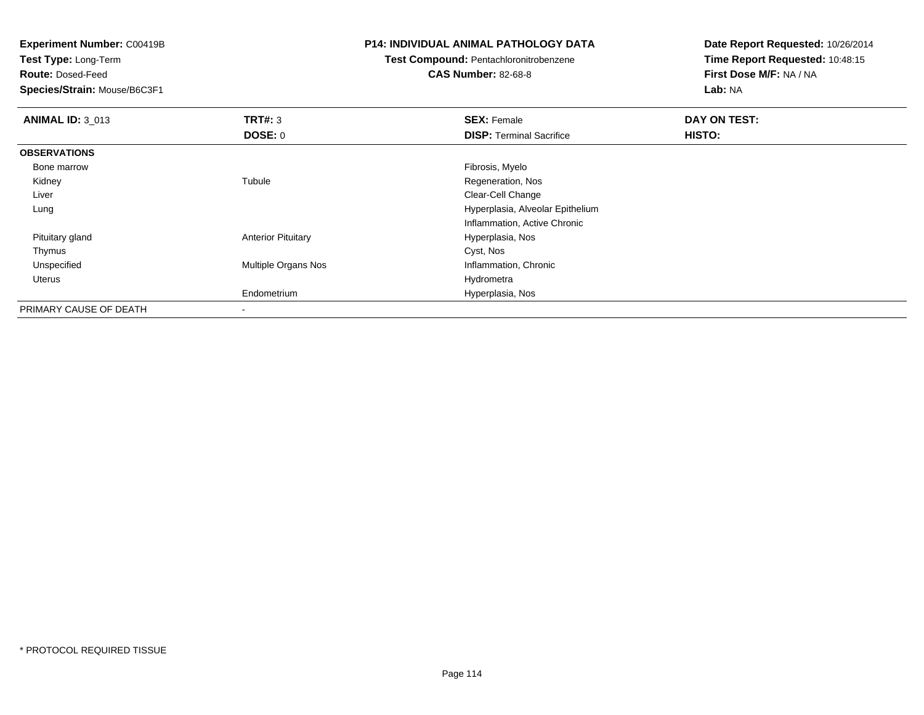**Test Type:** Long-Term

**Route:** Dosed-Feed

**Species/Strain:** Mouse/B6C3F1

### **P14: INDIVIDUAL ANIMAL PATHOLOGY DATA**

# **Test Compound:** Pentachloronitrobenzene

**CAS Number:** 82-68-8

| <b>ANIMAL ID: 3_013</b> | TRT#: 3                   | <b>SEX: Female</b>               | DAY ON TEST:  |  |
|-------------------------|---------------------------|----------------------------------|---------------|--|
|                         | DOSE: 0                   | <b>DISP: Terminal Sacrifice</b>  | <b>HISTO:</b> |  |
| <b>OBSERVATIONS</b>     |                           |                                  |               |  |
| Bone marrow             |                           | Fibrosis, Myelo                  |               |  |
| Kidney                  | Tubule                    | Regeneration, Nos                |               |  |
| Liver                   |                           | Clear-Cell Change                |               |  |
| Lung                    |                           | Hyperplasia, Alveolar Epithelium |               |  |
|                         |                           | Inflammation, Active Chronic     |               |  |
| Pituitary gland         | <b>Anterior Pituitary</b> | Hyperplasia, Nos                 |               |  |
| Thymus                  |                           | Cyst, Nos                        |               |  |
| Unspecified             | Multiple Organs Nos       | Inflammation, Chronic            |               |  |
| Uterus                  |                           | Hydrometra                       |               |  |
|                         | Endometrium               | Hyperplasia, Nos                 |               |  |
| PRIMARY CAUSE OF DEATH  | $\overline{\phantom{a}}$  |                                  |               |  |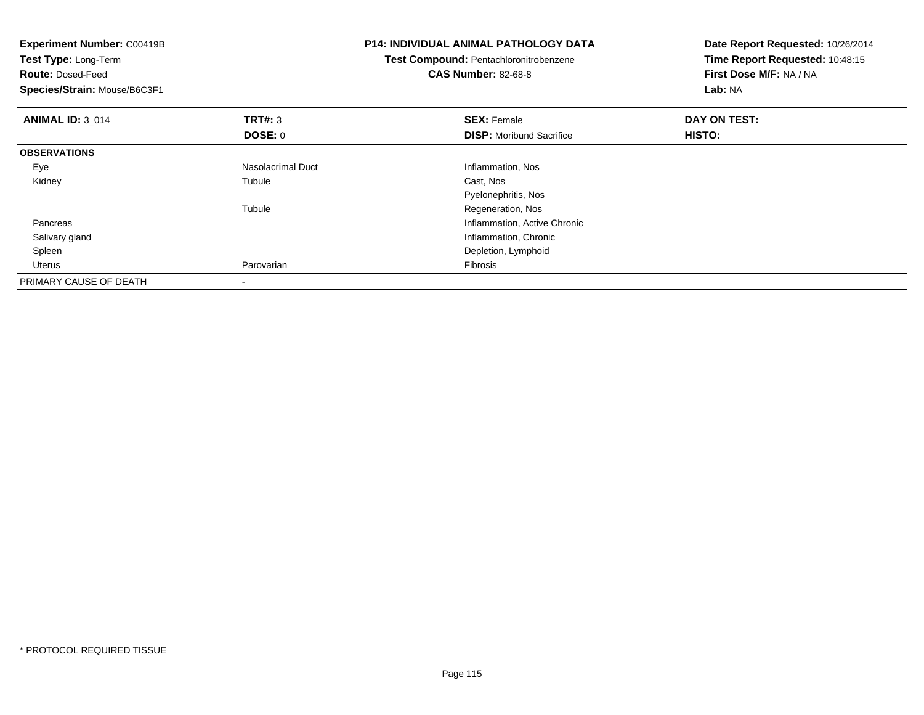| <b>Experiment Number: C00419B</b><br>Test Type: Long-Term<br><b>Route: Dosed-Feed</b><br>Species/Strain: Mouse/B6C3F1 |                          | <b>P14: INDIVIDUAL ANIMAL PATHOLOGY DATA</b><br>Test Compound: Pentachloronitrobenzene<br><b>CAS Number: 82-68-8</b> | Date Report Requested: 10/26/2014<br>Time Report Requested: 10:48:15<br>First Dose M/F: NA / NA<br>Lab: NA |  |
|-----------------------------------------------------------------------------------------------------------------------|--------------------------|----------------------------------------------------------------------------------------------------------------------|------------------------------------------------------------------------------------------------------------|--|
| <b>ANIMAL ID: 3 014</b>                                                                                               | TRT#: 3                  | <b>SEX: Female</b>                                                                                                   | DAY ON TEST:                                                                                               |  |
|                                                                                                                       | DOSE: 0                  | <b>DISP:</b> Moribund Sacrifice                                                                                      | HISTO:                                                                                                     |  |
| <b>OBSERVATIONS</b>                                                                                                   |                          |                                                                                                                      |                                                                                                            |  |
| Eye                                                                                                                   | <b>Nasolacrimal Duct</b> | Inflammation, Nos                                                                                                    |                                                                                                            |  |
| Kidney                                                                                                                | Tubule                   | Cast, Nos                                                                                                            |                                                                                                            |  |
|                                                                                                                       |                          | Pyelonephritis, Nos                                                                                                  |                                                                                                            |  |
|                                                                                                                       | Tubule                   | Regeneration, Nos                                                                                                    |                                                                                                            |  |
| Pancreas                                                                                                              |                          | Inflammation, Active Chronic                                                                                         |                                                                                                            |  |
| Salivary gland                                                                                                        |                          | Inflammation, Chronic                                                                                                |                                                                                                            |  |
| Spleen                                                                                                                |                          | Depletion, Lymphoid                                                                                                  |                                                                                                            |  |
| Uterus                                                                                                                | Parovarian               | Fibrosis                                                                                                             |                                                                                                            |  |
| PRIMARY CAUSE OF DEATH                                                                                                |                          |                                                                                                                      |                                                                                                            |  |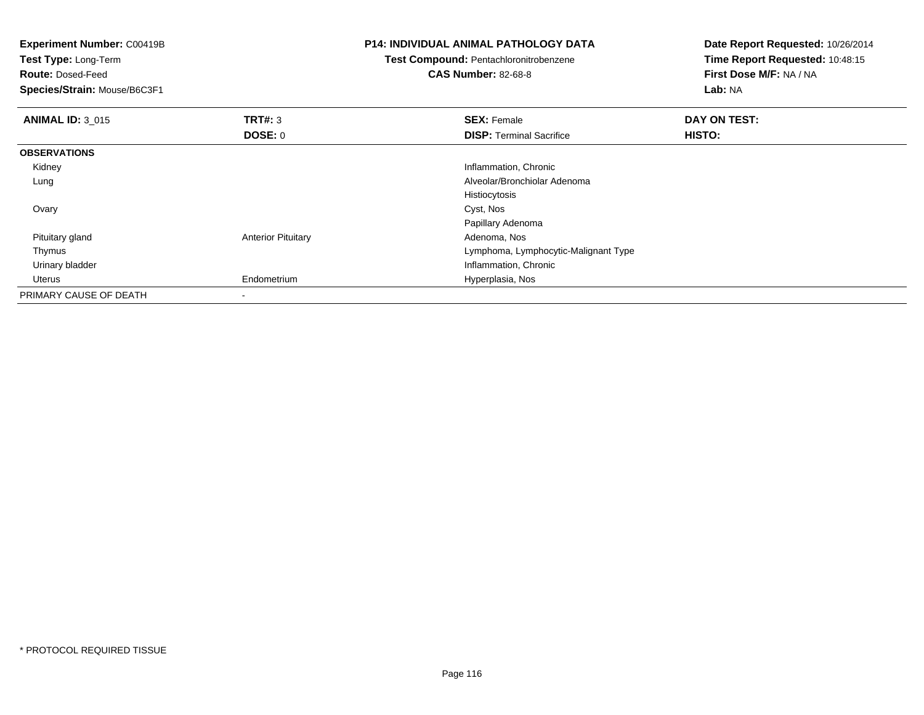| <b>Experiment Number: C00419B</b><br>Test Type: Long-Term<br><b>Route: Dosed-Feed</b><br>Species/Strain: Mouse/B6C3F1 |                           | <b>P14: INDIVIDUAL ANIMAL PATHOLOGY DATA</b><br><b>Test Compound: Pentachloronitrobenzene</b><br><b>CAS Number: 82-68-8</b> | Date Report Requested: 10/26/2014<br>Time Report Requested: 10:48:15<br>First Dose M/F: NA / NA<br>Lab: NA |  |
|-----------------------------------------------------------------------------------------------------------------------|---------------------------|-----------------------------------------------------------------------------------------------------------------------------|------------------------------------------------------------------------------------------------------------|--|
| <b>ANIMAL ID: 3_015</b>                                                                                               | TRT#: 3                   | <b>SEX: Female</b>                                                                                                          | DAY ON TEST:                                                                                               |  |
|                                                                                                                       | <b>DOSE: 0</b>            | <b>DISP:</b> Terminal Sacrifice                                                                                             | HISTO:                                                                                                     |  |
| <b>OBSERVATIONS</b>                                                                                                   |                           |                                                                                                                             |                                                                                                            |  |
| Kidney                                                                                                                |                           | Inflammation, Chronic                                                                                                       |                                                                                                            |  |
| Lung                                                                                                                  |                           | Alveolar/Bronchiolar Adenoma                                                                                                |                                                                                                            |  |
|                                                                                                                       |                           | Histiocytosis                                                                                                               |                                                                                                            |  |
| Ovary                                                                                                                 |                           | Cyst, Nos                                                                                                                   |                                                                                                            |  |
|                                                                                                                       |                           | Papillary Adenoma                                                                                                           |                                                                                                            |  |
| Pituitary gland                                                                                                       | <b>Anterior Pituitary</b> | Adenoma, Nos                                                                                                                |                                                                                                            |  |
| Thymus                                                                                                                |                           | Lymphoma, Lymphocytic-Malignant Type                                                                                        |                                                                                                            |  |
| Urinary bladder                                                                                                       |                           | Inflammation, Chronic                                                                                                       |                                                                                                            |  |
| Uterus                                                                                                                | Endometrium               | Hyperplasia, Nos                                                                                                            |                                                                                                            |  |
| PRIMARY CAUSE OF DEATH                                                                                                | ۰                         |                                                                                                                             |                                                                                                            |  |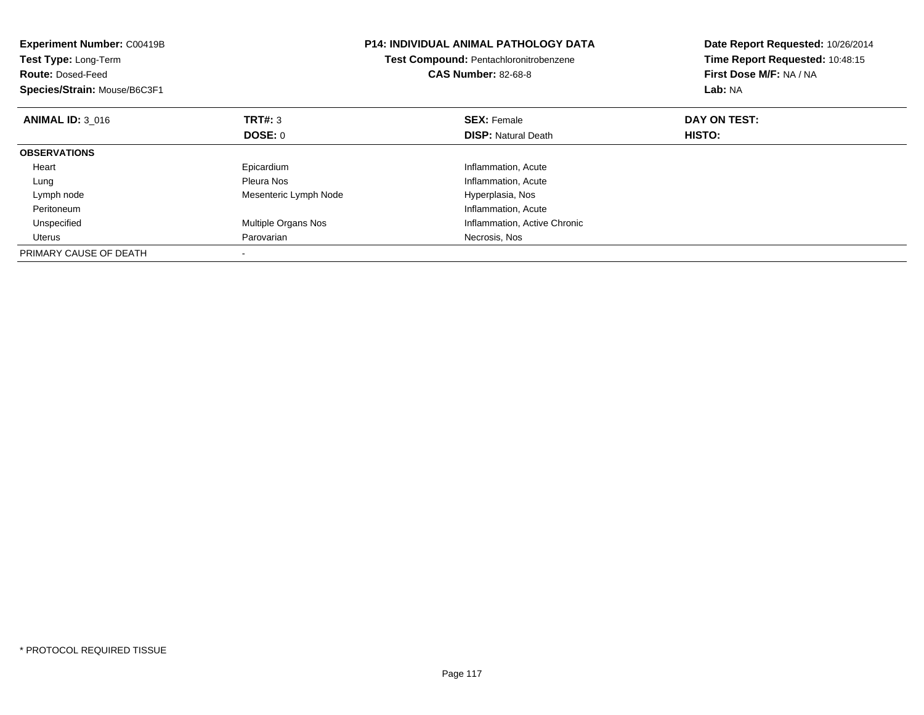| Experiment Number: C00419B<br>Test Type: Long-Term<br><b>Route: Dosed-Feed</b><br>Species/Strain: Mouse/B6C3F1 |                       | <b>P14: INDIVIDUAL ANIMAL PATHOLOGY DATA</b><br>Test Compound: Pentachloronitrobenzene<br><b>CAS Number: 82-68-8</b> | Date Report Requested: 10/26/2014<br>Time Report Requested: 10:48:15<br>First Dose M/F: NA / NA<br>Lab: NA |
|----------------------------------------------------------------------------------------------------------------|-----------------------|----------------------------------------------------------------------------------------------------------------------|------------------------------------------------------------------------------------------------------------|
| <b>ANIMAL ID: 3 016</b>                                                                                        | <b>TRT#: 3</b>        | <b>SEX: Female</b>                                                                                                   | DAY ON TEST:                                                                                               |
|                                                                                                                | DOSE: 0               | <b>DISP: Natural Death</b>                                                                                           | HISTO:                                                                                                     |
| <b>OBSERVATIONS</b>                                                                                            |                       |                                                                                                                      |                                                                                                            |
| Heart                                                                                                          | Epicardium            | Inflammation, Acute                                                                                                  |                                                                                                            |
| Lung                                                                                                           | Pleura Nos            | Inflammation, Acute                                                                                                  |                                                                                                            |
| Lymph node                                                                                                     | Mesenteric Lymph Node | Hyperplasia, Nos                                                                                                     |                                                                                                            |
| Peritoneum                                                                                                     |                       | Inflammation, Acute                                                                                                  |                                                                                                            |
| Unspecified                                                                                                    | Multiple Organs Nos   | Inflammation, Active Chronic                                                                                         |                                                                                                            |
| Uterus                                                                                                         | Parovarian            | Necrosis, Nos                                                                                                        |                                                                                                            |
| PRIMARY CAUSE OF DEATH                                                                                         |                       |                                                                                                                      |                                                                                                            |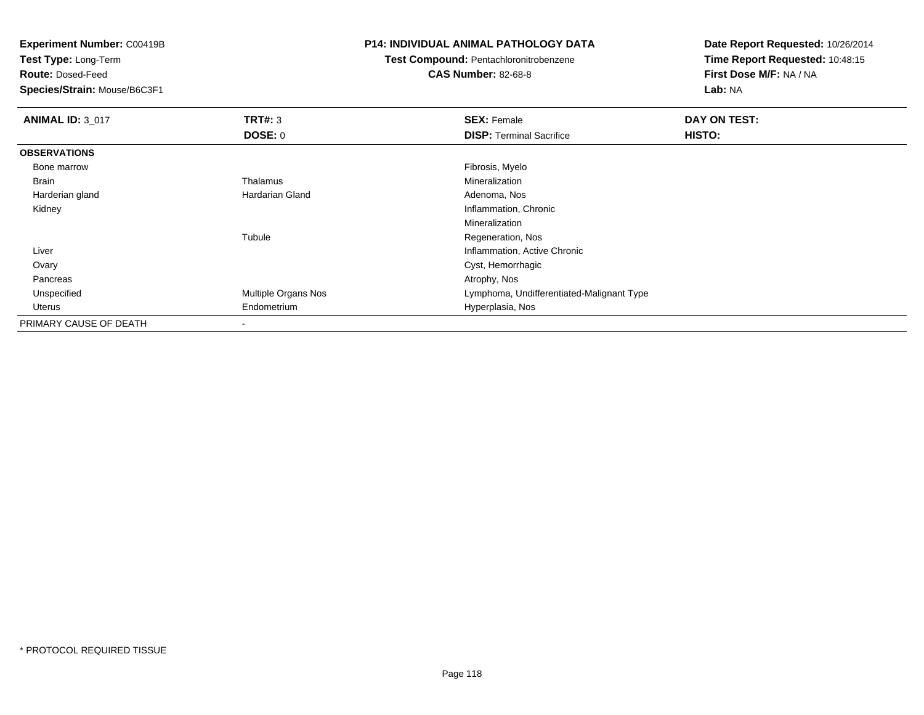**Test Type:** Long-Term

**Route:** Dosed-Feed

**Species/Strain:** Mouse/B6C3F1

## **P14: INDIVIDUAL ANIMAL PATHOLOGY DATA**

# **Test Compound:** Pentachloronitrobenzene

**CAS Number:** 82-68-8

| <b>ANIMAL ID: 3_017</b> | TRT#: 3             | <b>SEX: Female</b>                        | DAY ON TEST: |
|-------------------------|---------------------|-------------------------------------------|--------------|
|                         | <b>DOSE: 0</b>      | <b>DISP: Terminal Sacrifice</b>           | HISTO:       |
| <b>OBSERVATIONS</b>     |                     |                                           |              |
| Bone marrow             |                     | Fibrosis, Myelo                           |              |
| Brain                   | Thalamus            | Mineralization                            |              |
| Harderian gland         | Hardarian Gland     | Adenoma, Nos                              |              |
| Kidney                  |                     | Inflammation, Chronic                     |              |
|                         |                     | Mineralization                            |              |
|                         | Tubule              | Regeneration, Nos                         |              |
| Liver                   |                     | Inflammation, Active Chronic              |              |
| Ovary                   |                     | Cyst, Hemorrhagic                         |              |
| Pancreas                |                     | Atrophy, Nos                              |              |
| Unspecified             | Multiple Organs Nos | Lymphoma, Undifferentiated-Malignant Type |              |
| Uterus                  | Endometrium         | Hyperplasia, Nos                          |              |
| PRIMARY CAUSE OF DEATH  | ۰                   |                                           |              |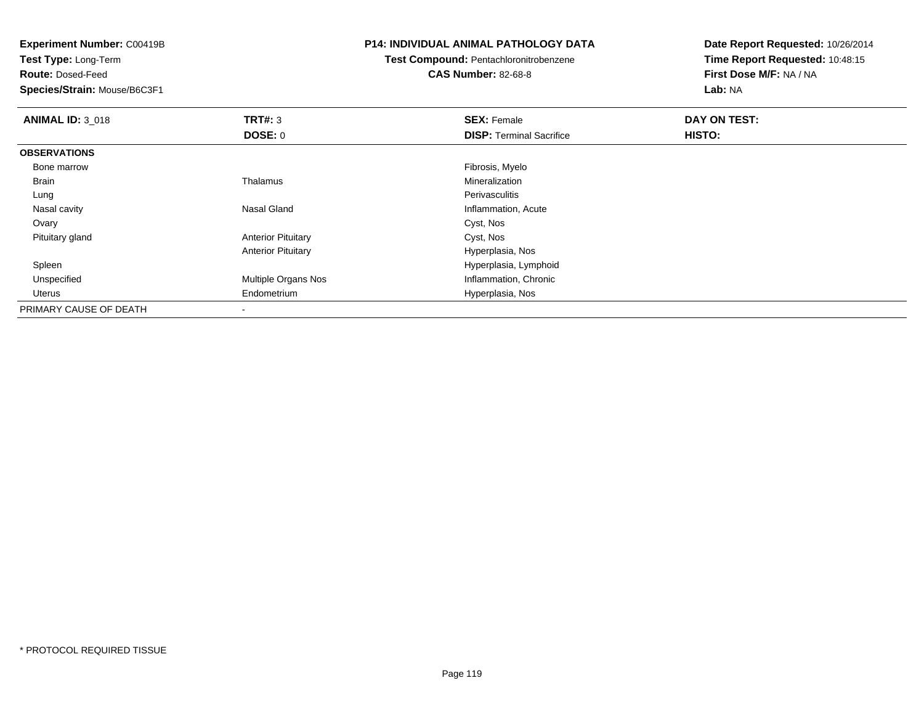**Test Type:** Long-Term

**Route:** Dosed-Feed

**Species/Strain:** Mouse/B6C3F1

## **P14: INDIVIDUAL ANIMAL PATHOLOGY DATA**

# **Test Compound:** Pentachloronitrobenzene

**CAS Number:** 82-68-8

| <b>ANIMAL ID: 3_018</b> | TRT#: 3                   | <b>SEX: Female</b>              | DAY ON TEST: |  |
|-------------------------|---------------------------|---------------------------------|--------------|--|
|                         | <b>DOSE: 0</b>            | <b>DISP: Terminal Sacrifice</b> | HISTO:       |  |
| <b>OBSERVATIONS</b>     |                           |                                 |              |  |
| Bone marrow             |                           | Fibrosis, Myelo                 |              |  |
| Brain                   | Thalamus                  | Mineralization                  |              |  |
| Lung                    |                           | Perivasculitis                  |              |  |
| Nasal cavity            | Nasal Gland               | Inflammation, Acute             |              |  |
| Ovary                   |                           | Cyst, Nos                       |              |  |
| Pituitary gland         | <b>Anterior Pituitary</b> | Cyst, Nos                       |              |  |
|                         | <b>Anterior Pituitary</b> | Hyperplasia, Nos                |              |  |
| Spleen                  |                           | Hyperplasia, Lymphoid           |              |  |
| Unspecified             | Multiple Organs Nos       | Inflammation, Chronic           |              |  |
| Uterus                  | Endometrium               | Hyperplasia, Nos                |              |  |
| PRIMARY CAUSE OF DEATH  | $\overline{\phantom{a}}$  |                                 |              |  |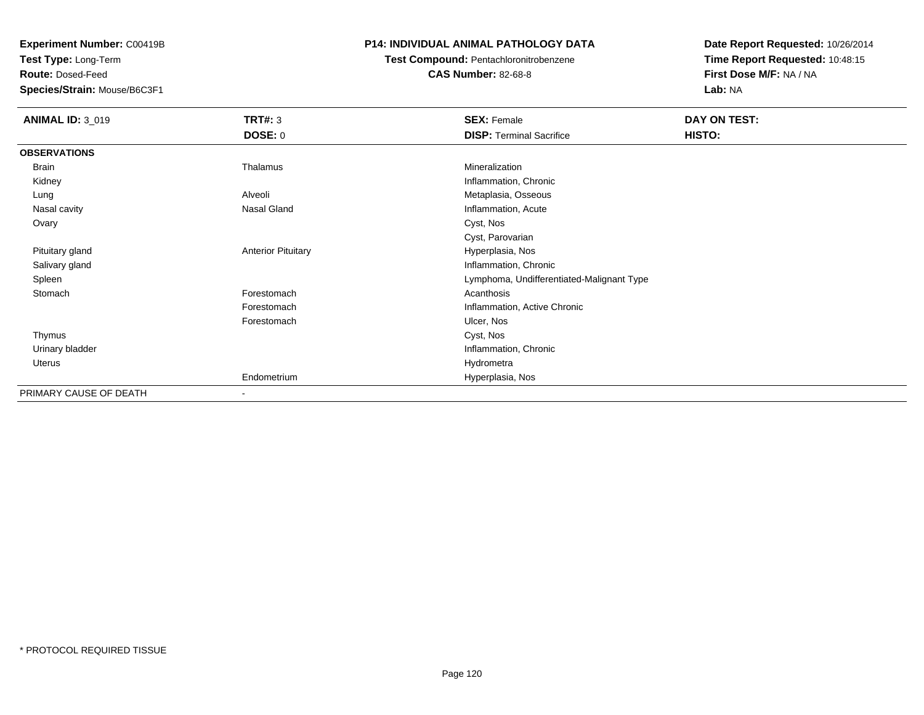**Test Type:** Long-Term

**Route:** Dosed-Feed

**Species/Strain:** Mouse/B6C3F1

## **P14: INDIVIDUAL ANIMAL PATHOLOGY DATA**

**Test Compound:** Pentachloronitrobenzene**CAS Number:** 82-68-8

| <b>ANIMAL ID: 3_019</b> | TRT#: 3                   | <b>SEX: Female</b>                        | DAY ON TEST: |  |
|-------------------------|---------------------------|-------------------------------------------|--------------|--|
|                         | <b>DOSE: 0</b>            | <b>DISP: Terminal Sacrifice</b>           | HISTO:       |  |
| <b>OBSERVATIONS</b>     |                           |                                           |              |  |
| Brain                   | Thalamus                  | Mineralization                            |              |  |
| Kidney                  |                           | Inflammation, Chronic                     |              |  |
| Lung                    | Alveoli                   | Metaplasia, Osseous                       |              |  |
| Nasal cavity            | Nasal Gland               | Inflammation, Acute                       |              |  |
| Ovary                   |                           | Cyst, Nos                                 |              |  |
|                         |                           | Cyst, Parovarian                          |              |  |
| Pituitary gland         | <b>Anterior Pituitary</b> | Hyperplasia, Nos                          |              |  |
| Salivary gland          |                           | Inflammation, Chronic                     |              |  |
| Spleen                  |                           | Lymphoma, Undifferentiated-Malignant Type |              |  |
| Stomach                 | Forestomach               | Acanthosis                                |              |  |
|                         | Forestomach               | Inflammation, Active Chronic              |              |  |
|                         | Forestomach               | Ulcer, Nos                                |              |  |
| Thymus                  |                           | Cyst, Nos                                 |              |  |
| Urinary bladder         |                           | Inflammation, Chronic                     |              |  |
| Uterus                  |                           | Hydrometra                                |              |  |
|                         | Endometrium               | Hyperplasia, Nos                          |              |  |
| PRIMARY CAUSE OF DEATH  | $\overline{\phantom{a}}$  |                                           |              |  |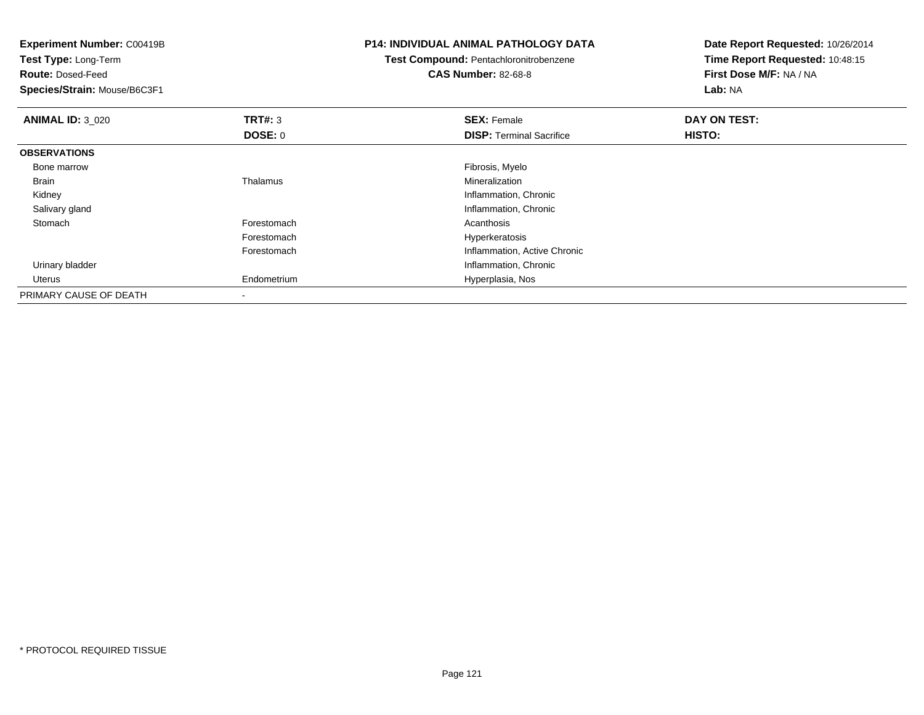| <b>Experiment Number: C00419B</b><br>Test Type: Long-Term<br><b>Route: Dosed-Feed</b><br>Species/Strain: Mouse/B6C3F1 |             | <b>P14: INDIVIDUAL ANIMAL PATHOLOGY DATA</b><br>Test Compound: Pentachloronitrobenzene<br><b>CAS Number: 82-68-8</b> | Date Report Requested: 10/26/2014<br>Time Report Requested: 10:48:15<br>First Dose M/F: NA / NA<br>Lab: NA |
|-----------------------------------------------------------------------------------------------------------------------|-------------|----------------------------------------------------------------------------------------------------------------------|------------------------------------------------------------------------------------------------------------|
| <b>ANIMAL ID: 3_020</b>                                                                                               | TRT#: 3     | <b>SEX: Female</b>                                                                                                   | DAY ON TEST:                                                                                               |
|                                                                                                                       | DOSE: 0     | <b>DISP:</b> Terminal Sacrifice                                                                                      | HISTO:                                                                                                     |
| <b>OBSERVATIONS</b>                                                                                                   |             |                                                                                                                      |                                                                                                            |
| Bone marrow                                                                                                           |             | Fibrosis, Myelo                                                                                                      |                                                                                                            |
| Brain                                                                                                                 | Thalamus    | Mineralization                                                                                                       |                                                                                                            |
| Kidney                                                                                                                |             | Inflammation, Chronic                                                                                                |                                                                                                            |
| Salivary gland                                                                                                        |             | Inflammation, Chronic                                                                                                |                                                                                                            |
| Stomach                                                                                                               | Forestomach | Acanthosis                                                                                                           |                                                                                                            |
|                                                                                                                       | Forestomach | Hyperkeratosis                                                                                                       |                                                                                                            |
|                                                                                                                       | Forestomach | Inflammation, Active Chronic                                                                                         |                                                                                                            |
| Urinary bladder                                                                                                       |             | Inflammation, Chronic                                                                                                |                                                                                                            |
| Uterus                                                                                                                | Endometrium | Hyperplasia, Nos                                                                                                     |                                                                                                            |
| PRIMARY CAUSE OF DEATH                                                                                                |             |                                                                                                                      |                                                                                                            |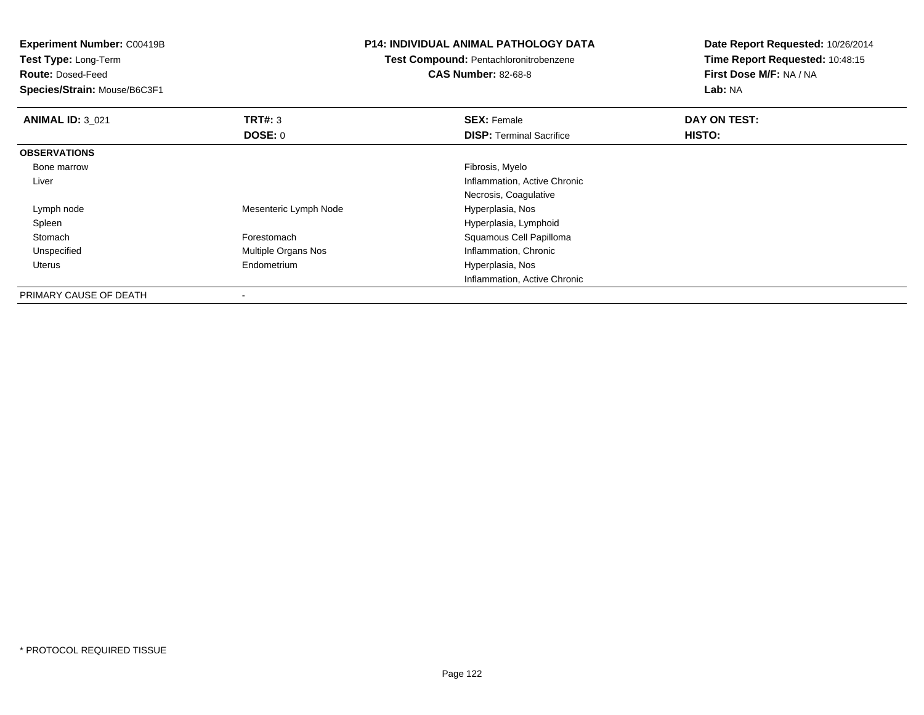| <b>Experiment Number: C00419B</b><br>Test Type: Long-Term |                       | P14: INDIVIDUAL ANIMAL PATHOLOGY DATA         | Date Report Requested: 10/26/2014 |
|-----------------------------------------------------------|-----------------------|-----------------------------------------------|-----------------------------------|
|                                                           |                       | <b>Test Compound: Pentachloronitrobenzene</b> | Time Report Requested: 10:48:15   |
| <b>Route: Dosed-Feed</b>                                  |                       | <b>CAS Number: 82-68-8</b>                    | First Dose M/F: NA / NA           |
| Species/Strain: Mouse/B6C3F1                              |                       |                                               | Lab: NA                           |
| <b>ANIMAL ID: 3 021</b>                                   | <b>TRT#: 3</b>        | <b>SEX: Female</b>                            | DAY ON TEST:                      |
|                                                           | <b>DOSE: 0</b>        | <b>DISP:</b> Terminal Sacrifice               | <b>HISTO:</b>                     |
| <b>OBSERVATIONS</b>                                       |                       |                                               |                                   |
| Bone marrow                                               |                       | Fibrosis, Myelo                               |                                   |
| Liver                                                     |                       | Inflammation, Active Chronic                  |                                   |
|                                                           |                       | Necrosis, Coagulative                         |                                   |
| Lymph node                                                | Mesenteric Lymph Node | Hyperplasia, Nos                              |                                   |
| Spleen                                                    |                       | Hyperplasia, Lymphoid                         |                                   |
| Stomach                                                   | Forestomach           | Squamous Cell Papilloma                       |                                   |
| Unspecified                                               | Multiple Organs Nos   | Inflammation, Chronic                         |                                   |
| Uterus                                                    | Endometrium           | Hyperplasia, Nos                              |                                   |
|                                                           |                       | Inflammation, Active Chronic                  |                                   |
| <b>DOIMADY CAUCE OF DEATH</b>                             |                       |                                               |                                   |

PRIMARY CAUSE OF DEATH-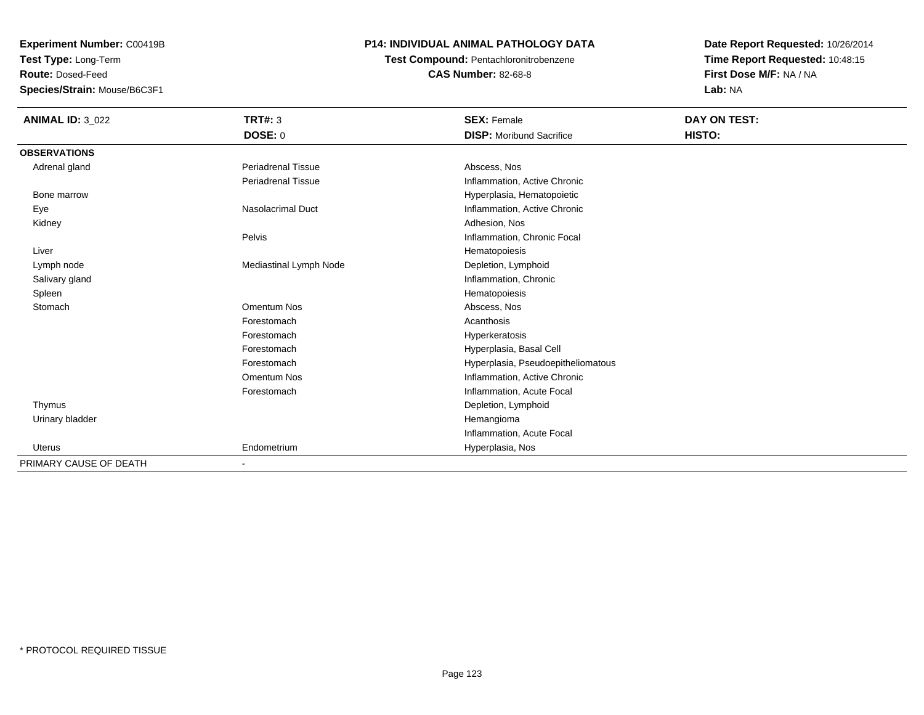**Test Type:** Long-Term

**Route:** Dosed-Feed

**Species/Strain:** Mouse/B6C3F1

## **P14: INDIVIDUAL ANIMAL PATHOLOGY DATA**

## **Test Compound:** Pentachloronitrobenzene**CAS Number:** 82-68-8

| <b>ANIMAL ID: 3_022</b> | <b>TRT#: 3</b>            | <b>SEX: Female</b>                 | DAY ON TEST: |  |
|-------------------------|---------------------------|------------------------------------|--------------|--|
|                         | DOSE: 0                   | <b>DISP:</b> Moribund Sacrifice    | HISTO:       |  |
| <b>OBSERVATIONS</b>     |                           |                                    |              |  |
| Adrenal gland           | <b>Periadrenal Tissue</b> | Abscess, Nos                       |              |  |
|                         | <b>Periadrenal Tissue</b> | Inflammation, Active Chronic       |              |  |
| Bone marrow             |                           | Hyperplasia, Hematopoietic         |              |  |
| Eye                     | <b>Nasolacrimal Duct</b>  | Inflammation, Active Chronic       |              |  |
| Kidney                  |                           | Adhesion, Nos                      |              |  |
|                         | Pelvis                    | Inflammation, Chronic Focal        |              |  |
| Liver                   |                           | Hematopoiesis                      |              |  |
| Lymph node              | Mediastinal Lymph Node    | Depletion, Lymphoid                |              |  |
| Salivary gland          |                           | Inflammation, Chronic              |              |  |
| Spleen                  |                           | Hematopoiesis                      |              |  |
| Stomach                 | Omentum Nos               | Abscess, Nos                       |              |  |
|                         | Forestomach               | Acanthosis                         |              |  |
|                         | Forestomach               | Hyperkeratosis                     |              |  |
|                         | Forestomach               | Hyperplasia, Basal Cell            |              |  |
|                         | Forestomach               | Hyperplasia, Pseudoepitheliomatous |              |  |
|                         | Omentum Nos               | Inflammation, Active Chronic       |              |  |
|                         | Forestomach               | Inflammation, Acute Focal          |              |  |
| Thymus                  |                           | Depletion, Lymphoid                |              |  |
| Urinary bladder         |                           | Hemangioma                         |              |  |
|                         |                           | Inflammation, Acute Focal          |              |  |
| <b>Uterus</b>           | Endometrium               | Hyperplasia, Nos                   |              |  |
| PRIMARY CAUSE OF DEATH  | ۰                         |                                    |              |  |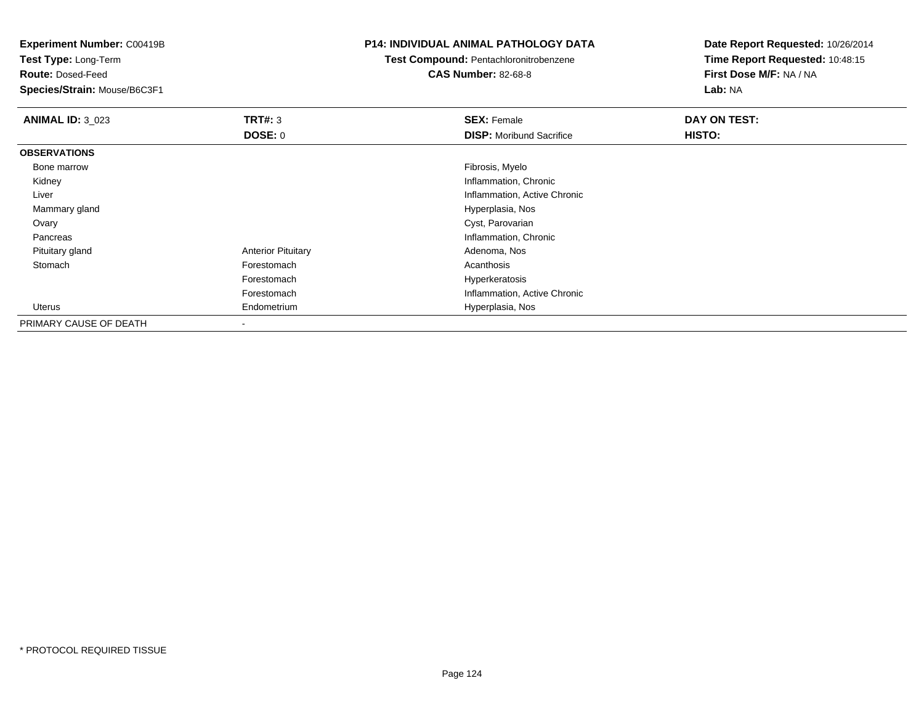**Test Type:** Long-Term

**Route:** Dosed-Feed

**Species/Strain:** Mouse/B6C3F1

## **P14: INDIVIDUAL ANIMAL PATHOLOGY DATA**

## **Test Compound:** Pentachloronitrobenzene**CAS Number:** 82-68-8

| <b>ANIMAL ID: 3 023</b> | TRT#: 3                   | <b>SEX: Female</b>              | DAY ON TEST: |
|-------------------------|---------------------------|---------------------------------|--------------|
|                         | <b>DOSE: 0</b>            | <b>DISP:</b> Moribund Sacrifice | HISTO:       |
| <b>OBSERVATIONS</b>     |                           |                                 |              |
| Bone marrow             |                           | Fibrosis, Myelo                 |              |
| Kidney                  |                           | Inflammation, Chronic           |              |
| Liver                   |                           | Inflammation, Active Chronic    |              |
| Mammary gland           |                           | Hyperplasia, Nos                |              |
| Ovary                   |                           | Cyst, Parovarian                |              |
| Pancreas                |                           | Inflammation, Chronic           |              |
| Pituitary gland         | <b>Anterior Pituitary</b> | Adenoma, Nos                    |              |
| Stomach                 | Forestomach               | Acanthosis                      |              |
|                         | Forestomach               | Hyperkeratosis                  |              |
|                         | Forestomach               | Inflammation, Active Chronic    |              |
| Uterus                  | Endometrium               | Hyperplasia, Nos                |              |
| PRIMARY CAUSE OF DEATH  | $\blacksquare$            |                                 |              |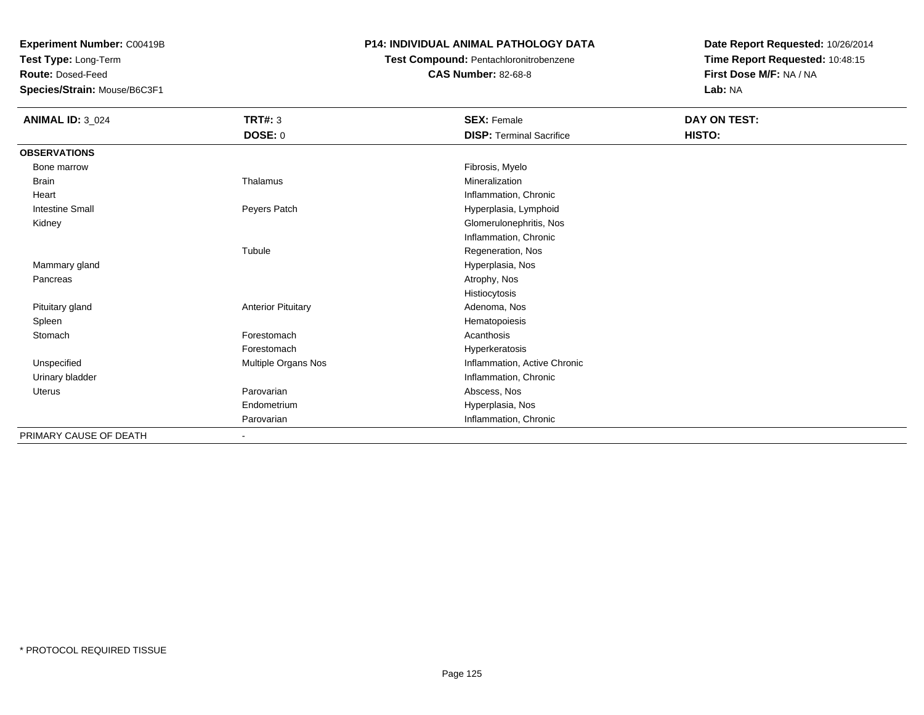**Test Type:** Long-Term

**Route:** Dosed-Feed

**Species/Strain:** Mouse/B6C3F1

## **P14: INDIVIDUAL ANIMAL PATHOLOGY DATA**

**Test Compound:** Pentachloronitrobenzene

**CAS Number:** 82-68-8

| <b>ANIMAL ID: 3_024</b> | <b>TRT#: 3</b>               | <b>SEX: Female</b>              | DAY ON TEST: |  |
|-------------------------|------------------------------|---------------------------------|--------------|--|
|                         | <b>DOSE: 0</b>               | <b>DISP: Terminal Sacrifice</b> | HISTO:       |  |
| <b>OBSERVATIONS</b>     |                              |                                 |              |  |
| Bone marrow             |                              | Fibrosis, Myelo                 |              |  |
| <b>Brain</b>            | Thalamus                     | Mineralization                  |              |  |
| Heart                   |                              | Inflammation, Chronic           |              |  |
| <b>Intestine Small</b>  | Peyers Patch                 | Hyperplasia, Lymphoid           |              |  |
| Kidney                  |                              | Glomerulonephritis, Nos         |              |  |
|                         |                              | Inflammation, Chronic           |              |  |
|                         | Tubule                       | Regeneration, Nos               |              |  |
| Mammary gland           |                              | Hyperplasia, Nos                |              |  |
| Pancreas                |                              | Atrophy, Nos                    |              |  |
|                         |                              | Histiocytosis                   |              |  |
| Pituitary gland         | <b>Anterior Pituitary</b>    | Adenoma, Nos                    |              |  |
| Spleen                  |                              | Hematopoiesis                   |              |  |
| Stomach                 | Forestomach                  | Acanthosis                      |              |  |
|                         | Forestomach                  | Hyperkeratosis                  |              |  |
| Unspecified             | Multiple Organs Nos          | Inflammation, Active Chronic    |              |  |
| Urinary bladder         |                              | Inflammation, Chronic           |              |  |
| Uterus                  | Parovarian                   | Abscess, Nos                    |              |  |
|                         | Endometrium                  | Hyperplasia, Nos                |              |  |
|                         | Parovarian                   | Inflammation, Chronic           |              |  |
| PRIMARY CAUSE OF DEATH  | $\qquad \qquad \blacksquare$ |                                 |              |  |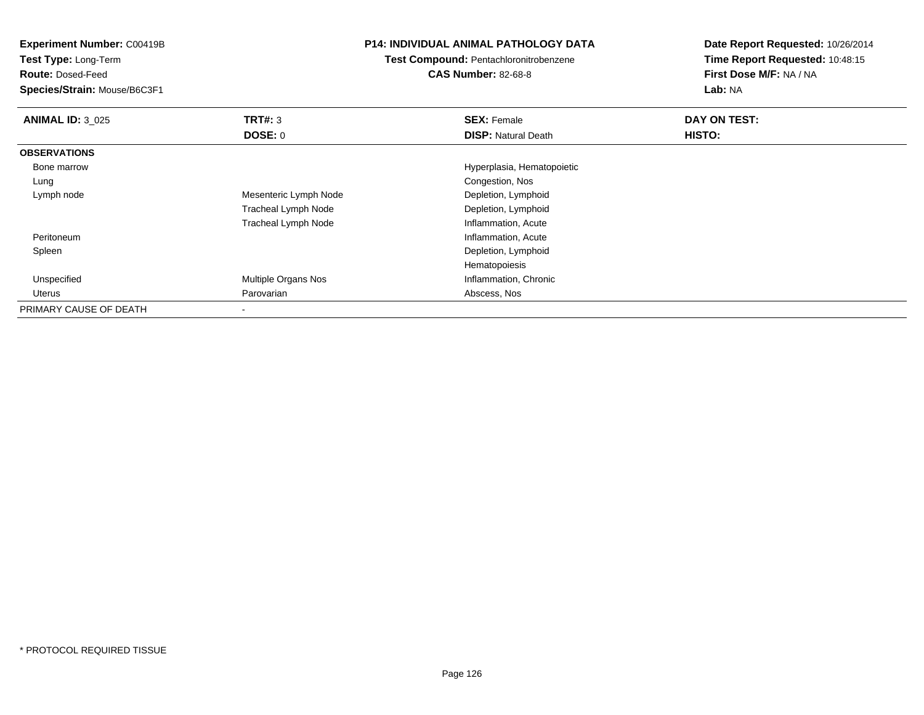**Experiment Number:** C00419B**Test Type:** Long-Term**Route:** Dosed-Feed **Species/Strain:** Mouse/B6C3F1**P14: INDIVIDUAL ANIMAL PATHOLOGY DATATest Compound:** Pentachloronitrobenzene**CAS Number:** 82-68-8**Date Report Requested:** 10/26/2014**Time Report Requested:** 10:48:15**First Dose M/F:** NA / NA**Lab:** NA**ANIMAL ID:** 3\_025 **TRT#:** <sup>3</sup> **SEX:** Female **DAY ON TEST: DOSE:** 0**DISP:** Natural Death **HISTO: OBSERVATIONS** Bone marrow Hyperplasia, Hematopoietic LungCongestion, Nos<br>Depletion, Lymphoid Lymph nodeMesenteric Lymph Node Tracheal Lymph Node Depletion, Lymphoid Tracheal Lymph NodeInflammation, Acute<br>Inflammation, Acute Peritoneumname is a control of the control of the control of the control of the control of the control of the control of the control of the control of the control of the control of the control of the control of the control of the co Spleen Depletion, Lymphoid Hematopoiesisd **Multiple Organs Nos Inflammation**, Chronic Unspecified Uterus Parovarian Abscess, Nos PRIMARY CAUSE OF DEATH-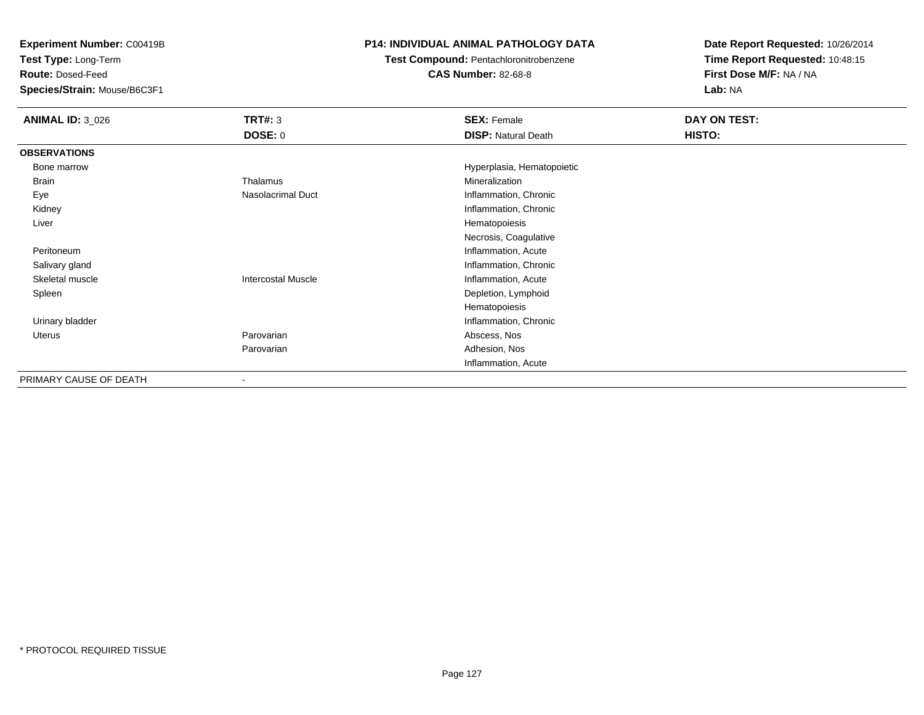**Test Type:** Long-Term

**Route:** Dosed-Feed

**Species/Strain:** Mouse/B6C3F1

## **P14: INDIVIDUAL ANIMAL PATHOLOGY DATA**

**Test Compound:** Pentachloronitrobenzene

**CAS Number:** 82-68-8

| <b>ANIMAL ID: 3_026</b> | <b>TRT#: 3</b>            | <b>SEX: Female</b>         | DAY ON TEST: |  |
|-------------------------|---------------------------|----------------------------|--------------|--|
|                         | <b>DOSE: 0</b>            | <b>DISP: Natural Death</b> | HISTO:       |  |
| <b>OBSERVATIONS</b>     |                           |                            |              |  |
| Bone marrow             |                           | Hyperplasia, Hematopoietic |              |  |
| Brain                   | Thalamus                  | Mineralization             |              |  |
| Eye                     | Nasolacrimal Duct         | Inflammation, Chronic      |              |  |
| Kidney                  |                           | Inflammation, Chronic      |              |  |
| Liver                   |                           | Hematopoiesis              |              |  |
|                         |                           | Necrosis, Coagulative      |              |  |
| Peritoneum              |                           | Inflammation, Acute        |              |  |
| Salivary gland          |                           | Inflammation, Chronic      |              |  |
| Skeletal muscle         | <b>Intercostal Muscle</b> | Inflammation, Acute        |              |  |
| Spleen                  |                           | Depletion, Lymphoid        |              |  |
|                         |                           | Hematopoiesis              |              |  |
| Urinary bladder         |                           | Inflammation, Chronic      |              |  |
| Uterus                  | Parovarian                | Abscess, Nos               |              |  |
|                         | Parovarian                | Adhesion, Nos              |              |  |
|                         |                           | Inflammation, Acute        |              |  |
| PRIMARY CAUSE OF DEATH  |                           |                            |              |  |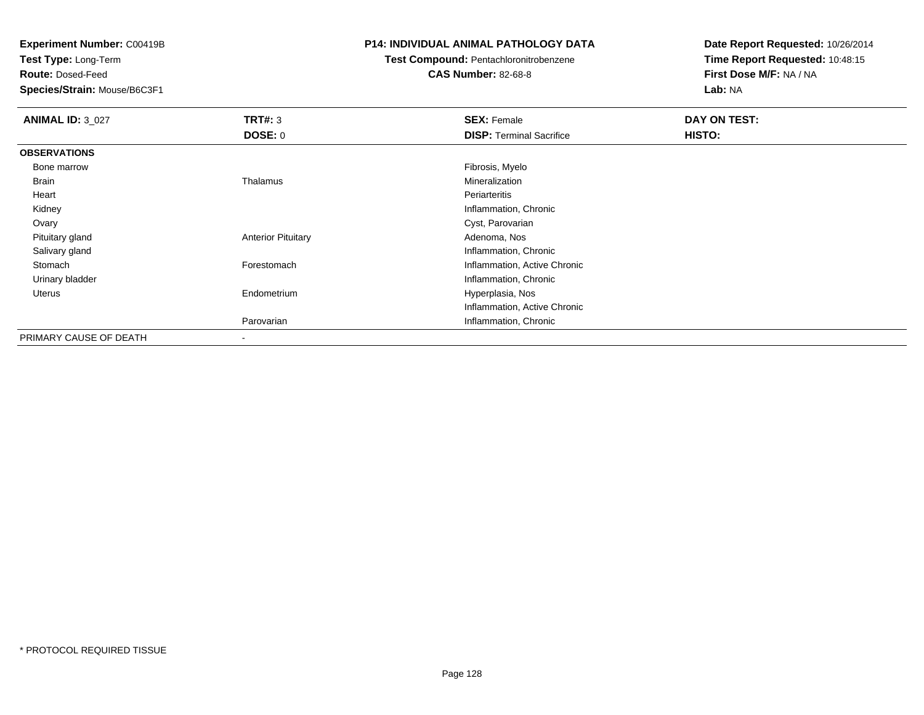**Test Type:** Long-Term

**Route:** Dosed-Feed

**Species/Strain:** Mouse/B6C3F1

## **P14: INDIVIDUAL ANIMAL PATHOLOGY DATA**

**Test Compound:** Pentachloronitrobenzene

## **CAS Number:** 82-68-8

| <b>ANIMAL ID: 3_027</b> | TRT#: 3                   | <b>SEX: Female</b>              | DAY ON TEST: |  |
|-------------------------|---------------------------|---------------------------------|--------------|--|
|                         | <b>DOSE: 0</b>            | <b>DISP: Terminal Sacrifice</b> | HISTO:       |  |
| <b>OBSERVATIONS</b>     |                           |                                 |              |  |
| Bone marrow             |                           | Fibrosis, Myelo                 |              |  |
| Brain                   | Thalamus                  | Mineralization                  |              |  |
| Heart                   |                           | Periarteritis                   |              |  |
| Kidney                  |                           | Inflammation, Chronic           |              |  |
| Ovary                   |                           | Cyst, Parovarian                |              |  |
| Pituitary gland         | <b>Anterior Pituitary</b> | Adenoma, Nos                    |              |  |
| Salivary gland          |                           | Inflammation, Chronic           |              |  |
| Stomach                 | Forestomach               | Inflammation, Active Chronic    |              |  |
| Urinary bladder         |                           | Inflammation, Chronic           |              |  |
| Uterus                  | Endometrium               | Hyperplasia, Nos                |              |  |
|                         |                           | Inflammation, Active Chronic    |              |  |
|                         | Parovarian                | Inflammation, Chronic           |              |  |
| PRIMARY CAUSE OF DEATH  |                           |                                 |              |  |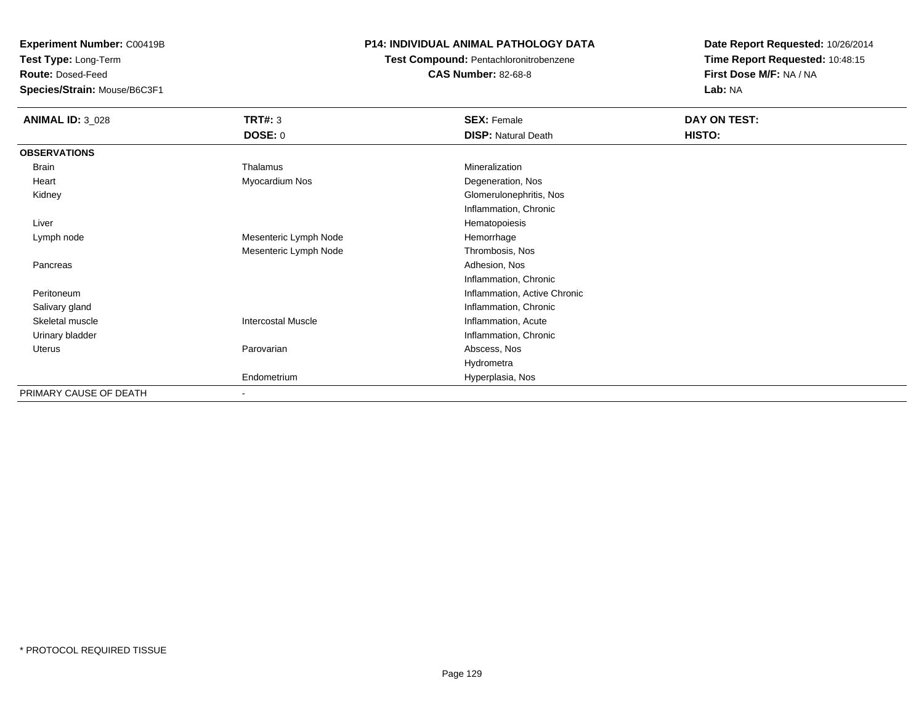**Test Type:** Long-Term

**Route:** Dosed-Feed

**Species/Strain:** Mouse/B6C3F1

## **P14: INDIVIDUAL ANIMAL PATHOLOGY DATA**

## **Test Compound:** Pentachloronitrobenzene**CAS Number:** 82-68-8

| <b>ANIMAL ID: 3_028</b> | <b>TRT#: 3</b>            | <b>SEX: Female</b>           | DAY ON TEST: |  |
|-------------------------|---------------------------|------------------------------|--------------|--|
|                         | <b>DOSE: 0</b>            | <b>DISP: Natural Death</b>   | HISTO:       |  |
| <b>OBSERVATIONS</b>     |                           |                              |              |  |
| Brain                   | Thalamus                  | Mineralization               |              |  |
| Heart                   | Myocardium Nos            | Degeneration, Nos            |              |  |
| Kidney                  |                           | Glomerulonephritis, Nos      |              |  |
|                         |                           | Inflammation, Chronic        |              |  |
| Liver                   |                           | Hematopoiesis                |              |  |
| Lymph node              | Mesenteric Lymph Node     | Hemorrhage                   |              |  |
|                         | Mesenteric Lymph Node     | Thrombosis, Nos              |              |  |
| Pancreas                |                           | Adhesion, Nos                |              |  |
|                         |                           | Inflammation, Chronic        |              |  |
| Peritoneum              |                           | Inflammation, Active Chronic |              |  |
| Salivary gland          |                           | Inflammation, Chronic        |              |  |
| Skeletal muscle         | <b>Intercostal Muscle</b> | Inflammation, Acute          |              |  |
| Urinary bladder         |                           | Inflammation, Chronic        |              |  |
| Uterus                  | Parovarian                | Abscess, Nos                 |              |  |
|                         |                           | Hydrometra                   |              |  |
|                         | Endometrium               | Hyperplasia, Nos             |              |  |
| PRIMARY CAUSE OF DEATH  |                           |                              |              |  |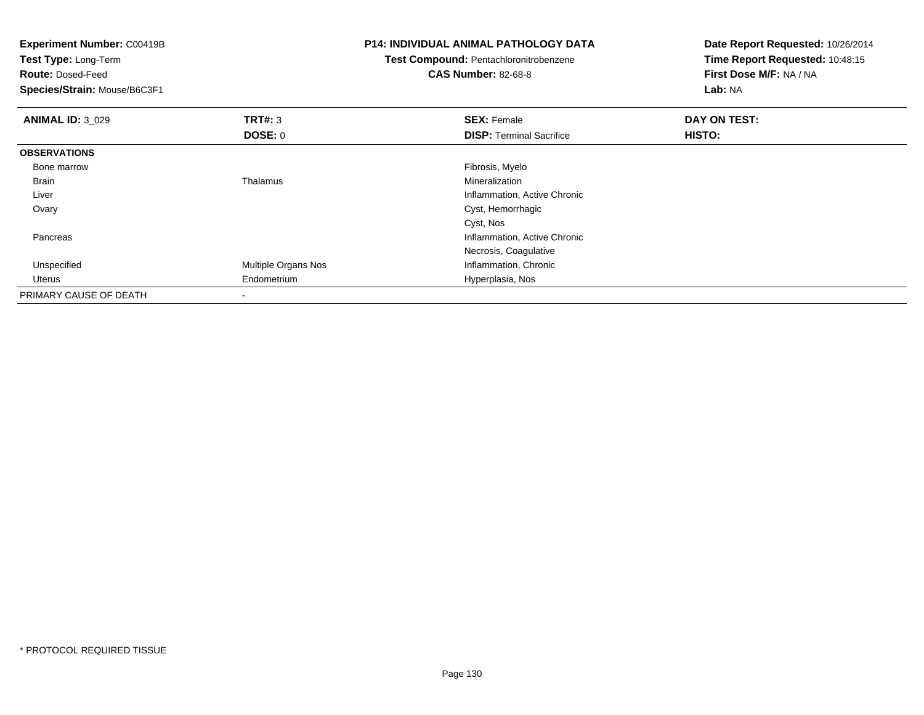| <b>Experiment Number: C00419B</b><br>Test Type: Long-Term |                     | <b>P14: INDIVIDUAL ANIMAL PATHOLOGY DATA</b> | Date Report Requested: 10/26/2014 |
|-----------------------------------------------------------|---------------------|----------------------------------------------|-----------------------------------|
|                                                           |                     | Test Compound: Pentachloronitrobenzene       | Time Report Requested: 10:48:15   |
| <b>Route: Dosed-Feed</b>                                  |                     | <b>CAS Number: 82-68-8</b>                   | First Dose M/F: NA / NA           |
| Species/Strain: Mouse/B6C3F1                              |                     |                                              | Lab: NA                           |
| <b>ANIMAL ID: 3_029</b>                                   | <b>TRT#: 3</b>      | <b>SEX: Female</b>                           | DAY ON TEST:                      |
|                                                           | DOSE: 0             | <b>DISP:</b> Terminal Sacrifice              | HISTO:                            |
| <b>OBSERVATIONS</b>                                       |                     |                                              |                                   |
| Bone marrow                                               |                     | Fibrosis, Myelo                              |                                   |
| Brain                                                     | Thalamus            | Mineralization                               |                                   |
| Liver                                                     |                     | Inflammation, Active Chronic                 |                                   |
| Ovary                                                     |                     | Cyst, Hemorrhagic                            |                                   |
|                                                           |                     | Cyst, Nos                                    |                                   |
| Pancreas                                                  |                     | Inflammation, Active Chronic                 |                                   |
|                                                           |                     | Necrosis, Coagulative                        |                                   |
| Unspecified                                               | Multiple Organs Nos | Inflammation, Chronic                        |                                   |
| Uterus                                                    | Endometrium         | Hyperplasia, Nos                             |                                   |
| PRIMARY CAUSE OF DEATH                                    |                     |                                              |                                   |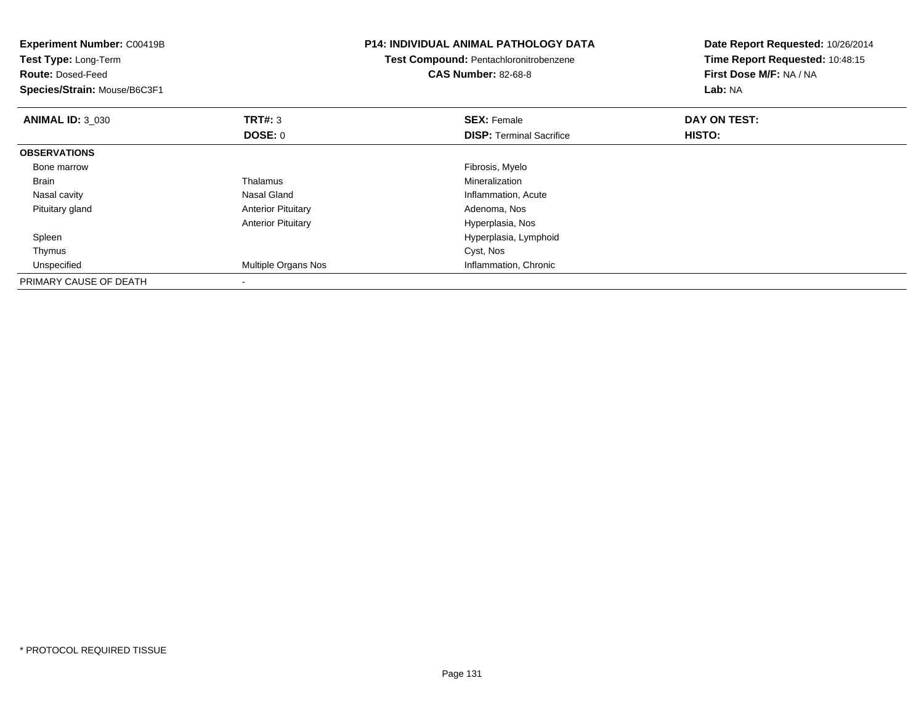| <b>Experiment Number: C00419B</b><br>Test Type: Long-Term<br><b>Route: Dosed-Feed</b><br>Species/Strain: Mouse/B6C3F1 |                           | <b>P14: INDIVIDUAL ANIMAL PATHOLOGY DATA</b><br><b>Test Compound: Pentachloronitrobenzene</b><br><b>CAS Number: 82-68-8</b> | Date Report Requested: 10/26/2014<br>Time Report Requested: 10:48:15<br>First Dose M/F: NA / NA<br>Lab: NA |
|-----------------------------------------------------------------------------------------------------------------------|---------------------------|-----------------------------------------------------------------------------------------------------------------------------|------------------------------------------------------------------------------------------------------------|
| <b>ANIMAL ID: 3 030</b>                                                                                               | <b>TRT#: 3</b>            | <b>SEX: Female</b>                                                                                                          | DAY ON TEST:                                                                                               |
|                                                                                                                       | DOSE: 0                   | <b>DISP:</b> Terminal Sacrifice                                                                                             | HISTO:                                                                                                     |
| <b>OBSERVATIONS</b>                                                                                                   |                           |                                                                                                                             |                                                                                                            |
| Bone marrow                                                                                                           |                           | Fibrosis, Myelo                                                                                                             |                                                                                                            |
| <b>Brain</b>                                                                                                          | Thalamus                  | Mineralization                                                                                                              |                                                                                                            |
| Nasal cavity                                                                                                          | Nasal Gland               | Inflammation, Acute                                                                                                         |                                                                                                            |
| Pituitary gland                                                                                                       | <b>Anterior Pituitary</b> | Adenoma, Nos                                                                                                                |                                                                                                            |
|                                                                                                                       | <b>Anterior Pituitary</b> | Hyperplasia, Nos                                                                                                            |                                                                                                            |
| Spleen                                                                                                                |                           | Hyperplasia, Lymphoid                                                                                                       |                                                                                                            |
| Thymus                                                                                                                |                           | Cyst, Nos                                                                                                                   |                                                                                                            |
| Unspecified                                                                                                           | Multiple Organs Nos       | Inflammation, Chronic                                                                                                       |                                                                                                            |
| PRIMARY CAUSE OF DEATH                                                                                                |                           |                                                                                                                             |                                                                                                            |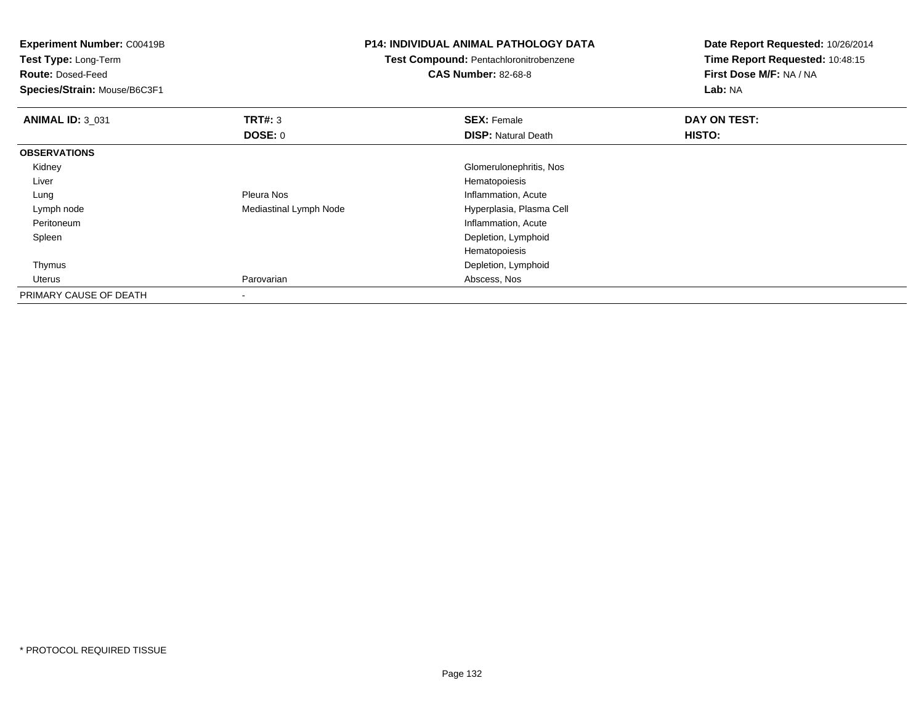| <b>Experiment Number: C00419B</b><br>Test Type: Long-Term<br><b>Route: Dosed-Feed</b><br>Species/Strain: Mouse/B6C3F1 |                        | P14: INDIVIDUAL ANIMAL PATHOLOGY DATA<br><b>Test Compound: Pentachloronitrobenzene</b><br><b>CAS Number: 82-68-8</b> | Date Report Requested: 10/26/2014<br>Time Report Requested: 10:48:15<br>First Dose M/F: NA / NA<br>Lab: NA |  |
|-----------------------------------------------------------------------------------------------------------------------|------------------------|----------------------------------------------------------------------------------------------------------------------|------------------------------------------------------------------------------------------------------------|--|
| <b>ANIMAL ID: 3_031</b>                                                                                               | TRT#: 3                | <b>SEX: Female</b>                                                                                                   | DAY ON TEST:                                                                                               |  |
|                                                                                                                       | <b>DOSE: 0</b>         | <b>DISP: Natural Death</b>                                                                                           | HISTO:                                                                                                     |  |
| <b>OBSERVATIONS</b>                                                                                                   |                        |                                                                                                                      |                                                                                                            |  |
| Kidney                                                                                                                |                        | Glomerulonephritis, Nos                                                                                              |                                                                                                            |  |
| Liver                                                                                                                 |                        | Hematopoiesis                                                                                                        |                                                                                                            |  |
| Lung                                                                                                                  | <b>Pleura Nos</b>      | Inflammation, Acute                                                                                                  |                                                                                                            |  |
| Lymph node                                                                                                            | Mediastinal Lymph Node | Hyperplasia, Plasma Cell                                                                                             |                                                                                                            |  |
| Peritoneum                                                                                                            |                        | Inflammation, Acute                                                                                                  |                                                                                                            |  |
| Spleen                                                                                                                |                        | Depletion, Lymphoid                                                                                                  |                                                                                                            |  |
|                                                                                                                       |                        | Hematopoiesis                                                                                                        |                                                                                                            |  |
| Thymus                                                                                                                |                        | Depletion, Lymphoid                                                                                                  |                                                                                                            |  |
| Uterus                                                                                                                | Parovarian             | Abscess, Nos                                                                                                         |                                                                                                            |  |
| PRIMARY CAUSE OF DEATH                                                                                                |                        |                                                                                                                      |                                                                                                            |  |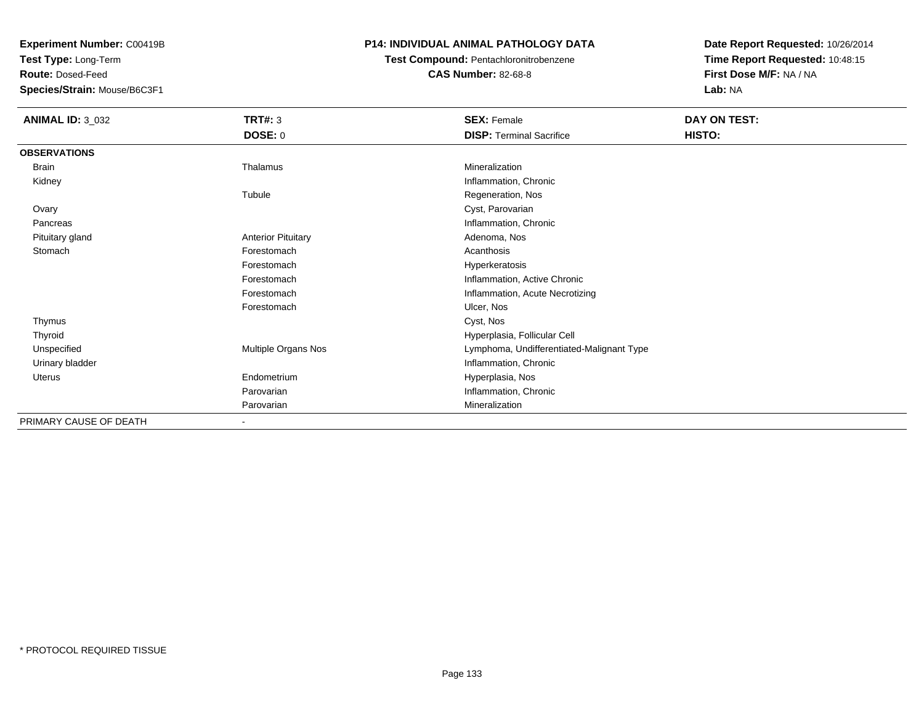**Test Type:** Long-Term

**Route:** Dosed-Feed

**Species/Strain:** Mouse/B6C3F1

## **P14: INDIVIDUAL ANIMAL PATHOLOGY DATA**

**Test Compound:** Pentachloronitrobenzene

**CAS Number:** 82-68-8

| <b>ANIMAL ID: 3_032</b> | <b>TRT#: 3</b>            | <b>SEX: Female</b>                        | DAY ON TEST: |  |
|-------------------------|---------------------------|-------------------------------------------|--------------|--|
|                         | <b>DOSE: 0</b>            | <b>DISP: Terminal Sacrifice</b>           | HISTO:       |  |
| <b>OBSERVATIONS</b>     |                           |                                           |              |  |
| Brain                   | Thalamus                  | Mineralization                            |              |  |
| Kidney                  |                           | Inflammation, Chronic                     |              |  |
|                         | Tubule                    | Regeneration, Nos                         |              |  |
| Ovary                   |                           | Cyst, Parovarian                          |              |  |
| Pancreas                |                           | Inflammation, Chronic                     |              |  |
| Pituitary gland         | <b>Anterior Pituitary</b> | Adenoma, Nos                              |              |  |
| Stomach                 | Forestomach               | Acanthosis                                |              |  |
|                         | Forestomach               | Hyperkeratosis                            |              |  |
|                         | Forestomach               | Inflammation, Active Chronic              |              |  |
|                         | Forestomach               | Inflammation, Acute Necrotizing           |              |  |
|                         | Forestomach               | Ulcer, Nos                                |              |  |
| Thymus                  |                           | Cyst, Nos                                 |              |  |
| Thyroid                 |                           | Hyperplasia, Follicular Cell              |              |  |
| Unspecified             | Multiple Organs Nos       | Lymphoma, Undifferentiated-Malignant Type |              |  |
| Urinary bladder         |                           | Inflammation, Chronic                     |              |  |
| Uterus                  | Endometrium               | Hyperplasia, Nos                          |              |  |
|                         | Parovarian                | Inflammation, Chronic                     |              |  |
|                         | Parovarian                | Mineralization                            |              |  |
| PRIMARY CAUSE OF DEATH  | $\overline{\phantom{a}}$  |                                           |              |  |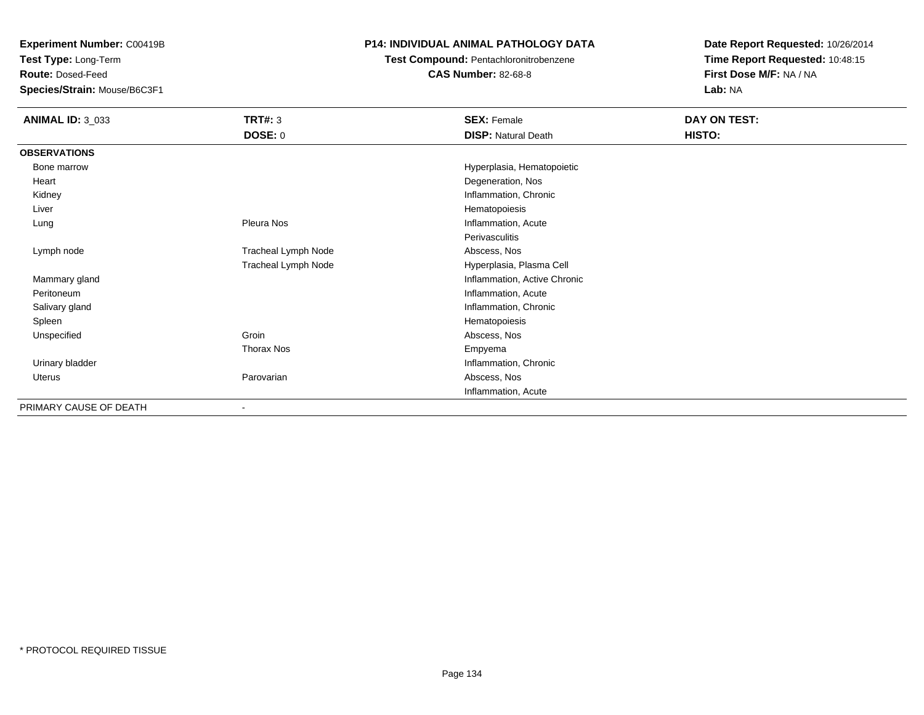**Test Type:** Long-Term

**Route:** Dosed-Feed

**Species/Strain:** Mouse/B6C3F1

## **P14: INDIVIDUAL ANIMAL PATHOLOGY DATA**

**Test Compound:** Pentachloronitrobenzene

**CAS Number:** 82-68-8

| <b>ANIMAL ID: 3_033</b> | <b>TRT#: 3</b>      | <b>SEX: Female</b>           | DAY ON TEST: |
|-------------------------|---------------------|------------------------------|--------------|
|                         | <b>DOSE: 0</b>      | <b>DISP: Natural Death</b>   | HISTO:       |
| <b>OBSERVATIONS</b>     |                     |                              |              |
| Bone marrow             |                     | Hyperplasia, Hematopoietic   |              |
| Heart                   |                     | Degeneration, Nos            |              |
| Kidney                  |                     | Inflammation, Chronic        |              |
| Liver                   |                     | Hematopoiesis                |              |
| Lung                    | Pleura Nos          | Inflammation, Acute          |              |
|                         |                     | Perivasculitis               |              |
| Lymph node              | Tracheal Lymph Node | Abscess, Nos                 |              |
|                         | Tracheal Lymph Node | Hyperplasia, Plasma Cell     |              |
| Mammary gland           |                     | Inflammation, Active Chronic |              |
| Peritoneum              |                     | Inflammation, Acute          |              |
| Salivary gland          |                     | Inflammation, Chronic        |              |
| Spleen                  |                     | Hematopoiesis                |              |
| Unspecified             | Groin               | Abscess, Nos                 |              |
|                         | Thorax Nos          | Empyema                      |              |
| Urinary bladder         |                     | Inflammation, Chronic        |              |
| Uterus                  | Parovarian          | Abscess, Nos                 |              |
|                         |                     | Inflammation, Acute          |              |
| PRIMARY CAUSE OF DEATH  | ۰                   |                              |              |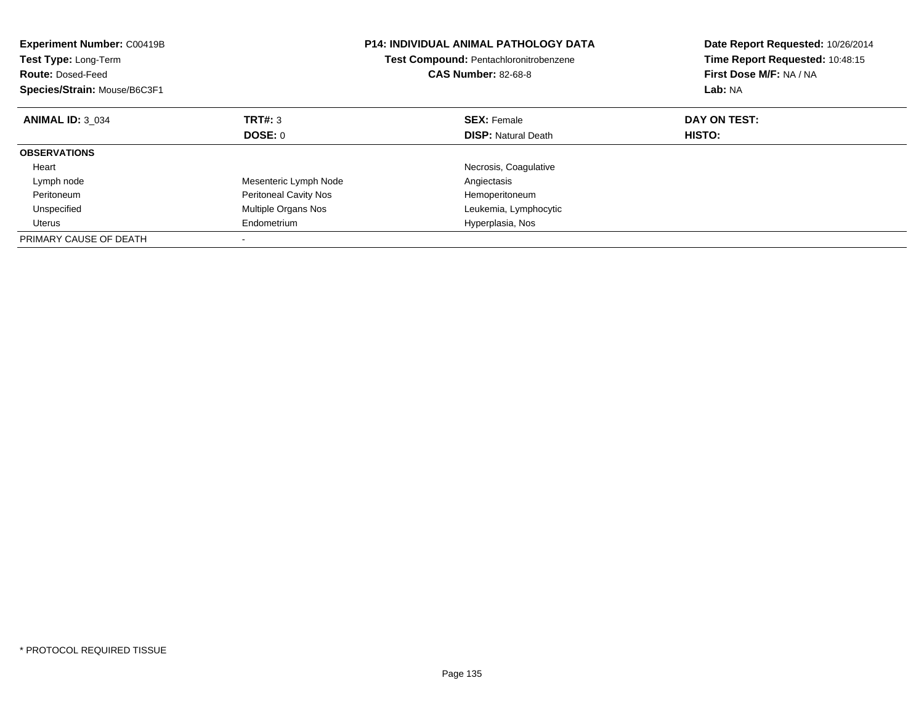| <b>Experiment Number: C00419B</b><br><b>Test Type: Long-Term</b><br><b>Route: Dosed-Feed</b><br>Species/Strain: Mouse/B6C3F1 |                              | <b>P14: INDIVIDUAL ANIMAL PATHOLOGY DATA</b><br><b>Test Compound: Pentachloronitrobenzene</b><br><b>CAS Number: 82-68-8</b> | Date Report Requested: 10/26/2014<br>Time Report Requested: 10:48:15<br>First Dose M/F: NA / NA<br>Lab: NA |
|------------------------------------------------------------------------------------------------------------------------------|------------------------------|-----------------------------------------------------------------------------------------------------------------------------|------------------------------------------------------------------------------------------------------------|
| <b>ANIMAL ID: 3 034</b>                                                                                                      | TRT#: 3                      | <b>SEX: Female</b>                                                                                                          | DAY ON TEST:                                                                                               |
|                                                                                                                              | DOSE: 0                      | <b>DISP:</b> Natural Death                                                                                                  | <b>HISTO:</b>                                                                                              |
| <b>OBSERVATIONS</b>                                                                                                          |                              |                                                                                                                             |                                                                                                            |
| Heart                                                                                                                        |                              | Necrosis, Coagulative                                                                                                       |                                                                                                            |
| Lymph node                                                                                                                   | Mesenteric Lymph Node        | Angiectasis                                                                                                                 |                                                                                                            |
| Peritoneum                                                                                                                   | <b>Peritoneal Cavity Nos</b> | Hemoperitoneum                                                                                                              |                                                                                                            |
| Unspecified                                                                                                                  | Multiple Organs Nos          | Leukemia, Lymphocytic                                                                                                       |                                                                                                            |
| Uterus                                                                                                                       | Endometrium                  | Hyperplasia, Nos                                                                                                            |                                                                                                            |
| PRIMARY CAUSE OF DEATH                                                                                                       |                              |                                                                                                                             |                                                                                                            |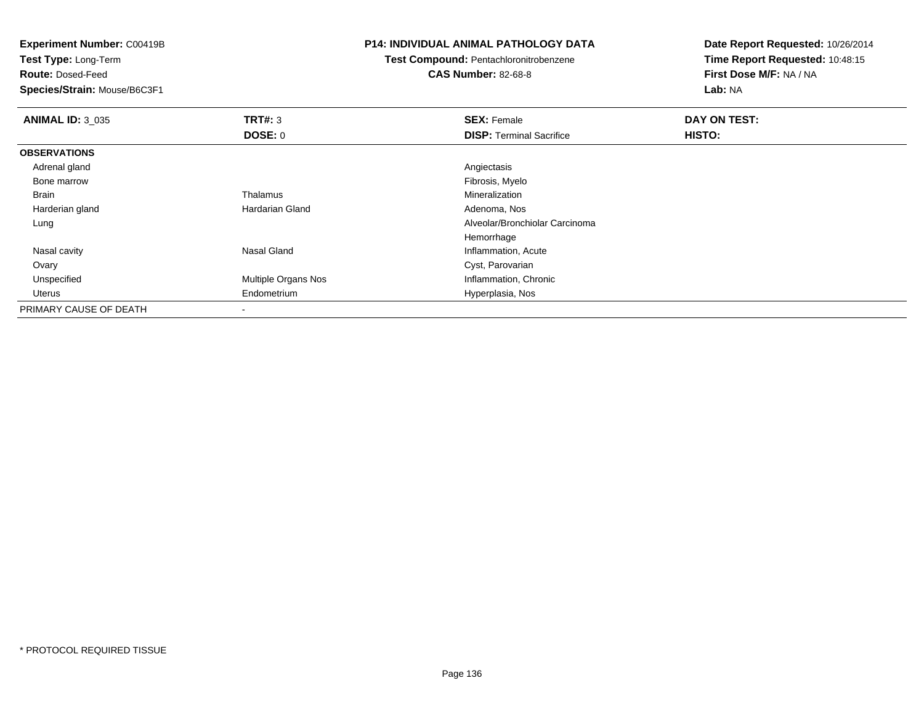**Test Type:** Long-Term

**Route:** Dosed-Feed

**Species/Strain:** Mouse/B6C3F1

## **P14: INDIVIDUAL ANIMAL PATHOLOGY DATA**

**Test Compound:** Pentachloronitrobenzene

**CAS Number:** 82-68-8

| <b>ANIMAL ID: 3 035</b> | TRT#: 3                | <b>SEX: Female</b>              | DAY ON TEST: |  |
|-------------------------|------------------------|---------------------------------|--------------|--|
|                         | <b>DOSE: 0</b>         | <b>DISP: Terminal Sacrifice</b> | HISTO:       |  |
| <b>OBSERVATIONS</b>     |                        |                                 |              |  |
| Adrenal gland           |                        | Angiectasis                     |              |  |
| Bone marrow             |                        | Fibrosis, Myelo                 |              |  |
| Brain                   | Thalamus               | Mineralization                  |              |  |
| Harderian gland         | <b>Hardarian Gland</b> | Adenoma, Nos                    |              |  |
| Lung                    |                        | Alveolar/Bronchiolar Carcinoma  |              |  |
|                         |                        | Hemorrhage                      |              |  |
| Nasal cavity            | Nasal Gland            | Inflammation, Acute             |              |  |
| Ovary                   |                        | Cyst, Parovarian                |              |  |
| Unspecified             | Multiple Organs Nos    | Inflammation, Chronic           |              |  |
| Uterus                  | Endometrium            | Hyperplasia, Nos                |              |  |
| PRIMARY CAUSE OF DEATH  |                        |                                 |              |  |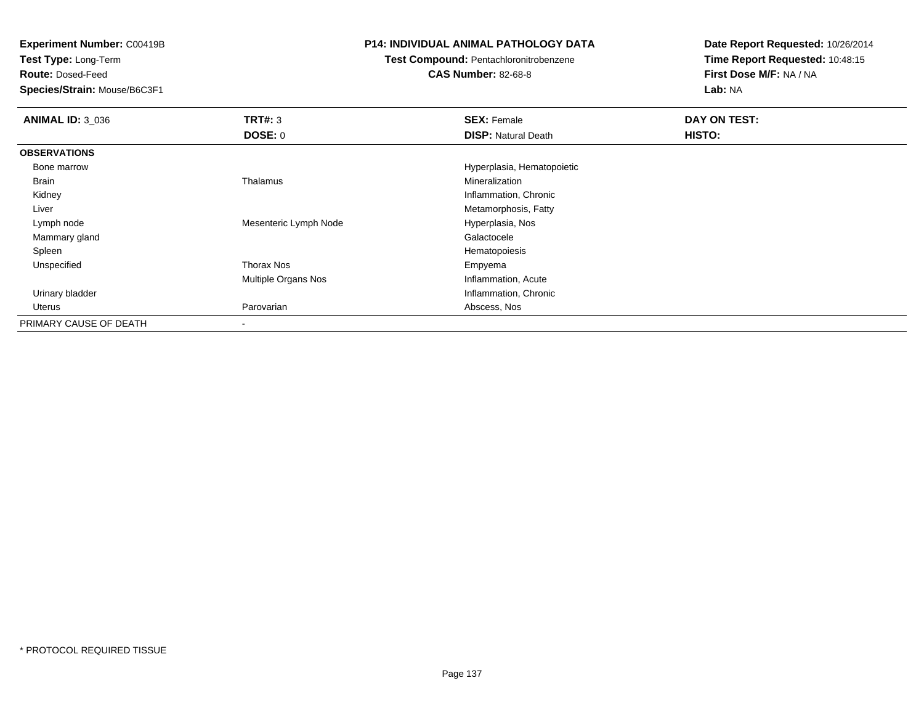**Test Type:** Long-Term

**Route:** Dosed-Feed

**Species/Strain:** Mouse/B6C3F1

## **P14: INDIVIDUAL ANIMAL PATHOLOGY DATA**

## **Test Compound:** Pentachloronitrobenzene

**CAS Number:** 82-68-8

| <b>ANIMAL ID: 3_036</b> | TRT#: 3                    | <b>SEX: Female</b>         | DAY ON TEST: |  |
|-------------------------|----------------------------|----------------------------|--------------|--|
|                         | DOSE: 0                    | <b>DISP:</b> Natural Death | HISTO:       |  |
| <b>OBSERVATIONS</b>     |                            |                            |              |  |
| Bone marrow             |                            | Hyperplasia, Hematopoietic |              |  |
| Brain                   | Thalamus                   | Mineralization             |              |  |
| Kidney                  |                            | Inflammation, Chronic      |              |  |
| Liver                   |                            | Metamorphosis, Fatty       |              |  |
| Lymph node              | Mesenteric Lymph Node      | Hyperplasia, Nos           |              |  |
| Mammary gland           |                            | Galactocele                |              |  |
| Spleen                  |                            | Hematopoiesis              |              |  |
| Unspecified             | Thorax Nos                 | Empyema                    |              |  |
|                         | <b>Multiple Organs Nos</b> | Inflammation, Acute        |              |  |
| Urinary bladder         |                            | Inflammation, Chronic      |              |  |
| Uterus                  | Parovarian                 | Abscess, Nos               |              |  |
| PRIMARY CAUSE OF DEATH  |                            |                            |              |  |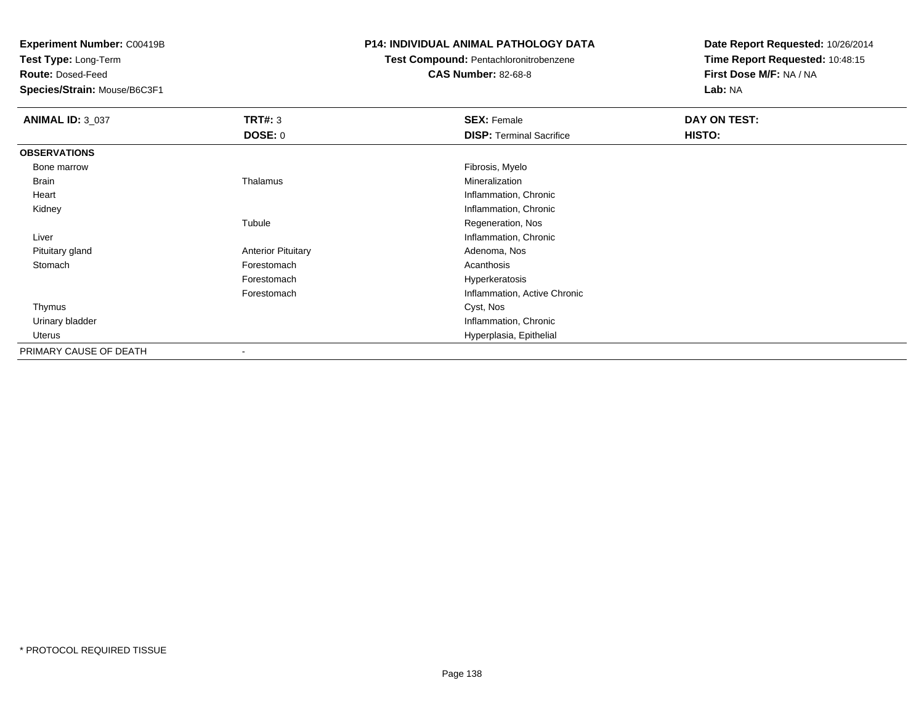**Test Type:** Long-Term

**Route:** Dosed-Feed

**Species/Strain:** Mouse/B6C3F1

## **P14: INDIVIDUAL ANIMAL PATHOLOGY DATA**

## **Test Compound:** Pentachloronitrobenzene

**CAS Number:** 82-68-8

| <b>ANIMAL ID: 3_037</b> | TRT#: 3                   | <b>SEX: Female</b>              | DAY ON TEST: |  |
|-------------------------|---------------------------|---------------------------------|--------------|--|
|                         | <b>DOSE: 0</b>            | <b>DISP: Terminal Sacrifice</b> | HISTO:       |  |
| <b>OBSERVATIONS</b>     |                           |                                 |              |  |
| Bone marrow             |                           | Fibrosis, Myelo                 |              |  |
| Brain                   | Thalamus                  | Mineralization                  |              |  |
| Heart                   |                           | Inflammation, Chronic           |              |  |
| Kidney                  |                           | Inflammation, Chronic           |              |  |
|                         | Tubule                    | Regeneration, Nos               |              |  |
| Liver                   |                           | Inflammation, Chronic           |              |  |
| Pituitary gland         | <b>Anterior Pituitary</b> | Adenoma, Nos                    |              |  |
| Stomach                 | Forestomach               | Acanthosis                      |              |  |
|                         | Forestomach               | Hyperkeratosis                  |              |  |
|                         | Forestomach               | Inflammation, Active Chronic    |              |  |
| Thymus                  |                           | Cyst, Nos                       |              |  |
| Urinary bladder         |                           | Inflammation, Chronic           |              |  |
| Uterus                  |                           | Hyperplasia, Epithelial         |              |  |
| PRIMARY CAUSE OF DEATH  |                           |                                 |              |  |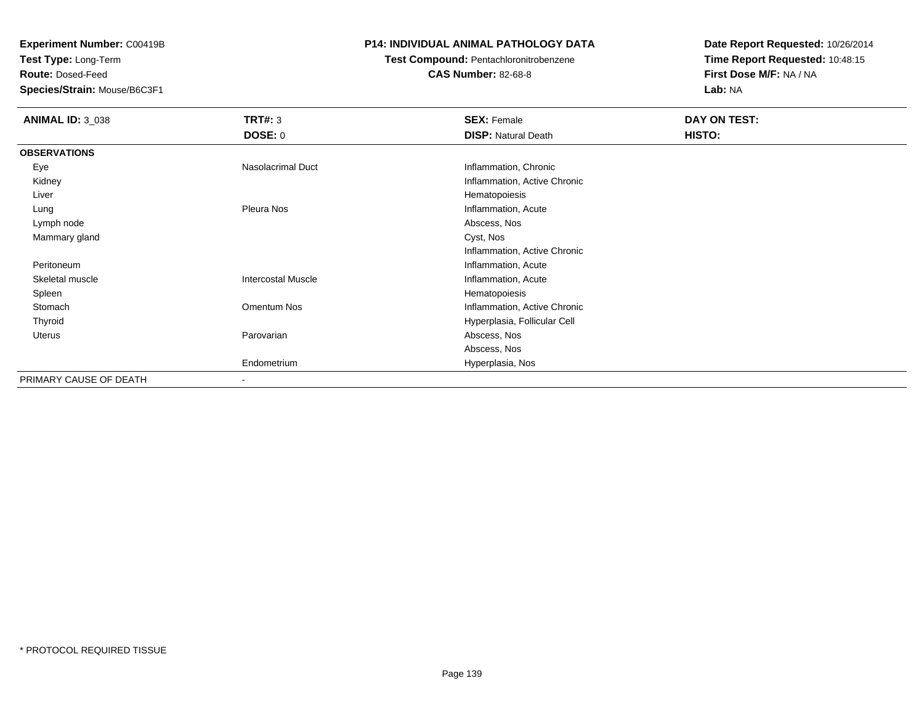**Test Type:** Long-Term

**Route:** Dosed-Feed

**Species/Strain:** Mouse/B6C3F1

## **P14: INDIVIDUAL ANIMAL PATHOLOGY DATA**

# **Test Compound:** Pentachloronitrobenzene

**CAS Number:** 82-68-8

| <b>ANIMAL ID: 3_038</b> | TRT#: 3                   | <b>SEX: Female</b>           | DAY ON TEST: |
|-------------------------|---------------------------|------------------------------|--------------|
|                         | <b>DOSE: 0</b>            | <b>DISP: Natural Death</b>   | HISTO:       |
| <b>OBSERVATIONS</b>     |                           |                              |              |
| Eye                     | Nasolacrimal Duct         | Inflammation, Chronic        |              |
| Kidney                  |                           | Inflammation, Active Chronic |              |
| Liver                   |                           | Hematopoiesis                |              |
| Lung                    | Pleura Nos                | Inflammation, Acute          |              |
| Lymph node              |                           | Abscess, Nos                 |              |
| Mammary gland           |                           | Cyst, Nos                    |              |
|                         |                           | Inflammation, Active Chronic |              |
| Peritoneum              |                           | Inflammation, Acute          |              |
| Skeletal muscle         | <b>Intercostal Muscle</b> | Inflammation, Acute          |              |
| Spleen                  |                           | Hematopoiesis                |              |
| Stomach                 | Omentum Nos               | Inflammation, Active Chronic |              |
| Thyroid                 |                           | Hyperplasia, Follicular Cell |              |
| Uterus                  | Parovarian                | Abscess, Nos                 |              |
|                         |                           | Abscess, Nos                 |              |
|                         | Endometrium               | Hyperplasia, Nos             |              |
| PRIMARY CAUSE OF DEATH  | $\blacksquare$            |                              |              |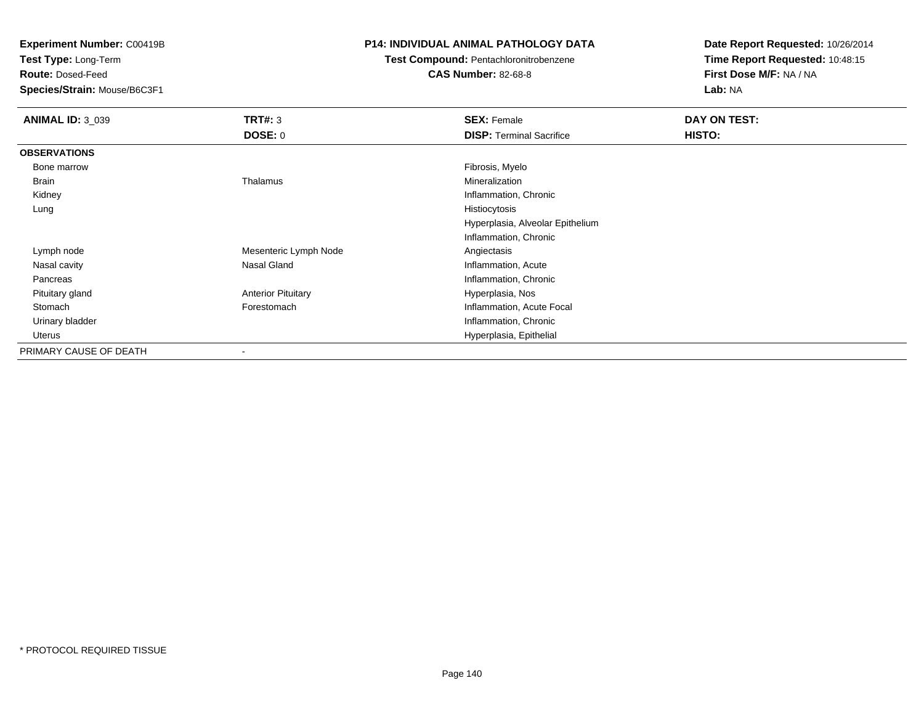**Test Type:** Long-Term

**Route:** Dosed-Feed

**Species/Strain:** Mouse/B6C3F1

## **P14: INDIVIDUAL ANIMAL PATHOLOGY DATA**

# **Test Compound:** Pentachloronitrobenzene

**CAS Number:** 82-68-8

| <b>ANIMAL ID: 3_039</b> | TRT#: 3                   | <b>SEX: Female</b>               | DAY ON TEST: |  |
|-------------------------|---------------------------|----------------------------------|--------------|--|
|                         | <b>DOSE: 0</b>            | <b>DISP: Terminal Sacrifice</b>  | HISTO:       |  |
| <b>OBSERVATIONS</b>     |                           |                                  |              |  |
| Bone marrow             |                           | Fibrosis, Myelo                  |              |  |
| Brain                   | Thalamus                  | Mineralization                   |              |  |
| Kidney                  |                           | Inflammation, Chronic            |              |  |
| Lung                    |                           | Histiocytosis                    |              |  |
|                         |                           | Hyperplasia, Alveolar Epithelium |              |  |
|                         |                           | Inflammation, Chronic            |              |  |
| Lymph node              | Mesenteric Lymph Node     | Angiectasis                      |              |  |
| Nasal cavity            | Nasal Gland               | Inflammation, Acute              |              |  |
| Pancreas                |                           | Inflammation, Chronic            |              |  |
| Pituitary gland         | <b>Anterior Pituitary</b> | Hyperplasia, Nos                 |              |  |
| Stomach                 | Forestomach               | Inflammation, Acute Focal        |              |  |
| Urinary bladder         |                           | Inflammation, Chronic            |              |  |
| Uterus                  |                           | Hyperplasia, Epithelial          |              |  |
| PRIMARY CAUSE OF DEATH  | $\overline{\phantom{a}}$  |                                  |              |  |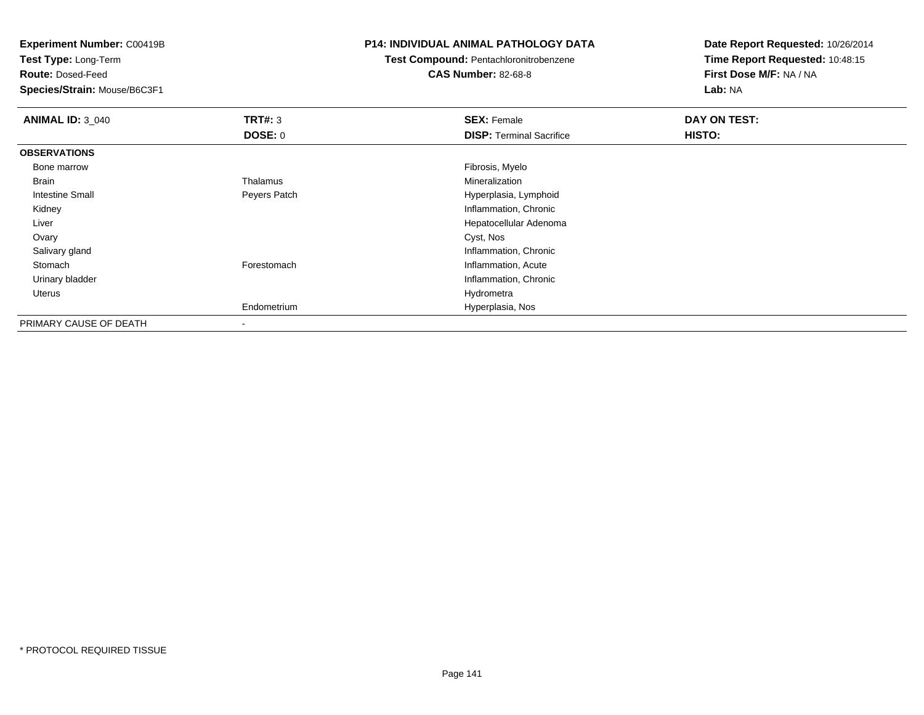**Test Type:** Long-Term

**Route:** Dosed-Feed

**Species/Strain:** Mouse/B6C3F1

## **P14: INDIVIDUAL ANIMAL PATHOLOGY DATA**

**Test Compound:** Pentachloronitrobenzene

**CAS Number:** 82-68-8

| <b>ANIMAL ID: 3 040</b> | TRT#: 3                  | <b>SEX: Female</b>              | DAY ON TEST: |
|-------------------------|--------------------------|---------------------------------|--------------|
|                         | <b>DOSE: 0</b>           | <b>DISP: Terminal Sacrifice</b> | HISTO:       |
| <b>OBSERVATIONS</b>     |                          |                                 |              |
| Bone marrow             |                          | Fibrosis, Myelo                 |              |
| Brain                   | Thalamus                 | Mineralization                  |              |
| Intestine Small         | Peyers Patch             | Hyperplasia, Lymphoid           |              |
| Kidney                  |                          | Inflammation, Chronic           |              |
| Liver                   |                          | Hepatocellular Adenoma          |              |
| Ovary                   |                          | Cyst, Nos                       |              |
| Salivary gland          |                          | Inflammation, Chronic           |              |
| Stomach                 | Forestomach              | Inflammation, Acute             |              |
| Urinary bladder         |                          | Inflammation, Chronic           |              |
| Uterus                  |                          | Hydrometra                      |              |
|                         | Endometrium              | Hyperplasia, Nos                |              |
| PRIMARY CAUSE OF DEATH  | $\overline{\phantom{a}}$ |                                 |              |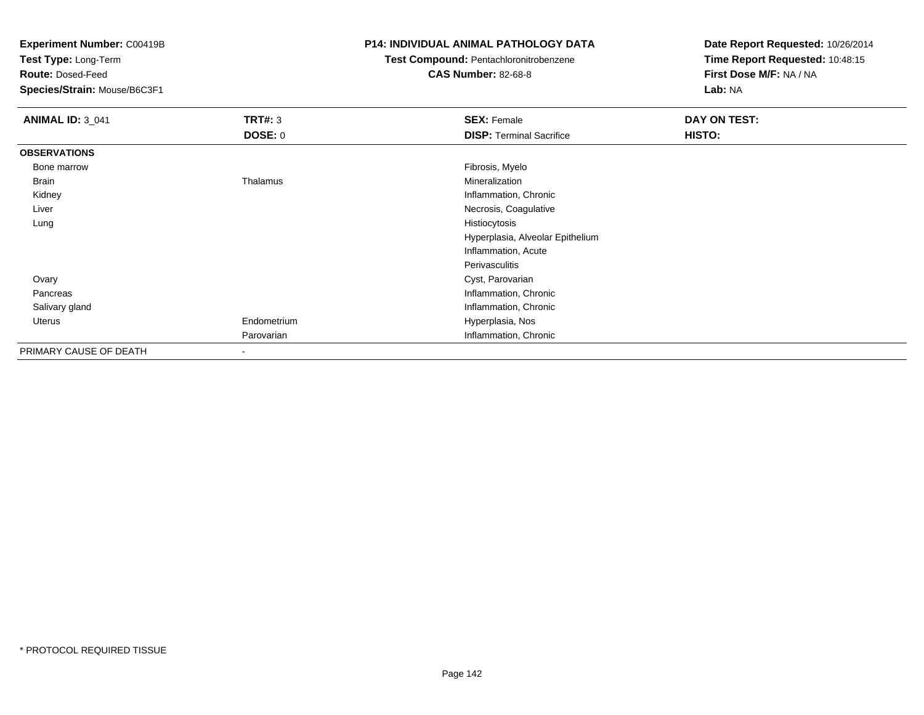**Test Type:** Long-Term

**Route:** Dosed-Feed

**Species/Strain:** Mouse/B6C3F1

## **P14: INDIVIDUAL ANIMAL PATHOLOGY DATA**

**Test Compound:** Pentachloronitrobenzene

**CAS Number:** 82-68-8

| <b>ANIMAL ID: 3_041</b> | TRT#: 3        | <b>SEX: Female</b>               | DAY ON TEST: |  |
|-------------------------|----------------|----------------------------------|--------------|--|
|                         | <b>DOSE: 0</b> | <b>DISP: Terminal Sacrifice</b>  | HISTO:       |  |
| <b>OBSERVATIONS</b>     |                |                                  |              |  |
| Bone marrow             |                | Fibrosis, Myelo                  |              |  |
| Brain                   | Thalamus       | Mineralization                   |              |  |
| Kidney                  |                | Inflammation, Chronic            |              |  |
| Liver                   |                | Necrosis, Coagulative            |              |  |
| Lung                    |                | Histiocytosis                    |              |  |
|                         |                | Hyperplasia, Alveolar Epithelium |              |  |
|                         |                | Inflammation, Acute              |              |  |
|                         |                | Perivasculitis                   |              |  |
| Ovary                   |                | Cyst, Parovarian                 |              |  |
| Pancreas                |                | Inflammation, Chronic            |              |  |
| Salivary gland          |                | Inflammation, Chronic            |              |  |
| Uterus                  | Endometrium    | Hyperplasia, Nos                 |              |  |
|                         | Parovarian     | Inflammation, Chronic            |              |  |
| PRIMARY CAUSE OF DEATH  |                |                                  |              |  |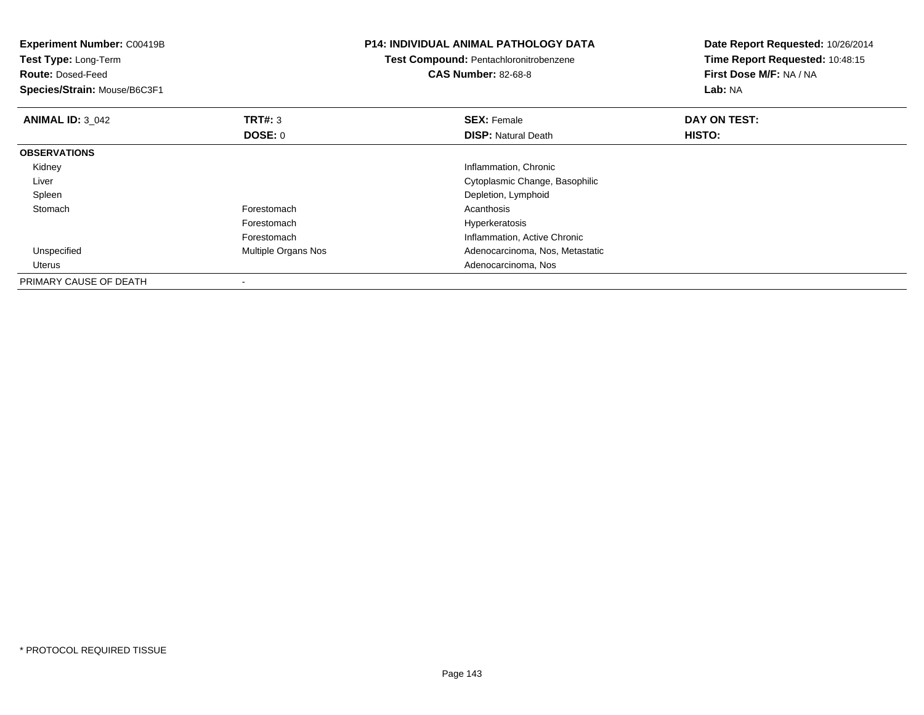| <b>Experiment Number: C00419B</b><br>Test Type: Long-Term<br><b>Route: Dosed-Feed</b><br>Species/Strain: Mouse/B6C3F1 |                     | <b>P14: INDIVIDUAL ANIMAL PATHOLOGY DATA</b><br>Test Compound: Pentachloronitrobenzene<br><b>CAS Number: 82-68-8</b> | Date Report Requested: 10/26/2014<br>Time Report Requested: 10:48:15<br>First Dose M/F: NA / NA<br>Lab: NA |
|-----------------------------------------------------------------------------------------------------------------------|---------------------|----------------------------------------------------------------------------------------------------------------------|------------------------------------------------------------------------------------------------------------|
| <b>ANIMAL ID: 3 042</b>                                                                                               | TRT#: 3             | <b>SEX: Female</b>                                                                                                   | DAY ON TEST:                                                                                               |
|                                                                                                                       | DOSE: 0             | <b>DISP:</b> Natural Death                                                                                           | HISTO:                                                                                                     |
| <b>OBSERVATIONS</b>                                                                                                   |                     |                                                                                                                      |                                                                                                            |
| Kidney                                                                                                                |                     | Inflammation, Chronic                                                                                                |                                                                                                            |
| Liver                                                                                                                 |                     | Cytoplasmic Change, Basophilic                                                                                       |                                                                                                            |
| Spleen                                                                                                                |                     | Depletion, Lymphoid                                                                                                  |                                                                                                            |
| Stomach                                                                                                               | Forestomach         | Acanthosis                                                                                                           |                                                                                                            |
|                                                                                                                       | Forestomach         | Hyperkeratosis                                                                                                       |                                                                                                            |
|                                                                                                                       | Forestomach         | Inflammation, Active Chronic                                                                                         |                                                                                                            |
| Unspecified                                                                                                           | Multiple Organs Nos | Adenocarcinoma, Nos, Metastatic                                                                                      |                                                                                                            |
| Uterus                                                                                                                |                     | Adenocarcinoma, Nos                                                                                                  |                                                                                                            |
| PRIMARY CAUSE OF DEATH                                                                                                |                     |                                                                                                                      |                                                                                                            |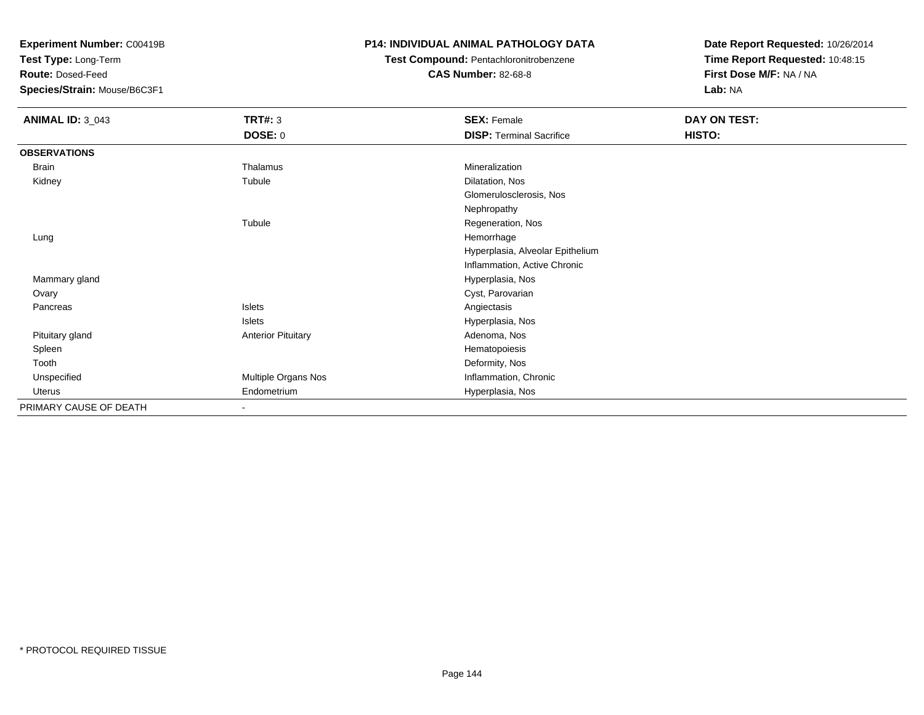**Test Type:** Long-Term

**Route:** Dosed-Feed

**Species/Strain:** Mouse/B6C3F1

## **P14: INDIVIDUAL ANIMAL PATHOLOGY DATA**

**Test Compound:** Pentachloronitrobenzene

**CAS Number:** 82-68-8

| <b>ANIMAL ID: 3_043</b> | <b>TRT#: 3</b>            | <b>SEX: Female</b>               | DAY ON TEST: |  |
|-------------------------|---------------------------|----------------------------------|--------------|--|
|                         | <b>DOSE: 0</b>            | <b>DISP: Terminal Sacrifice</b>  | HISTO:       |  |
| <b>OBSERVATIONS</b>     |                           |                                  |              |  |
| Brain                   | Thalamus                  | Mineralization                   |              |  |
| Kidney                  | Tubule                    | Dilatation, Nos                  |              |  |
|                         |                           | Glomerulosclerosis, Nos          |              |  |
|                         |                           | Nephropathy                      |              |  |
|                         | Tubule                    | Regeneration, Nos                |              |  |
| Lung                    |                           | Hemorrhage                       |              |  |
|                         |                           | Hyperplasia, Alveolar Epithelium |              |  |
|                         |                           | Inflammation, Active Chronic     |              |  |
| Mammary gland           |                           | Hyperplasia, Nos                 |              |  |
| Ovary                   |                           | Cyst, Parovarian                 |              |  |
| Pancreas                | Islets                    | Angiectasis                      |              |  |
|                         | Islets                    | Hyperplasia, Nos                 |              |  |
| Pituitary gland         | <b>Anterior Pituitary</b> | Adenoma, Nos                     |              |  |
| Spleen                  |                           | Hematopoiesis                    |              |  |
| Tooth                   |                           | Deformity, Nos                   |              |  |
| Unspecified             | Multiple Organs Nos       | Inflammation, Chronic            |              |  |
| Uterus                  | Endometrium               | Hyperplasia, Nos                 |              |  |
| PRIMARY CAUSE OF DEATH  | $\sim$                    |                                  |              |  |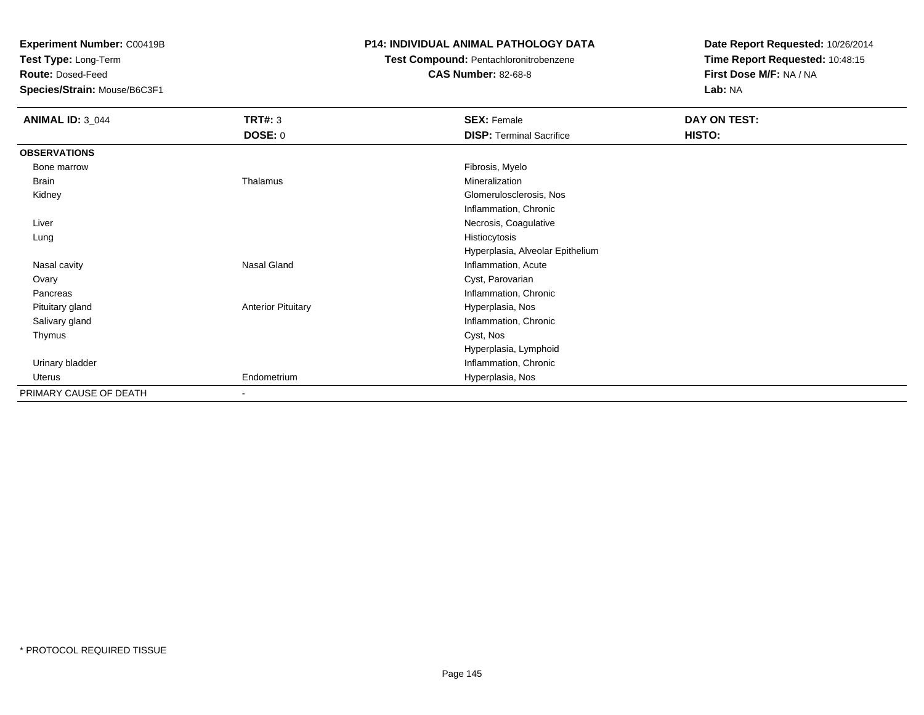**Test Type:** Long-Term

**Route:** Dosed-Feed

**Species/Strain:** Mouse/B6C3F1

## **P14: INDIVIDUAL ANIMAL PATHOLOGY DATA**

**Test Compound:** Pentachloronitrobenzene

**CAS Number:** 82-68-8

| <b>ANIMAL ID: 3_044</b> | <b>TRT#: 3</b>               | <b>SEX: Female</b>               | DAY ON TEST: |  |
|-------------------------|------------------------------|----------------------------------|--------------|--|
|                         | <b>DOSE: 0</b>               | <b>DISP: Terminal Sacrifice</b>  | HISTO:       |  |
| <b>OBSERVATIONS</b>     |                              |                                  |              |  |
| Bone marrow             |                              | Fibrosis, Myelo                  |              |  |
| Brain                   | Thalamus                     | Mineralization                   |              |  |
| Kidney                  |                              | Glomerulosclerosis, Nos          |              |  |
|                         |                              | Inflammation, Chronic            |              |  |
| Liver                   |                              | Necrosis, Coagulative            |              |  |
| Lung                    |                              | Histiocytosis                    |              |  |
|                         |                              | Hyperplasia, Alveolar Epithelium |              |  |
| Nasal cavity            | Nasal Gland                  | Inflammation, Acute              |              |  |
| Ovary                   |                              | Cyst, Parovarian                 |              |  |
| Pancreas                |                              | Inflammation, Chronic            |              |  |
| Pituitary gland         | <b>Anterior Pituitary</b>    | Hyperplasia, Nos                 |              |  |
| Salivary gland          |                              | Inflammation, Chronic            |              |  |
| Thymus                  |                              | Cyst, Nos                        |              |  |
|                         |                              | Hyperplasia, Lymphoid            |              |  |
| Urinary bladder         |                              | Inflammation, Chronic            |              |  |
| Uterus                  | Endometrium                  | Hyperplasia, Nos                 |              |  |
| PRIMARY CAUSE OF DEATH  | $\qquad \qquad \blacksquare$ |                                  |              |  |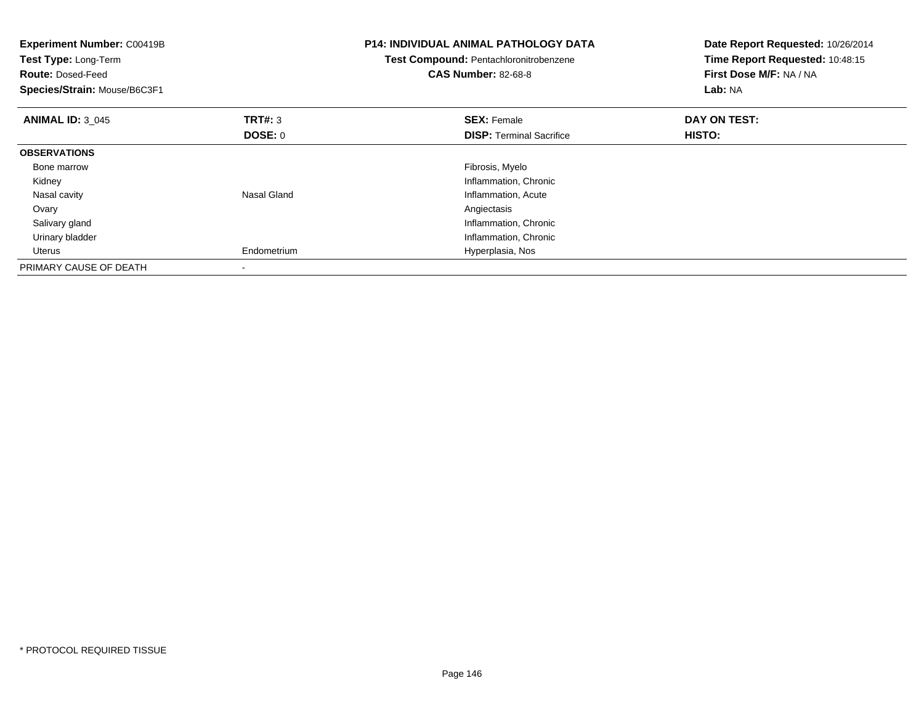| <b>Experiment Number: C00419B</b><br>Test Type: Long-Term<br><b>Route: Dosed-Feed</b><br>Species/Strain: Mouse/B6C3F1 |                | <b>P14: INDIVIDUAL ANIMAL PATHOLOGY DATA</b><br>Test Compound: Pentachloronitrobenzene<br><b>CAS Number: 82-68-8</b> | Date Report Requested: 10/26/2014<br>Time Report Requested: 10:48:15<br>First Dose M/F: NA / NA<br>Lab: NA |
|-----------------------------------------------------------------------------------------------------------------------|----------------|----------------------------------------------------------------------------------------------------------------------|------------------------------------------------------------------------------------------------------------|
| <b>ANIMAL ID: 3 045</b>                                                                                               | <b>TRT#: 3</b> | <b>SEX: Female</b>                                                                                                   | DAY ON TEST:                                                                                               |
|                                                                                                                       | DOSE: 0        | <b>DISP:</b> Terminal Sacrifice                                                                                      | <b>HISTO:</b>                                                                                              |
| <b>OBSERVATIONS</b>                                                                                                   |                |                                                                                                                      |                                                                                                            |
| Bone marrow                                                                                                           |                | Fibrosis, Myelo                                                                                                      |                                                                                                            |
| Kidney                                                                                                                |                | Inflammation, Chronic                                                                                                |                                                                                                            |
| Nasal cavity                                                                                                          | Nasal Gland    | Inflammation, Acute                                                                                                  |                                                                                                            |
| Ovary                                                                                                                 |                | Angiectasis                                                                                                          |                                                                                                            |
| Salivary gland                                                                                                        |                | Inflammation, Chronic                                                                                                |                                                                                                            |
| Urinary bladder                                                                                                       |                | Inflammation, Chronic                                                                                                |                                                                                                            |
| Uterus                                                                                                                | Endometrium    | Hyperplasia, Nos                                                                                                     |                                                                                                            |
| PRIMARY CAUSE OF DEATH                                                                                                |                |                                                                                                                      |                                                                                                            |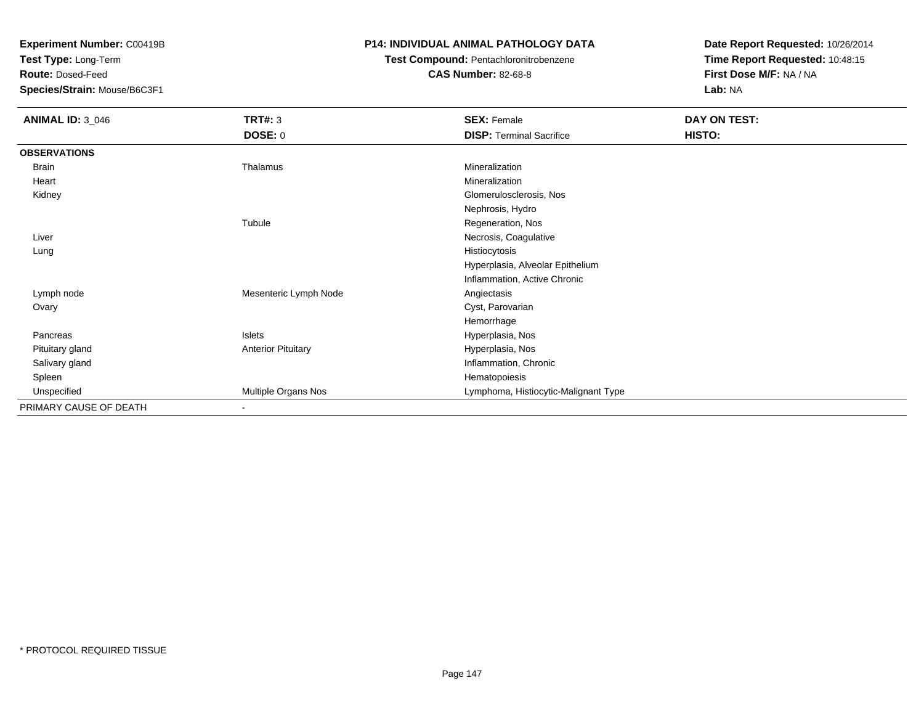**Test Type:** Long-Term

**Route:** Dosed-Feed

**Species/Strain:** Mouse/B6C3F1

## **P14: INDIVIDUAL ANIMAL PATHOLOGY DATA**

# **Test Compound:** Pentachloronitrobenzene

**CAS Number:** 82-68-8

| <b>ANIMAL ID: 3_046</b> | <b>TRT#: 3</b>            | <b>SEX: Female</b>                   | DAY ON TEST: |  |
|-------------------------|---------------------------|--------------------------------------|--------------|--|
|                         | <b>DOSE: 0</b>            | <b>DISP: Terminal Sacrifice</b>      | HISTO:       |  |
| <b>OBSERVATIONS</b>     |                           |                                      |              |  |
| Brain                   | Thalamus                  | Mineralization                       |              |  |
| Heart                   |                           | Mineralization                       |              |  |
| Kidney                  |                           | Glomerulosclerosis, Nos              |              |  |
|                         |                           | Nephrosis, Hydro                     |              |  |
|                         | Tubule                    | Regeneration, Nos                    |              |  |
| Liver                   |                           | Necrosis, Coagulative                |              |  |
| Lung                    |                           | Histiocytosis                        |              |  |
|                         |                           | Hyperplasia, Alveolar Epithelium     |              |  |
|                         |                           | Inflammation, Active Chronic         |              |  |
| Lymph node              | Mesenteric Lymph Node     | Angiectasis                          |              |  |
| Ovary                   |                           | Cyst, Parovarian                     |              |  |
|                         |                           | Hemorrhage                           |              |  |
| Pancreas                | Islets                    | Hyperplasia, Nos                     |              |  |
| Pituitary gland         | <b>Anterior Pituitary</b> | Hyperplasia, Nos                     |              |  |
| Salivary gland          |                           | Inflammation, Chronic                |              |  |
| Spleen                  |                           | Hematopoiesis                        |              |  |
| Unspecified             | Multiple Organs Nos       | Lymphoma, Histiocytic-Malignant Type |              |  |
| PRIMARY CAUSE OF DEATH  | $\overline{\phantom{a}}$  |                                      |              |  |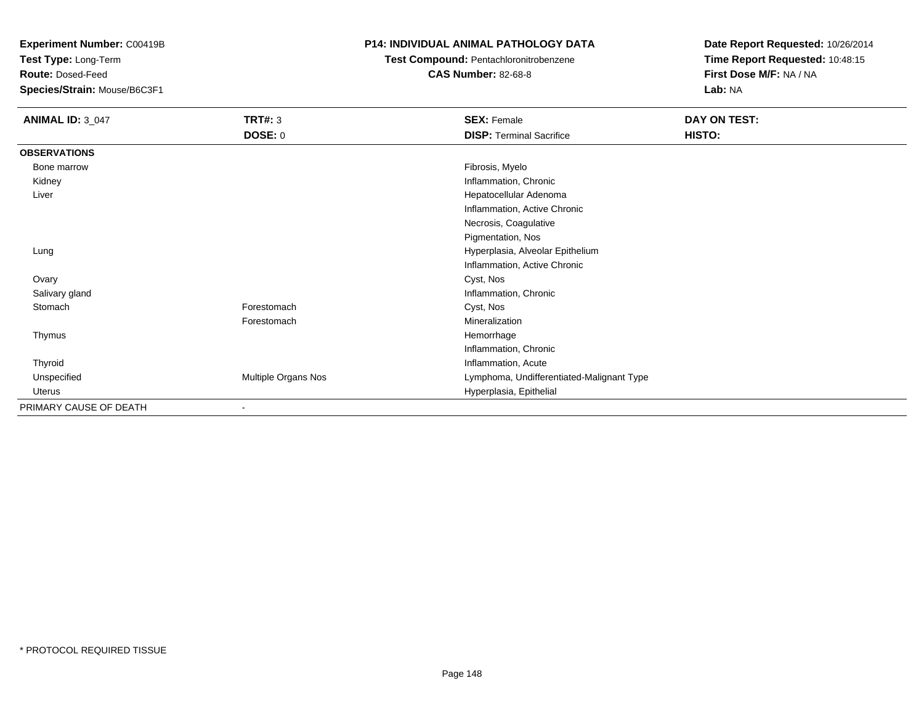**Test Type:** Long-Term

**Route:** Dosed-Feed

**Species/Strain:** Mouse/B6C3F1

## **P14: INDIVIDUAL ANIMAL PATHOLOGY DATA**

# **Test Compound:** Pentachloronitrobenzene

**CAS Number:** 82-68-8

| <b>ANIMAL ID: 3_047</b> | <b>TRT#: 3</b>      | <b>SEX: Female</b>                        | DAY ON TEST: |
|-------------------------|---------------------|-------------------------------------------|--------------|
|                         | DOSE: 0             | <b>DISP: Terminal Sacrifice</b>           | HISTO:       |
| <b>OBSERVATIONS</b>     |                     |                                           |              |
| Bone marrow             |                     | Fibrosis, Myelo                           |              |
| Kidney                  |                     | Inflammation, Chronic                     |              |
| Liver                   |                     | Hepatocellular Adenoma                    |              |
|                         |                     | Inflammation, Active Chronic              |              |
|                         |                     | Necrosis, Coagulative                     |              |
|                         |                     | Pigmentation, Nos                         |              |
| Lung                    |                     | Hyperplasia, Alveolar Epithelium          |              |
|                         |                     | Inflammation, Active Chronic              |              |
| Ovary                   |                     | Cyst, Nos                                 |              |
| Salivary gland          |                     | Inflammation, Chronic                     |              |
| Stomach                 | Forestomach         | Cyst, Nos                                 |              |
|                         | Forestomach         | Mineralization                            |              |
| Thymus                  |                     | Hemorrhage                                |              |
|                         |                     | Inflammation, Chronic                     |              |
| Thyroid                 |                     | Inflammation, Acute                       |              |
| Unspecified             | Multiple Organs Nos | Lymphoma, Undifferentiated-Malignant Type |              |
| Uterus                  |                     | Hyperplasia, Epithelial                   |              |
| PRIMARY CAUSE OF DEATH  |                     |                                           |              |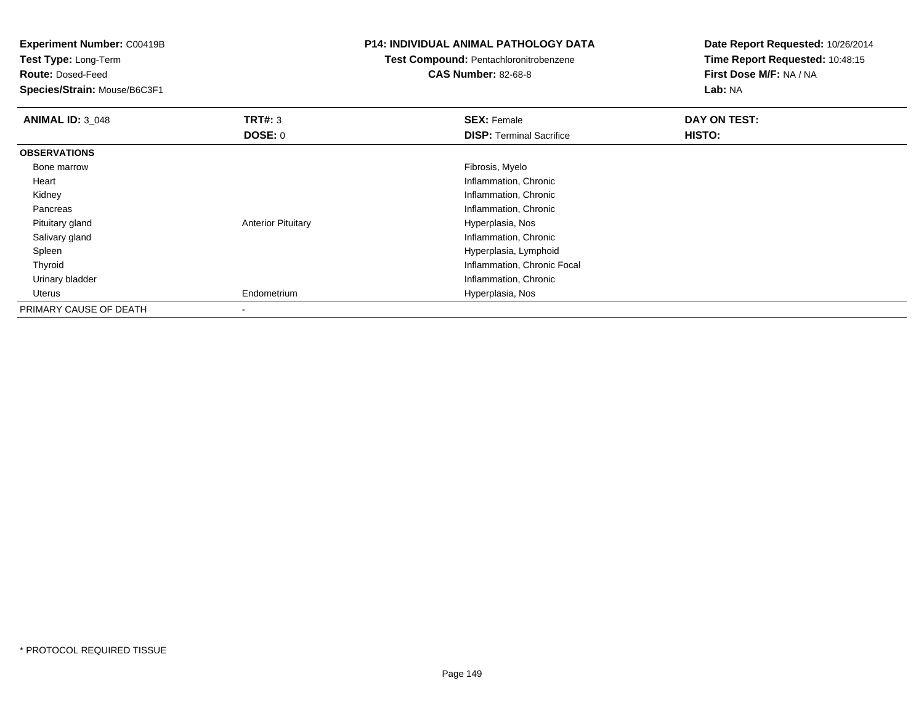| <b>Experiment Number: C00419B</b> |                           | <b>P14: INDIVIDUAL ANIMAL PATHOLOGY DATA</b> | Date Report Requested: 10/26/2014 |
|-----------------------------------|---------------------------|----------------------------------------------|-----------------------------------|
| <b>Test Type: Long-Term</b>       |                           | Test Compound: Pentachloronitrobenzene       | Time Report Requested: 10:48:15   |
| <b>Route: Dosed-Feed</b>          |                           | <b>CAS Number: 82-68-8</b>                   | First Dose M/F: NA / NA           |
| Species/Strain: Mouse/B6C3F1      |                           |                                              | Lab: NA                           |
| <b>ANIMAL ID: 3_048</b>           | <b>TRT#: 3</b>            | <b>SEX: Female</b>                           | DAY ON TEST:                      |
|                                   | <b>DOSE: 0</b>            | <b>DISP:</b> Terminal Sacrifice              | <b>HISTO:</b>                     |
| <b>OBSERVATIONS</b>               |                           |                                              |                                   |
| Bone marrow                       |                           | Fibrosis, Myelo                              |                                   |
| Heart                             |                           | Inflammation, Chronic                        |                                   |
| Kidney                            |                           | Inflammation, Chronic                        |                                   |
| Pancreas                          |                           | Inflammation, Chronic                        |                                   |
| Pituitary gland                   | <b>Anterior Pituitary</b> | Hyperplasia, Nos                             |                                   |
| Salivary gland                    |                           | Inflammation, Chronic                        |                                   |
| Spleen                            |                           | Hyperplasia, Lymphoid                        |                                   |
| Thyroid                           |                           | Inflammation, Chronic Focal                  |                                   |
| Urinary bladder                   |                           | Inflammation, Chronic                        |                                   |
| Uterus                            | Endometrium               | Hyperplasia, Nos                             |                                   |
| PRIMARY CAUSE OF DEATH            |                           |                                              |                                   |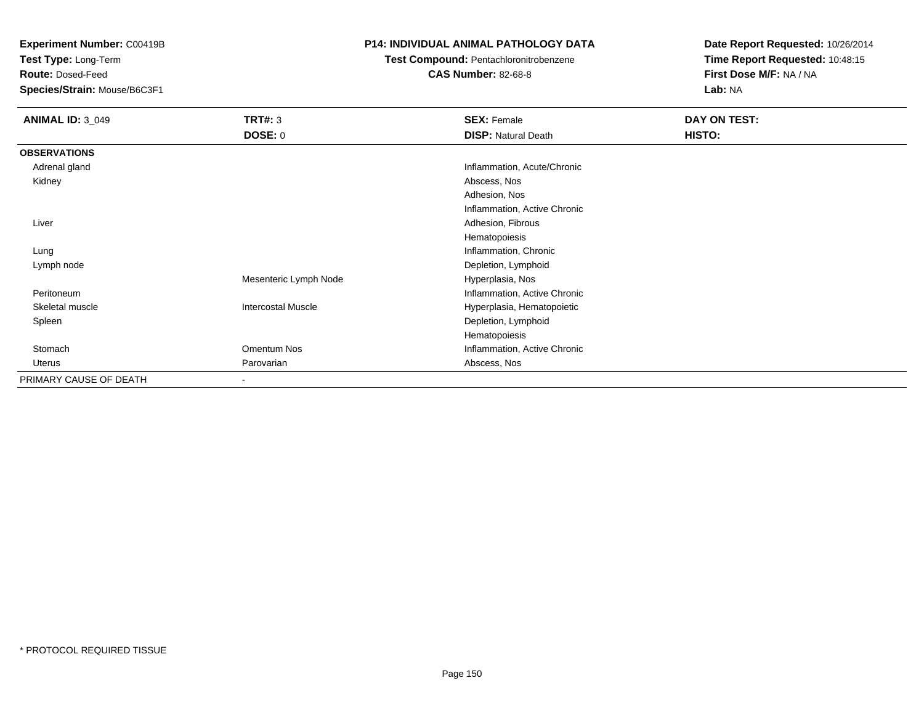**Test Type:** Long-Term

**Route:** Dosed-Feed

**Species/Strain:** Mouse/B6C3F1

## **P14: INDIVIDUAL ANIMAL PATHOLOGY DATA**

**Test Compound:** Pentachloronitrobenzene

**CAS Number:** 82-68-8

| <b>ANIMAL ID: 3_049</b> | <b>TRT#: 3</b>            | <b>SEX: Female</b>           | DAY ON TEST: |  |
|-------------------------|---------------------------|------------------------------|--------------|--|
|                         | <b>DOSE: 0</b>            | <b>DISP: Natural Death</b>   | HISTO:       |  |
| <b>OBSERVATIONS</b>     |                           |                              |              |  |
| Adrenal gland           |                           | Inflammation, Acute/Chronic  |              |  |
| Kidney                  |                           | Abscess, Nos                 |              |  |
|                         |                           | Adhesion, Nos                |              |  |
|                         |                           | Inflammation, Active Chronic |              |  |
| Liver                   |                           | Adhesion, Fibrous            |              |  |
|                         |                           | Hematopoiesis                |              |  |
| Lung                    |                           | Inflammation, Chronic        |              |  |
| Lymph node              |                           | Depletion, Lymphoid          |              |  |
|                         | Mesenteric Lymph Node     | Hyperplasia, Nos             |              |  |
| Peritoneum              |                           | Inflammation, Active Chronic |              |  |
| Skeletal muscle         | <b>Intercostal Muscle</b> | Hyperplasia, Hematopoietic   |              |  |
| Spleen                  |                           | Depletion, Lymphoid          |              |  |
|                         |                           | Hematopoiesis                |              |  |
| Stomach                 | Omentum Nos               | Inflammation, Active Chronic |              |  |
| Uterus                  | Parovarian                | Abscess, Nos                 |              |  |
| PRIMARY CAUSE OF DEATH  | $\blacksquare$            |                              |              |  |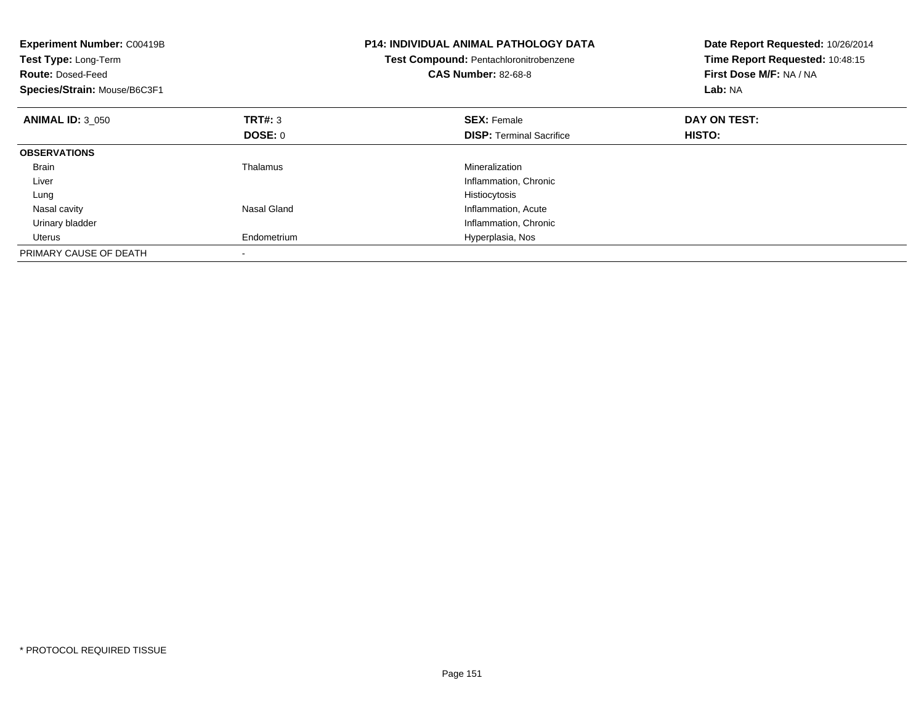| <b>Experiment Number: C00419B</b><br>Test Type: Long-Term<br><b>Route: Dosed-Feed</b><br>Species/Strain: Mouse/B6C3F1 |             | <b>P14: INDIVIDUAL ANIMAL PATHOLOGY DATA</b><br>Test Compound: Pentachloronitrobenzene<br><b>CAS Number: 82-68-8</b> | Date Report Requested: 10/26/2014<br>Time Report Requested: 10:48:15<br>First Dose M/F: NA / NA<br>Lab: NA |
|-----------------------------------------------------------------------------------------------------------------------|-------------|----------------------------------------------------------------------------------------------------------------------|------------------------------------------------------------------------------------------------------------|
| <b>ANIMAL ID: 3 050</b>                                                                                               | TRT#: 3     | <b>SEX: Female</b>                                                                                                   | DAY ON TEST:                                                                                               |
|                                                                                                                       | DOSE: 0     | <b>DISP:</b> Terminal Sacrifice                                                                                      | HISTO:                                                                                                     |
| <b>OBSERVATIONS</b>                                                                                                   |             |                                                                                                                      |                                                                                                            |
| <b>Brain</b>                                                                                                          | Thalamus    | Mineralization                                                                                                       |                                                                                                            |
| Liver                                                                                                                 |             | Inflammation, Chronic                                                                                                |                                                                                                            |
| Lung                                                                                                                  |             | Histiocytosis                                                                                                        |                                                                                                            |
| Nasal cavity                                                                                                          | Nasal Gland | Inflammation, Acute                                                                                                  |                                                                                                            |
| Urinary bladder                                                                                                       |             | Inflammation, Chronic                                                                                                |                                                                                                            |
| Uterus                                                                                                                | Endometrium | Hyperplasia, Nos                                                                                                     |                                                                                                            |
| PRIMARY CAUSE OF DEATH                                                                                                |             |                                                                                                                      |                                                                                                            |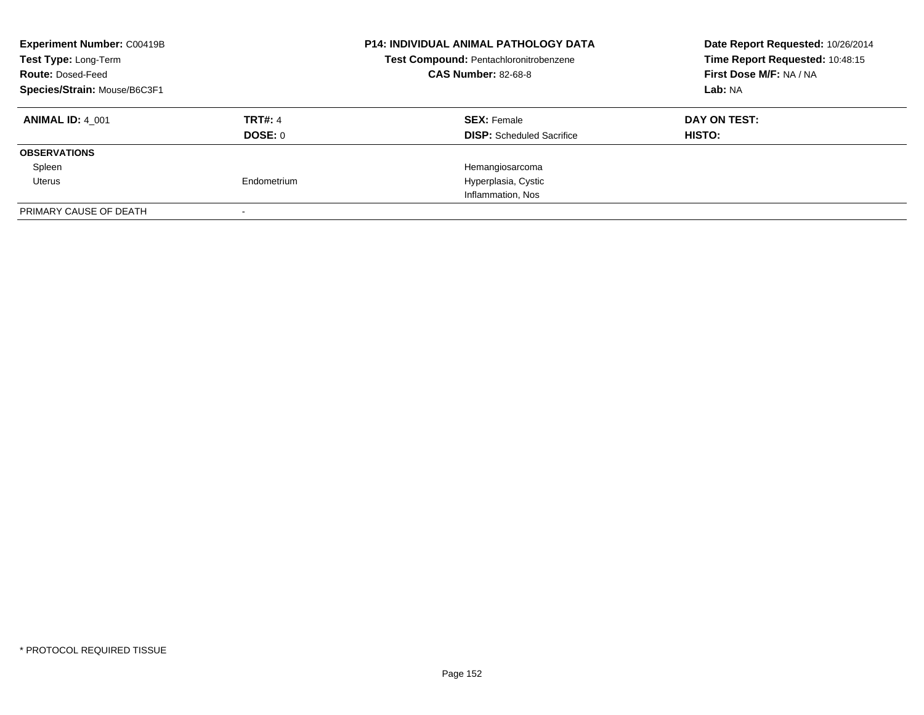| <b>Experiment Number: C00419B</b><br>Test Type: Long-Term<br><b>Route: Dosed-Feed</b><br>Species/Strain: Mouse/B6C3F1 |                                  | <b>P14: INDIVIDUAL ANIMAL PATHOLOGY DATA</b><br>Test Compound: Pentachloronitrobenzene<br><b>CAS Number: 82-68-8</b> | Date Report Requested: 10/26/2014<br>Time Report Requested: 10:48:15<br>First Dose M/F: NA / NA<br>Lab: NA |
|-----------------------------------------------------------------------------------------------------------------------|----------------------------------|----------------------------------------------------------------------------------------------------------------------|------------------------------------------------------------------------------------------------------------|
| <b>ANIMAL ID: 4 001</b>                                                                                               | <b>TRT#: 4</b><br><b>DOSE: 0</b> | <b>SEX:</b> Female<br><b>DISP:</b> Scheduled Sacrifice                                                               | DAY ON TEST:<br><b>HISTO:</b>                                                                              |
| <b>OBSERVATIONS</b>                                                                                                   |                                  |                                                                                                                      |                                                                                                            |
| Spleen                                                                                                                |                                  | Hemangiosarcoma                                                                                                      |                                                                                                            |
| Uterus                                                                                                                | Endometrium                      | Hyperplasia, Cystic                                                                                                  |                                                                                                            |
|                                                                                                                       |                                  | Inflammation, Nos                                                                                                    |                                                                                                            |
| PRIMARY CAUSE OF DEATH                                                                                                |                                  |                                                                                                                      |                                                                                                            |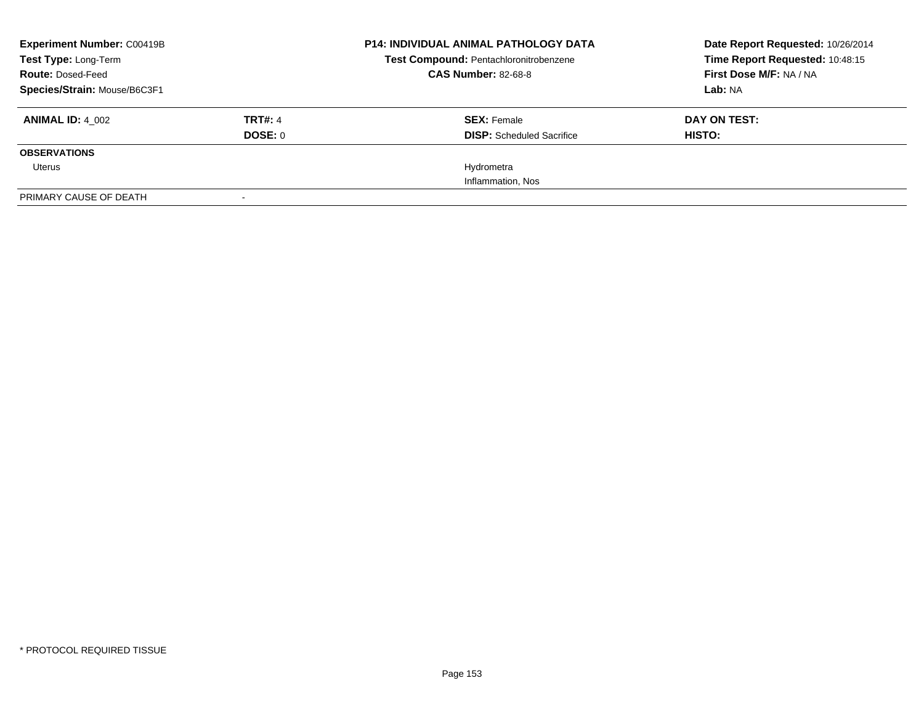| <b>Experiment Number: C00419B</b><br>Test Type: Long-Term |                | <b>P14: INDIVIDUAL ANIMAL PATHOLOGY DATA</b><br>Test Compound: Pentachloronitrobenzene | Date Report Requested: 10/26/2014<br>Time Report Requested: 10:48:15 |
|-----------------------------------------------------------|----------------|----------------------------------------------------------------------------------------|----------------------------------------------------------------------|
| <b>Route: Dosed-Feed</b>                                  |                | <b>CAS Number: 82-68-8</b>                                                             | First Dose M/F: NA / NA                                              |
| Species/Strain: Mouse/B6C3F1                              |                |                                                                                        | Lab: NA                                                              |
| <b>ANIMAL ID: 4 002</b>                                   | <b>TRT#: 4</b> | <b>SEX: Female</b>                                                                     | DAY ON TEST:                                                         |
|                                                           | DOSE: 0        | <b>DISP:</b> Scheduled Sacrifice                                                       | HISTO:                                                               |
| <b>OBSERVATIONS</b>                                       |                |                                                                                        |                                                                      |
| Uterus                                                    |                | Hydrometra                                                                             |                                                                      |
|                                                           |                | Inflammation, Nos                                                                      |                                                                      |
| PRIMARY CAUSE OF DEATH                                    |                |                                                                                        |                                                                      |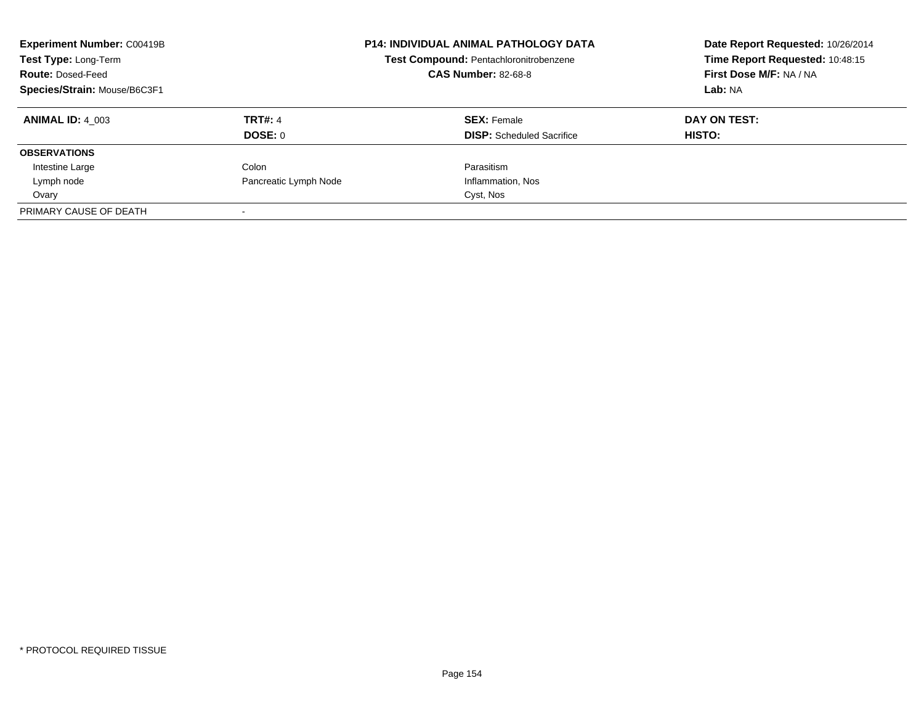| <b>Experiment Number: C00419B</b><br>Test Type: Long-Term<br><b>Route: Dosed-Feed</b><br>Species/Strain: Mouse/B6C3F1 |                       | <b>P14: INDIVIDUAL ANIMAL PATHOLOGY DATA</b><br>Test Compound: Pentachloronitrobenzene<br><b>CAS Number: 82-68-8</b> | Date Report Requested: 10/26/2014<br>Time Report Requested: 10:48:15<br>First Dose M/F: NA / NA<br>Lab: NA |
|-----------------------------------------------------------------------------------------------------------------------|-----------------------|----------------------------------------------------------------------------------------------------------------------|------------------------------------------------------------------------------------------------------------|
| <b>ANIMAL ID: 4 003</b>                                                                                               | <b>TRT#: 4</b>        | <b>SEX: Female</b>                                                                                                   | DAY ON TEST:                                                                                               |
|                                                                                                                       | DOSE: 0               | <b>DISP:</b> Scheduled Sacrifice                                                                                     | HISTO:                                                                                                     |
| <b>OBSERVATIONS</b>                                                                                                   |                       |                                                                                                                      |                                                                                                            |
| Intestine Large                                                                                                       | Colon                 | Parasitism                                                                                                           |                                                                                                            |
| Lymph node                                                                                                            | Pancreatic Lymph Node | Inflammation, Nos                                                                                                    |                                                                                                            |
| Ovary                                                                                                                 |                       | Cyst, Nos                                                                                                            |                                                                                                            |
| PRIMARY CAUSE OF DEATH                                                                                                |                       |                                                                                                                      |                                                                                                            |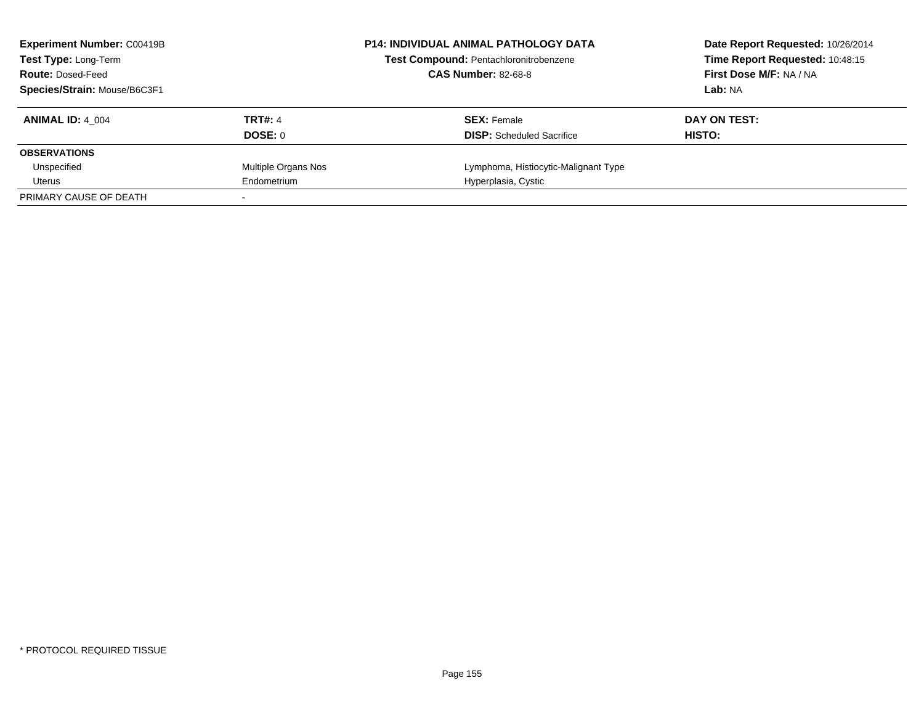| <b>Experiment Number: C00419B</b><br><b>Test Type: Long-Term</b> |                     | <b>P14: INDIVIDUAL ANIMAL PATHOLOGY DATA</b><br>Test Compound: Pentachloronitrobenzene | Date Report Requested: 10/26/2014<br>Time Report Requested: 10:48:15 |
|------------------------------------------------------------------|---------------------|----------------------------------------------------------------------------------------|----------------------------------------------------------------------|
| <b>Route: Dosed-Feed</b>                                         |                     | <b>CAS Number: 82-68-8</b>                                                             | First Dose M/F: NA / NA                                              |
| Species/Strain: Mouse/B6C3F1                                     |                     |                                                                                        | Lab: NA                                                              |
| <b>ANIMAL ID: 4 004</b>                                          | <b>TRT#: 4</b>      | <b>SEX: Female</b>                                                                     | DAY ON TEST:                                                         |
|                                                                  | DOSE: 0             | <b>DISP:</b> Scheduled Sacrifice                                                       | HISTO:                                                               |
| <b>OBSERVATIONS</b>                                              |                     |                                                                                        |                                                                      |
| Unspecified                                                      | Multiple Organs Nos | Lymphoma, Histiocytic-Malignant Type                                                   |                                                                      |
| Uterus                                                           | Endometrium         | Hyperplasia, Cystic                                                                    |                                                                      |
| PRIMARY CAUSE OF DEATH                                           |                     |                                                                                        |                                                                      |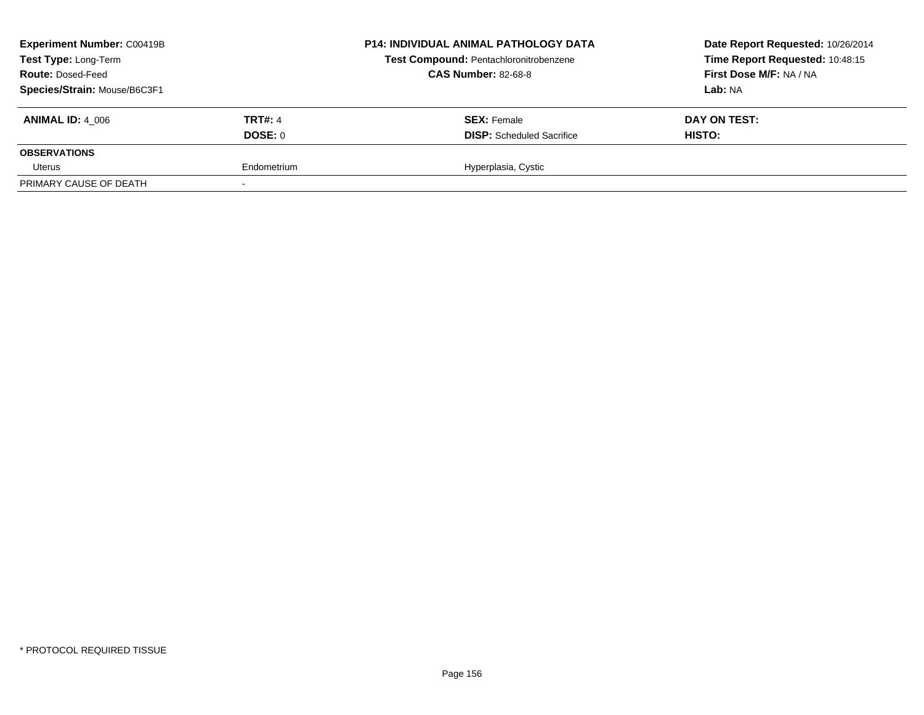| Experiment Number: C00419B<br>Test Type: Long-Term<br><b>Route: Dosed-Feed</b><br>Species/Strain: Mouse/B6C3F1 |                           | <b>P14: INDIVIDUAL ANIMAL PATHOLOGY DATA</b><br><b>Test Compound: Pentachloronitrobenzene</b><br><b>CAS Number: 82-68-8</b> | Date Report Requested: 10/26/2014<br>Time Report Requested: 10:48:15<br>First Dose M/F: NA / NA<br>Lab: NA |
|----------------------------------------------------------------------------------------------------------------|---------------------------|-----------------------------------------------------------------------------------------------------------------------------|------------------------------------------------------------------------------------------------------------|
| <b>ANIMAL ID: 4 006</b>                                                                                        | <b>TRT#: 4</b><br>DOSE: 0 | <b>SEX: Female</b><br><b>DISP:</b> Scheduled Sacrifice                                                                      | DAY ON TEST:<br>HISTO:                                                                                     |
| <b>OBSERVATIONS</b>                                                                                            |                           |                                                                                                                             |                                                                                                            |
| Uterus                                                                                                         | Endometrium               | Hyperplasia, Cystic                                                                                                         |                                                                                                            |
| PRIMARY CAUSE OF DEATH                                                                                         |                           |                                                                                                                             |                                                                                                            |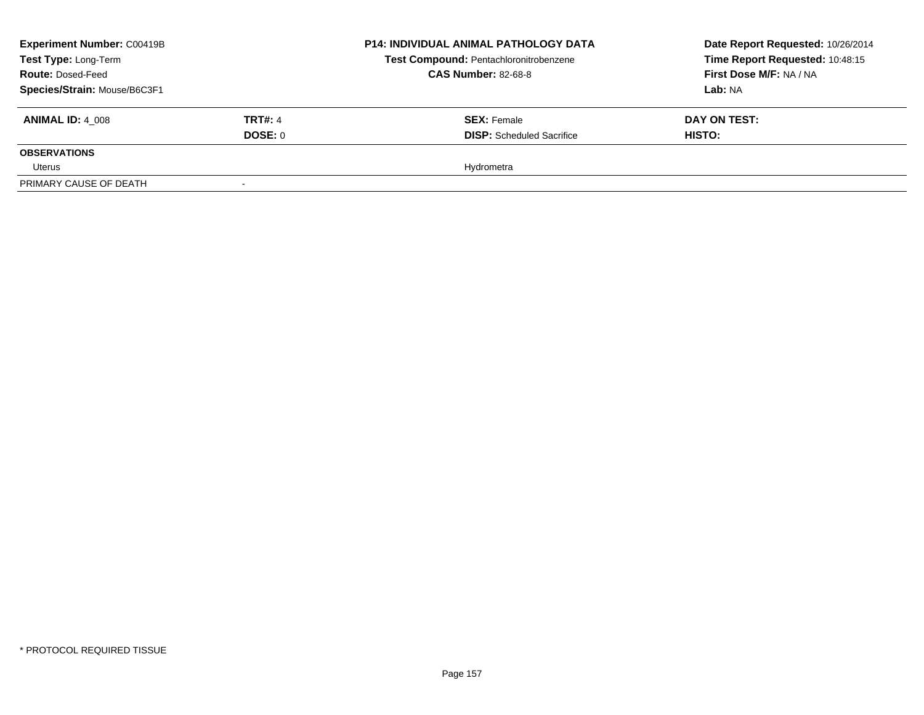| <b>Experiment Number: C00419B</b><br>Test Type: Long-Term |                | <b>P14: INDIVIDUAL ANIMAL PATHOLOGY DATA</b><br>Test Compound: Pentachloronitrobenzene<br><b>CAS Number: 82-68-8</b> | Date Report Requested: 10/26/2014<br>Time Report Requested: 10:48:15<br>First Dose M/F: NA / NA |  |
|-----------------------------------------------------------|----------------|----------------------------------------------------------------------------------------------------------------------|-------------------------------------------------------------------------------------------------|--|
| <b>Route: Dosed-Feed</b><br>Species/Strain: Mouse/B6C3F1  |                |                                                                                                                      | <b>Lab: NA</b>                                                                                  |  |
| <b>ANIMAL ID: 4 008</b>                                   | <b>TRT#: 4</b> | <b>SEX: Female</b>                                                                                                   | DAY ON TEST:                                                                                    |  |
|                                                           | DOSE: 0        | <b>DISP:</b> Scheduled Sacrifice                                                                                     | <b>HISTO:</b>                                                                                   |  |
| <b>OBSERVATIONS</b>                                       |                |                                                                                                                      |                                                                                                 |  |
| Uterus                                                    |                | Hydrometra                                                                                                           |                                                                                                 |  |
| PRIMARY CAUSE OF DEATH                                    | $\sim$         |                                                                                                                      |                                                                                                 |  |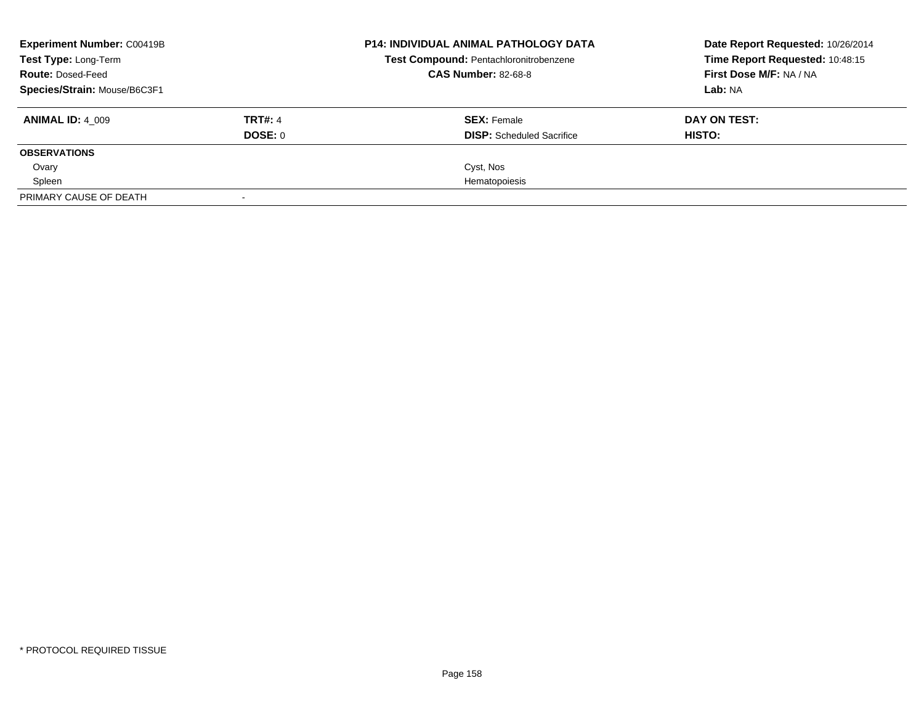| <b>Experiment Number: C00419B</b> |                | <b>P14: INDIVIDUAL ANIMAL PATHOLOGY DATA</b> | Date Report Requested: 10/26/2014 |
|-----------------------------------|----------------|----------------------------------------------|-----------------------------------|
| Test Type: Long-Term              |                | Test Compound: Pentachloronitrobenzene       | Time Report Requested: 10:48:15   |
| <b>Route: Dosed-Feed</b>          |                | <b>CAS Number: 82-68-8</b>                   | First Dose M/F: NA / NA           |
| Species/Strain: Mouse/B6C3F1      |                |                                              | Lab: NA                           |
| <b>ANIMAL ID: 4 009</b>           | <b>TRT#: 4</b> | <b>SEX: Female</b>                           | DAY ON TEST:                      |
|                                   | DOSE: 0        | <b>DISP:</b> Scheduled Sacrifice             | <b>HISTO:</b>                     |
| <b>OBSERVATIONS</b>               |                |                                              |                                   |
| Ovary                             |                | Cyst, Nos                                    |                                   |
| Spleen                            |                | Hematopoiesis                                |                                   |
| PRIMARY CAUSE OF DEATH            |                |                                              |                                   |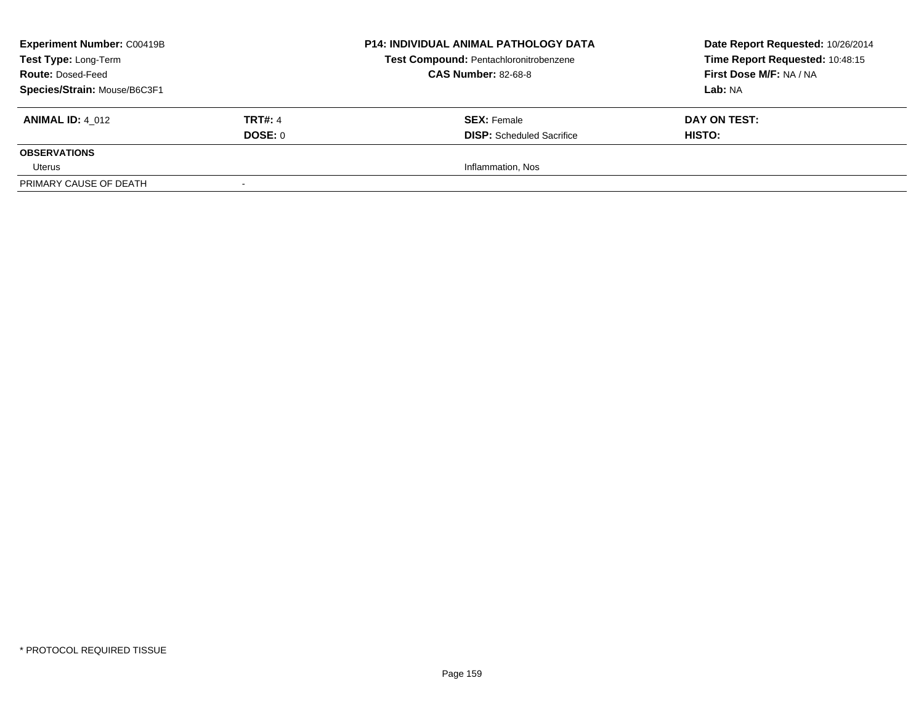| <b>Experiment Number: C00419B</b><br>Test Type: Long-Term<br><b>Route: Dosed-Feed</b><br>Species/Strain: Mouse/B6C3F1 |                           | <b>P14: INDIVIDUAL ANIMAL PATHOLOGY DATA</b><br><b>Test Compound: Pentachloronitrobenzene</b><br><b>CAS Number: 82-68-8</b> | Date Report Requested: 10/26/2014<br>Time Report Requested: 10:48:15<br>First Dose M/F: NA / NA<br>Lab: NA |
|-----------------------------------------------------------------------------------------------------------------------|---------------------------|-----------------------------------------------------------------------------------------------------------------------------|------------------------------------------------------------------------------------------------------------|
| <b>ANIMAL ID: 4 012</b>                                                                                               | <b>TRT#: 4</b><br>DOSE: 0 | <b>SEX: Female</b><br><b>DISP:</b> Scheduled Sacrifice                                                                      | DAY ON TEST:<br><b>HISTO:</b>                                                                              |
| <b>OBSERVATIONS</b>                                                                                                   |                           |                                                                                                                             |                                                                                                            |
| Uterus                                                                                                                |                           | Inflammation, Nos                                                                                                           |                                                                                                            |
| PRIMARY CAUSE OF DEATH                                                                                                |                           |                                                                                                                             |                                                                                                            |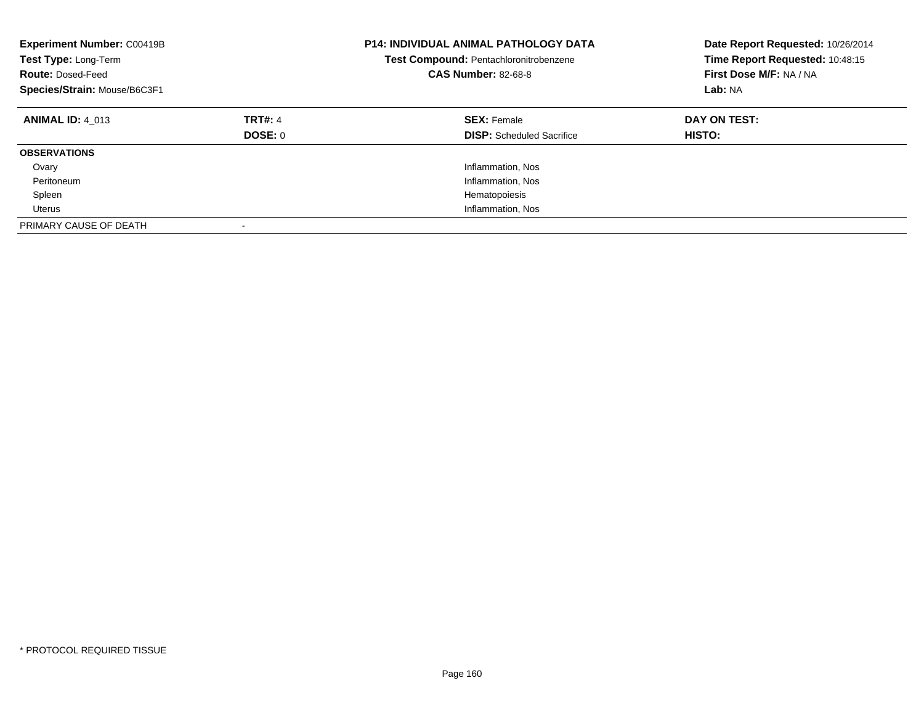| <b>Experiment Number: C00419B</b><br>Test Type: Long-Term<br><b>Route: Dosed-Feed</b><br>Species/Strain: Mouse/B6C3F1 |                           | <b>P14: INDIVIDUAL ANIMAL PATHOLOGY DATA</b><br>Test Compound: Pentachloronitrobenzene<br><b>CAS Number: 82-68-8</b> | Date Report Requested: 10/26/2014<br>Time Report Requested: 10:48:15<br>First Dose M/F: NA / NA<br>Lab: NA |
|-----------------------------------------------------------------------------------------------------------------------|---------------------------|----------------------------------------------------------------------------------------------------------------------|------------------------------------------------------------------------------------------------------------|
| <b>ANIMAL ID: 4 013</b>                                                                                               | <b>TRT#: 4</b><br>DOSE: 0 | <b>SEX: Female</b><br><b>DISP:</b> Scheduled Sacrifice                                                               | DAY ON TEST:<br><b>HISTO:</b>                                                                              |
| <b>OBSERVATIONS</b>                                                                                                   |                           |                                                                                                                      |                                                                                                            |
| Ovary                                                                                                                 |                           | Inflammation, Nos                                                                                                    |                                                                                                            |
| Peritoneum                                                                                                            |                           | Inflammation, Nos                                                                                                    |                                                                                                            |
| Spleen                                                                                                                |                           | Hematopoiesis                                                                                                        |                                                                                                            |
| Uterus                                                                                                                |                           | Inflammation, Nos                                                                                                    |                                                                                                            |
| PRIMARY CAUSE OF DEATH                                                                                                |                           |                                                                                                                      |                                                                                                            |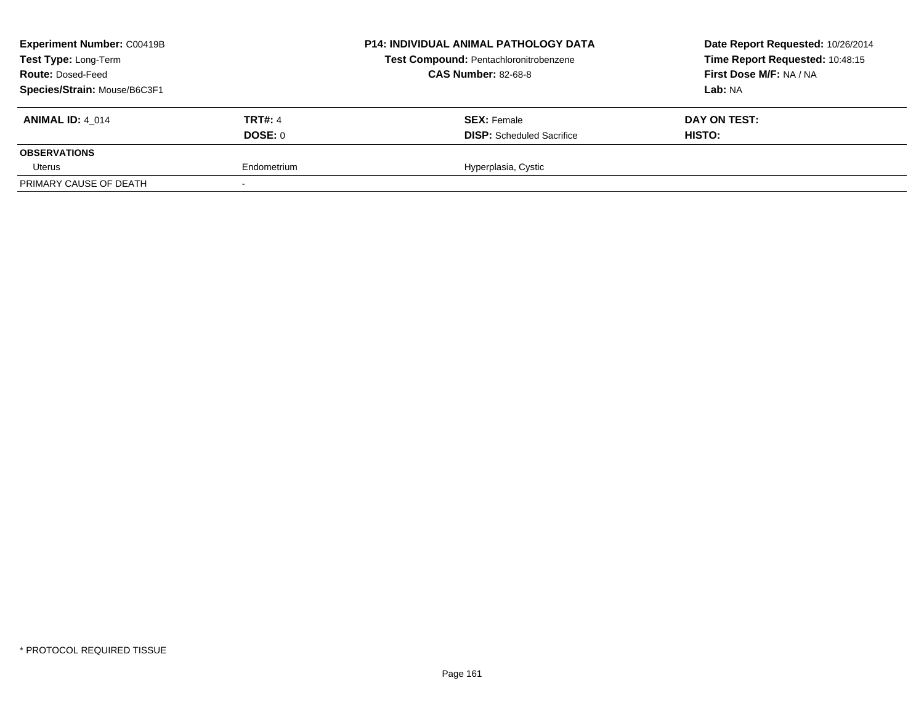| Experiment Number: C00419B<br>Test Type: Long-Term<br><b>Route: Dosed-Feed</b><br>Species/Strain: Mouse/B6C3F1 |                           | <b>P14: INDIVIDUAL ANIMAL PATHOLOGY DATA</b><br><b>Test Compound: Pentachloronitrobenzene</b><br><b>CAS Number: 82-68-8</b> | Date Report Requested: 10/26/2014<br>Time Report Requested: 10:48:15<br>First Dose M/F: NA / NA<br>Lab: NA |
|----------------------------------------------------------------------------------------------------------------|---------------------------|-----------------------------------------------------------------------------------------------------------------------------|------------------------------------------------------------------------------------------------------------|
| <b>ANIMAL ID: 4 014</b>                                                                                        | <b>TRT#: 4</b><br>DOSE: 0 | <b>SEX: Female</b><br><b>DISP:</b> Scheduled Sacrifice                                                                      | DAY ON TEST:<br>HISTO:                                                                                     |
| <b>OBSERVATIONS</b>                                                                                            |                           |                                                                                                                             |                                                                                                            |
| Uterus                                                                                                         | Endometrium               | Hyperplasia, Cystic                                                                                                         |                                                                                                            |
| PRIMARY CAUSE OF DEATH                                                                                         |                           |                                                                                                                             |                                                                                                            |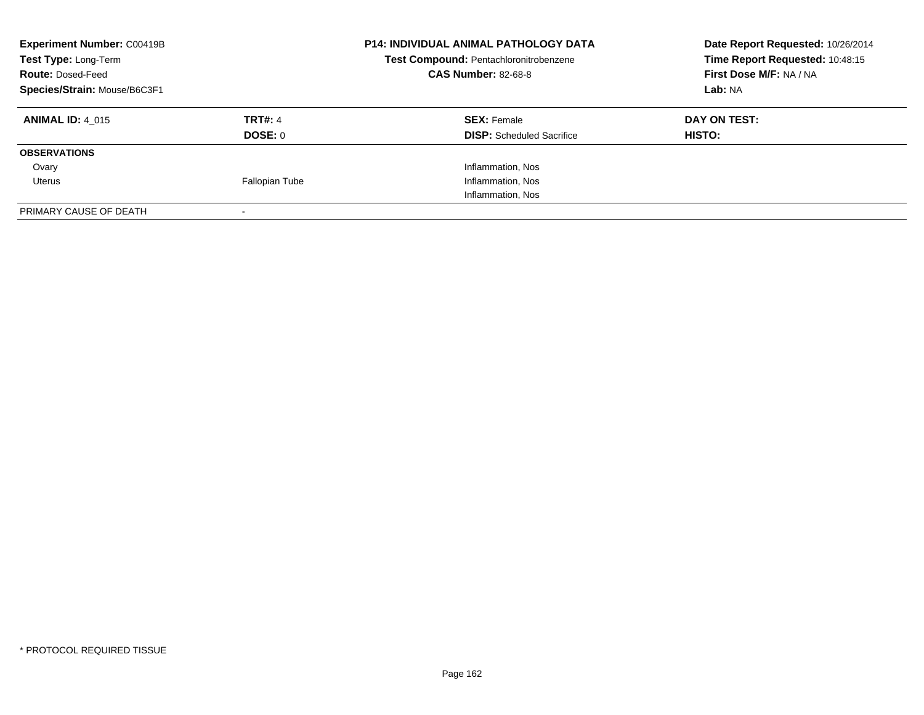| <b>Experiment Number: C00419B</b><br>Test Type: Long-Term<br><b>Route: Dosed-Feed</b><br>Species/Strain: Mouse/B6C3F1 |                           | <b>P14: INDIVIDUAL ANIMAL PATHOLOGY DATA</b><br>Test Compound: Pentachloronitrobenzene<br><b>CAS Number: 82-68-8</b> | Date Report Requested: 10/26/2014<br>Time Report Requested: 10:48:15<br>First Dose M/F: NA / NA<br>Lab: NA |
|-----------------------------------------------------------------------------------------------------------------------|---------------------------|----------------------------------------------------------------------------------------------------------------------|------------------------------------------------------------------------------------------------------------|
| <b>ANIMAL ID: 4 015</b>                                                                                               | <b>TRT#: 4</b><br>DOSE: 0 | <b>SEX: Female</b><br><b>DISP:</b> Scheduled Sacrifice                                                               | DAY ON TEST:<br><b>HISTO:</b>                                                                              |
| <b>OBSERVATIONS</b>                                                                                                   |                           |                                                                                                                      |                                                                                                            |
| Ovary                                                                                                                 |                           | Inflammation, Nos                                                                                                    |                                                                                                            |
| Uterus                                                                                                                | <b>Fallopian Tube</b>     | Inflammation, Nos                                                                                                    |                                                                                                            |
|                                                                                                                       |                           | Inflammation, Nos                                                                                                    |                                                                                                            |
| PRIMARY CAUSE OF DEATH                                                                                                |                           |                                                                                                                      |                                                                                                            |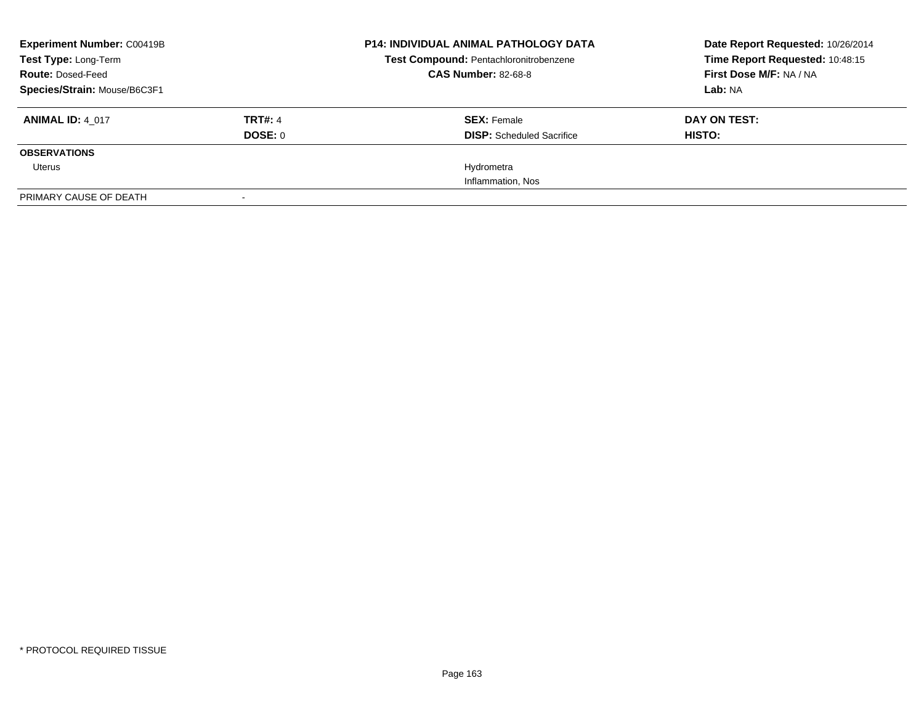| <b>Experiment Number: C00419B</b><br>Test Type: Long-Term |                | <b>P14: INDIVIDUAL ANIMAL PATHOLOGY DATA</b><br>Test Compound: Pentachloronitrobenzene | Date Report Requested: 10/26/2014<br>Time Report Requested: 10:48:15 |
|-----------------------------------------------------------|----------------|----------------------------------------------------------------------------------------|----------------------------------------------------------------------|
| <b>Route: Dosed-Feed</b>                                  |                | <b>CAS Number: 82-68-8</b>                                                             | First Dose M/F: NA / NA                                              |
| Species/Strain: Mouse/B6C3F1                              |                |                                                                                        | Lab: NA                                                              |
| <b>ANIMAL ID: 4 017</b>                                   | <b>TRT#: 4</b> | <b>SEX: Female</b>                                                                     | DAY ON TEST:                                                         |
|                                                           | DOSE: 0        | <b>DISP:</b> Scheduled Sacrifice                                                       | HISTO:                                                               |
| <b>OBSERVATIONS</b>                                       |                |                                                                                        |                                                                      |
| Uterus                                                    |                | Hydrometra                                                                             |                                                                      |
|                                                           |                | Inflammation, Nos                                                                      |                                                                      |
| PRIMARY CAUSE OF DEATH                                    |                |                                                                                        |                                                                      |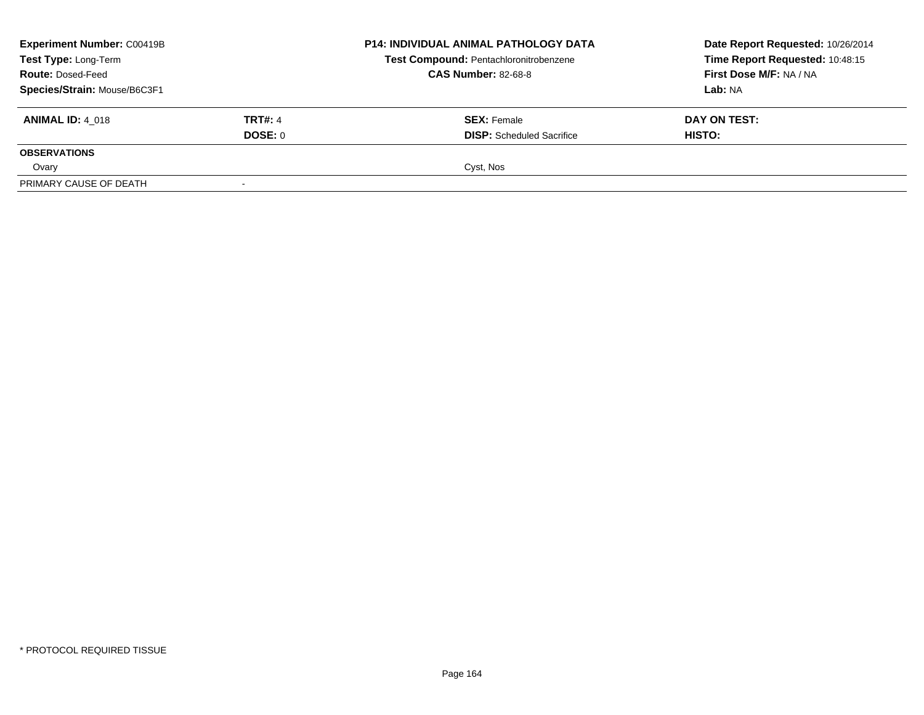| <b>Experiment Number: C00419B</b><br>Test Type: Long-Term<br><b>Route: Dosed-Feed</b><br>Species/Strain: Mouse/B6C3F1 |                           | <b>P14: INDIVIDUAL ANIMAL PATHOLOGY DATA</b><br>Test Compound: Pentachloronitrobenzene<br><b>CAS Number: 82-68-8</b> | Date Report Requested: 10/26/2014<br>Time Report Requested: 10:48:15<br>First Dose M/F: NA / NA<br>Lab: NA |
|-----------------------------------------------------------------------------------------------------------------------|---------------------------|----------------------------------------------------------------------------------------------------------------------|------------------------------------------------------------------------------------------------------------|
| <b>ANIMAL ID: 4 018</b>                                                                                               | <b>TRT#: 4</b><br>DOSE: 0 | <b>SEX: Female</b><br><b>DISP:</b> Scheduled Sacrifice                                                               | DAY ON TEST:<br>HISTO:                                                                                     |
| <b>OBSERVATIONS</b>                                                                                                   |                           |                                                                                                                      |                                                                                                            |
| Ovary                                                                                                                 |                           | Cyst, Nos                                                                                                            |                                                                                                            |
| PRIMARY CAUSE OF DEATH                                                                                                |                           |                                                                                                                      |                                                                                                            |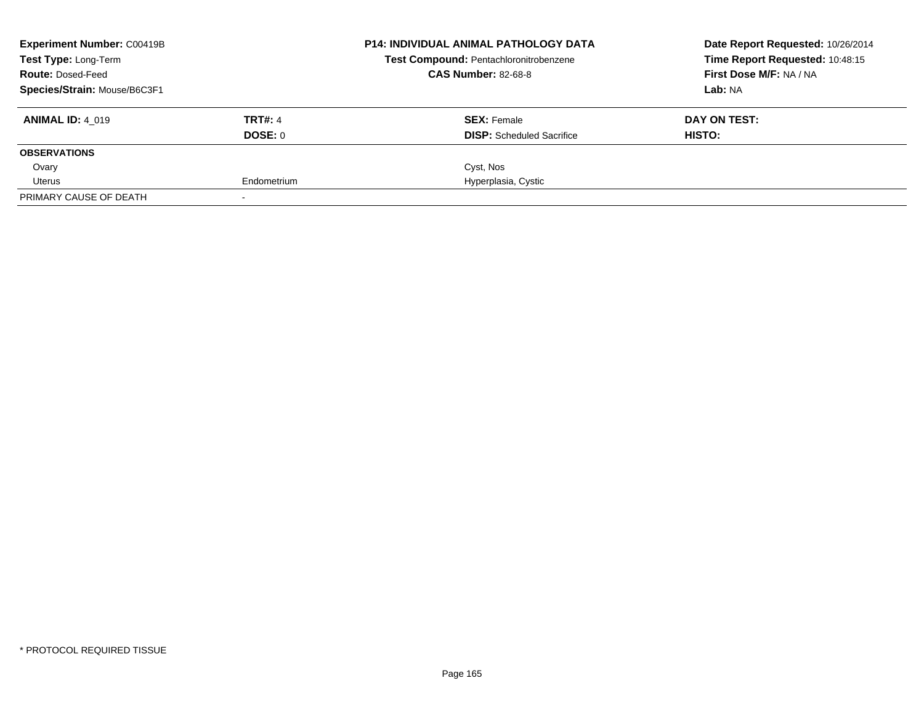| <b>Experiment Number: C00419B</b> | <b>P14: INDIVIDUAL ANIMAL PATHOLOGY DATA</b> | Date Report Requested: 10/26/2014      |                                 |
|-----------------------------------|----------------------------------------------|----------------------------------------|---------------------------------|
| Test Type: Long-Term              |                                              | Test Compound: Pentachloronitrobenzene | Time Report Requested: 10:48:15 |
| <b>Route: Dosed-Feed</b>          |                                              | <b>CAS Number: 82-68-8</b>             | First Dose M/F: NA / NA         |
| Species/Strain: Mouse/B6C3F1      |                                              |                                        | Lab: NA                         |
| <b>ANIMAL ID: 4 019</b>           | <b>TRT#: 4</b>                               | <b>SEX: Female</b>                     | DAY ON TEST:                    |
|                                   | DOSE: 0                                      | <b>DISP:</b> Scheduled Sacrifice       | <b>HISTO:</b>                   |
| <b>OBSERVATIONS</b>               |                                              |                                        |                                 |
| Ovary                             |                                              | Cyst, Nos                              |                                 |
| Uterus                            | Endometrium                                  | Hyperplasia, Cystic                    |                                 |
| PRIMARY CAUSE OF DEATH            |                                              |                                        |                                 |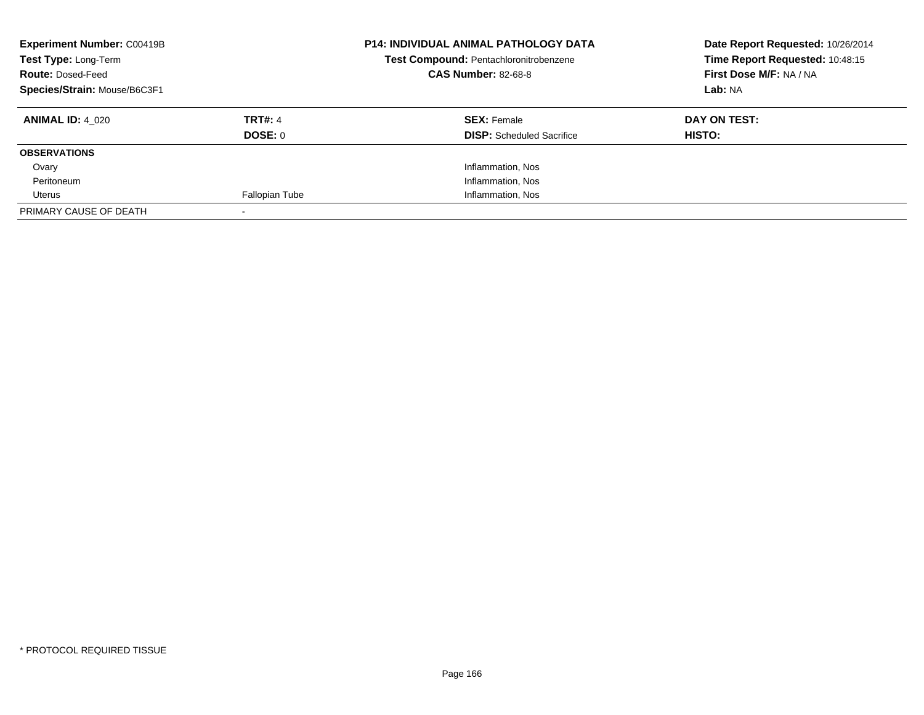| <b>Experiment Number: C00419B</b><br>Test Type: Long-Term<br><b>Route: Dosed-Feed</b><br>Species/Strain: Mouse/B6C3F1 |                                  | <b>P14: INDIVIDUAL ANIMAL PATHOLOGY DATA</b><br>Test Compound: Pentachloronitrobenzene<br><b>CAS Number: 82-68-8</b> | Date Report Requested: 10/26/2014<br>Time Report Requested: 10:48:15<br>First Dose M/F: NA / NA<br>Lab: NA |
|-----------------------------------------------------------------------------------------------------------------------|----------------------------------|----------------------------------------------------------------------------------------------------------------------|------------------------------------------------------------------------------------------------------------|
| <b>ANIMAL ID: 4 020</b>                                                                                               | <b>TRT#: 4</b><br><b>DOSE: 0</b> | <b>SEX: Female</b><br><b>DISP:</b> Scheduled Sacrifice                                                               | DAY ON TEST:<br>HISTO:                                                                                     |
| <b>OBSERVATIONS</b>                                                                                                   |                                  |                                                                                                                      |                                                                                                            |
| Ovary                                                                                                                 |                                  | Inflammation, Nos                                                                                                    |                                                                                                            |
| Peritoneum                                                                                                            |                                  | Inflammation, Nos                                                                                                    |                                                                                                            |
| Uterus                                                                                                                | Fallopian Tube                   | Inflammation, Nos                                                                                                    |                                                                                                            |
| PRIMARY CAUSE OF DEATH                                                                                                |                                  |                                                                                                                      |                                                                                                            |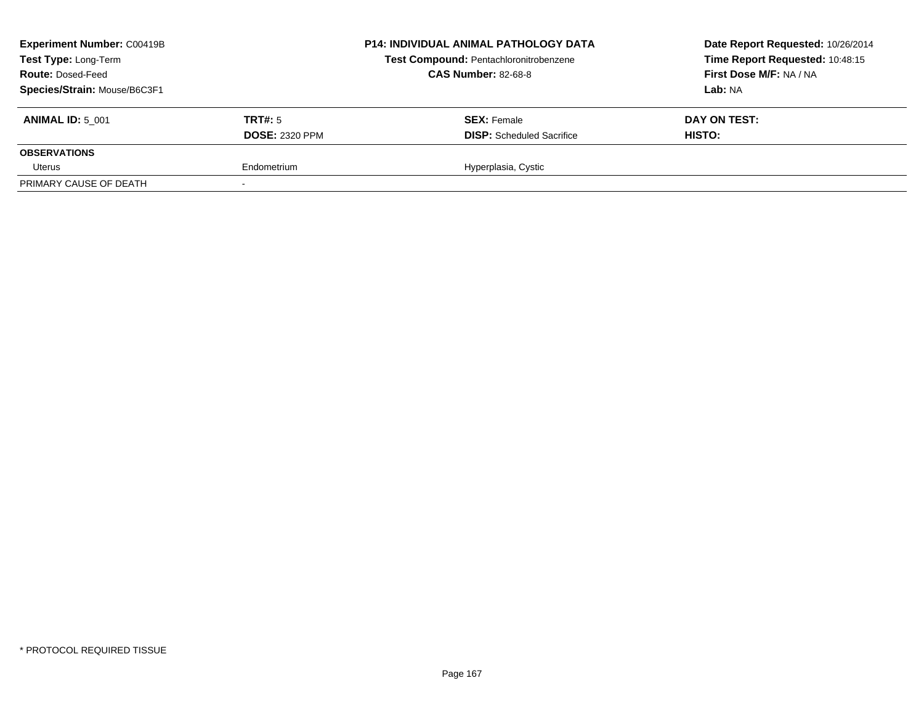| <b>Experiment Number: C00419B</b><br>Test Type: Long-Term<br><b>Route: Dosed-Feed</b><br>Species/Strain: Mouse/B6C3F1 |                                  | <b>P14: INDIVIDUAL ANIMAL PATHOLOGY DATA</b><br>Test Compound: Pentachloronitrobenzene<br><b>CAS Number: 82-68-8</b> | Date Report Requested: 10/26/2014<br>Time Report Requested: 10:48:15<br>First Dose M/F: NA / NA<br>Lab: NA |
|-----------------------------------------------------------------------------------------------------------------------|----------------------------------|----------------------------------------------------------------------------------------------------------------------|------------------------------------------------------------------------------------------------------------|
| <b>ANIMAL ID: 5 001</b>                                                                                               | TRT#: 5<br><b>DOSE: 2320 PPM</b> | <b>SEX: Female</b><br><b>DISP:</b> Scheduled Sacrifice                                                               | DAY ON TEST:<br>HISTO:                                                                                     |
| <b>OBSERVATIONS</b>                                                                                                   |                                  |                                                                                                                      |                                                                                                            |
| Uterus                                                                                                                | Endometrium                      | Hyperplasia, Cystic                                                                                                  |                                                                                                            |
| PRIMARY CAUSE OF DEATH                                                                                                |                                  |                                                                                                                      |                                                                                                            |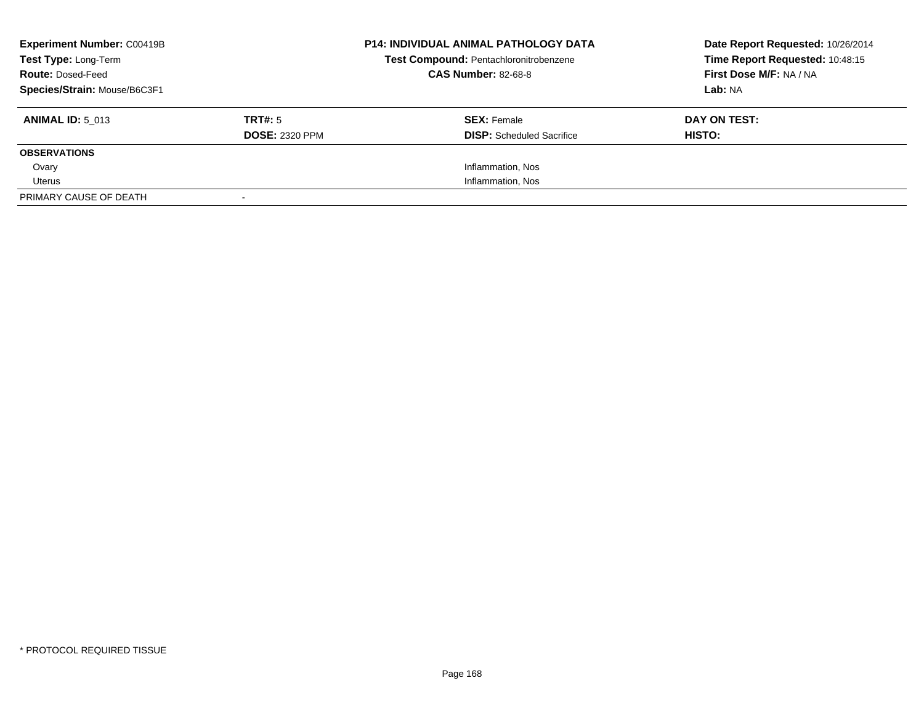| <b>Experiment Number: C00419B</b><br>Test Type: Long-Term<br><b>Route: Dosed-Feed</b><br>Species/Strain: Mouse/B6C3F1 |                                  | <b>P14: INDIVIDUAL ANIMAL PATHOLOGY DATA</b><br>Test Compound: Pentachloronitrobenzene<br><b>CAS Number: 82-68-8</b> | Date Report Requested: 10/26/2014<br>Time Report Requested: 10:48:15<br>First Dose M/F: NA / NA<br>Lab: NA |
|-----------------------------------------------------------------------------------------------------------------------|----------------------------------|----------------------------------------------------------------------------------------------------------------------|------------------------------------------------------------------------------------------------------------|
| <b>ANIMAL ID: 5 013</b>                                                                                               | TRT#: 5<br><b>DOSE: 2320 PPM</b> | <b>SEX: Female</b><br><b>DISP:</b> Scheduled Sacrifice                                                               | DAY ON TEST:<br>HISTO:                                                                                     |
| <b>OBSERVATIONS</b>                                                                                                   |                                  |                                                                                                                      |                                                                                                            |
| Ovary                                                                                                                 |                                  | Inflammation, Nos                                                                                                    |                                                                                                            |
| Uterus                                                                                                                |                                  | Inflammation, Nos                                                                                                    |                                                                                                            |
| PRIMARY CAUSE OF DEATH                                                                                                |                                  |                                                                                                                      |                                                                                                            |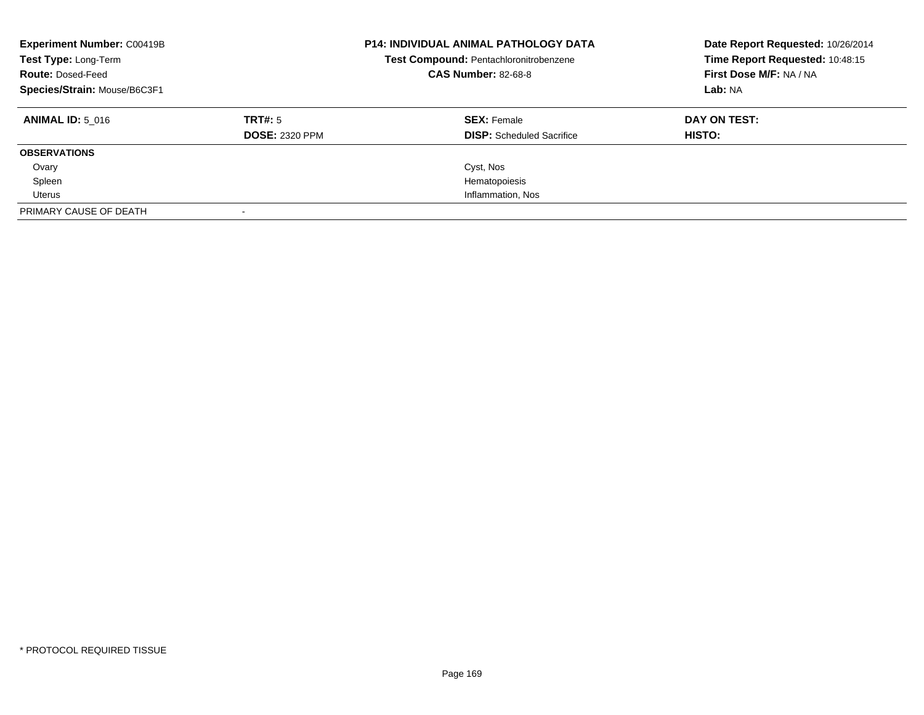| <b>Experiment Number: C00419B</b><br>Test Type: Long-Term<br><b>Route: Dosed-Feed</b><br>Species/Strain: Mouse/B6C3F1 |                                  | <b>P14: INDIVIDUAL ANIMAL PATHOLOGY DATA</b><br>Test Compound: Pentachloronitrobenzene<br><b>CAS Number: 82-68-8</b> | Date Report Requested: 10/26/2014<br>Time Report Requested: 10:48:15<br>First Dose M/F: NA / NA<br>Lab: NA |
|-----------------------------------------------------------------------------------------------------------------------|----------------------------------|----------------------------------------------------------------------------------------------------------------------|------------------------------------------------------------------------------------------------------------|
| <b>ANIMAL ID: 5 016</b>                                                                                               | TRT#: 5<br><b>DOSE: 2320 PPM</b> | <b>SEX: Female</b><br><b>DISP:</b> Scheduled Sacrifice                                                               | DAY ON TEST:<br>HISTO:                                                                                     |
| <b>OBSERVATIONS</b>                                                                                                   |                                  |                                                                                                                      |                                                                                                            |
| Ovary                                                                                                                 |                                  | Cyst, Nos                                                                                                            |                                                                                                            |
| Spleen                                                                                                                |                                  | Hematopoiesis                                                                                                        |                                                                                                            |
| Uterus                                                                                                                |                                  | Inflammation, Nos                                                                                                    |                                                                                                            |
| PRIMARY CAUSE OF DEATH                                                                                                |                                  |                                                                                                                      |                                                                                                            |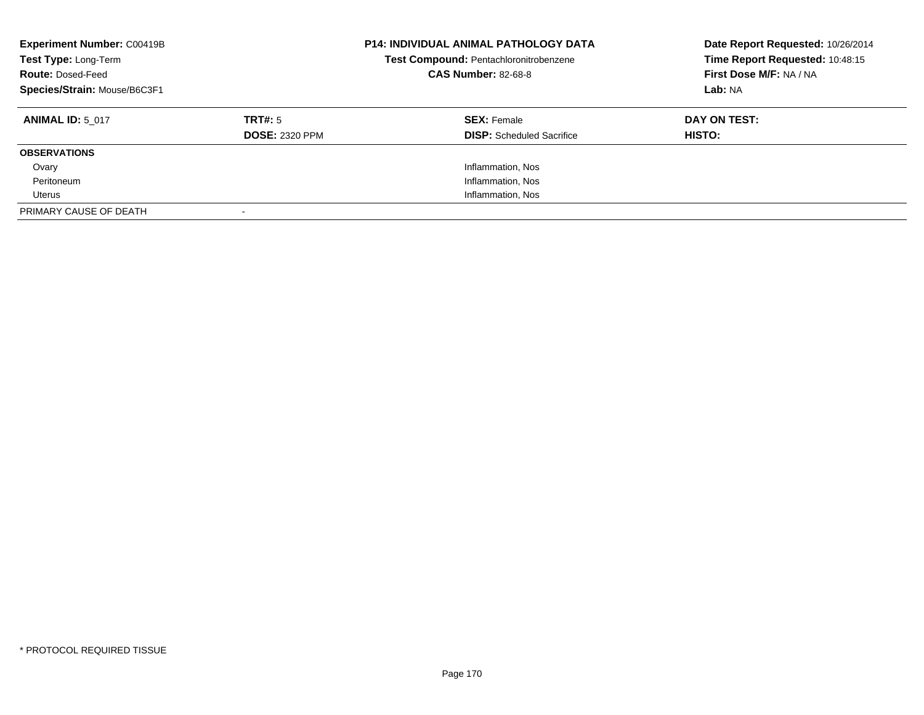| <b>Experiment Number: C00419B</b><br>Test Type: Long-Term<br><b>Route: Dosed-Feed</b><br>Species/Strain: Mouse/B6C3F1 |                                  | <b>P14: INDIVIDUAL ANIMAL PATHOLOGY DATA</b><br>Test Compound: Pentachloronitrobenzene<br><b>CAS Number: 82-68-8</b> | Date Report Requested: 10/26/2014<br>Time Report Requested: 10:48:15<br>First Dose M/F: NA / NA<br>Lab: NA |
|-----------------------------------------------------------------------------------------------------------------------|----------------------------------|----------------------------------------------------------------------------------------------------------------------|------------------------------------------------------------------------------------------------------------|
| <b>ANIMAL ID: 5 017</b>                                                                                               | TRT#: 5<br><b>DOSE: 2320 PPM</b> | <b>SEX: Female</b><br><b>DISP:</b> Scheduled Sacrifice                                                               | DAY ON TEST:<br><b>HISTO:</b>                                                                              |
|                                                                                                                       |                                  |                                                                                                                      |                                                                                                            |
| <b>OBSERVATIONS</b>                                                                                                   |                                  |                                                                                                                      |                                                                                                            |
| Ovary                                                                                                                 |                                  | Inflammation, Nos                                                                                                    |                                                                                                            |
| Peritoneum                                                                                                            |                                  | Inflammation, Nos                                                                                                    |                                                                                                            |
| Uterus                                                                                                                |                                  | Inflammation, Nos                                                                                                    |                                                                                                            |
| PRIMARY CAUSE OF DEATH                                                                                                |                                  |                                                                                                                      |                                                                                                            |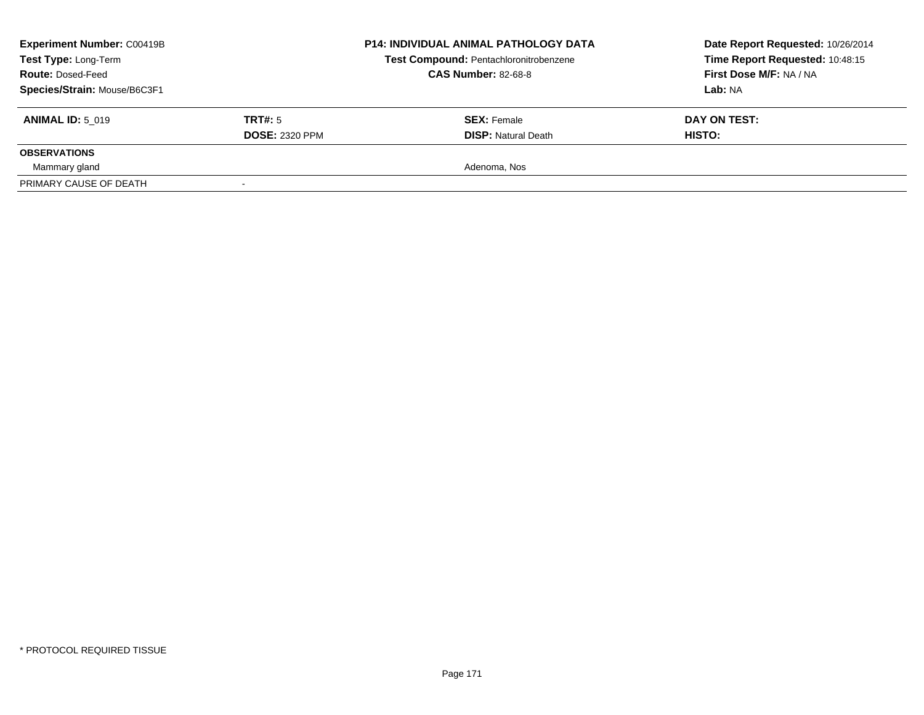| <b>Experiment Number: C00419B</b><br>Test Type: Long-Term<br><b>Route: Dosed-Feed</b><br>Species/Strain: Mouse/B6C3F1 |                       | <b>P14: INDIVIDUAL ANIMAL PATHOLOGY DATA</b><br>Test Compound: Pentachloronitrobenzene<br><b>CAS Number: 82-68-8</b> | Date Report Requested: 10/26/2014<br>Time Report Requested: 10:48:15<br>First Dose M/F: NA / NA<br>Lab: NA |
|-----------------------------------------------------------------------------------------------------------------------|-----------------------|----------------------------------------------------------------------------------------------------------------------|------------------------------------------------------------------------------------------------------------|
| <b>ANIMAL ID: 5 019</b>                                                                                               | TRT#: 5               | <b>SEX:</b> Female                                                                                                   | DAY ON TEST:                                                                                               |
|                                                                                                                       | <b>DOSE: 2320 PPM</b> | <b>DISP: Natural Death</b>                                                                                           | HISTO:                                                                                                     |
| <b>OBSERVATIONS</b>                                                                                                   |                       |                                                                                                                      |                                                                                                            |
| Mammary gland                                                                                                         |                       | Adenoma, Nos                                                                                                         |                                                                                                            |
| PRIMARY CAUSE OF DEATH                                                                                                |                       |                                                                                                                      |                                                                                                            |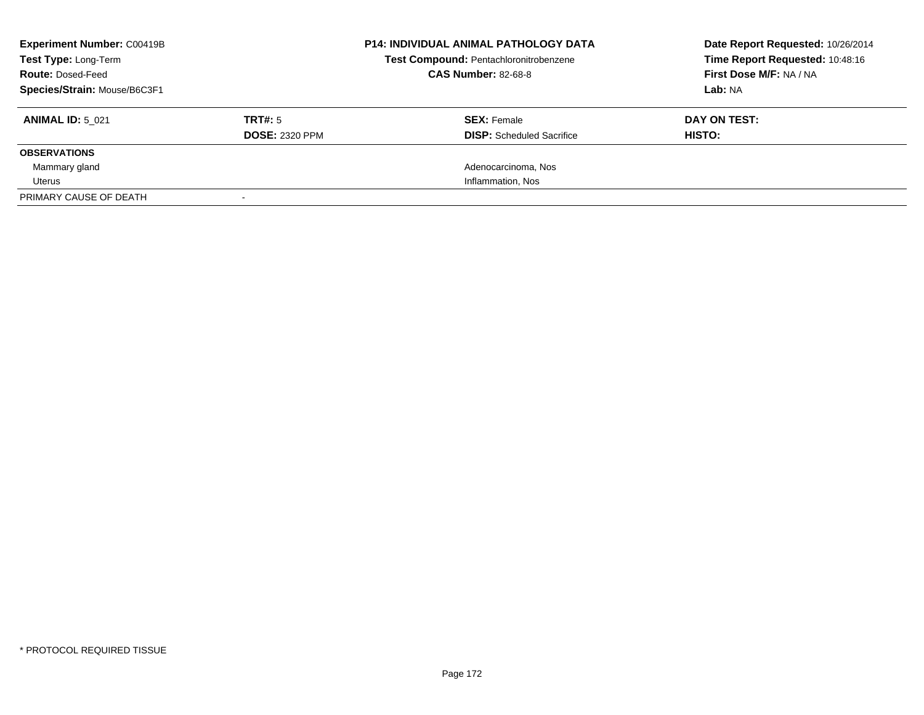| <b>Experiment Number: C00419B</b><br>Test Type: Long-Term<br><b>Route: Dosed-Feed</b><br>Species/Strain: Mouse/B6C3F1 |                                  | <b>P14: INDIVIDUAL ANIMAL PATHOLOGY DATA</b><br>Test Compound: Pentachloronitrobenzene<br><b>CAS Number: 82-68-8</b> | Date Report Requested: 10/26/2014<br>Time Report Requested: 10:48:16<br>First Dose M/F: NA / NA<br>Lab: NA |
|-----------------------------------------------------------------------------------------------------------------------|----------------------------------|----------------------------------------------------------------------------------------------------------------------|------------------------------------------------------------------------------------------------------------|
| <b>ANIMAL ID: 5 021</b>                                                                                               | TRT#: 5<br><b>DOSE: 2320 PPM</b> | <b>SEX: Female</b><br><b>DISP:</b> Scheduled Sacrifice                                                               | DAY ON TEST:<br>HISTO:                                                                                     |
| <b>OBSERVATIONS</b>                                                                                                   |                                  |                                                                                                                      |                                                                                                            |
| Mammary gland                                                                                                         |                                  | Adenocarcinoma, Nos                                                                                                  |                                                                                                            |
| Uterus                                                                                                                |                                  | Inflammation, Nos                                                                                                    |                                                                                                            |
| PRIMARY CAUSE OF DEATH                                                                                                |                                  |                                                                                                                      |                                                                                                            |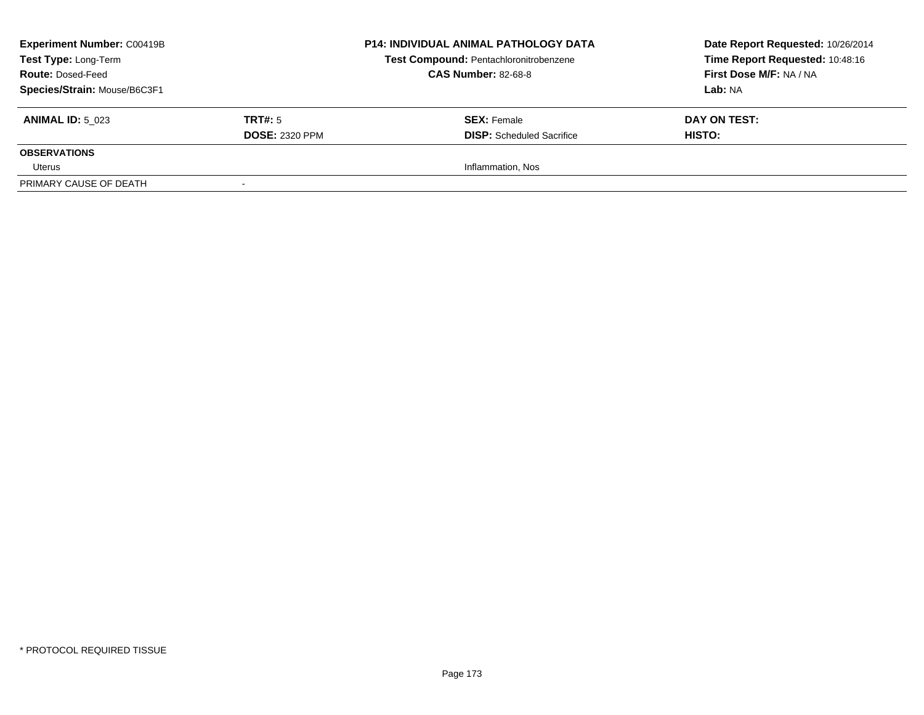| <b>Experiment Number: C00419B</b><br>Test Type: Long-Term<br><b>Route: Dosed-Feed</b><br>Species/Strain: Mouse/B6C3F1 |                                         | <b>P14: INDIVIDUAL ANIMAL PATHOLOGY DATA</b><br>Test Compound: Pentachloronitrobenzene<br><b>CAS Number: 82-68-8</b> | Date Report Requested: 10/26/2014<br>Time Report Requested: 10:48:16<br><b>First Dose M/F: NA / NA</b><br>Lab: NA |
|-----------------------------------------------------------------------------------------------------------------------|-----------------------------------------|----------------------------------------------------------------------------------------------------------------------|-------------------------------------------------------------------------------------------------------------------|
| <b>ANIMAL ID: 5 023</b>                                                                                               | <b>TRT#:</b> 5<br><b>DOSE: 2320 PPM</b> | <b>SEX:</b> Female<br><b>DISP:</b> Scheduled Sacrifice                                                               | DAY ON TEST:<br>HISTO:                                                                                            |
| <b>OBSERVATIONS</b>                                                                                                   |                                         |                                                                                                                      |                                                                                                                   |
| Uterus                                                                                                                |                                         | Inflammation, Nos                                                                                                    |                                                                                                                   |
| PRIMARY CAUSE OF DEATH                                                                                                |                                         |                                                                                                                      |                                                                                                                   |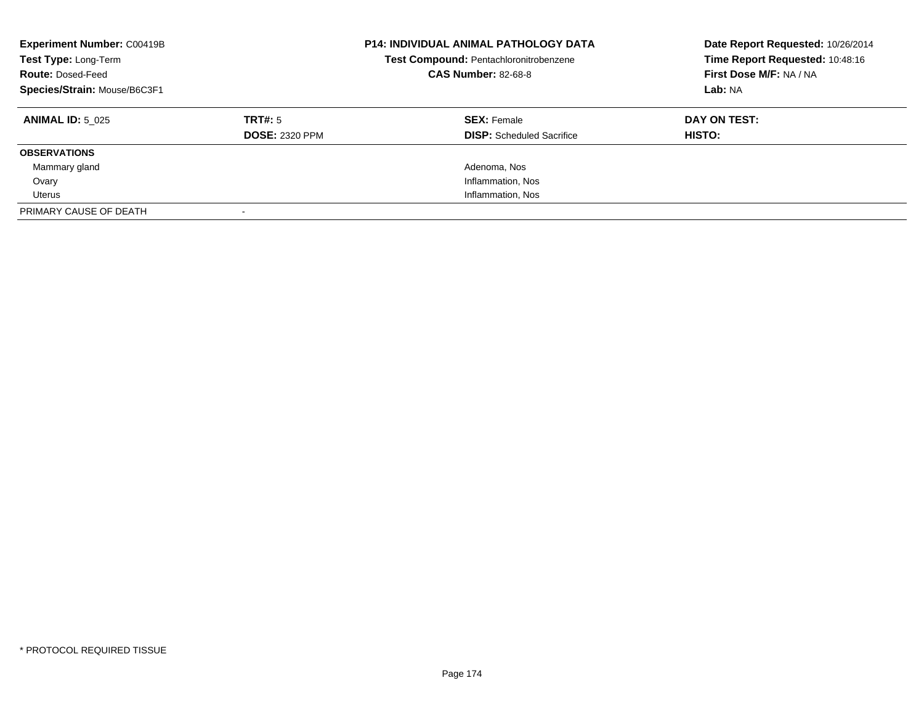| <b>Experiment Number: C00419B</b><br>Test Type: Long-Term<br><b>Route: Dosed-Feed</b><br>Species/Strain: Mouse/B6C3F1 |                       | <b>P14: INDIVIDUAL ANIMAL PATHOLOGY DATA</b><br>Test Compound: Pentachloronitrobenzene<br><b>CAS Number: 82-68-8</b> | Date Report Requested: 10/26/2014<br>Time Report Requested: 10:48:16<br>First Dose M/F: NA / NA<br>Lab: NA |
|-----------------------------------------------------------------------------------------------------------------------|-----------------------|----------------------------------------------------------------------------------------------------------------------|------------------------------------------------------------------------------------------------------------|
| <b>ANIMAL ID: 5 025</b>                                                                                               | TRT#: 5               | <b>SEX: Female</b>                                                                                                   | DAY ON TEST:                                                                                               |
|                                                                                                                       | <b>DOSE: 2320 PPM</b> | <b>DISP:</b> Scheduled Sacrifice                                                                                     | HISTO:                                                                                                     |
| <b>OBSERVATIONS</b>                                                                                                   |                       |                                                                                                                      |                                                                                                            |
| Mammary gland                                                                                                         |                       | Adenoma, Nos                                                                                                         |                                                                                                            |
| Ovary                                                                                                                 |                       | Inflammation, Nos                                                                                                    |                                                                                                            |
| Uterus                                                                                                                |                       | Inflammation, Nos                                                                                                    |                                                                                                            |
| PRIMARY CAUSE OF DEATH                                                                                                |                       |                                                                                                                      |                                                                                                            |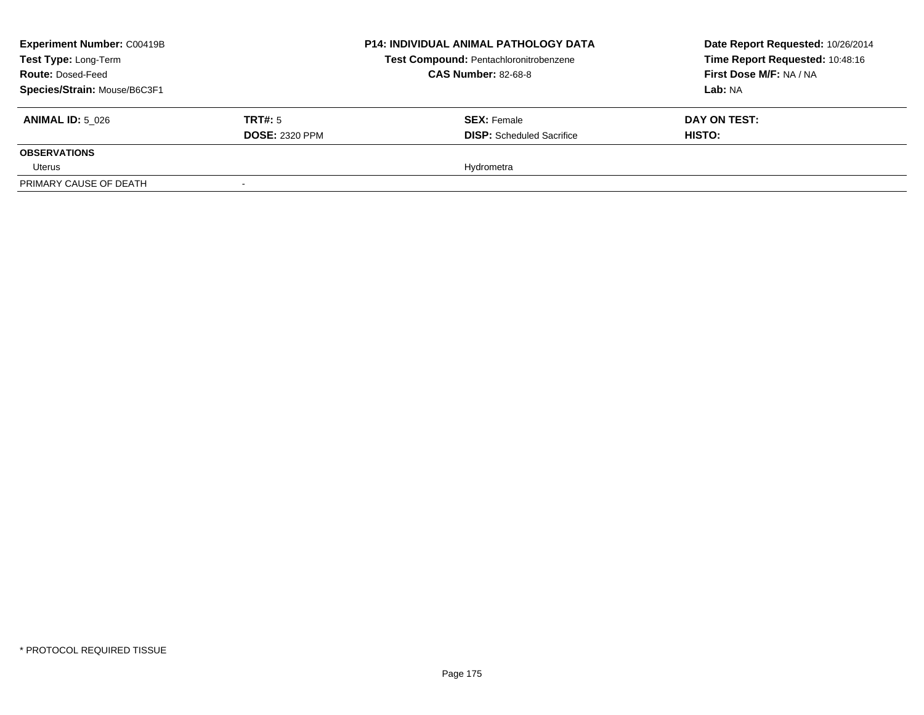| <b>Experiment Number: C00419B</b><br>Test Type: Long-Term<br><b>Route: Dosed-Feed</b><br>Species/Strain: Mouse/B6C3F1 |                                         | <b>P14: INDIVIDUAL ANIMAL PATHOLOGY DATA</b><br>Test Compound: Pentachloronitrobenzene<br><b>CAS Number: 82-68-8</b> | Date Report Requested: 10/26/2014<br>Time Report Requested: 10:48:16<br><b>First Dose M/F: NA / NA</b><br>Lab: NA |
|-----------------------------------------------------------------------------------------------------------------------|-----------------------------------------|----------------------------------------------------------------------------------------------------------------------|-------------------------------------------------------------------------------------------------------------------|
| <b>ANIMAL ID: 5 026</b>                                                                                               | <b>TRT#:</b> 5<br><b>DOSE: 2320 PPM</b> | <b>SEX:</b> Female<br><b>DISP:</b> Scheduled Sacrifice                                                               | DAY ON TEST:<br>HISTO:                                                                                            |
| <b>OBSERVATIONS</b>                                                                                                   |                                         |                                                                                                                      |                                                                                                                   |
| Uterus                                                                                                                |                                         | Hydrometra                                                                                                           |                                                                                                                   |
| PRIMARY CAUSE OF DEATH                                                                                                |                                         |                                                                                                                      |                                                                                                                   |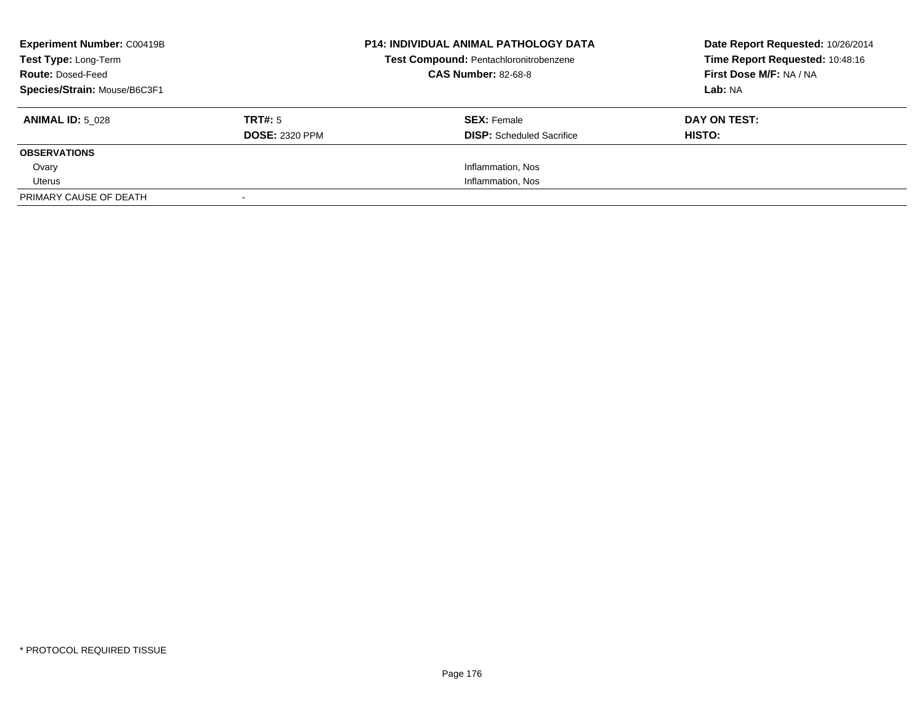| <b>Experiment Number: C00419B</b><br>Test Type: Long-Term<br><b>Route: Dosed-Feed</b><br>Species/Strain: Mouse/B6C3F1 |                                  | <b>P14: INDIVIDUAL ANIMAL PATHOLOGY DATA</b><br>Test Compound: Pentachloronitrobenzene<br><b>CAS Number: 82-68-8</b> | Date Report Requested: 10/26/2014<br>Time Report Requested: 10:48:16<br>First Dose M/F: NA / NA<br>Lab: NA |
|-----------------------------------------------------------------------------------------------------------------------|----------------------------------|----------------------------------------------------------------------------------------------------------------------|------------------------------------------------------------------------------------------------------------|
| <b>ANIMAL ID: 5 028</b>                                                                                               | TRT#: 5<br><b>DOSE: 2320 PPM</b> | <b>SEX:</b> Female<br><b>DISP:</b> Scheduled Sacrifice                                                               | DAY ON TEST:<br>HISTO:                                                                                     |
| <b>OBSERVATIONS</b>                                                                                                   |                                  |                                                                                                                      |                                                                                                            |
| Ovary                                                                                                                 |                                  | Inflammation, Nos                                                                                                    |                                                                                                            |
| Uterus                                                                                                                |                                  | Inflammation, Nos                                                                                                    |                                                                                                            |
| PRIMARY CAUSE OF DEATH                                                                                                |                                  |                                                                                                                      |                                                                                                            |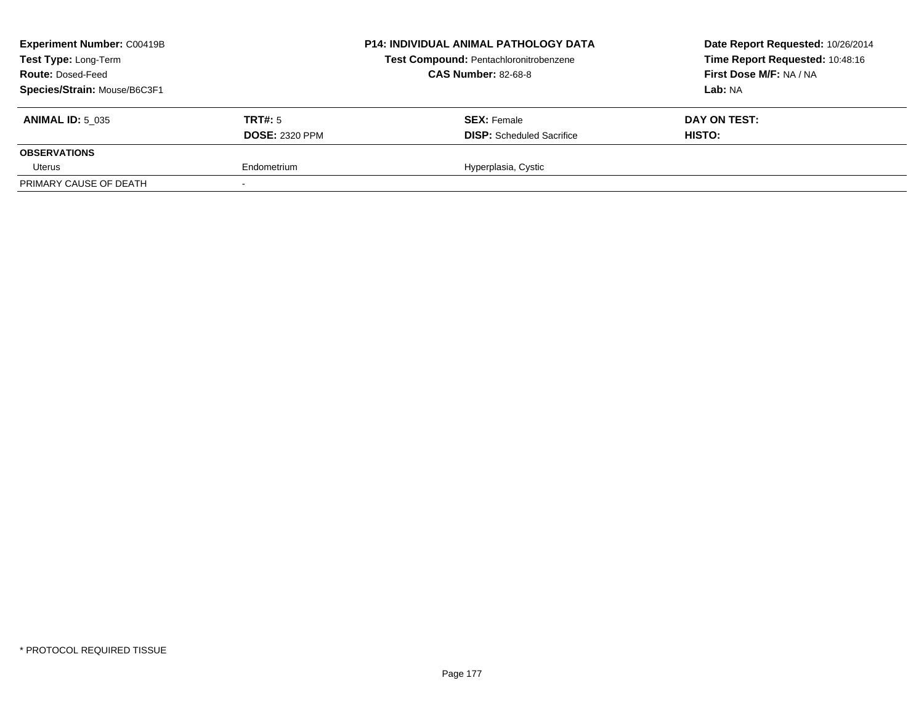| <b>Experiment Number: C00419B</b><br>Test Type: Long-Term<br><b>Route: Dosed-Feed</b><br>Species/Strain: Mouse/B6C3F1 |                                  | <b>P14: INDIVIDUAL ANIMAL PATHOLOGY DATA</b><br>Test Compound: Pentachloronitrobenzene<br><b>CAS Number: 82-68-8</b> | Date Report Requested: 10/26/2014<br>Time Report Requested: 10:48:16<br>First Dose M/F: NA / NA<br>Lab: NA |
|-----------------------------------------------------------------------------------------------------------------------|----------------------------------|----------------------------------------------------------------------------------------------------------------------|------------------------------------------------------------------------------------------------------------|
| <b>ANIMAL ID: 5 035</b>                                                                                               | TRT#: 5<br><b>DOSE: 2320 PPM</b> | <b>SEX: Female</b><br><b>DISP:</b> Scheduled Sacrifice                                                               | DAY ON TEST:<br>HISTO:                                                                                     |
| <b>OBSERVATIONS</b>                                                                                                   |                                  |                                                                                                                      |                                                                                                            |
| Uterus                                                                                                                | Endometrium                      | Hyperplasia, Cystic                                                                                                  |                                                                                                            |
| PRIMARY CAUSE OF DEATH                                                                                                |                                  |                                                                                                                      |                                                                                                            |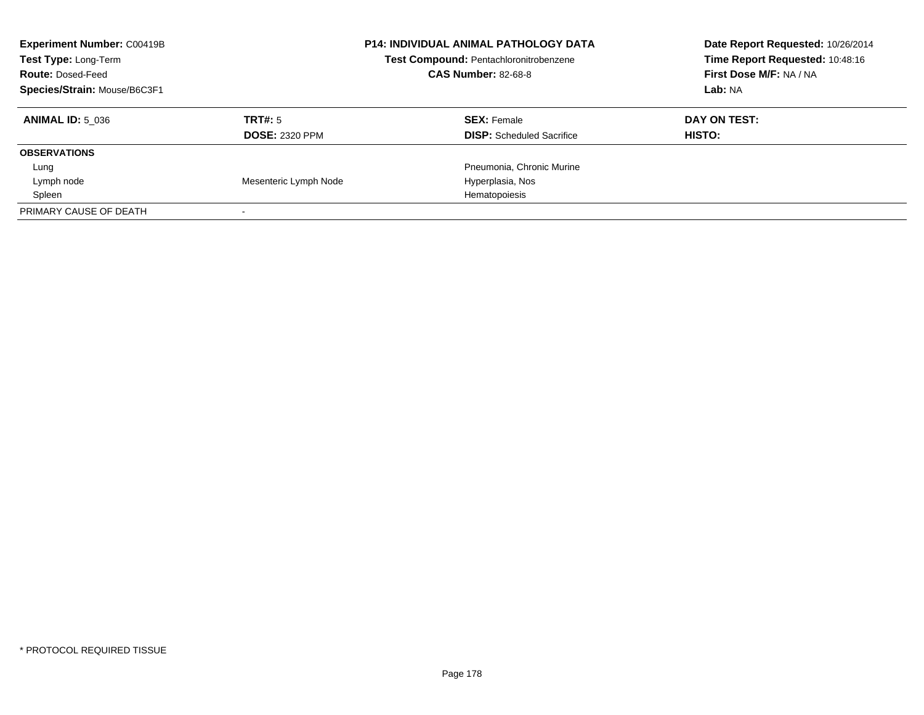| <b>Experiment Number: C00419B</b><br>Test Type: Long-Term<br><b>Route: Dosed-Feed</b><br>Species/Strain: Mouse/B6C3F1 |                       | <b>P14: INDIVIDUAL ANIMAL PATHOLOGY DATA</b><br>Test Compound: Pentachloronitrobenzene<br><b>CAS Number: 82-68-8</b> | Date Report Requested: 10/26/2014<br>Time Report Requested: 10:48:16<br>First Dose M/F: NA / NA<br>Lab: NA |
|-----------------------------------------------------------------------------------------------------------------------|-----------------------|----------------------------------------------------------------------------------------------------------------------|------------------------------------------------------------------------------------------------------------|
| <b>ANIMAL ID: 5 036</b>                                                                                               | TRT#: 5               | <b>SEX: Female</b>                                                                                                   | DAY ON TEST:                                                                                               |
|                                                                                                                       | <b>DOSE: 2320 PPM</b> | <b>DISP:</b> Scheduled Sacrifice                                                                                     | <b>HISTO:</b>                                                                                              |
| <b>OBSERVATIONS</b>                                                                                                   |                       |                                                                                                                      |                                                                                                            |
| Lung                                                                                                                  |                       | Pneumonia, Chronic Murine                                                                                            |                                                                                                            |
| Lymph node                                                                                                            | Mesenteric Lymph Node | Hyperplasia, Nos                                                                                                     |                                                                                                            |
| Spleen                                                                                                                |                       | Hematopoiesis                                                                                                        |                                                                                                            |
| PRIMARY CAUSE OF DEATH                                                                                                |                       |                                                                                                                      |                                                                                                            |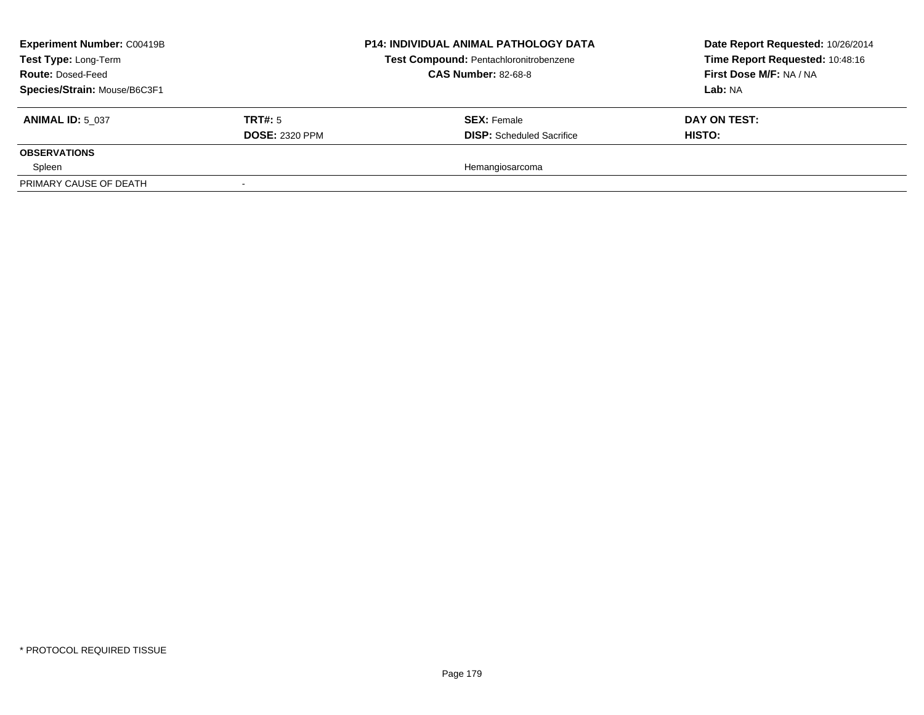| <b>Experiment Number: C00419B</b><br>Test Type: Long-Term<br><b>Route: Dosed-Feed</b><br>Species/Strain: Mouse/B6C3F1 |                                  | <b>P14: INDIVIDUAL ANIMAL PATHOLOGY DATA</b><br>Test Compound: Pentachloronitrobenzene<br><b>CAS Number: 82-68-8</b> | Date Report Requested: 10/26/2014<br>Time Report Requested: 10:48:16<br>First Dose M/F: NA / NA<br>Lab: NA |
|-----------------------------------------------------------------------------------------------------------------------|----------------------------------|----------------------------------------------------------------------------------------------------------------------|------------------------------------------------------------------------------------------------------------|
| <b>ANIMAL ID: 5 037</b>                                                                                               | TRT#: 5<br><b>DOSE: 2320 PPM</b> | <b>SEX: Female</b><br><b>DISP:</b> Scheduled Sacrifice                                                               | DAY ON TEST:<br>HISTO:                                                                                     |
| <b>OBSERVATIONS</b>                                                                                                   |                                  |                                                                                                                      |                                                                                                            |
| Spleen                                                                                                                |                                  | Hemangiosarcoma                                                                                                      |                                                                                                            |
| PRIMARY CAUSE OF DEATH                                                                                                |                                  |                                                                                                                      |                                                                                                            |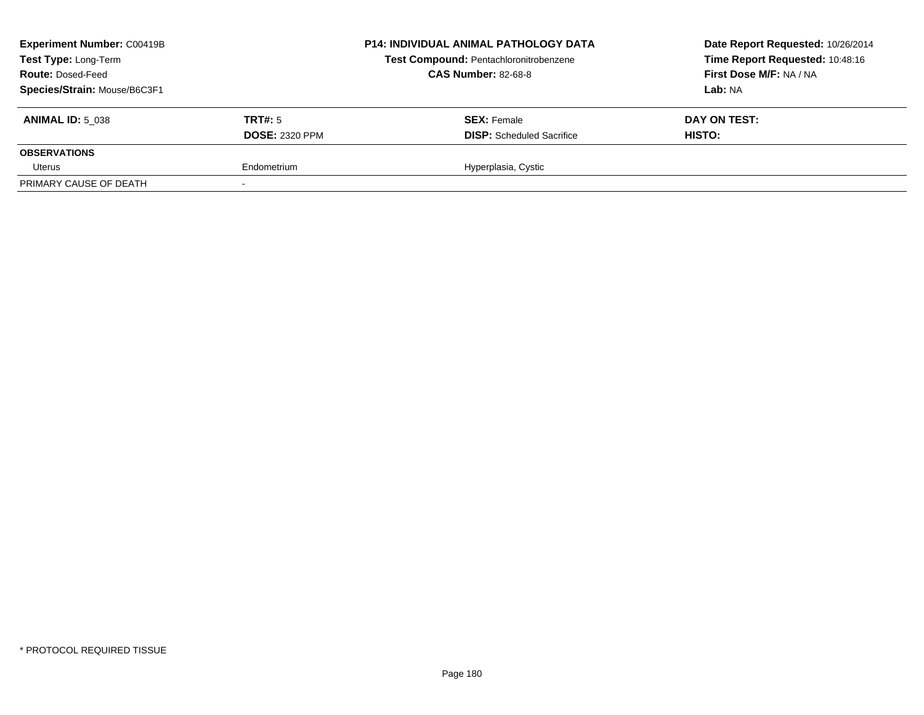| <b>Experiment Number: C00419B</b><br>Test Type: Long-Term<br><b>Route: Dosed-Feed</b><br>Species/Strain: Mouse/B6C3F1 |                                  | <b>P14: INDIVIDUAL ANIMAL PATHOLOGY DATA</b><br>Test Compound: Pentachloronitrobenzene<br><b>CAS Number: 82-68-8</b> | Date Report Requested: 10/26/2014<br>Time Report Requested: 10:48:16<br>First Dose M/F: NA / NA<br>Lab: NA |
|-----------------------------------------------------------------------------------------------------------------------|----------------------------------|----------------------------------------------------------------------------------------------------------------------|------------------------------------------------------------------------------------------------------------|
| <b>ANIMAL ID: 5 038</b>                                                                                               | TRT#: 5<br><b>DOSE: 2320 PPM</b> | <b>SEX: Female</b><br><b>DISP:</b> Scheduled Sacrifice                                                               | DAY ON TEST:<br>HISTO:                                                                                     |
| <b>OBSERVATIONS</b>                                                                                                   |                                  |                                                                                                                      |                                                                                                            |
| Uterus                                                                                                                | Endometrium                      | Hyperplasia, Cystic                                                                                                  |                                                                                                            |
| PRIMARY CAUSE OF DEATH                                                                                                |                                  |                                                                                                                      |                                                                                                            |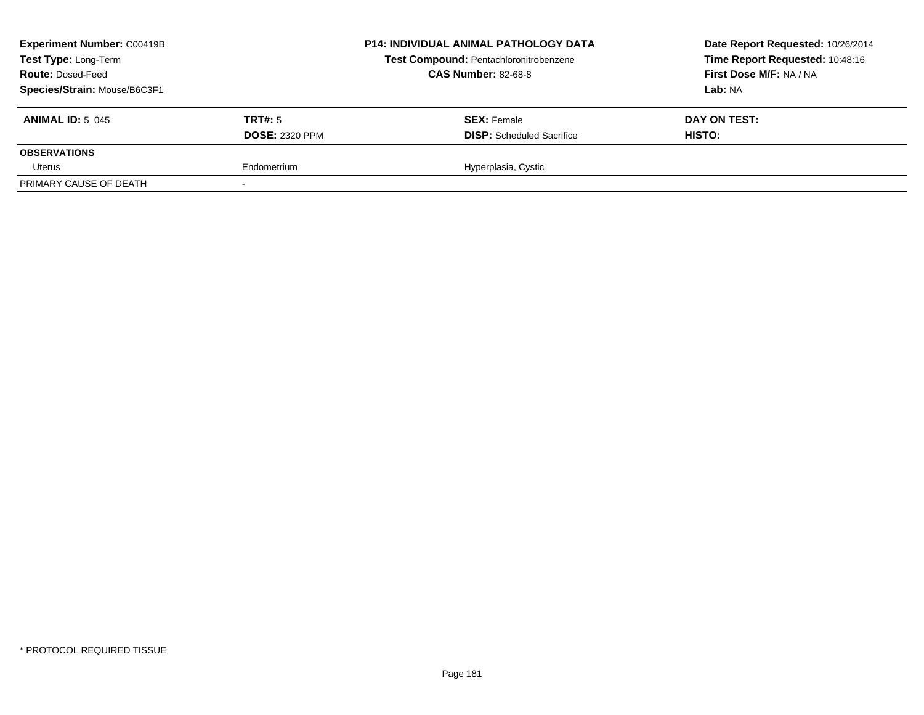| <b>Experiment Number: C00419B</b><br>Test Type: Long-Term<br><b>Route: Dosed-Feed</b><br>Species/Strain: Mouse/B6C3F1 |                                  | <b>P14: INDIVIDUAL ANIMAL PATHOLOGY DATA</b><br>Test Compound: Pentachloronitrobenzene<br><b>CAS Number: 82-68-8</b> | Date Report Requested: 10/26/2014<br>Time Report Requested: 10:48:16<br>First Dose M/F: NA / NA<br>Lab: NA |
|-----------------------------------------------------------------------------------------------------------------------|----------------------------------|----------------------------------------------------------------------------------------------------------------------|------------------------------------------------------------------------------------------------------------|
| <b>ANIMAL ID: 5 045</b>                                                                                               | TRT#: 5<br><b>DOSE: 2320 PPM</b> | <b>SEX: Female</b><br><b>DISP:</b> Scheduled Sacrifice                                                               | DAY ON TEST:<br>HISTO:                                                                                     |
| <b>OBSERVATIONS</b>                                                                                                   |                                  |                                                                                                                      |                                                                                                            |
| Uterus                                                                                                                | Endometrium                      | Hyperplasia, Cystic                                                                                                  |                                                                                                            |
| PRIMARY CAUSE OF DEATH                                                                                                |                                  |                                                                                                                      |                                                                                                            |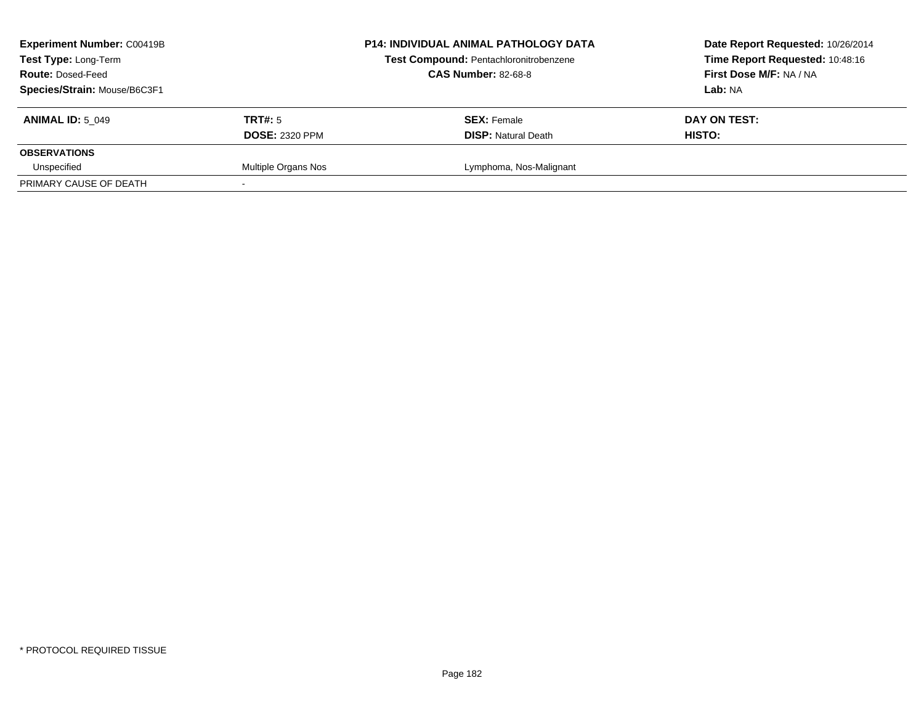| <b>Experiment Number: C00419B</b><br><b>Test Type: Long-Term</b><br><b>Route: Dosed-Feed</b><br>Species/Strain: Mouse/B6C3F1 |                                  | <b>P14: INDIVIDUAL ANIMAL PATHOLOGY DATA</b><br>Test Compound: Pentachloronitrobenzene<br><b>CAS Number: 82-68-8</b> | Date Report Requested: 10/26/2014<br>Time Report Requested: 10:48:16<br>First Dose M/F: NA / NA<br>Lab: NA |
|------------------------------------------------------------------------------------------------------------------------------|----------------------------------|----------------------------------------------------------------------------------------------------------------------|------------------------------------------------------------------------------------------------------------|
| <b>ANIMAL ID: 5 049</b>                                                                                                      | TRT#: 5<br><b>DOSE: 2320 PPM</b> | <b>SEX: Female</b><br><b>DISP:</b> Natural Death                                                                     | DAY ON TEST:<br>HISTO:                                                                                     |
| <b>OBSERVATIONS</b>                                                                                                          |                                  |                                                                                                                      |                                                                                                            |
| Unspecified                                                                                                                  | Multiple Organs Nos              | Lymphoma, Nos-Malignant                                                                                              |                                                                                                            |
| PRIMARY CAUSE OF DEATH                                                                                                       |                                  |                                                                                                                      |                                                                                                            |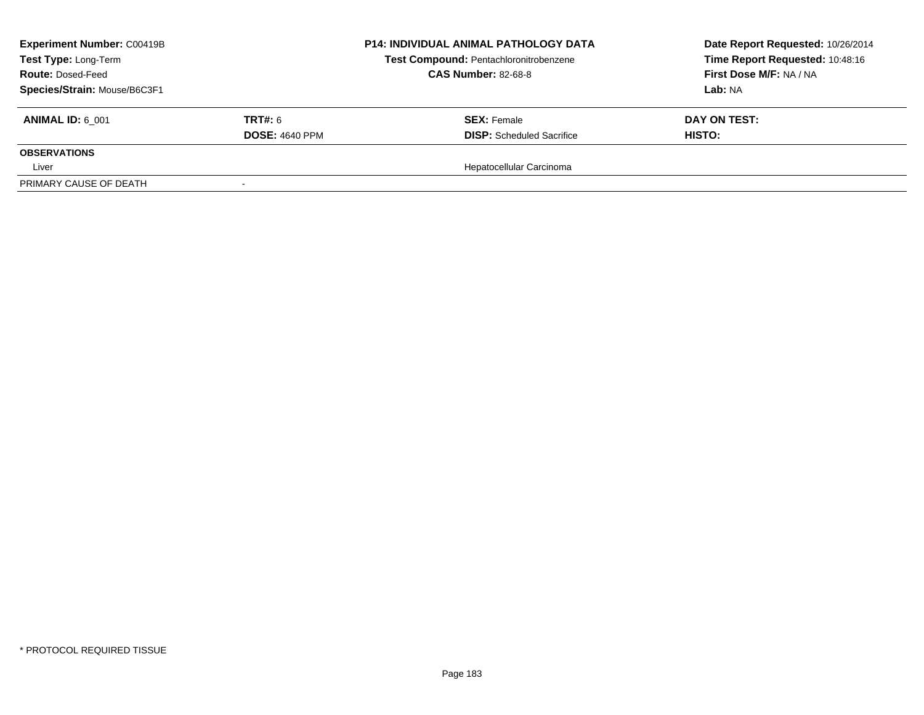| <b>Experiment Number: C00419B</b><br>Test Type: Long-Term<br><b>Route: Dosed-Feed</b><br>Species/Strain: Mouse/B6C3F1 |                                         | <b>P14: INDIVIDUAL ANIMAL PATHOLOGY DATA</b><br>Test Compound: Pentachloronitrobenzene<br><b>CAS Number: 82-68-8</b> | Date Report Requested: 10/26/2014<br>Time Report Requested: 10:48:16<br>First Dose M/F: NA / NA<br>Lab: NA |
|-----------------------------------------------------------------------------------------------------------------------|-----------------------------------------|----------------------------------------------------------------------------------------------------------------------|------------------------------------------------------------------------------------------------------------|
| <b>ANIMAL ID: 6 001</b>                                                                                               | <b>TRT#: 6</b><br><b>DOSE: 4640 PPM</b> | <b>SEX: Female</b><br><b>DISP:</b> Scheduled Sacrifice                                                               | DAY ON TEST:<br>HISTO:                                                                                     |
| <b>OBSERVATIONS</b>                                                                                                   |                                         |                                                                                                                      |                                                                                                            |
| Liver                                                                                                                 |                                         | Hepatocellular Carcinoma                                                                                             |                                                                                                            |
| PRIMARY CAUSE OF DEATH                                                                                                |                                         |                                                                                                                      |                                                                                                            |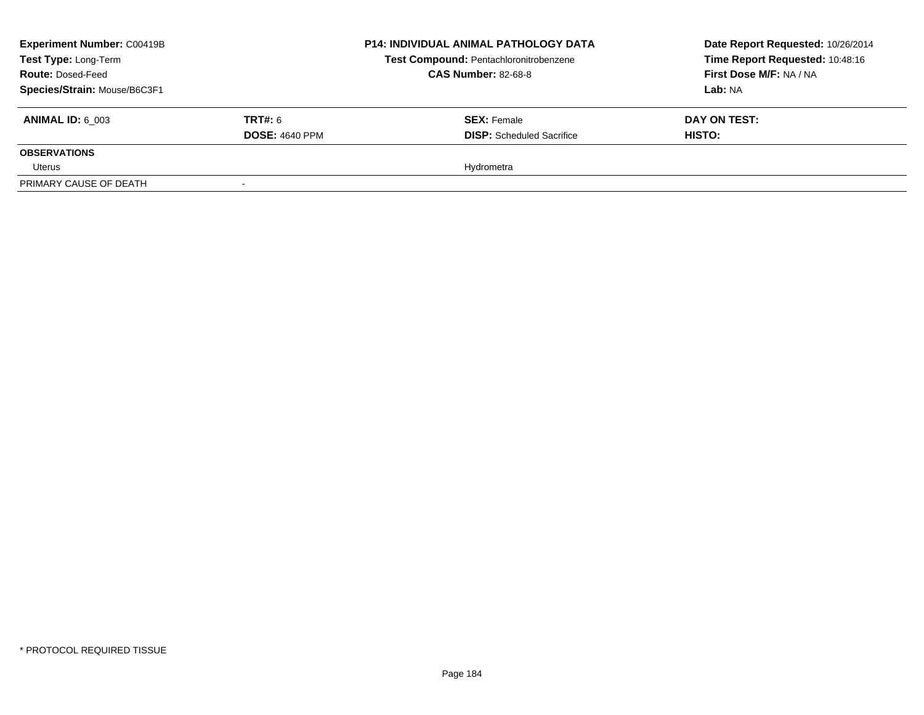| <b>Experiment Number: C00419B</b><br>Test Type: Long-Term<br><b>Route: Dosed-Feed</b> |                       | <b>P14: INDIVIDUAL ANIMAL PATHOLOGY DATA</b><br>Test Compound: Pentachloronitrobenzene<br><b>CAS Number: 82-68-8</b> | Date Report Requested: 10/26/2014<br>Time Report Requested: 10:48:16<br>First Dose M/F: NA / NA |
|---------------------------------------------------------------------------------------|-----------------------|----------------------------------------------------------------------------------------------------------------------|-------------------------------------------------------------------------------------------------|
| Species/Strain: Mouse/B6C3F1                                                          |                       |                                                                                                                      | <b>Lab: NA</b>                                                                                  |
| <b>ANIMAL ID: 6 003</b>                                                               | <b>TRT#:</b> 6        | <b>SEX: Female</b>                                                                                                   | DAY ON TEST:                                                                                    |
|                                                                                       | <b>DOSE: 4640 PPM</b> | <b>DISP:</b> Scheduled Sacrifice                                                                                     | <b>HISTO:</b>                                                                                   |
| <b>OBSERVATIONS</b>                                                                   |                       |                                                                                                                      |                                                                                                 |
| Uterus                                                                                |                       | Hydrometra                                                                                                           |                                                                                                 |
| PRIMARY CAUSE OF DEATH                                                                |                       |                                                                                                                      |                                                                                                 |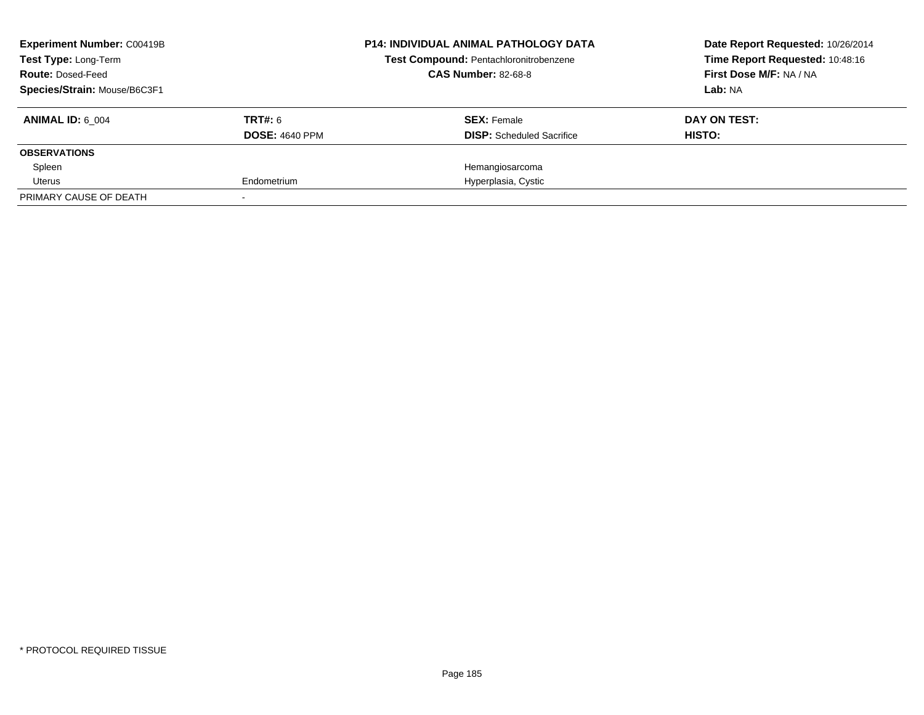| <b>Experiment Number: C00419B</b><br><b>Test Type: Long-Term</b> |                       | <b>P14: INDIVIDUAL ANIMAL PATHOLOGY DATA</b><br>Test Compound: Pentachloronitrobenzene | Date Report Requested: 10/26/2014<br>Time Report Requested: 10:48:16 |
|------------------------------------------------------------------|-----------------------|----------------------------------------------------------------------------------------|----------------------------------------------------------------------|
| <b>Route: Dosed-Feed</b>                                         |                       | <b>CAS Number: 82-68-8</b>                                                             | First Dose M/F: NA / NA                                              |
| Species/Strain: Mouse/B6C3F1                                     |                       |                                                                                        | Lab: NA                                                              |
| <b>ANIMAL ID: 6 004</b>                                          | TRT#: 6               | <b>SEX: Female</b>                                                                     | DAY ON TEST:                                                         |
|                                                                  | <b>DOSE: 4640 PPM</b> | <b>DISP:</b> Scheduled Sacrifice                                                       | HISTO:                                                               |
| <b>OBSERVATIONS</b>                                              |                       |                                                                                        |                                                                      |
| Spleen                                                           |                       | Hemangiosarcoma                                                                        |                                                                      |
| Uterus                                                           | Endometrium           | Hyperplasia, Cystic                                                                    |                                                                      |
| PRIMARY CAUSE OF DEATH                                           |                       |                                                                                        |                                                                      |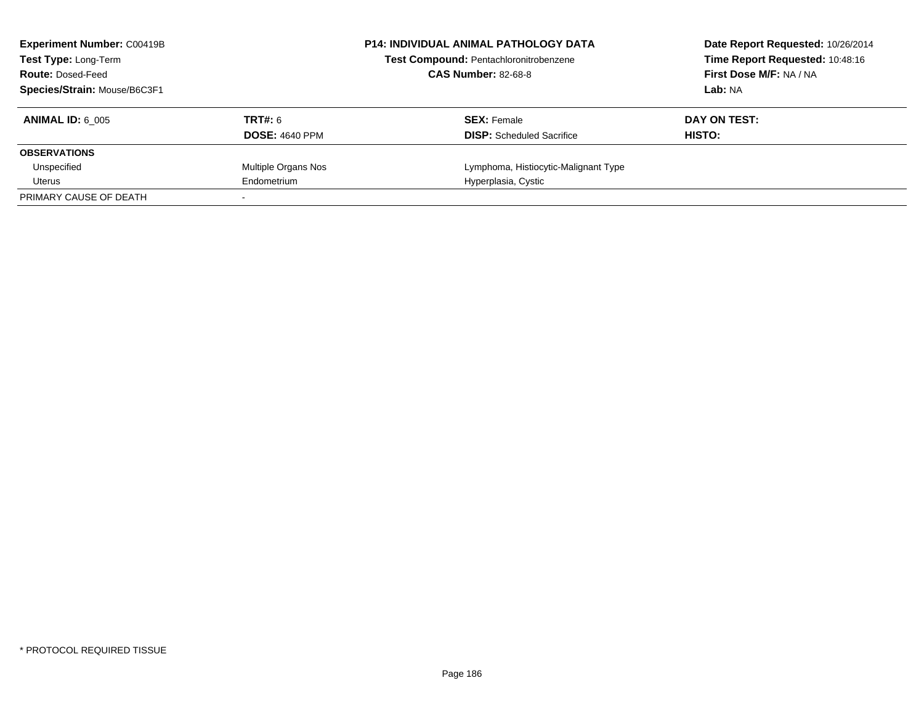| <b>Experiment Number: C00419B</b><br><b>Test Type: Long-Term</b><br><b>Route: Dosed-Feed</b> | <b>P14: INDIVIDUAL ANIMAL PATHOLOGY DATA</b><br><b>Test Compound: Pentachloronitrobenzene</b><br><b>CAS Number: 82-68-8</b> |                                      | Date Report Requested: 10/26/2014<br>Time Report Requested: 10:48:16<br>First Dose M/F: NA / NA |
|----------------------------------------------------------------------------------------------|-----------------------------------------------------------------------------------------------------------------------------|--------------------------------------|-------------------------------------------------------------------------------------------------|
| Species/Strain: Mouse/B6C3F1                                                                 |                                                                                                                             |                                      | Lab: NA                                                                                         |
| <b>ANIMAL ID: 6 005</b>                                                                      | TRT#: 6                                                                                                                     | <b>SEX:</b> Female                   | DAY ON TEST:                                                                                    |
|                                                                                              | <b>DOSE: 4640 PPM</b>                                                                                                       | <b>DISP:</b> Scheduled Sacrifice     | HISTO:                                                                                          |
| <b>OBSERVATIONS</b>                                                                          |                                                                                                                             |                                      |                                                                                                 |
| Unspecified                                                                                  | Multiple Organs Nos                                                                                                         | Lymphoma, Histiocytic-Malignant Type |                                                                                                 |
| Uterus                                                                                       | Endometrium                                                                                                                 | Hyperplasia, Cystic                  |                                                                                                 |
| PRIMARY CAUSE OF DEATH                                                                       |                                                                                                                             |                                      |                                                                                                 |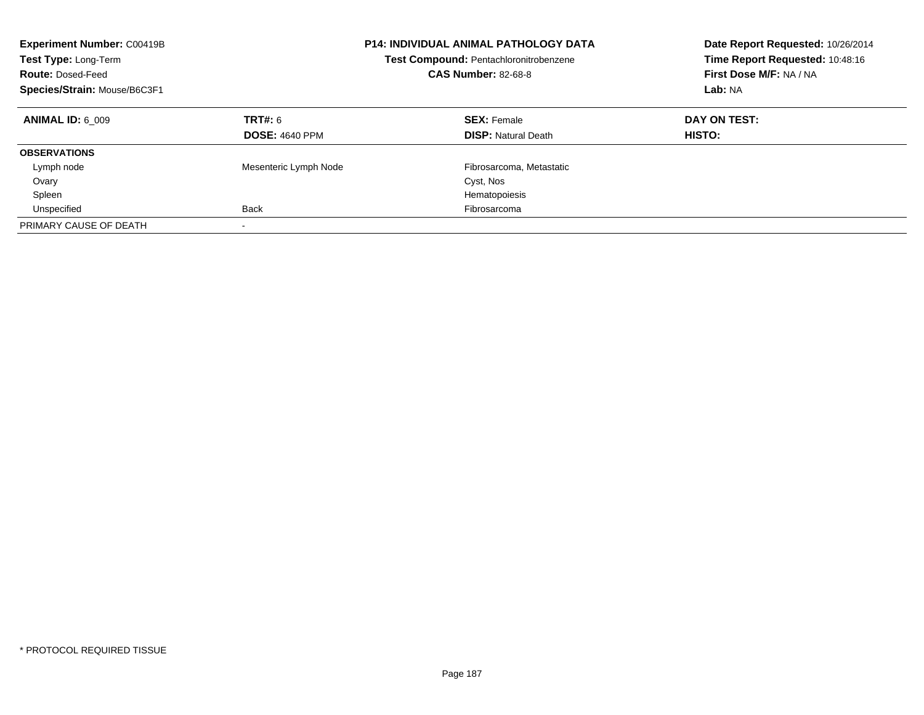| <b>Experiment Number: C00419B</b><br>Test Type: Long-Term<br><b>Route: Dosed-Feed</b><br>Species/Strain: Mouse/B6C3F1 |                                  | P14: INDIVIDUAL ANIMAL PATHOLOGY DATA<br><b>Test Compound: Pentachloronitrobenzene</b><br><b>CAS Number: 82-68-8</b> | Date Report Requested: 10/26/2014<br>Time Report Requested: 10:48:16<br>First Dose M/F: NA / NA<br>Lab: NA |
|-----------------------------------------------------------------------------------------------------------------------|----------------------------------|----------------------------------------------------------------------------------------------------------------------|------------------------------------------------------------------------------------------------------------|
| <b>ANIMAL ID: 6 009</b>                                                                                               | TRT#: 6<br><b>DOSE: 4640 PPM</b> | <b>SEX: Female</b><br><b>DISP:</b> Natural Death                                                                     | DAY ON TEST:<br>HISTO:                                                                                     |
| <b>OBSERVATIONS</b>                                                                                                   |                                  |                                                                                                                      |                                                                                                            |
| Lymph node                                                                                                            | Mesenteric Lymph Node            | Fibrosarcoma, Metastatic                                                                                             |                                                                                                            |
| Ovary<br>Spleen                                                                                                       |                                  | Cyst, Nos<br>Hematopoiesis                                                                                           |                                                                                                            |
| Unspecified                                                                                                           | <b>Back</b>                      | Fibrosarcoma                                                                                                         |                                                                                                            |
| PRIMARY CAUSE OF DEATH                                                                                                | $\overline{\phantom{a}}$         |                                                                                                                      |                                                                                                            |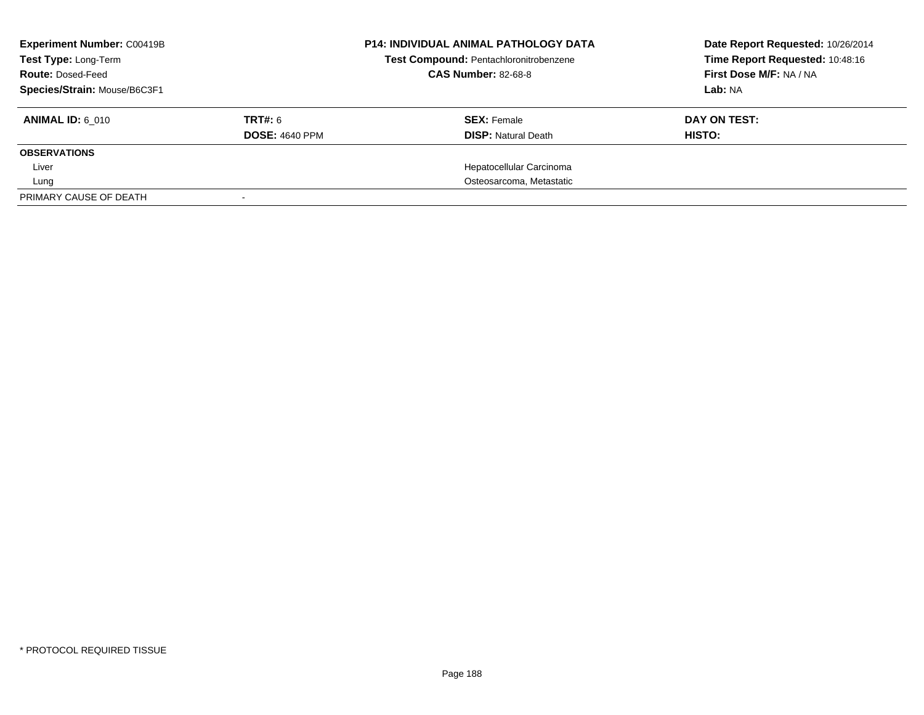| <b>Experiment Number: C00419B</b><br>Test Type: Long-Term<br><b>Route: Dosed-Feed</b> |                       | <b>P14: INDIVIDUAL ANIMAL PATHOLOGY DATA</b><br>Test Compound: Pentachloronitrobenzene<br><b>CAS Number: 82-68-8</b> | Date Report Requested: 10/26/2014<br>Time Report Requested: 10:48:16<br>First Dose M/F: NA / NA<br>Lab: NA |
|---------------------------------------------------------------------------------------|-----------------------|----------------------------------------------------------------------------------------------------------------------|------------------------------------------------------------------------------------------------------------|
| Species/Strain: Mouse/B6C3F1                                                          |                       |                                                                                                                      |                                                                                                            |
| <b>ANIMAL ID: 6 010</b>                                                               | TRT#: 6               | <b>SEX:</b> Female                                                                                                   | DAY ON TEST:                                                                                               |
|                                                                                       | <b>DOSE: 4640 PPM</b> | <b>DISP: Natural Death</b>                                                                                           | HISTO:                                                                                                     |
| <b>OBSERVATIONS</b>                                                                   |                       |                                                                                                                      |                                                                                                            |
| Liver                                                                                 |                       | Hepatocellular Carcinoma                                                                                             |                                                                                                            |
| Lung                                                                                  |                       | Osteosarcoma, Metastatic                                                                                             |                                                                                                            |
| PRIMARY CAUSE OF DEATH                                                                |                       |                                                                                                                      |                                                                                                            |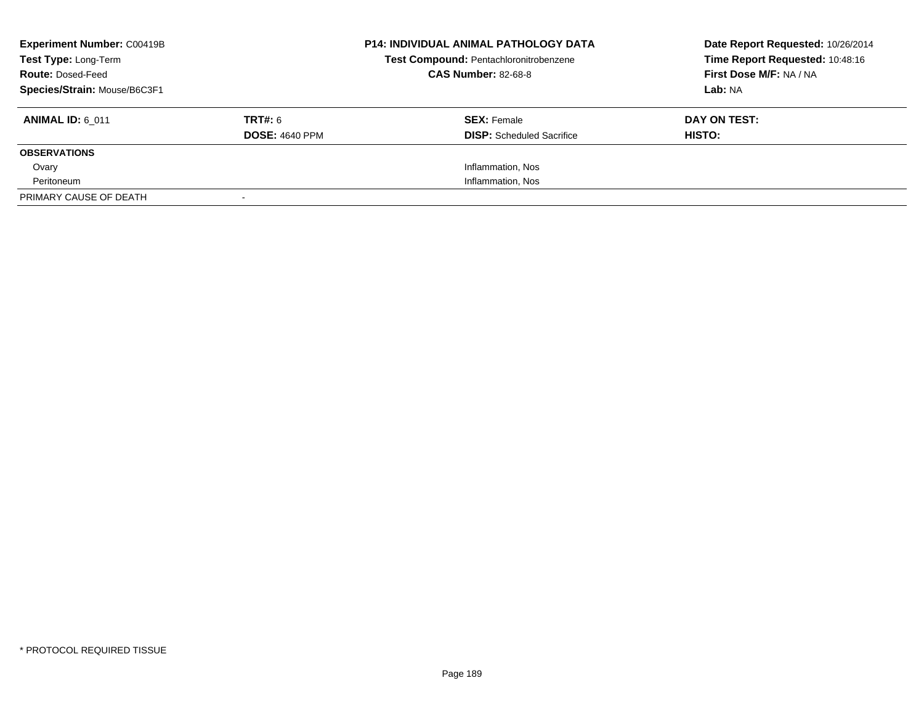| <b>Experiment Number: C00419B</b><br><b>Test Type: Long-Term</b><br><b>Route: Dosed-Feed</b><br>Species/Strain: Mouse/B6C3F1 |                                  | <b>P14: INDIVIDUAL ANIMAL PATHOLOGY DATA</b><br>Test Compound: Pentachloronitrobenzene<br><b>CAS Number: 82-68-8</b> | Date Report Requested: 10/26/2014<br>Time Report Requested: 10:48:16<br>First Dose M/F: NA / NA<br>Lab: NA |
|------------------------------------------------------------------------------------------------------------------------------|----------------------------------|----------------------------------------------------------------------------------------------------------------------|------------------------------------------------------------------------------------------------------------|
| <b>ANIMAL ID: 6 011</b>                                                                                                      | TRT#: 6<br><b>DOSE: 4640 PPM</b> | <b>SEX: Female</b><br><b>DISP:</b> Scheduled Sacrifice                                                               | DAY ON TEST:<br>HISTO:                                                                                     |
| <b>OBSERVATIONS</b>                                                                                                          |                                  |                                                                                                                      |                                                                                                            |
| Ovary                                                                                                                        |                                  | Inflammation, Nos                                                                                                    |                                                                                                            |
| Peritoneum                                                                                                                   |                                  | Inflammation, Nos                                                                                                    |                                                                                                            |
| PRIMARY CAUSE OF DEATH                                                                                                       |                                  |                                                                                                                      |                                                                                                            |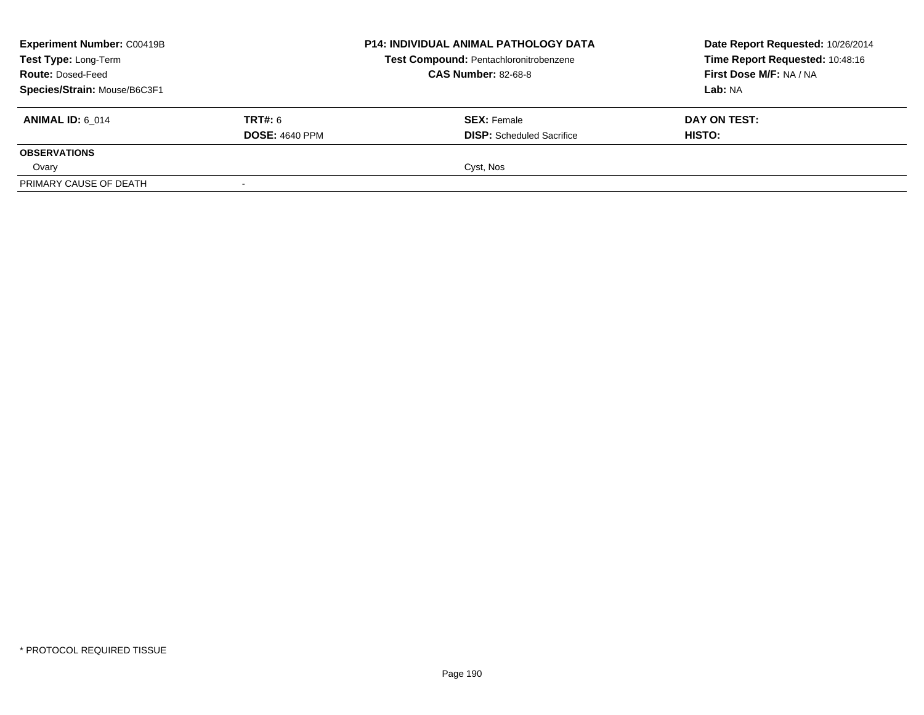| <b>Experiment Number: C00419B</b><br>Test Type: Long-Term<br><b>Route: Dosed-Feed</b> |                                         | <b>P14: INDIVIDUAL ANIMAL PATHOLOGY DATA</b><br>Test Compound: Pentachloronitrobenzene<br><b>CAS Number: 82-68-8</b> | Date Report Requested: 10/26/2014<br>Time Report Requested: 10:48:16<br>First Dose M/F: NA / NA<br><b>Lab:</b> NA |
|---------------------------------------------------------------------------------------|-----------------------------------------|----------------------------------------------------------------------------------------------------------------------|-------------------------------------------------------------------------------------------------------------------|
| Species/Strain: Mouse/B6C3F1<br><b>ANIMAL ID: 6 014</b>                               | <b>TRT#:</b> 6<br><b>DOSE: 4640 PPM</b> | <b>SEX: Female</b><br><b>DISP:</b> Scheduled Sacrifice                                                               | DAY ON TEST:<br><b>HISTO:</b>                                                                                     |
| <b>OBSERVATIONS</b><br>Ovary                                                          |                                         | Cyst, Nos                                                                                                            |                                                                                                                   |
| PRIMARY CAUSE OF DEATH                                                                |                                         |                                                                                                                      |                                                                                                                   |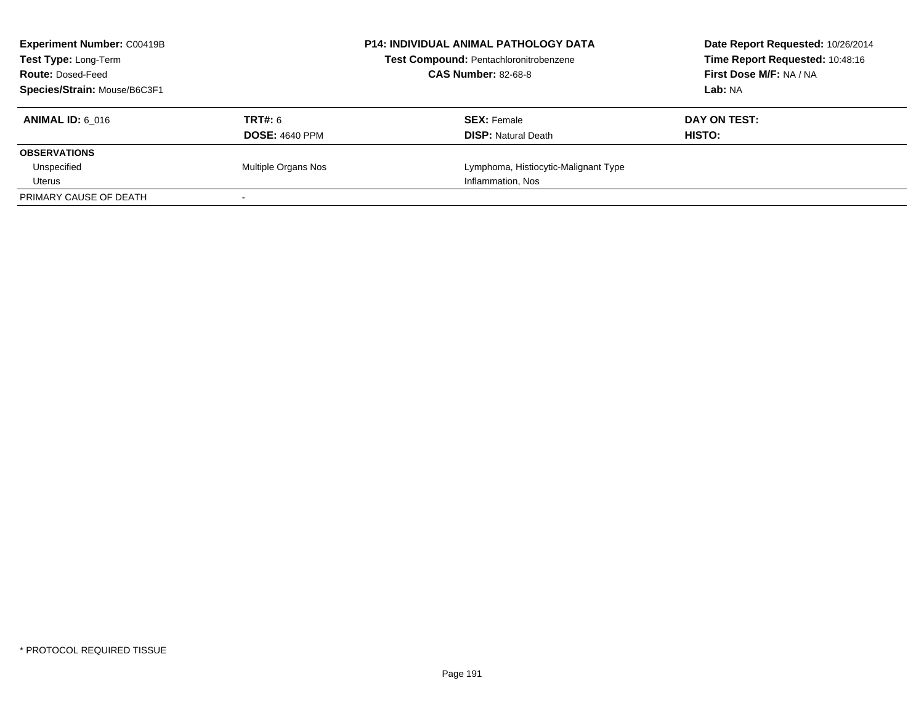| <b>Experiment Number: C00419B</b><br><b>P14: INDIVIDUAL ANIMAL PATHOLOGY DATA</b><br><b>Test Compound: Pentachloronitrobenzene</b><br>Test Type: Long-Term |                       |                                      | Date Report Requested: 10/26/2014<br>Time Report Requested: 10:48:16 |
|------------------------------------------------------------------------------------------------------------------------------------------------------------|-----------------------|--------------------------------------|----------------------------------------------------------------------|
| <b>Route: Dosed-Feed</b>                                                                                                                                   |                       | <b>CAS Number: 82-68-8</b>           | First Dose M/F: NA / NA                                              |
| Species/Strain: Mouse/B6C3F1                                                                                                                               |                       |                                      | Lab: NA                                                              |
| <b>ANIMAL ID: 6 016</b>                                                                                                                                    | TRT#: 6               | <b>SEX: Female</b>                   | DAY ON TEST:                                                         |
|                                                                                                                                                            | <b>DOSE: 4640 PPM</b> | <b>DISP:</b> Natural Death           | HISTO:                                                               |
| <b>OBSERVATIONS</b>                                                                                                                                        |                       |                                      |                                                                      |
| Unspecified                                                                                                                                                | Multiple Organs Nos   | Lymphoma, Histiocytic-Malignant Type |                                                                      |
| Uterus                                                                                                                                                     |                       | Inflammation, Nos                    |                                                                      |
| PRIMARY CAUSE OF DEATH                                                                                                                                     |                       |                                      |                                                                      |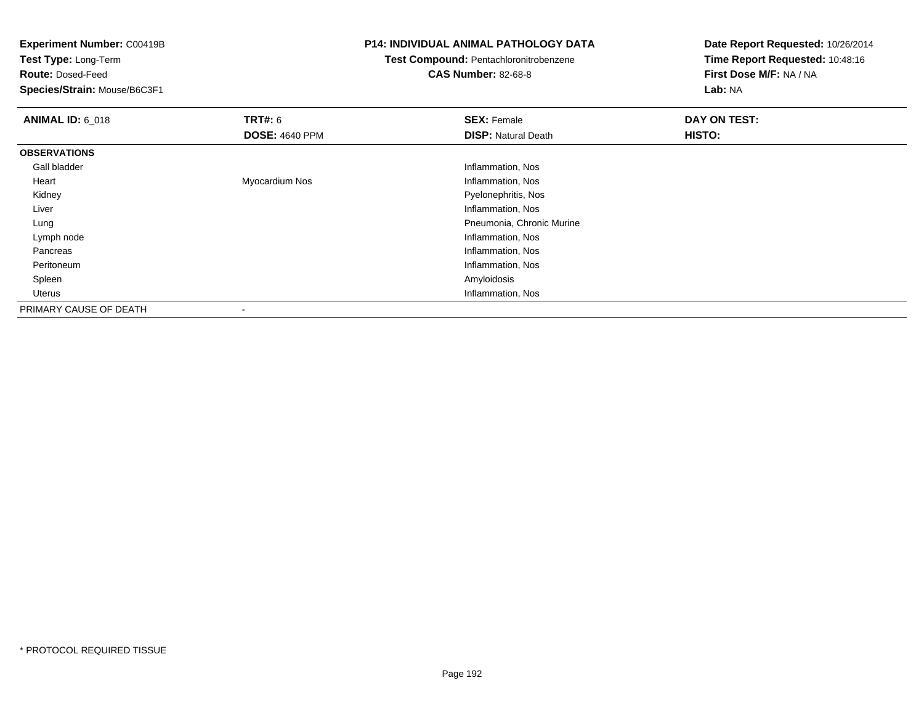**Experiment Number:** C00419B

**Test Type:** Long-Term

**Route:** Dosed-Feed

**Species/Strain:** Mouse/B6C3F1

## **P14: INDIVIDUAL ANIMAL PATHOLOGY DATA**

## **Test Compound:** Pentachloronitrobenzene

**CAS Number:** 82-68-8

**Date Report Requested:** 10/26/2014**Time Report Requested:** 10:48:16**First Dose M/F:** NA / NA**Lab:** NA

| <b>ANIMAL ID: 6_018</b> | TRT#: 6                  | <b>SEX: Female</b>         | DAY ON TEST: |
|-------------------------|--------------------------|----------------------------|--------------|
|                         | <b>DOSE: 4640 PPM</b>    | <b>DISP: Natural Death</b> | HISTO:       |
| <b>OBSERVATIONS</b>     |                          |                            |              |
| Gall bladder            |                          | Inflammation, Nos          |              |
| Heart                   | Myocardium Nos           | Inflammation, Nos          |              |
| Kidney                  |                          | Pyelonephritis, Nos        |              |
| Liver                   |                          | Inflammation, Nos          |              |
| Lung                    |                          | Pneumonia, Chronic Murine  |              |
| Lymph node              |                          | Inflammation, Nos          |              |
| Pancreas                |                          | Inflammation, Nos          |              |
| Peritoneum              |                          | Inflammation, Nos          |              |
| Spleen                  |                          | Amyloidosis                |              |
| Uterus                  |                          | Inflammation, Nos          |              |
| PRIMARY CAUSE OF DEATH  | $\overline{\phantom{a}}$ |                            |              |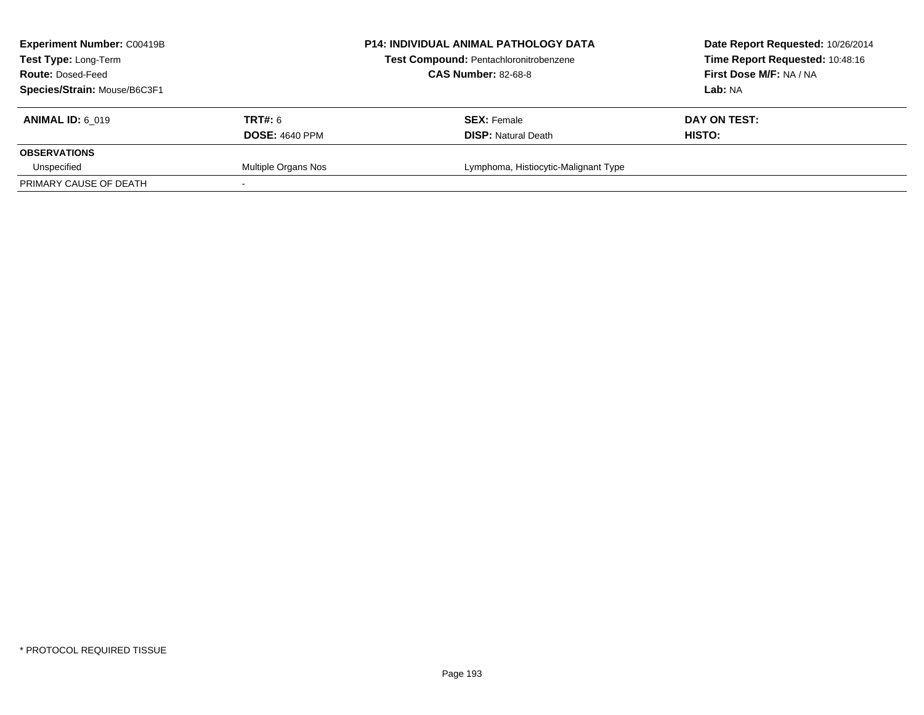| <b>Experiment Number: C00419B</b><br><b>Test Type: Long-Term</b><br><b>Route: Dosed-Feed</b><br>Species/Strain: Mouse/B6C3F1 |                                  | <b>P14: INDIVIDUAL ANIMAL PATHOLOGY DATA</b><br>Test Compound: Pentachloronitrobenzene<br><b>CAS Number: 82-68-8</b> | Date Report Requested: 10/26/2014<br>Time Report Requested: 10:48:16<br>First Dose M/F: NA / NA<br>Lab: NA |
|------------------------------------------------------------------------------------------------------------------------------|----------------------------------|----------------------------------------------------------------------------------------------------------------------|------------------------------------------------------------------------------------------------------------|
| <b>ANIMAL ID: 6 019</b>                                                                                                      | TRT#: 6<br><b>DOSE: 4640 PPM</b> | <b>SEX: Female</b><br><b>DISP:</b> Natural Death                                                                     | DAY ON TEST:<br>HISTO:                                                                                     |
| <b>OBSERVATIONS</b>                                                                                                          |                                  |                                                                                                                      |                                                                                                            |
| Unspecified<br>PRIMARY CAUSE OF DEATH                                                                                        | Multiple Organs Nos              | Lymphoma, Histiocytic-Malignant Type                                                                                 |                                                                                                            |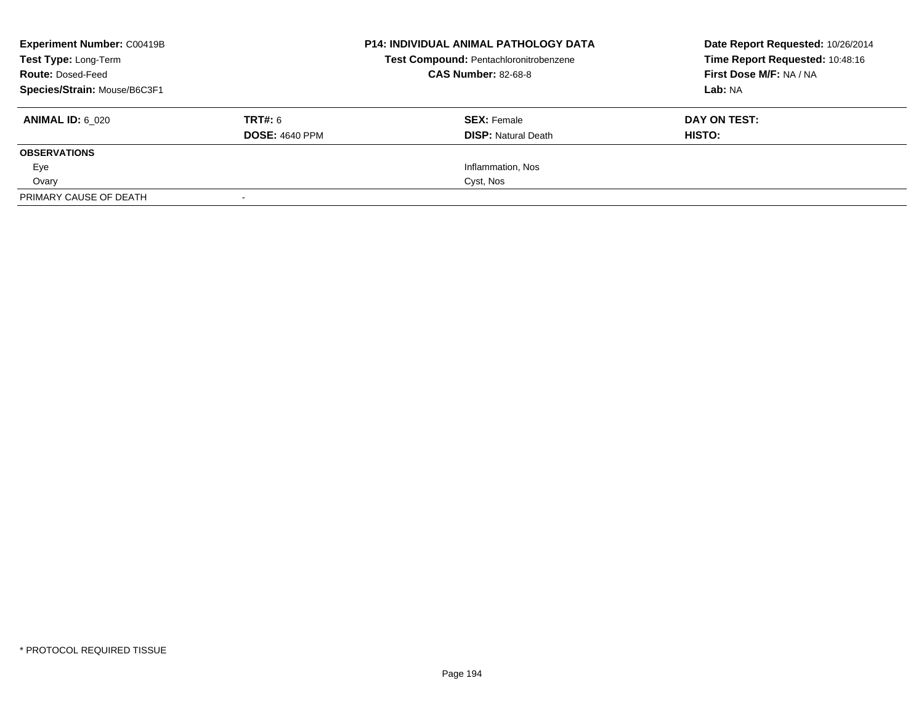| <b>Experiment Number: C00419B</b><br>Test Type: Long-Term<br><b>Route: Dosed-Feed</b><br>Species/Strain: Mouse/B6C3F1 |                                  | <b>P14: INDIVIDUAL ANIMAL PATHOLOGY DATA</b><br>Test Compound: Pentachloronitrobenzene<br><b>CAS Number: 82-68-8</b> | Date Report Requested: 10/26/2014<br>Time Report Requested: 10:48:16<br>First Dose M/F: NA / NA<br>Lab: NA |
|-----------------------------------------------------------------------------------------------------------------------|----------------------------------|----------------------------------------------------------------------------------------------------------------------|------------------------------------------------------------------------------------------------------------|
| <b>ANIMAL ID: 6 020</b>                                                                                               | TRT#: 6<br><b>DOSE: 4640 PPM</b> | <b>SEX:</b> Female<br><b>DISP:</b> Natural Death                                                                     | DAY ON TEST:<br>HISTO:                                                                                     |
| <b>OBSERVATIONS</b>                                                                                                   |                                  |                                                                                                                      |                                                                                                            |
| Eye                                                                                                                   |                                  | Inflammation, Nos                                                                                                    |                                                                                                            |
| Ovary                                                                                                                 |                                  | Cyst, Nos                                                                                                            |                                                                                                            |
| PRIMARY CAUSE OF DEATH                                                                                                |                                  |                                                                                                                      |                                                                                                            |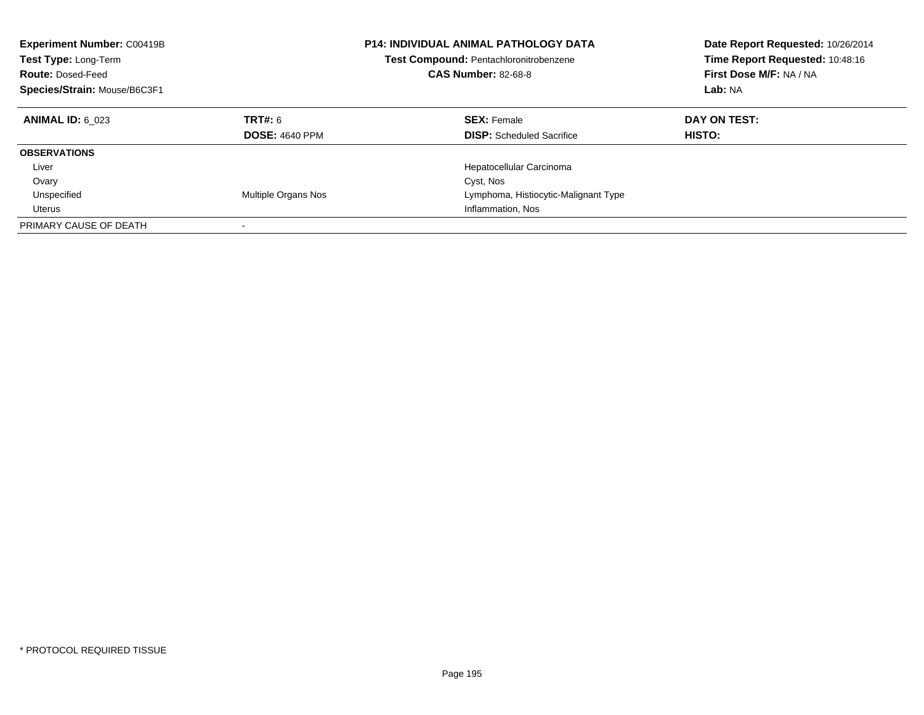| <b>Experiment Number: C00419B</b><br>Test Type: Long-Term<br><b>Route: Dosed-Feed</b><br>Species/Strain: Mouse/B6C3F1 |                                  | <b>P14: INDIVIDUAL ANIMAL PATHOLOGY DATA</b><br><b>Test Compound: Pentachloronitrobenzene</b><br><b>CAS Number: 82-68-8</b> | Date Report Requested: 10/26/2014<br>Time Report Requested: 10:48:16<br>First Dose M/F: NA / NA<br>Lab: NA |
|-----------------------------------------------------------------------------------------------------------------------|----------------------------------|-----------------------------------------------------------------------------------------------------------------------------|------------------------------------------------------------------------------------------------------------|
| <b>ANIMAL ID: 6 023</b>                                                                                               | TRT#: 6<br><b>DOSE: 4640 PPM</b> | <b>SEX: Female</b><br><b>DISP:</b> Scheduled Sacrifice                                                                      | DAY ON TEST:<br><b>HISTO:</b>                                                                              |
| <b>OBSERVATIONS</b>                                                                                                   |                                  |                                                                                                                             |                                                                                                            |
| Liver                                                                                                                 |                                  | Hepatocellular Carcinoma                                                                                                    |                                                                                                            |
| Ovary                                                                                                                 |                                  | Cyst, Nos                                                                                                                   |                                                                                                            |
| Unspecified                                                                                                           | Multiple Organs Nos              | Lymphoma, Histiocytic-Malignant Type                                                                                        |                                                                                                            |
| Uterus                                                                                                                |                                  | Inflammation, Nos                                                                                                           |                                                                                                            |
| PRIMARY CAUSE OF DEATH                                                                                                |                                  |                                                                                                                             |                                                                                                            |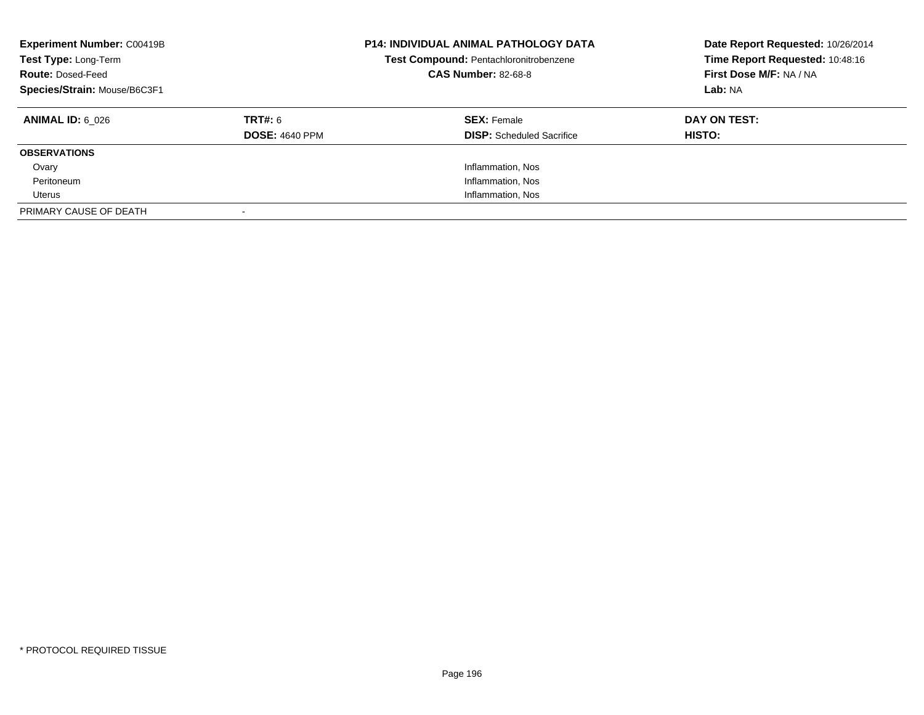| <b>Experiment Number: C00419B</b><br>Test Type: Long-Term<br><b>Route: Dosed-Feed</b><br>Species/Strain: Mouse/B6C3F1 |                                  | <b>P14: INDIVIDUAL ANIMAL PATHOLOGY DATA</b><br>Test Compound: Pentachloronitrobenzene<br><b>CAS Number: 82-68-8</b> | Date Report Requested: 10/26/2014<br>Time Report Requested: 10:48:16<br>First Dose M/F: NA / NA<br>Lab: NA |
|-----------------------------------------------------------------------------------------------------------------------|----------------------------------|----------------------------------------------------------------------------------------------------------------------|------------------------------------------------------------------------------------------------------------|
| <b>ANIMAL ID:</b> 6 026                                                                                               | TRT#: 6<br><b>DOSE: 4640 PPM</b> | <b>SEX: Female</b><br><b>DISP:</b> Scheduled Sacrifice                                                               | DAY ON TEST:<br><b>HISTO:</b>                                                                              |
| <b>OBSERVATIONS</b>                                                                                                   |                                  |                                                                                                                      |                                                                                                            |
|                                                                                                                       |                                  |                                                                                                                      |                                                                                                            |
| Ovary                                                                                                                 |                                  | Inflammation, Nos                                                                                                    |                                                                                                            |
| Peritoneum                                                                                                            |                                  | Inflammation, Nos                                                                                                    |                                                                                                            |
| Uterus                                                                                                                |                                  | Inflammation, Nos                                                                                                    |                                                                                                            |
| PRIMARY CAUSE OF DEATH                                                                                                |                                  |                                                                                                                      |                                                                                                            |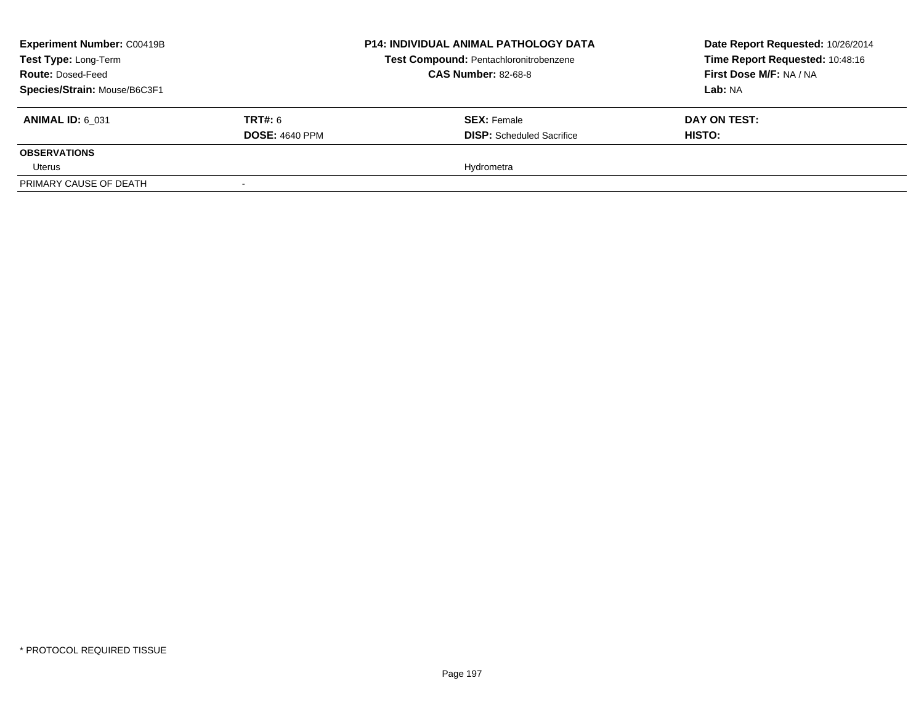| <b>Experiment Number: C00419B</b><br>Test Type: Long-Term<br><b>Route: Dosed-Feed</b> |                       | <b>P14: INDIVIDUAL ANIMAL PATHOLOGY DATA</b><br>Test Compound: Pentachloronitrobenzene<br><b>CAS Number: 82-68-8</b> | Date Report Requested: 10/26/2014<br>Time Report Requested: 10:48:16<br>First Dose M/F: NA / NA |
|---------------------------------------------------------------------------------------|-----------------------|----------------------------------------------------------------------------------------------------------------------|-------------------------------------------------------------------------------------------------|
| Species/Strain: Mouse/B6C3F1                                                          |                       |                                                                                                                      | <b>Lab: NA</b>                                                                                  |
| <b>ANIMAL ID: 6 031</b>                                                               | <b>TRT#:</b> 6        | <b>SEX: Female</b>                                                                                                   | DAY ON TEST:                                                                                    |
|                                                                                       | <b>DOSE: 4640 PPM</b> | <b>DISP:</b> Scheduled Sacrifice                                                                                     | <b>HISTO:</b>                                                                                   |
| <b>OBSERVATIONS</b>                                                                   |                       |                                                                                                                      |                                                                                                 |
| Uterus                                                                                |                       | Hydrometra                                                                                                           |                                                                                                 |
| PRIMARY CAUSE OF DEATH                                                                |                       |                                                                                                                      |                                                                                                 |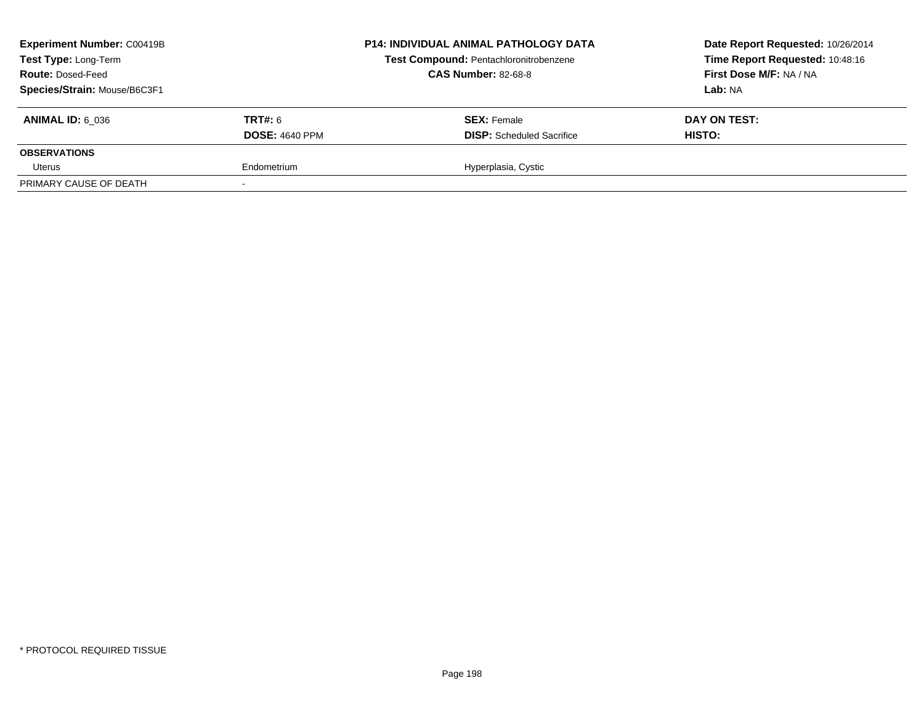| <b>Experiment Number: C00419B</b><br>Test Type: Long-Term<br><b>Route: Dosed-Feed</b><br>Species/Strain: Mouse/B6C3F1 |                                         | <b>P14: INDIVIDUAL ANIMAL PATHOLOGY DATA</b><br>Test Compound: Pentachloronitrobenzene<br><b>CAS Number: 82-68-8</b> | Date Report Requested: 10/26/2014<br>Time Report Requested: 10:48:16<br>First Dose M/F: NA / NA<br>Lab: NA |
|-----------------------------------------------------------------------------------------------------------------------|-----------------------------------------|----------------------------------------------------------------------------------------------------------------------|------------------------------------------------------------------------------------------------------------|
| <b>ANIMAL ID: 6 036</b>                                                                                               | <b>TRT#: 6</b><br><b>DOSE: 4640 PPM</b> | <b>SEX: Female</b><br><b>DISP:</b> Scheduled Sacrifice                                                               | DAY ON TEST:<br>HISTO:                                                                                     |
| <b>OBSERVATIONS</b>                                                                                                   |                                         |                                                                                                                      |                                                                                                            |
| Uterus                                                                                                                | Endometrium                             | Hyperplasia, Cystic                                                                                                  |                                                                                                            |
| PRIMARY CAUSE OF DEATH                                                                                                |                                         |                                                                                                                      |                                                                                                            |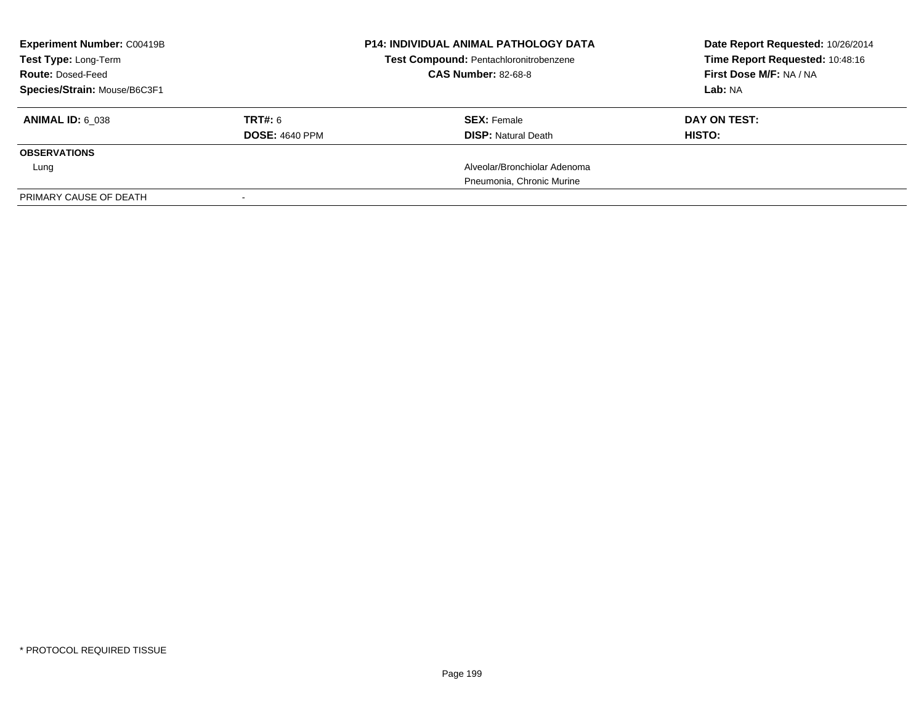| <b>Experiment Number: C00419B</b><br>Test Type: Long-Term<br><b>Route: Dosed-Feed</b><br>Species/Strain: Mouse/B6C3F1 |                                  | <b>P14: INDIVIDUAL ANIMAL PATHOLOGY DATA</b><br>Test Compound: Pentachloronitrobenzene<br><b>CAS Number: 82-68-8</b> | Date Report Requested: 10/26/2014<br>Time Report Requested: 10:48:16<br>First Dose M/F: NA / NA<br>Lab: NA |
|-----------------------------------------------------------------------------------------------------------------------|----------------------------------|----------------------------------------------------------------------------------------------------------------------|------------------------------------------------------------------------------------------------------------|
| <b>ANIMAL ID: 6 038</b>                                                                                               | TRT#: 6<br><b>DOSE: 4640 PPM</b> | <b>SEX: Female</b><br><b>DISP:</b> Natural Death                                                                     | DAY ON TEST:<br><b>HISTO:</b>                                                                              |
| <b>OBSERVATIONS</b>                                                                                                   |                                  |                                                                                                                      |                                                                                                            |
| Lung                                                                                                                  |                                  | Alveolar/Bronchiolar Adenoma                                                                                         |                                                                                                            |
|                                                                                                                       |                                  | Pneumonia, Chronic Murine                                                                                            |                                                                                                            |
| PRIMARY CAUSE OF DEATH                                                                                                |                                  |                                                                                                                      |                                                                                                            |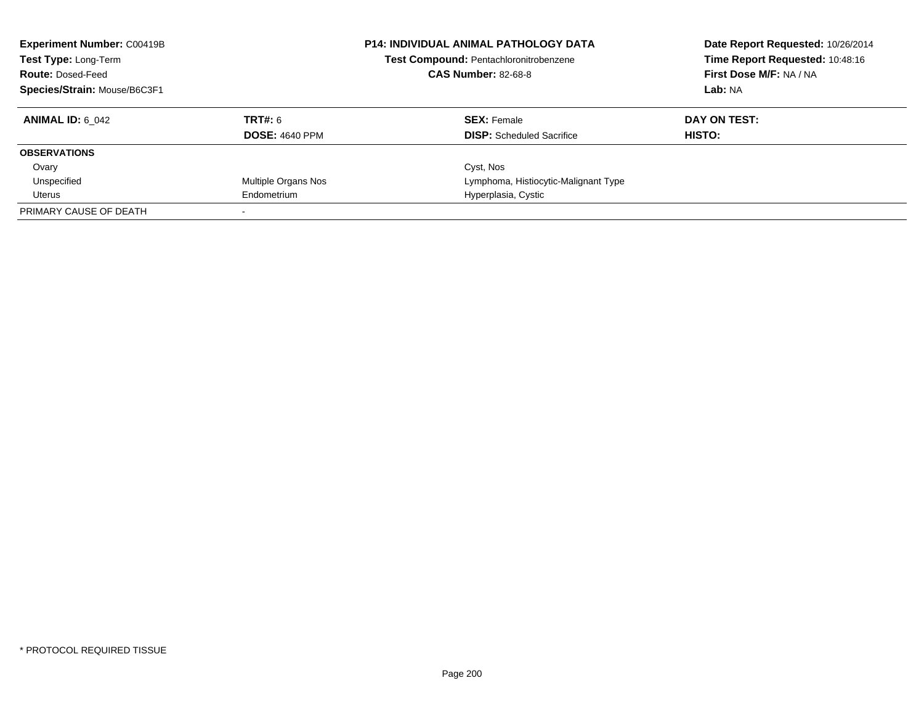| <b>Experiment Number: C00419B</b><br>Test Type: Long-Term<br><b>Route: Dosed-Feed</b><br>Species/Strain: Mouse/B6C3F1 |                       | <b>P14: INDIVIDUAL ANIMAL PATHOLOGY DATA</b><br>Test Compound: Pentachloronitrobenzene<br><b>CAS Number: 82-68-8</b> | Date Report Requested: 10/26/2014<br>Time Report Requested: 10:48:16<br>First Dose M/F: NA / NA<br>Lab: NA |
|-----------------------------------------------------------------------------------------------------------------------|-----------------------|----------------------------------------------------------------------------------------------------------------------|------------------------------------------------------------------------------------------------------------|
| <b>ANIMAL ID:</b> 6 042                                                                                               | TRT#: 6               | <b>SEX: Female</b>                                                                                                   | DAY ON TEST:                                                                                               |
|                                                                                                                       | <b>DOSE: 4640 PPM</b> | <b>DISP:</b> Scheduled Sacrifice                                                                                     | HISTO:                                                                                                     |
| <b>OBSERVATIONS</b>                                                                                                   |                       |                                                                                                                      |                                                                                                            |
| Ovary                                                                                                                 |                       | Cyst, Nos                                                                                                            |                                                                                                            |
| Unspecified                                                                                                           | Multiple Organs Nos   | Lymphoma, Histiocytic-Malignant Type                                                                                 |                                                                                                            |
| Uterus                                                                                                                | Endometrium           | Hyperplasia, Cystic                                                                                                  |                                                                                                            |
| PRIMARY CAUSE OF DEATH                                                                                                |                       |                                                                                                                      |                                                                                                            |